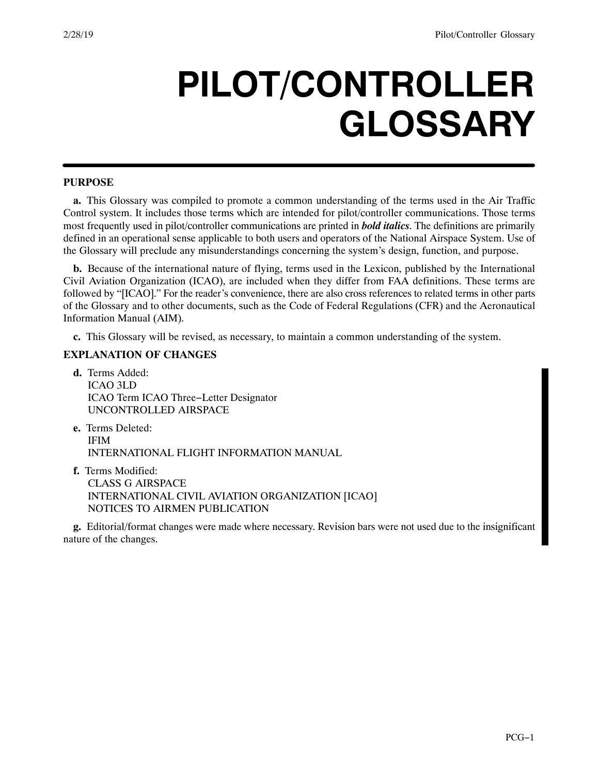# **PILOT/CONTROLLER GLOSSARY**

#### **PURPOSE**

**a.** This Glossary was compiled to promote a common understanding of the terms used in the Air Traffic Control system. It includes those terms which are intended for pilot/controller communications. Those terms most frequently used in pilot/controller communications are printed in *bold italics*. The definitions are primarily defined in an operational sense applicable to both users and operators of the National Airspace System. Use of the Glossary will preclude any misunderstandings concerning the system's design, function, and purpose.

**b.** Because of the international nature of flying, terms used in the Lexicon, published by the International Civil Aviation Organization (ICAO), are included when they differ from FAA definitions. These terms are followed by "[ICAO]." For the reader's convenience, there are also cross references to related terms in other parts of the Glossary and to other documents, such as the Code of Federal Regulations (CFR) and the Aeronautical Information Manual (AIM).

**c.** This Glossary will be revised, as necessary, to maintain a common understanding of the system.

#### **EXPLANATION OF CHANGES**

- **d.** Terms Added: ICAO 3LD ICAO Term ICAO Three−Letter Designator UNCONTROLLED AIRSPACE
- **e.** Terms Deleted: IFIM INTERNATIONAL FLIGHT INFORMATION MANUAL
- **f.** Terms Modified: CLASS G AIRSPACE INTERNATIONAL CIVIL AVIATION ORGANIZATION [ICAO] NOTICES TO AIRMEN PUBLICATION

**g.** Editorial/format changes were made where necessary. Revision bars were not used due to the insignificant nature of the changes.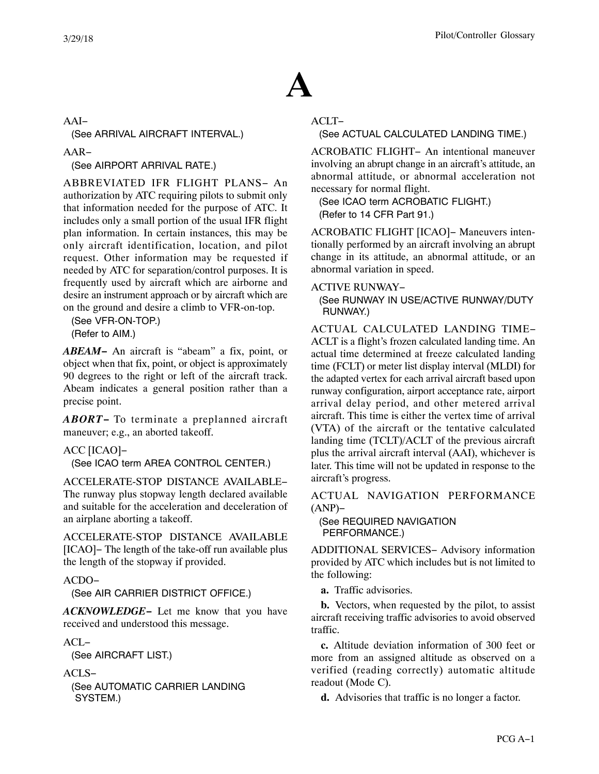# **A**

#### AAI−

(See ARRIVAL AIRCRAFT INTERVAL.)

AAR−

(See AIRPORT ARRIVAL RATE.)

 ABBREVIATED IFR FLIGHT PLANS− An only aircraft identification, location, and pilot request. Other information may be requested if authorization by ATC requiring pilots to submit only that information needed for the purpose of ATC. It includes only a small portion of the usual IFR flight plan information. In certain instances, this may be needed by ATC for separation/control purposes. It is frequently used by aircraft which are airborne and desire an instrument approach or by aircraft which are on the ground and desire a climb to VFR-on-top.

(See VFR-ON-TOP.) (Refer to AIM.)

*ABEAM−* An aircraft is "abeam" a fix, point, or object when that fix, point, or object is approximately 90 degrees to the right or left of the aircraft track. Abeam indicates a general position rather than a precise point.

*ABORT−* To terminate a preplanned aircraft maneuver; e.g., an aborted takeoff.

ACC [ICAO]−

(See ICAO term AREA CONTROL CENTER.)

ACCELERATE-STOP DISTANCE AVAILABLE− The runway plus stopway length declared available and suitable for the acceleration and deceleration of an airplane aborting a takeoff.

ACCELERATE-STOP DISTANCE AVAILABLE [ICAO]− The length of the take-off run available plus the length of the stopway if provided.

# ACDO−

(See AIR CARRIER DISTRICT OFFICE.)

*ACKNOWLEDGE−* Let me know that you have received and understood this message.

 $ACL$ −

(See AIRCRAFT LIST.)

ACLS−

(See AUTOMATIC CARRIER LANDING SYSTEM.)

ACLT−

(See ACTUAL CALCULATED LANDING TIME.)

 abnormal attitude, or abnormal acceleration not ACROBATIC FLIGHT− An intentional maneuver involving an abrupt change in an aircraft's attitude, an necessary for normal flight.

(See ICAO term ACROBATIC FLIGHT.) (Refer to 14 CFR Part 91.)

ACROBATIC FLIGHT [ICAO]− Maneuvers intentionally performed by an aircraft involving an abrupt change in its attitude, an abnormal attitude, or an abnormal variation in speed.

# ACTIVE RUNWAY−

(See RUNWAY IN USE/ACTIVE RUNWAY/DUTY RUNWAY.)

 ACTUAL CALCULATED LANDING TIME− (VTA) of the aircraft or the tentative calculated ACLT is a flight's frozen calculated landing time. An actual time determined at freeze calculated landing time (FCLT) or meter list display interval (MLDI) for the adapted vertex for each arrival aircraft based upon runway configuration, airport acceptance rate, airport arrival delay period, and other metered arrival aircraft. This time is either the vertex time of arrival landing time (TCLT)/ACLT of the previous aircraft plus the arrival aircraft interval (AAI), whichever is later. This time will not be updated in response to the aircraft's progress.

ACTUAL NAVIGATION PERFORMANCE (ANP)−

(See REQUIRED NAVIGATION PERFORMANCE.)

ADDITIONAL SERVICES− Advisory information provided by ATC which includes but is not limited to the following:

**a.** Traffic advisories.

**b.** Vectors, when requested by the pilot, to assist aircraft receiving traffic advisories to avoid observed traffic.

 verified (reading correctly) automatic altitude **c.** Altitude deviation information of 300 feet or more from an assigned altitude as observed on a readout (Mode C).

**d.** Advisories that traffic is no longer a factor.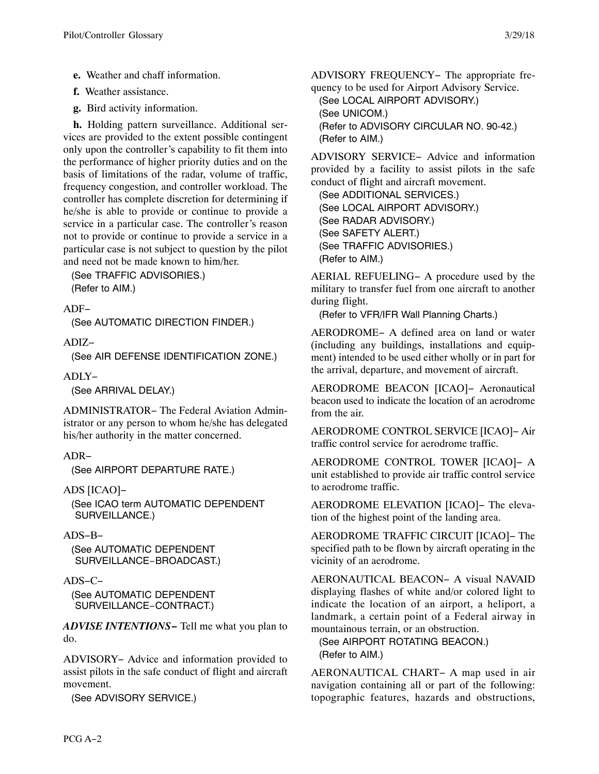- **e.** Weather and chaff information.
- **f.** Weather assistance.
- **g.** Bird activity information.

**h.** Holding pattern surveillance. Additional services are provided to the extent possible contingent only upon the controller's capability to fit them into the performance of higher priority duties and on the basis of limitations of the radar, volume of traffic, frequency congestion, and controller workload. The controller has complete discretion for determining if he/she is able to provide or continue to provide a service in a particular case. The controller's reason not to provide or continue to provide a service in a particular case is not subject to question by the pilot and need not be made known to him/her.

(See TRAFFIC ADVISORIES.) (Refer to AIM.)

ADF−

(See AUTOMATIC DIRECTION FINDER.)

ADIZ−

(See AIR DEFENSE IDENTIFICATION ZONE.)

ADLY−

(See ARRIVAL DELAY.)

ADMINISTRATOR− The Federal Aviation Administrator or any person to whom he/she has delegated his/her authority in the matter concerned.

# ADR−

```
(See AIRPORT DEPARTURE RATE.)
```
ADS [ICAO]−

(See ICAO term AUTOMATIC DEPENDENT SURVEILLANCE.)

ADS−B−

(See AUTOMATIC DEPENDENT SURVEILLANCE−BROADCAST.)

# ADS−C−

(See AUTOMATIC DEPENDENT SURVEILLANCE−CONTRACT.)

*ADVISE INTENTIONS−* Tell me what you plan to do.

ADVISORY− Advice and information provided to assist pilots in the safe conduct of flight and aircraft movement.

(See ADVISORY SERVICE.)

ADVISORY FREQUENCY− The appropriate frequency to be used for Airport Advisory Service.

(See LOCAL AIRPORT ADVISORY.) (See UNICOM.) (Refer to ADVISORY CIRCULAR NO. 90-42.) (Refer to AIM.)

ADVISORY SERVICE− Advice and information provided by a facility to assist pilots in the safe conduct of flight and aircraft movement.

(See ADDITIONAL SERVICES.) (See LOCAL AIRPORT ADVISORY.) (See RADAR ADVISORY.) (See SAFETY ALERT.) (See TRAFFIC ADVISORIES.) (Refer to AIM.)

AERIAL REFUELING− A procedure used by the military to transfer fuel from one aircraft to another during flight.

(Refer to VFR/IFR Wall Planning Charts.)

AERODROME− A defined area on land or water (including any buildings, installations and equipment) intended to be used either wholly or in part for the arrival, departure, and movement of aircraft.

AERODROME BEACON [ICAO]− Aeronautical beacon used to indicate the location of an aerodrome from the air.

AERODROME CONTROL SERVICE [ICAO]− Air traffic control service for aerodrome traffic.

AERODROME CONTROL TOWER [ICAO]− A unit established to provide air traffic control service to aerodrome traffic.

AERODROME ELEVATION [ICAO]− The elevation of the highest point of the landing area.

AERODROME TRAFFIC CIRCUIT [ICAO]− The specified path to be flown by aircraft operating in the vicinity of an aerodrome.

 indicate the location of an airport, a heliport, a landmark, a certain point of a Federal airway in AERONAUTICAL BEACON− A visual NAVAID displaying flashes of white and/or colored light to mountainous terrain, or an obstruction.

(See AIRPORT ROTATING BEACON.) (Refer to AIM.)

 AERONAUTICAL CHART− A map used in air topographic features, hazards and obstructions, navigation containing all or part of the following: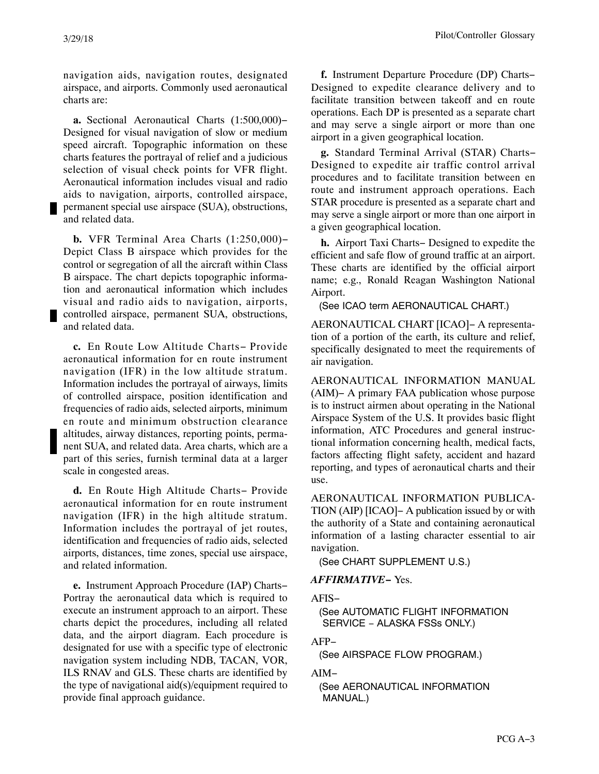navigation aids, navigation routes, designated airspace, and airports. Commonly used aeronautical charts are:

 selection of visual check points for VFR flight. aids to navigation, airports, controlled airspace, **a.** Sectional Aeronautical Charts (1:500,000)− Designed for visual navigation of slow or medium speed aircraft. Topographic information on these charts features the portrayal of relief and a judicious Aeronautical information includes visual and radio permanent special use airspace (SUA), obstructions, and related data.

 Depict Class B airspace which provides for the **b.** VFR Terminal Area Charts (1:250,000)− control or segregation of all the aircraft within Class B airspace. The chart depicts topographic information and aeronautical information which includes visual and radio aids to navigation, airports, controlled airspace, permanent SUA, obstructions, and related data.

 **c.** En Route Low Altitude Charts− Provide aeronautical information for en route instrument navigation (IFR) in the low altitude stratum. en route and minimum obstruction clearance Information includes the portrayal of airways, limits of controlled airspace, position identification and frequencies of radio aids, selected airports, minimum altitudes, airway distances, reporting points, permanent SUA, and related data. Area charts, which are a part of this series, furnish terminal data at a larger scale in congested areas.

 **d.** En Route High Altitude Charts− Provide aeronautical information for en route instrument navigation (IFR) in the high altitude stratum. Information includes the portrayal of jet routes, identification and frequencies of radio aids, selected airports, distances, time zones, special use airspace, and related information.

**e.** Instrument Approach Procedure (IAP) Charts− Portray the aeronautical data which is required to execute an instrument approach to an airport. These charts depict the procedures, including all related data, and the airport diagram. Each procedure is designated for use with a specific type of electronic navigation system including NDB, TACAN, VOR, ILS RNAV and GLS. These charts are identified by the type of navigational aid(s)/equipment required to provide final approach guidance.

 Designed to expedite clearance delivery and to **f.** Instrument Departure Procedure (DP) Charts− facilitate transition between takeoff and en route operations. Each DP is presented as a separate chart and may serve a single airport or more than one airport in a given geographical location.

 Designed to expedite air traffic control arrival route and instrument approach operations. Each **g.** Standard Terminal Arrival (STAR) Charts− procedures and to facilitate transition between en STAR procedure is presented as a separate chart and may serve a single airport or more than one airport in a given geographical location.

**h.** Airport Taxi Charts− Designed to expedite the efficient and safe flow of ground traffic at an airport. These charts are identified by the official airport name; e.g., Ronald Reagan Washington National Airport.

(See ICAO term AERONAUTICAL CHART.)

AERONAUTICAL CHART [ICAO]− A representation of a portion of the earth, its culture and relief, specifically designated to meet the requirements of air navigation.

AERONAUTICAL INFORMATION MANUAL (AIM)− A primary FAA publication whose purpose is to instruct airmen about operating in the National Airspace System of the U.S. It provides basic flight information, ATC Procedures and general instructional information concerning health, medical facts, factors affecting flight safety, accident and hazard reporting, and types of aeronautical charts and their use.

AERONAUTICAL INFORMATION PUBLICA-TION (AIP) [ICAO]− A publication issued by or with the authority of a State and containing aeronautical information of a lasting character essential to air navigation.

(See CHART SUPPLEMENT U.S.)

#### *AFFIRMATIVE−* Yes.

#### AFIS−

(See AUTOMATIC FLIGHT INFORMATION SERVICE − ALASKA FSSs ONLY.)

#### AFP−

(See AIRSPACE FLOW PROGRAM.)

#### AIM−

(See AERONAUTICAL INFORMATION MANUAL.)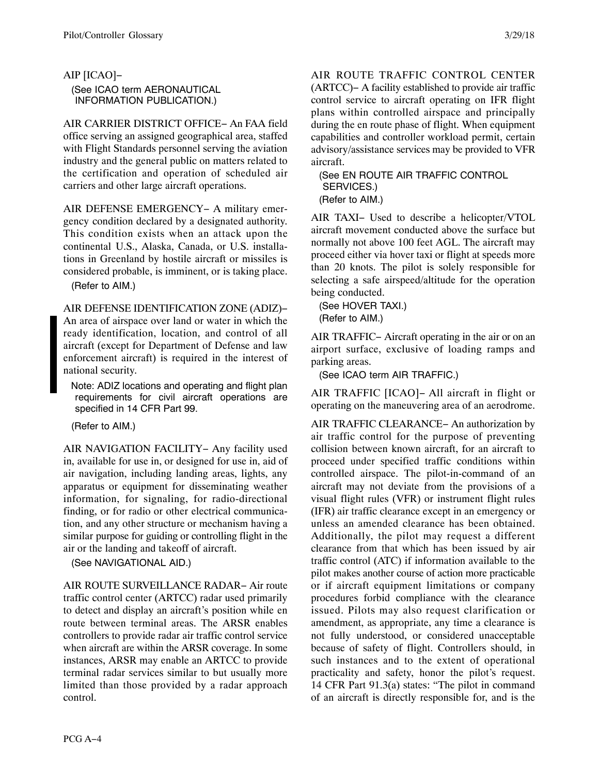#### AIP [ICAO]− (See ICAO term AERONAUTICAL INFORMATION PUBLICATION.)

 the certification and operation of scheduled air AIR CARRIER DISTRICT OFFICE− An FAA field office serving an assigned geographical area, staffed with Flight Standards personnel serving the aviation industry and the general public on matters related to carriers and other large aircraft operations.

 This condition exists when an attack upon the AIR DEFENSE EMERGENCY− A military emergency condition declared by a designated authority. continental U.S., Alaska, Canada, or U.S. installations in Greenland by hostile aircraft or missiles is considered probable, is imminent, or is taking place.

(Refer to AIM.)

 ready identification, location, and control of all AIR DEFENSE IDENTIFICATION ZONE (ADIZ)− An area of airspace over land or water in which the aircraft (except for Department of Defense and law enforcement aircraft) is required in the interest of national security.

Note: ADIZ locations and operating and flight plan requirements for civil aircraft operations are specified in 14 CFR Part 99.

(Refer to AIM.)

 information, for signaling, for radio-directional AIR NAVIGATION FACILITY− Any facility used in, available for use in, or designed for use in, aid of air navigation, including landing areas, lights, any apparatus or equipment for disseminating weather finding, or for radio or other electrical communication, and any other structure or mechanism having a similar purpose for guiding or controlling flight in the air or the landing and takeoff of aircraft.

(See NAVIGATIONAL AID.)

AIR ROUTE SURVEILLANCE RADAR− Air route traffic control center (ARTCC) radar used primarily to detect and display an aircraft's position while en route between terminal areas. The ARSR enables controllers to provide radar air traffic control service when aircraft are within the ARSR coverage. In some instances, ARSR may enable an ARTCC to provide terminal radar services similar to but usually more limited than those provided by a radar approach control.

 AIR ROUTE TRAFFIC CONTROL CENTER plans within controlled airspace and principally (ARTCC)− A facility established to provide air traffic control service to aircraft operating on IFR flight during the en route phase of flight. When equipment capabilities and controller workload permit, certain advisory/assistance services may be provided to VFR aircraft.

(See EN ROUTE AIR TRAFFIC CONTROL SERVICES.) (Refer to AIM.)

AIR TAXI− Used to describe a helicopter/VTOL aircraft movement conducted above the surface but normally not above 100 feet AGL. The aircraft may proceed either via hover taxi or flight at speeds more than 20 knots. The pilot is solely responsible for selecting a safe airspeed/altitude for the operation being conducted.

(See HOVER TAXI.) (Refer to AIM.)

 AIR TRAFFIC− Aircraft operating in the air or on an airport surface, exclusive of loading ramps and parking areas.

(See ICAO term AIR TRAFFIC.)

 AIR TRAFFIC [ICAO]− All aircraft in flight or operating on the maneuvering area of an aerodrome.

 air traffic control for the purpose of preventing unless an amended clearance has been obtained. Additionally, the pilot may request a different or if aircraft equipment limitations or company issued. Pilots may also request clarification or such instances and to the extent of operational AIR TRAFFIC CLEARANCE− An authorization by collision between known aircraft, for an aircraft to proceed under specified traffic conditions within controlled airspace. The pilot-in-command of an aircraft may not deviate from the provisions of a visual flight rules (VFR) or instrument flight rules (IFR) air traffic clearance except in an emergency or clearance from that which has been issued by air traffic control (ATC) if information available to the pilot makes another course of action more practicable procedures forbid compliance with the clearance amendment, as appropriate, any time a clearance is not fully understood, or considered unacceptable because of safety of flight. Controllers should, in practicality and safety, honor the pilot's request. 14 CFR Part 91.3(a) states: "The pilot in command of an aircraft is directly responsible for, and is the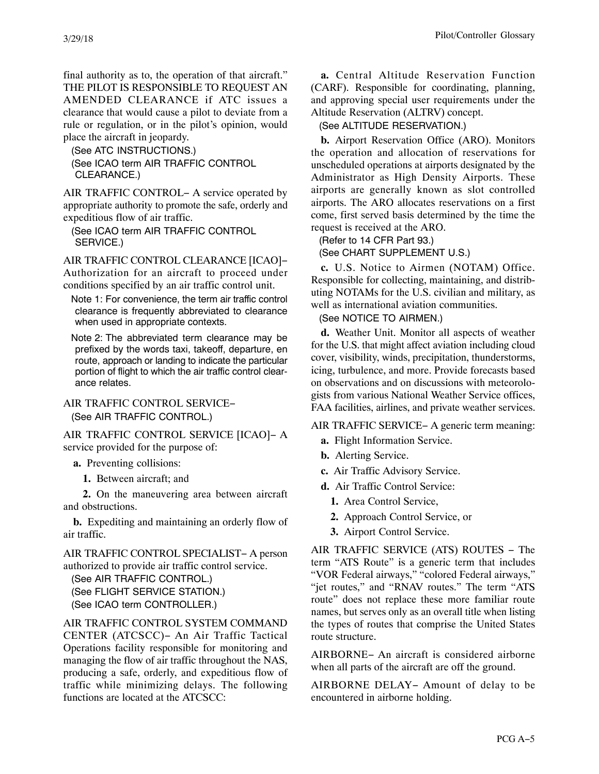AMENDED CLEARANCE if ATC issues a final authority as to, the operation of that aircraft." THE PILOT IS RESPONSIBLE TO REQUEST AN clearance that would cause a pilot to deviate from a rule or regulation, or in the pilot's opinion, would place the aircraft in jeopardy.

(See ATC INSTRUCTIONS.) (See ICAO term AIR TRAFFIC CONTROL

CLEARANCE.)

AIR TRAFFIC CONTROL− A service operated by appropriate authority to promote the safe, orderly and expeditious flow of air traffic.

(See ICAO term AIR TRAFFIC CONTROL SERVICE.)

 Authorization for an aircraft to proceed under AIR TRAFFIC CONTROL CLEARANCE [ICAO]− conditions specified by an air traffic control unit.

Note 1: For convenience, the term air traffic control clearance is frequently abbreviated to clearance when used in appropriate contexts.

Note 2: The abbreviated term clearance may be prefixed by the words taxi, takeoff, departure, en route, approach or landing to indicate the particular portion of flight to which the air traffic control clearance relates.

AIR TRAFFIC CONTROL SERVICE− (See AIR TRAFFIC CONTROL.)

AIR TRAFFIC CONTROL SERVICE [ICAO]− A service provided for the purpose of:

**a.** Preventing collisions:

**1.** Between aircraft; and

**2.** On the maneuvering area between aircraft and obstructions.

**b.** Expediting and maintaining an orderly flow of air traffic.

AIR TRAFFIC CONTROL SPECIALIST− A person authorized to provide air traffic control service.

(See AIR TRAFFIC CONTROL.) (See FLIGHT SERVICE STATION.) (See ICAO term CONTROLLER.)

 CENTER (ATCSCC)− An Air Traffic Tactical traffic while minimizing delays. The following AIR TRAFFIC CONTROL SYSTEM COMMAND Operations facility responsible for monitoring and managing the flow of air traffic throughout the NAS, producing a safe, orderly, and expeditious flow of functions are located at the ATCSCC:

**a.** Central Altitude Reservation Function (CARF). Responsible for coordinating, planning, and approving special user requirements under the Altitude Reservation (ALTRV) concept.

(See ALTITUDE RESERVATION.)

 the operation and allocation of reservations for Administrator as High Density Airports. These airports are generally known as slot controlled **b.** Airport Reservation Office (ARO). Monitors unscheduled operations at airports designated by the airports. The ARO allocates reservations on a first come, first served basis determined by the time the request is received at the ARO.

(Refer to 14 CFR Part 93.)

(See CHART SUPPLEMENT U.S.)

**c.** U.S. Notice to Airmen (NOTAM) Office. Responsible for collecting, maintaining, and distributing NOTAMs for the U.S. civilian and military, as well as international aviation communities.

(See NOTICE TO AIRMEN.)

**d.** Weather Unit. Monitor all aspects of weather for the U.S. that might affect aviation including cloud cover, visibility, winds, precipitation, thunderstorms, icing, turbulence, and more. Provide forecasts based on observations and on discussions with meteorologists from various National Weather Service offices, FAA facilities, airlines, and private weather services.

AIR TRAFFIC SERVICE− A generic term meaning:

- **a.** Flight Information Service.
- **b.** Alerting Service.
- **c.** Air Traffic Advisory Service.
- **d.** Air Traffic Control Service:
	- **1.** Area Control Service,
	- **2.** Approach Control Service, or
	- **3.** Airport Control Service.

AIR TRAFFIC SERVICE (ATS) ROUTES − The term "ATS Route" is a generic term that includes "VOR Federal airways," "colored Federal airways," "jet routes," and "RNAV routes." The term "ATS route" does not replace these more familiar route names, but serves only as an overall title when listing the types of routes that comprise the United States route structure.

 AIRBORNE− An aircraft is considered airborne when all parts of the aircraft are off the ground.

 AIRBORNE DELAY− Amount of delay to be encountered in airborne holding.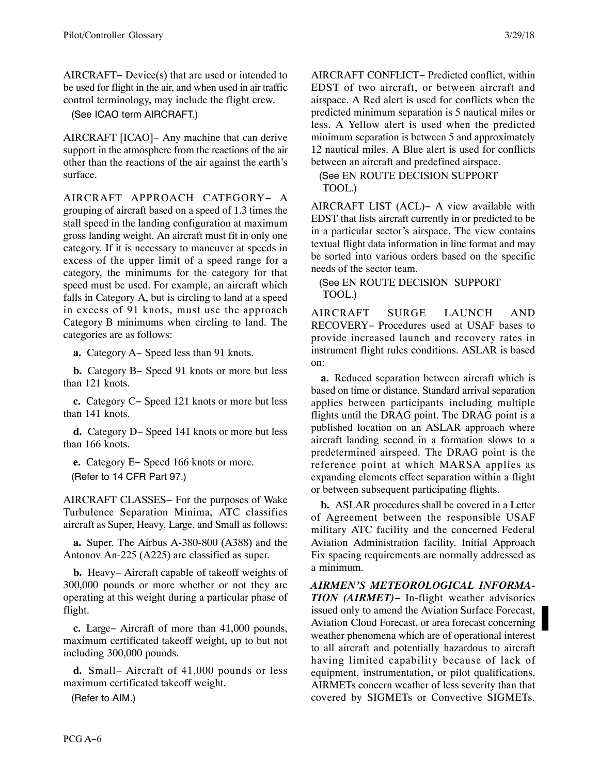AIRCRAFT− Device(s) that are used or intended to be used for flight in the air, and when used in air traffic control terminology, may include the flight crew.

(See ICAO term AIRCRAFT.)

AIRCRAFT [ICAO]− Any machine that can derive support in the atmosphere from the reactions of the air other than the reactions of the air against the earth's surface.

 excess of the upper limit of a speed range for a in excess of 91 knots, must use the approach AIRCRAFT APPROACH CATEGORY− A grouping of aircraft based on a speed of 1.3 times the stall speed in the landing configuration at maximum gross landing weight. An aircraft must fit in only one category. If it is necessary to maneuver at speeds in category, the minimums for the category for that speed must be used. For example, an aircraft which falls in Category A, but is circling to land at a speed Category B minimums when circling to land. The categories are as follows:

**a.** Category A− Speed less than 91 knots.

**b.** Category B− Speed 91 knots or more but less than 121 knots.

**c.** Category C− Speed 121 knots or more but less than 141 knots.

**d.** Category D− Speed 141 knots or more but less than 166 knots.

**e.** Category E− Speed 166 knots or more. (Refer to 14 CFR Part 97.)

 Turbulence Separation Minima, ATC classifies AIRCRAFT CLASSES− For the purposes of Wake aircraft as Super, Heavy, Large, and Small as follows:

**a.** Super. The Airbus A-380-800 (A388) and the Antonov An-225 (A225) are classified as super.

**b.** Heavy− Aircraft capable of takeoff weights of 300,000 pounds or more whether or not they are operating at this weight during a particular phase of flight.

**c.** Large− Aircraft of more than 41,000 pounds, maximum certificated takeoff weight, up to but not including 300,000 pounds.

 **d.** Small− Aircraft of 41,000 pounds or less maximum certificated takeoff weight.

(Refer to AIM.)

 EDST of two aircraft, or between aircraft and less. A Yellow alert is used when the predicted AIRCRAFT CONFLICT− Predicted conflict, within airspace. A Red alert is used for conflicts when the predicted minimum separation is 5 nautical miles or minimum separation is between 5 and approximately 12 nautical miles. A Blue alert is used for conflicts between an aircraft and predefined airspace.

(See EN ROUTE DECISION SUPPORT TOOL.)

AIRCRAFT LIST (ACL)− A view available with EDST that lists aircraft currently in or predicted to be in a particular sector's airspace. The view contains textual flight data information in line format and may be sorted into various orders based on the specific needs of the sector team.

#### (See EN ROUTE DECISION SUPPORT TOOL.)

 provide increased launch and recovery rates in AIRCRAFT SURGE LAUNCH AND RECOVERY− Procedures used at USAF bases to instrument flight rules conditions. ASLAR is based on:

 applies between participants including multiple predetermined airspeed. The DRAG point is the reference point at which MARSA applies as **a.** Reduced separation between aircraft which is based on time or distance. Standard arrival separation flights until the DRAG point. The DRAG point is a published location on an ASLAR approach where aircraft landing second in a formation slows to a expanding elements effect separation within a flight or between subsequent participating flights.

 of Agreement between the responsible USAF military ATC facility and the concerned Federal **b.** ASLAR procedures shall be covered in a Letter Aviation Administration facility. Initial Approach Fix spacing requirements are normally addressed as a minimum.

 having limited capability because of lack of *AIRMEN'S METEOROLOGICAL INFORMA-TION (AIRMET)−* In-flight weather advisories issued only to amend the Aviation Surface Forecast, Aviation Cloud Forecast, or area forecast concerning weather phenomena which are of operational interest to all aircraft and potentially hazardous to aircraft equipment, instrumentation, or pilot qualifications. AIRMETs concern weather of less severity than that covered by SIGMETs or Convective SIGMETs.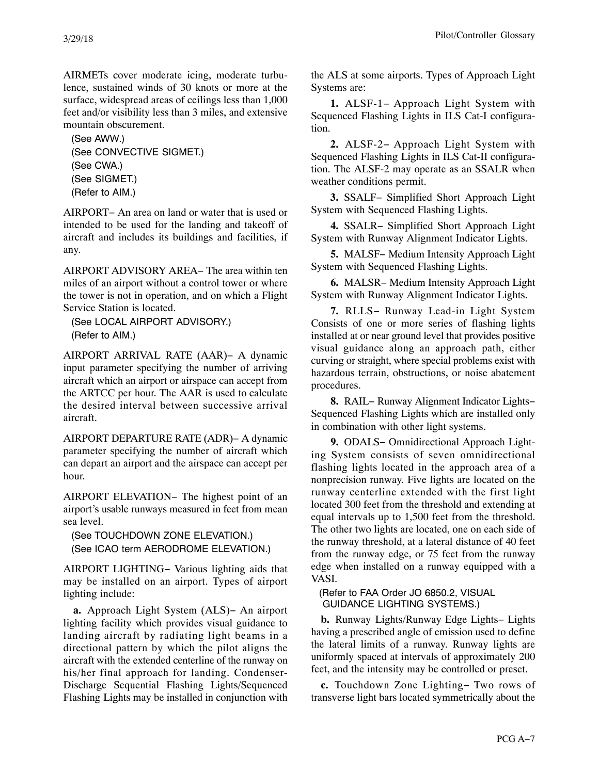AIRMETs cover moderate icing, moderate turbulence, sustained winds of 30 knots or more at the surface, widespread areas of ceilings less than 1,000 feet and/or visibility less than 3 miles, and extensive mountain obscurement.

(See AWW.) (See CONVECTIVE SIGMET.) (See CWA.) (See SIGMET.) (Refer to AIM.)

AIRPORT− An area on land or water that is used or intended to be used for the landing and takeoff of aircraft and includes its buildings and facilities, if any.

AIRPORT ADVISORY AREA− The area within ten miles of an airport without a control tower or where the tower is not in operation, and on which a Flight Service Station is located.

(See LOCAL AIRPORT ADVISORY.) (Refer to AIM.)

 the desired interval between successive arrival AIRPORT ARRIVAL RATE (AAR)− A dynamic input parameter specifying the number of arriving aircraft which an airport or airspace can accept from the ARTCC per hour. The AAR is used to calculate aircraft.

AIRPORT DEPARTURE RATE (ADR)− A dynamic parameter specifying the number of aircraft which can depart an airport and the airspace can accept per hour.

AIRPORT ELEVATION− The highest point of an airport's usable runways measured in feet from mean sea level.

(See TOUCHDOWN ZONE ELEVATION.) (See ICAO term AERODROME ELEVATION.)

 may be installed on an airport. Types of airport AIRPORT LIGHTING− Various lighting aids that lighting include:

 landing aircraft by radiating light beams in a directional pattern by which the pilot aligns the his/her final approach for landing. Condenser**a.** Approach Light System (ALS)− An airport lighting facility which provides visual guidance to aircraft with the extended centerline of the runway on Discharge Sequential Flashing Lights/Sequenced Flashing Lights may be installed in conjunction with

the ALS at some airports. Types of Approach Light Systems are:

 **1.** ALSF-1− Approach Light System with Sequenced Flashing Lights in ILS Cat-I configuration.

 **2.** ALSF-2− Approach Light System with Sequenced Flashing Lights in ILS Cat-II configuration. The ALSF-2 may operate as an SSALR when weather conditions permit.

**3.** SSALF− Simplified Short Approach Light System with Sequenced Flashing Lights.

**4.** SSALR− Simplified Short Approach Light System with Runway Alignment Indicator Lights.

**5.** MALSF− Medium Intensity Approach Light System with Sequenced Flashing Lights.

**6.** MALSR− Medium Intensity Approach Light System with Runway Alignment Indicator Lights.

 visual guidance along an approach path, either **7.** RLLS− Runway Lead-in Light System Consists of one or more series of flashing lights installed at or near ground level that provides positive curving or straight, where special problems exist with hazardous terrain, obstructions, or noise abatement procedures.

**8.** RAIL− Runway Alignment Indicator Lights− Sequenced Flashing Lights which are installed only in combination with other light systems.

 ing System consists of seven omnidirectional flashing lights located in the approach area of a runway centerline extended with the first light **9.** ODALS− Omnidirectional Approach Lightnonprecision runway. Five lights are located on the located 300 feet from the threshold and extending at equal intervals up to 1,500 feet from the threshold. The other two lights are located, one on each side of the runway threshold, at a lateral distance of 40 feet from the runway edge, or 75 feet from the runway edge when installed on a runway equipped with a VASI.

(Refer to FAA Order JO 6850.2, VISUAL GUIDANCE LIGHTING SYSTEMS.)

**b.** Runway Lights/Runway Edge Lights− Lights having a prescribed angle of emission used to define the lateral limits of a runway. Runway lights are uniformly spaced at intervals of approximately 200 feet, and the intensity may be controlled or preset.

 **c.** Touchdown Zone Lighting− Two rows of transverse light bars located symmetrically about the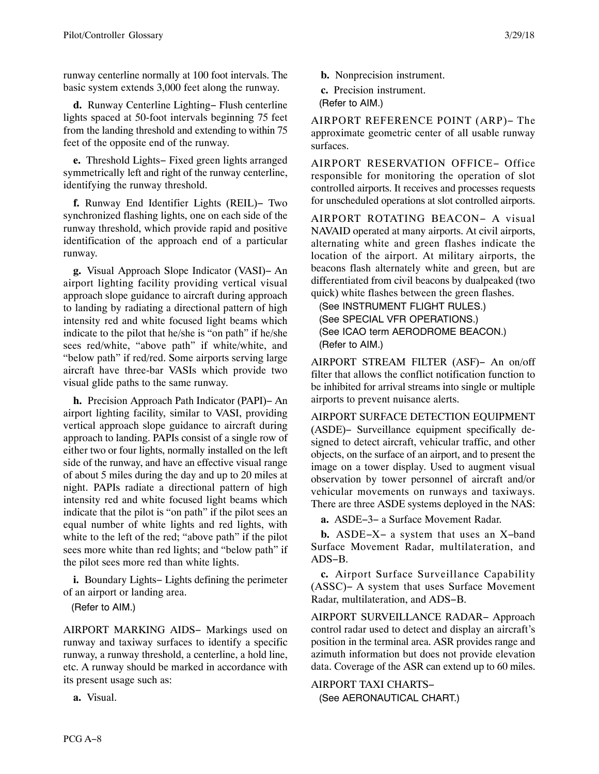runway centerline normally at 100 foot intervals. The basic system extends 3,000 feet along the runway.

**d.** Runway Centerline Lighting− Flush centerline lights spaced at 50-foot intervals beginning 75 feet from the landing threshold and extending to within 75 feet of the opposite end of the runway.

**e.** Threshold Lights− Fixed green lights arranged symmetrically left and right of the runway centerline, identifying the runway threshold.

**f.** Runway End Identifier Lights (REIL)− Two synchronized flashing lights, one on each side of the runway threshold, which provide rapid and positive identification of the approach end of a particular runway.

 airport lighting facility providing vertical visual **g.** Visual Approach Slope Indicator (VASI)− An approach slope guidance to aircraft during approach to landing by radiating a directional pattern of high intensity red and white focused light beams which indicate to the pilot that he/she is "on path" if he/she sees red/white, "above path" if white/white, and "below path" if red/red. Some airports serving large aircraft have three-bar VASIs which provide two visual glide paths to the same runway.

**h.** Precision Approach Path Indicator (PAPI)− An airport lighting facility, similar to VASI, providing vertical approach slope guidance to aircraft during approach to landing. PAPIs consist of a single row of either two or four lights, normally installed on the left side of the runway, and have an effective visual range of about 5 miles during the day and up to 20 miles at night. PAPIs radiate a directional pattern of high intensity red and white focused light beams which indicate that the pilot is "on path" if the pilot sees an equal number of white lights and red lights, with white to the left of the red; "above path" if the pilot sees more white than red lights; and "below path" if the pilot sees more red than white lights.

**i.** Boundary Lights− Lights defining the perimeter of an airport or landing area.

(Refer to AIM.)

AIRPORT MARKING AIDS− Markings used on runway and taxiway surfaces to identify a specific runway, a runway threshold, a centerline, a hold line, etc. A runway should be marked in accordance with its present usage such as:

**a.** Visual.

- **b.** Nonprecision instrument.
- **c.** Precision instrument.
- (Refer to AIM.)

AIRPORT REFERENCE POINT (ARP)− The approximate geometric center of all usable runway surfaces.

 responsible for monitoring the operation of slot AIRPORT RESERVATION OFFICE− Office controlled airports. It receives and processes requests for unscheduled operations at slot controlled airports.

 alternating white and green flashes indicate the location of the airport. At military airports, the AIRPORT ROTATING BEACON− A visual NAVAID operated at many airports. At civil airports, beacons flash alternately white and green, but are differentiated from civil beacons by dualpeaked (two quick) white flashes between the green flashes.

(See INSTRUMENT FLIGHT RULES.) (See SPECIAL VFR OPERATIONS.) (See ICAO term AERODROME BEACON.) (Refer to AIM.)

AIRPORT STREAM FILTER (ASF)− An on/off filter that allows the conflict notification function to be inhibited for arrival streams into single or multiple airports to prevent nuisance alerts.

 vehicular movements on runways and taxiways. AIRPORT SURFACE DETECTION EQUIPMENT (ASDE)− Surveillance equipment specifically designed to detect aircraft, vehicular traffic, and other objects, on the surface of an airport, and to present the image on a tower display. Used to augment visual observation by tower personnel of aircraft and/or There are three ASDE systems deployed in the NAS:

**a.** ASDE−3− a Surface Movement Radar.

 **b.** ASDE−X− a system that uses an X−band Surface Movement Radar, multilateration, and ADS−B.

 (ASSC)− A system that uses Surface Movement **c.** Airport Surface Surveillance Capability Radar, multilateration, and ADS−B.

AIRPORT SURVEILLANCE RADAR− Approach control radar used to detect and display an aircraft's position in the terminal area. ASR provides range and azimuth information but does not provide elevation data. Coverage of the ASR can extend up to 60 miles.

AIRPORT TAXI CHARTS− (See AERONAUTICAL CHART.)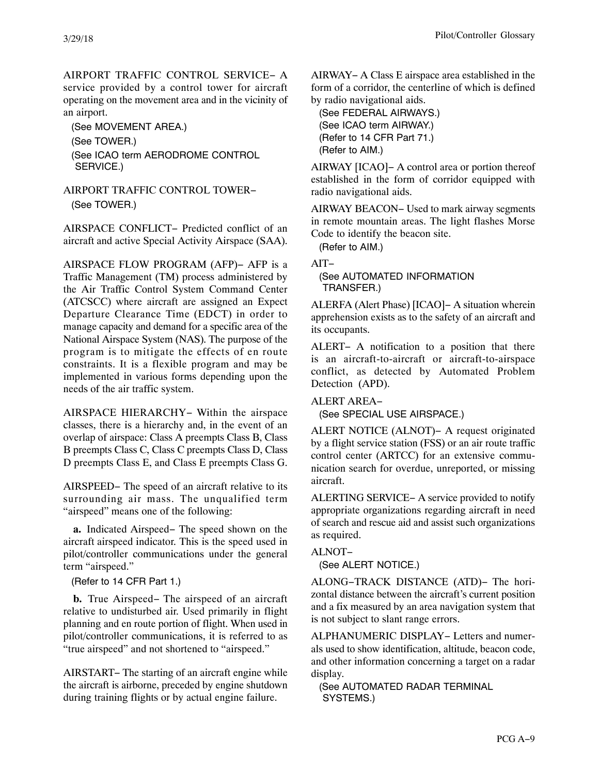AIRPORT TRAFFIC CONTROL SERVICE− A service provided by a control tower for aircraft operating on the movement area and in the vicinity of an airport.

(See MOVEMENT AREA.) (See TOWER.) (See ICAO term AERODROME CONTROL SERVICE.)

AIRPORT TRAFFIC CONTROL TOWER− (See TOWER.)

AIRSPACE CONFLICT− Predicted conflict of an aircraft and active Special Activity Airspace (SAA).

 Departure Clearance Time (EDCT) in order to program is to mitigate the effects of en route constraints. It is a flexible program and may be AIRSPACE FLOW PROGRAM (AFP)− AFP is a Traffic Management (TM) process administered by the Air Traffic Control System Command Center (ATCSCC) where aircraft are assigned an Expect manage capacity and demand for a specific area of the National Airspace System (NAS). The purpose of the implemented in various forms depending upon the needs of the air traffic system.

 AIRSPACE HIERARCHY− Within the airspace classes, there is a hierarchy and, in the event of an overlap of airspace: Class A preempts Class B, Class B preempts Class C, Class C preempts Class D, Class D preempts Class E, and Class E preempts Class G.

 surrounding air mass. The unqualified term AIRSPEED− The speed of an aircraft relative to its "airspeed" means one of the following:

**a.** Indicated Airspeed− The speed shown on the aircraft airspeed indicator. This is the speed used in pilot/controller communications under the general term "airspeed."

(Refer to 14 CFR Part 1.)

 **b.** True Airspeed− The airspeed of an aircraft relative to undisturbed air. Used primarily in flight planning and en route portion of flight. When used in pilot/controller communications, it is referred to as "true airspeed" and not shortened to "airspeed."

AIRSTART− The starting of an aircraft engine while the aircraft is airborne, preceded by engine shutdown during training flights or by actual engine failure.

AIRWAY− A Class E airspace area established in the form of a corridor, the centerline of which is defined by radio navigational aids.

(See FEDERAL AIRWAYS.) (See ICAO term AIRWAY.) (Refer to 14 CFR Part 71.) (Refer to AIM.)

AIRWAY [ICAO]− A control area or portion thereof established in the form of corridor equipped with radio navigational aids.

AIRWAY BEACON− Used to mark airway segments in remote mountain areas. The light flashes Morse Code to identify the beacon site.

(Refer to AIM.)

AIT−

#### (See AUTOMATED INFORMATION TRANSFER.)

ALERFA (Alert Phase) [ICAO]− A situation wherein apprehension exists as to the safety of an aircraft and its occupants.

 is an aircraft-to-aircraft or aircraft-to-airspace conflict, as detected by Automated Problem ALERT− A notification to a position that there Detection (APD).

ALERT AREA−

(See SPECIAL USE AIRSPACE.)

ALERT NOTICE (ALNOT)− A request originated by a flight service station (FSS) or an air route traffic control center (ARTCC) for an extensive communication search for overdue, unreported, or missing aircraft.

ALERTING SERVICE− A service provided to notify appropriate organizations regarding aircraft in need of search and rescue aid and assist such organizations as required.

#### ALNOT−

(See ALERT NOTICE.)

ALONG−TRACK DISTANCE (ATD)− The horizontal distance between the aircraft's current position and a fix measured by an area navigation system that is not subject to slant range errors.

ALPHANUMERIC DISPLAY− Letters and numerals used to show identification, altitude, beacon code, and other information concerning a target on a radar display.

(See AUTOMATED RADAR TERMINAL SYSTEMS.)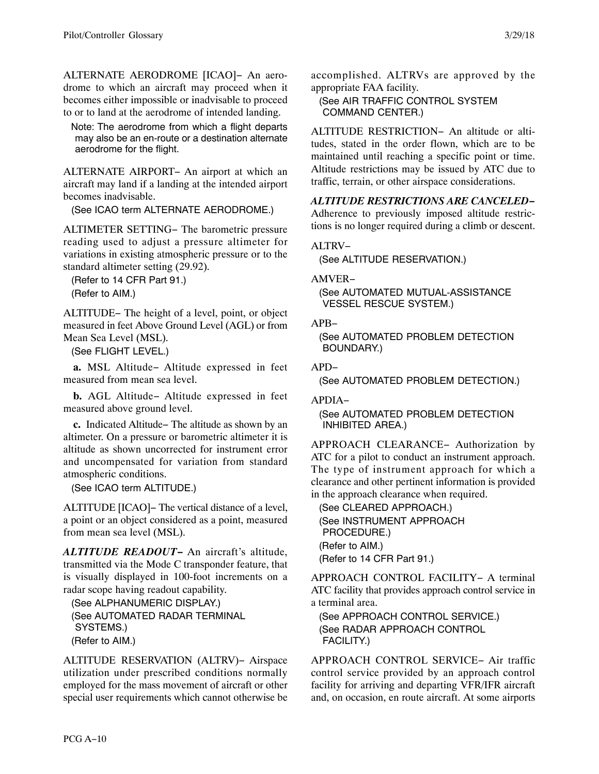ALTERNATE AERODROME [ICAO]− An aerodrome to which an aircraft may proceed when it becomes either impossible or inadvisable to proceed to or to land at the aerodrome of intended landing.

Note: The aerodrome from which a flight departs may also be an en-route or a destination alternate aerodrome for the flight.

ALTERNATE AIRPORT− An airport at which an aircraft may land if a landing at the intended airport becomes inadvisable.

(See ICAO term ALTERNATE AERODROME.)

 reading used to adjust a pressure altimeter for ALTIMETER SETTING− The barometric pressure variations in existing atmospheric pressure or to the standard altimeter setting (29.92).

(Refer to 14 CFR Part 91.) (Refer to AIM.)

ALTITUDE− The height of a level, point, or object measured in feet Above Ground Level (AGL) or from

Mean Sea Level (MSL). (See FLIGHT LEVEL.)

 **a.** MSL Altitude− Altitude expressed in feet measured from mean sea level.

 **b.** AGL Altitude− Altitude expressed in feet measured above ground level.

**c.** Indicated Altitude− The altitude as shown by an altimeter. On a pressure or barometric altimeter it is altitude as shown uncorrected for instrument error and uncompensated for variation from standard atmospheric conditions.

(See ICAO term ALTITUDE.)

ALTITUDE [ICAO]− The vertical distance of a level, a point or an object considered as a point, measured from mean sea level (MSL).

*ALTITUDE READOUT−* An aircraft's altitude, transmitted via the Mode C transponder feature, that is visually displayed in 100-foot increments on a radar scope having readout capability.

(See ALPHANUMERIC DISPLAY.) (See AUTOMATED RADAR TERMINAL SYSTEMS.) (Refer to AIM.)

 utilization under prescribed conditions normally ALTITUDE RESERVATION (ALTRV)− Airspace employed for the mass movement of aircraft or other special user requirements which cannot otherwise be

 accomplished. ALTRVs are approved by the appropriate FAA facility.

(See AIR TRAFFIC CONTROL SYSTEM COMMAND CENTER.)

ALTITUDE RESTRICTION− An altitude or altitudes, stated in the order flown, which are to be maintained until reaching a specific point or time. Altitude restrictions may be issued by ATC due to traffic, terrain, or other airspace considerations.

*ALTITUDE RESTRICTIONS ARE CANCELED−*

Adherence to previously imposed altitude restrictions is no longer required during a climb or descent.

ALTRV−

(See ALTITUDE RESERVATION.)

AMVER−

(See AUTOMATED MUTUAL-ASSISTANCE VESSEL RESCUE SYSTEM.)

APB−

(See AUTOMATED PROBLEM DETECTION BOUNDARY.)

APD−

(See AUTOMATED PROBLEM DETECTION.)

APDIA−

(See AUTOMATED PROBLEM DETECTION INHIBITED AREA.)

 The type of instrument approach for which a APPROACH CLEARANCE− Authorization by ATC for a pilot to conduct an instrument approach. clearance and other pertinent information is provided in the approach clearance when required.

(See CLEARED APPROACH.) (See INSTRUMENT APPROACH PROCEDURE.) (Refer to AIM.) (Refer to 14 CFR Part 91.)

APPROACH CONTROL FACILITY− A terminal ATC facility that provides approach control service in a terminal area.

(See APPROACH CONTROL SERVICE.) (See RADAR APPROACH CONTROL FACILITY.)

APPROACH CONTROL SERVICE− Air traffic control service provided by an approach control facility for arriving and departing VFR/IFR aircraft and, on occasion, en route aircraft. At some airports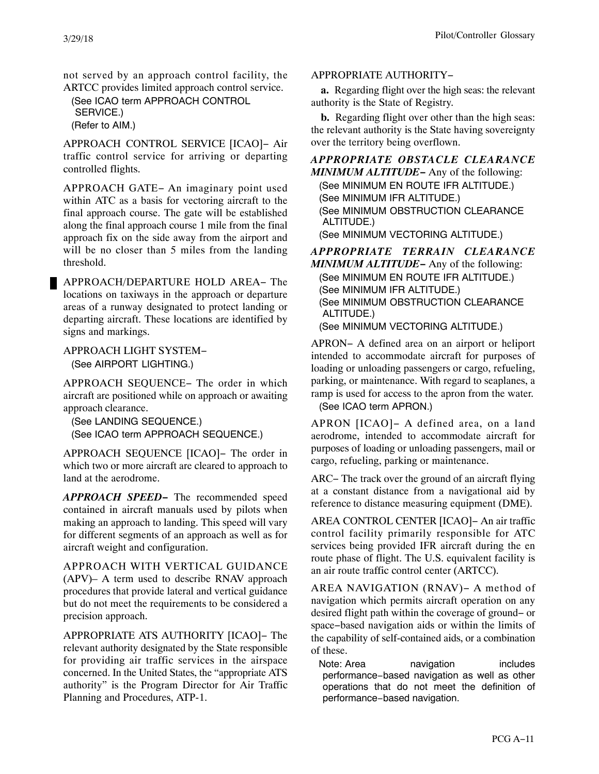not served by an approach control facility, the ARTCC provides limited approach control service.

(See ICAO term APPROACH CONTROL SERVICE.) (Refer to AIM.)

 traffic control service for arriving or departing APPROACH CONTROL SERVICE [ICAO]− Air controlled flights.

 APPROACH GATE− An imaginary point used will be no closer than 5 miles from the landing within ATC as a basis for vectoring aircraft to the final approach course. The gate will be established along the final approach course 1 mile from the final approach fix on the side away from the airport and threshold.

■ APPROACH/DEPARTURE HOLD AREA– The locations on taxiways in the approach or departure areas of a runway designated to protect landing or departing aircraft. These locations are identified by signs and markings.

APPROACH LIGHT SYSTEM− (See AIRPORT LIGHTING.)

 APPROACH SEQUENCE− The order in which aircraft are positioned while on approach or awaiting approach clearance.

(See LANDING SEQUENCE.) (See ICAO term APPROACH SEQUENCE.)

APPROACH SEQUENCE [ICAO]− The order in which two or more aircraft are cleared to approach to land at the aerodrome.

*APPROACH SPEED−* The recommended speed contained in aircraft manuals used by pilots when making an approach to landing. This speed will vary for different segments of an approach as well as for aircraft weight and configuration.

APPROACH WITH VERTICAL GUIDANCE (APV)– A term used to describe RNAV approach procedures that provide lateral and vertical guidance but do not meet the requirements to be considered a precision approach.

 for providing air traffic services in the airspace APPROPRIATE ATS AUTHORITY [ICAO]− The relevant authority designated by the State responsible concerned. In the United States, the "appropriate ATS authority" is the Program Director for Air Traffic Planning and Procedures, ATP-1.

#### APPROPRIATE AUTHORITY−

**a.** Regarding flight over the high seas: the relevant authority is the State of Registry.

**b.** Regarding flight over other than the high seas: the relevant authority is the State having sovereignty over the territory being overflown.

*APPROPRIATE OBSTACLE CLEARANCE MINIMUM ALTITUDE* − Any of the following: (See MINIMUM EN ROUTE IFR ALTITUDE.) (See MINIMUM IFR ALTITUDE.) (See MINIMUM OBSTRUCTION CLEARANCE ALTITUDE.) (See MINIMUM VECTORING ALTITUDE.)

*APPROPRIATE TERRAIN CLEARANCE MINIMUM ALTITUDE* − Any of the following: (See MINIMUM EN ROUTE IFR ALTITUDE.) (See MINIMUM IFR ALTITUDE.) (See MINIMUM OBSTRUCTION CLEARANCE ALTITUDE.) (See MINIMUM VECTORING ALTITUDE.)

APRON− A defined area on an airport or heliport intended to accommodate aircraft for purposes of loading or unloading passengers or cargo, refueling, parking, or maintenance. With regard to seaplanes, a ramp is used for access to the apron from the water.

(See ICAO term APRON.)

 APRON [ICAO]− A defined area, on a land aerodrome, intended to accommodate aircraft for purposes of loading or unloading passengers, mail or cargo, refueling, parking or maintenance.

ARC− The track over the ground of an aircraft flying at a constant distance from a navigational aid by reference to distance measuring equipment (DME).

AREA CONTROL CENTER [ICAO]− An air traffic control facility primarily responsible for ATC services being provided IFR aircraft during the en route phase of flight. The U.S. equivalent facility is an air route traffic control center (ARTCC).

AREA NAVIGATION (RNAV)− A method of navigation which permits aircraft operation on any desired flight path within the coverage of ground− or space−based navigation aids or within the limits of the capability of self-contained aids, or a combination of these.

Note: Area **navigation** includes performance−based navigation as well as other operations that do not meet the definition of performance−based navigation.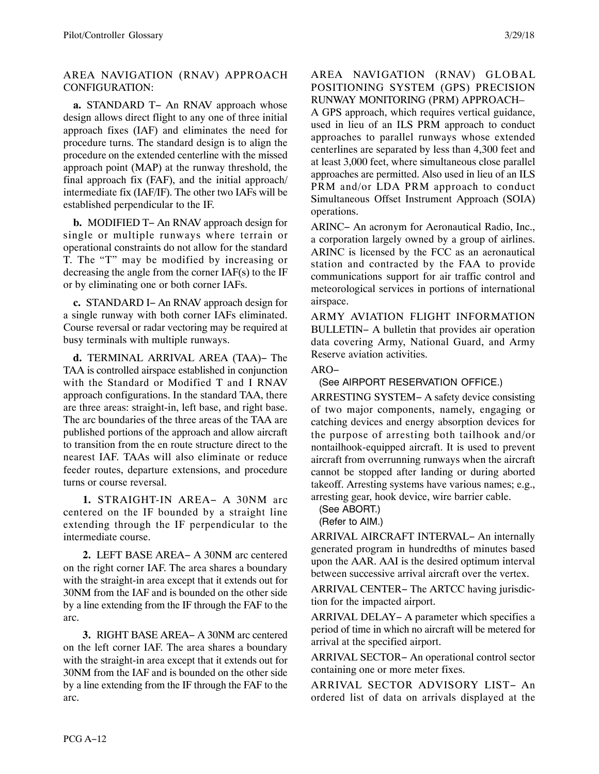#### AREA NAVIGATION (RNAV) APPROACH CONFIGURATION:

**a.** STANDARD T− An RNAV approach whose design allows direct flight to any one of three initial approach fixes (IAF) and eliminates the need for procedure turns. The standard design is to align the procedure on the extended centerline with the missed approach point (MAP) at the runway threshold, the final approach fix (FAF), and the initial approach/ intermediate fix (IAF/IF). The other two IAFs will be established perpendicular to the IF.

 T. The "T" may be modified by increasing or **b.** MODIFIED T− An RNAV approach design for single or multiple runways where terrain or operational constraints do not allow for the standard decreasing the angle from the corner IAF(s) to the IF or by eliminating one or both corner IAFs.

 **c.** STANDARD I− An RNAV approach design for a single runway with both corner IAFs eliminated. Course reversal or radar vectoring may be required at busy terminals with multiple runways.

 with the Standard or Modified T and I RNAV nearest IAF. TAAs will also eliminate or reduce **d.** TERMINAL ARRIVAL AREA (TAA)− The TAA is controlled airspace established in conjunction approach configurations. In the standard TAA, there are three areas: straight-in, left base, and right base. The arc boundaries of the three areas of the TAA are published portions of the approach and allow aircraft to transition from the en route structure direct to the feeder routes, departure extensions, and procedure turns or course reversal.

 extending through the IF perpendicular to the **1.** STRAIGHT-IN AREA− A 30NM arc centered on the IF bounded by a straight line intermediate course.

**2.** LEFT BASE AREA− A 30NM arc centered on the right corner IAF. The area shares a boundary with the straight-in area except that it extends out for 30NM from the IAF and is bounded on the other side by a line extending from the IF through the FAF to the arc.

**3.** RIGHT BASE AREA− A 30NM arc centered on the left corner IAF. The area shares a boundary with the straight-in area except that it extends out for 30NM from the IAF and is bounded on the other side by a line extending from the IF through the FAF to the arc.

#### AREA NAVIGATION (RNAV) GLOBAL POSITIONING SYSTEM (GPS) PRECISION RUNWAY MONITORING (PRM) APPROACH–

 approaches to parallel runways whose extended A GPS approach, which requires vertical guidance, used in lieu of an ILS PRM approach to conduct centerlines are separated by less than 4,300 feet and at least 3,000 feet, where simultaneous close parallel approaches are permitted. Also used in lieu of an ILS PRM and/or LDA PRM approach to conduct Simultaneous Offset Instrument Approach (SOIA) operations.

 station and contracted by the FAA to provide ARINC− An acronym for Aeronautical Radio, Inc., a corporation largely owned by a group of airlines. ARINC is licensed by the FCC as an aeronautical communications support for air traffic control and meteorological services in portions of international airspace.

ARMY AVIATION FLIGHT INFORMATION BULLETIN− A bulletin that provides air operation data covering Army, National Guard, and Army Reserve aviation activities.

#### ARO−

#### (See AIRPORT RESERVATION OFFICE.)

 the purpose of arresting both tailhook and/or ARRESTING SYSTEM− A safety device consisting of two major components, namely, engaging or catching devices and energy absorption devices for nontailhook-equipped aircraft. It is used to prevent aircraft from overrunning runways when the aircraft cannot be stopped after landing or during aborted takeoff. Arresting systems have various names; e.g., arresting gear, hook device, wire barrier cable.

(See ABORT.)

(Refer to AIM.)

ARRIVAL AIRCRAFT INTERVAL− An internally generated program in hundredths of minutes based upon the AAR. AAI is the desired optimum interval between successive arrival aircraft over the vertex.

ARRIVAL CENTER− The ARTCC having jurisdiction for the impacted airport.

ARRIVAL DELAY− A parameter which specifies a period of time in which no aircraft will be metered for arrival at the specified airport.

ARRIVAL SECTOR− An operational control sector containing one or more meter fixes.

 ordered list of data on arrivals displayed at the ARRIVAL SECTOR ADVISORY LIST− An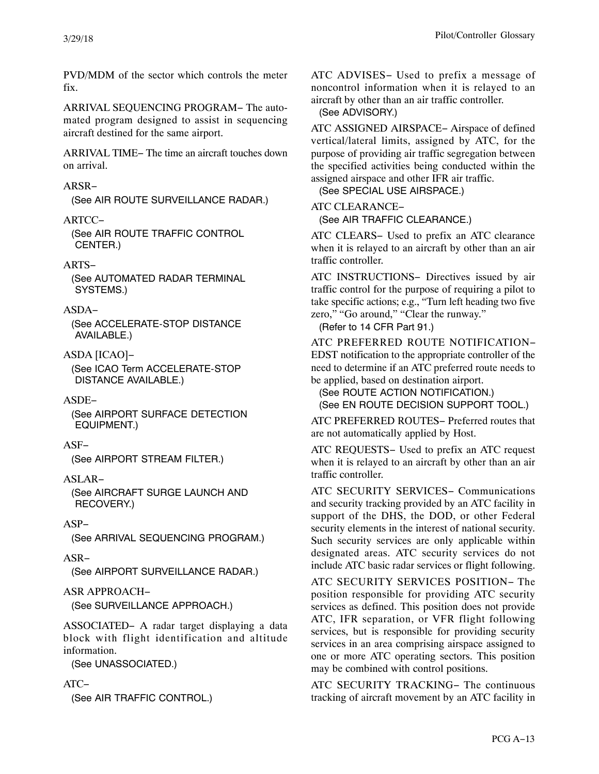PVD/MDM of the sector which controls the meter fix.

 mated program designed to assist in sequencing ARRIVAL SEQUENCING PROGRAM− The autoaircraft destined for the same airport.

ARRIVAL TIME− The time an aircraft touches down on arrival.

#### ARSR−

(See AIR ROUTE SURVEILLANCE RADAR.)

# ARTCC−

(See AIR ROUTE TRAFFIC CONTROL CENTER.)

#### ARTS−

(See AUTOMATED RADAR TERMINAL SYSTEMS.)

#### ASDA−

(See ACCELERATE-STOP DISTANCE AVAILABLE.)

#### ASDA [ICAO]−

(See ICAO Term ACCELERATE-STOP DISTANCE AVAILABLE.)

# ASDE−

(See AIRPORT SURFACE DETECTION EQUIPMENT.)

#### ASF−

(See AIRPORT STREAM FILTER.)

#### ASLAR−

(See AIRCRAFT SURGE LAUNCH AND RECOVERY.)

#### ASP−

(See ARRIVAL SEQUENCING PROGRAM.)

# ASR−

(See AIRPORT SURVEILLANCE RADAR.)

# ASR APPROACH−

(See SURVEILLANCE APPROACH.)

ASSOCIATED− A radar target displaying a data block with flight identification and altitude information.

(See UNASSOCIATED.)

#### ATC−

(See AIR TRAFFIC CONTROL.)

 ATC ADVISES− Used to prefix a message of noncontrol information when it is relayed to an aircraft by other than an air traffic controller.

(See ADVISORY.)

 vertical/lateral limits, assigned by ATC, for the ATC ASSIGNED AIRSPACE− Airspace of defined purpose of providing air traffic segregation between the specified activities being conducted within the assigned airspace and other IFR air traffic.

(See SPECIAL USE AIRSPACE.)

ATC CLEARANCE− (See AIR TRAFFIC CLEARANCE.)

ATC CLEARS− Used to prefix an ATC clearance when it is relayed to an aircraft by other than an air traffic controller.

ATC INSTRUCTIONS− Directives issued by air traffic control for the purpose of requiring a pilot to take specific actions; e.g., "Turn left heading two five zero," "Go around," "Clear the runway."

(Refer to 14 CFR Part 91.)

ATC PREFERRED ROUTE NOTIFICATION− EDST notification to the appropriate controller of the need to determine if an ATC preferred route needs to be applied, based on destination airport.

(See ROUTE ACTION NOTIFICATION.) (See EN ROUTE DECISION SUPPORT TOOL.)

ATC PREFERRED ROUTES− Preferred routes that are not automatically applied by Host.

ATC REQUESTS− Used to prefix an ATC request when it is relayed to an aircraft by other than an air traffic controller.

 support of the DHS, the DOD, or other Federal designated areas. ATC security services do not ATC SECURITY SERVICES− Communications and security tracking provided by an ATC facility in security elements in the interest of national security. Such security services are only applicable within include ATC basic radar services or flight following.

 ATC SECURITY SERVICES POSITION− The position responsible for providing ATC security ATC, IFR separation, or VFR flight following services as defined. This position does not provide services, but is responsible for providing security services in an area comprising airspace assigned to one or more ATC operating sectors. This position may be combined with control positions.

ATC SECURITY TRACKING− The continuous tracking of aircraft movement by an ATC facility in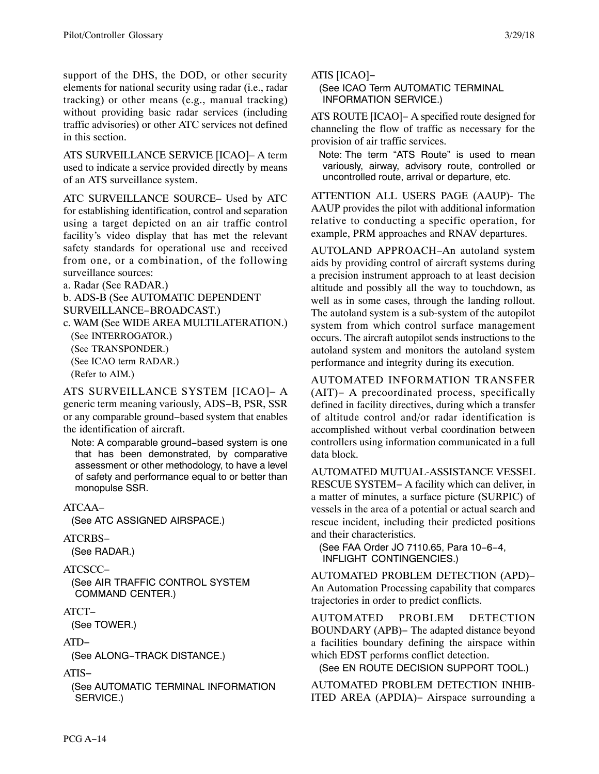support of the DHS, the DOD, or other security tracking) or other means (e.g., manual tracking) elements for national security using radar (i.e., radar without providing basic radar services (including traffic advisories) or other ATC services not defined in this section.

ATS SURVEILLANCE SERVICE [ICAO]– A term used to indicate a service provided directly by means of an ATS surveillance system.

 from one, or a combination, of the following ATC SURVEILLANCE SOURCE– Used by ATC for establishing identification, control and separation using a target depicted on an air traffic control facility's video display that has met the relevant safety standards for operational use and received surveillance sources:

a. Radar (See RADAR.)

```
b. ADS-B (See AUTOMATIC DEPENDENT
```
SURVEILLANCE−BROADCAST.)

c. WAM (See WIDE AREA MULTILATERATION.) (See INTERROGATOR.) (See TRANSPONDER.) (See ICAO term RADAR.) (Refer to AIM.)

 ATS SURVEILLANCE SYSTEM [ICAO]– A generic term meaning variously, ADS−B, PSR, SSR or any comparable ground−based system that enables the identification of aircraft.

Note: A comparable ground−based system is one that has been demonstrated, by comparative assessment or other methodology, to have a level of safety and performance equal to or better than monopulse SSR.

# ATCAA−

(See ATC ASSIGNED AIRSPACE.)

#### ATCRBS−

(See RADAR.)

#### ATCSCC−

(See AIR TRAFFIC CONTROL SYSTEM COMMAND CENTER.)

# ATCT−

(See TOWER.)

# ATD−

(See ALONG−TRACK DISTANCE.)

# ATIS−

(See AUTOMATIC TERMINAL INFORMATION SERVICE.)

ATIS [ICAO]−

# (See ICAO Term AUTOMATIC TERMINAL INFORMATION SERVICE.)

ATS ROUTE [ICAO]− A specified route designed for channeling the flow of traffic as necessary for the provision of air traffic services.

Note: The term "ATS Route" is used to mean variously, airway, advisory route, controlled or uncontrolled route, arrival or departure, etc.

ATTENTION ALL USERS PAGE (AAUP)- The AAUP provides the pilot with additional information relative to conducting a specific operation, for example, PRM approaches and RNAV departures.

 system from which control surface management AUTOLAND APPROACH−An autoland system aids by providing control of aircraft systems during a precision instrument approach to at least decision altitude and possibly all the way to touchdown, as well as in some cases, through the landing rollout. The autoland system is a sub-system of the autopilot occurs. The aircraft autopilot sends instructions to the autoland system and monitors the autoland system performance and integrity during its execution.

 (AIT)− A precoordinated process, specifically of altitude control and/or radar identification is AUTOMATED INFORMATION TRANSFER defined in facility directives, during which a transfer accomplished without verbal coordination between controllers using information communicated in a full data block.

AUTOMATED MUTUAL-ASSISTANCE VESSEL RESCUE SYSTEM− A facility which can deliver, in a matter of minutes, a surface picture (SURPIC) of vessels in the area of a potential or actual search and rescue incident, including their predicted positions and their characteristics.

(See FAA Order JO 7110.65, Para 10−6−4, INFLIGHT CONTINGENCIES.)

AUTOMATED PROBLEM DETECTION (APD)− An Automation Processing capability that compares trajectories in order to predict conflicts.

AUTOMATED PROBLEM DETECTION BOUNDARY (APB)− The adapted distance beyond a facilities boundary defining the airspace within which EDST performs conflict detection.

(See EN ROUTE DECISION SUPPORT TOOL.)

AUTOMATED PROBLEM DETECTION INHIB-ITED AREA (APDIA)− Airspace surrounding a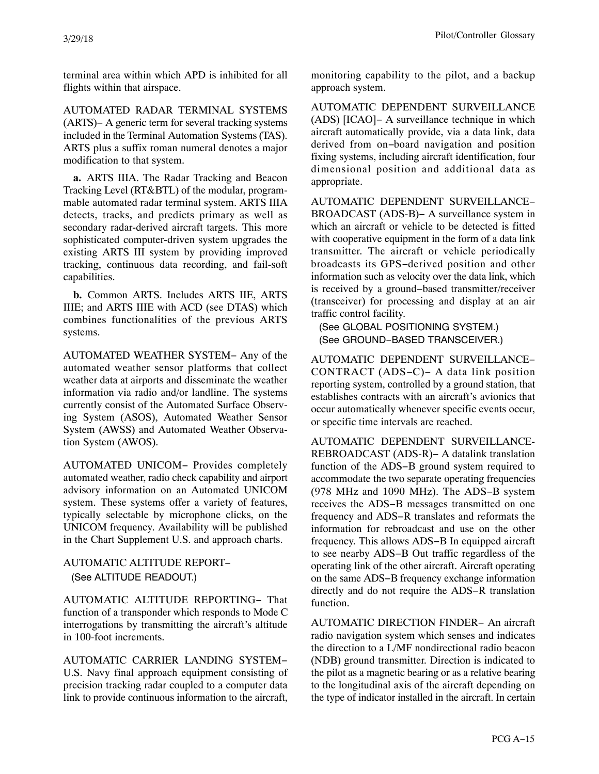terminal area within which APD is inhibited for all flights within that airspace.

AUTOMATED RADAR TERMINAL SYSTEMS (ARTS)− A generic term for several tracking systems included in the Terminal Automation Systems (TAS). ARTS plus a suffix roman numeral denotes a major modification to that system.

 detects, tracks, and predicts primary as well as **a.** ARTS IIIA. The Radar Tracking and Beacon Tracking Level (RT&BTL) of the modular, programmable automated radar terminal system. ARTS IIIA secondary radar-derived aircraft targets. This more sophisticated computer-driven system upgrades the existing ARTS III system by providing improved tracking, continuous data recording, and fail-soft capabilities.

 combines functionalities of the previous ARTS **b.** Common ARTS. Includes ARTS IIE, ARTS IIIE; and ARTS IIIE with ACD (see DTAS) which systems.

AUTOMATED WEATHER SYSTEM− Any of the automated weather sensor platforms that collect weather data at airports and disseminate the weather information via radio and/or landline. The systems currently consist of the Automated Surface Observing System (ASOS), Automated Weather Sensor System (AWSS) and Automated Weather Observation System (AWOS).

AUTOMATED UNICOM− Provides completely automated weather, radio check capability and airport advisory information on an Automated UNICOM system. These systems offer a variety of features, typically selectable by microphone clicks, on the UNICOM frequency. Availability will be published in the Chart Supplement U.S. and approach charts.

# AUTOMATIC ALTITUDE REPORT− (See ALTITUDE READOUT.)

AUTOMATIC ALTITUDE REPORTING− That function of a transponder which responds to Mode C interrogations by transmitting the aircraft's altitude in 100-foot increments.

AUTOMATIC CARRIER LANDING SYSTEM− U.S. Navy final approach equipment consisting of precision tracking radar coupled to a computer data link to provide continuous information to the aircraft,

 monitoring capability to the pilot, and a backup approach system.

 dimensional position and additional data as AUTOMATIC DEPENDENT SURVEILLANCE (ADS) [ICAO]− A surveillance technique in which aircraft automatically provide, via a data link, data derived from on−board navigation and position fixing systems, including aircraft identification, four appropriate.

 transmitter. The aircraft or vehicle periodically AUTOMATIC DEPENDENT SURVEILLANCE− BROADCAST (ADS-B)− A surveillance system in which an aircraft or vehicle to be detected is fitted with cooperative equipment in the form of a data link broadcasts its GPS−derived position and other information such as velocity over the data link, which is received by a ground−based transmitter/receiver (transceiver) for processing and display at an air traffic control facility.

(See GLOBAL POSITIONING SYSTEM.) (See GROUND−BASED TRANSCEIVER.)

 CONTRACT (ADS−C)− A data link position AUTOMATIC DEPENDENT SURVEILLANCE− reporting system, controlled by a ground station, that establishes contracts with an aircraft's avionics that occur automatically whenever specific events occur, or specific time intervals are reached.

 (978 MHz and 1090 MHz). The ADS−B system AUTOMATIC DEPENDENT SURVEILLANCE-REBROADCAST (ADS-R)− A datalink translation function of the ADS−B ground system required to accommodate the two separate operating frequencies receives the ADS−B messages transmitted on one frequency and ADS−R translates and reformats the information for rebroadcast and use on the other frequency. This allows ADS−B In equipped aircraft to see nearby ADS−B Out traffic regardless of the operating link of the other aircraft. Aircraft operating on the same ADS−B frequency exchange information directly and do not require the ADS−R translation function.

AUTOMATIC DIRECTION FINDER− An aircraft radio navigation system which senses and indicates the direction to a L/MF nondirectional radio beacon (NDB) ground transmitter. Direction is indicated to the pilot as a magnetic bearing or as a relative bearing to the longitudinal axis of the aircraft depending on the type of indicator installed in the aircraft. In certain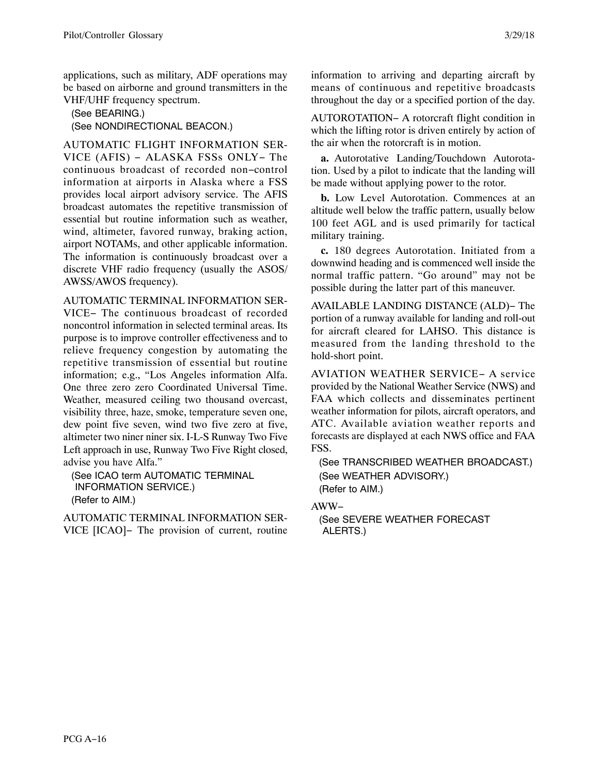applications, such as military, ADF operations may be based on airborne and ground transmitters in the VHF/UHF frequency spectrum.

(See BEARING.) (See NONDIRECTIONAL BEACON.)

 VICE (AFIS) − ALASKA FSSs ONLY− The information at airports in Alaska where a FSS AUTOMATIC FLIGHT INFORMATION SERcontinuous broadcast of recorded non−control provides local airport advisory service. The AFIS broadcast automates the repetitive transmission of essential but routine information such as weather, wind, altimeter, favored runway, braking action, airport NOTAMs, and other applicable information. The information is continuously broadcast over a discrete VHF radio frequency (usually the ASOS/ AWSS/AWOS frequency).

 VICE− The continuous broadcast of recorded relieve frequency congestion by automating the AUTOMATIC TERMINAL INFORMATION SERnoncontrol information in selected terminal areas. Its purpose is to improve controller effectiveness and to repetitive transmission of essential but routine information; e.g., "Los Angeles information Alfa. One three zero zero Coordinated Universal Time. Weather, measured ceiling two thousand overcast, visibility three, haze, smoke, temperature seven one, dew point five seven, wind two five zero at five, altimeter two niner niner six. I-L-S Runway Two Five Left approach in use, Runway Two Five Right closed, advise you have Alfa."

(See ICAO term AUTOMATIC TERMINAL INFORMATION SERVICE.) (Refer to AIM.)

AUTOMATIC TERMINAL INFORMATION SER-VICE [ICAO]− The provision of current, routine

 means of continuous and repetitive broadcasts information to arriving and departing aircraft by throughout the day or a specified portion of the day.

AUTOROTATION− A rotorcraft flight condition in which the lifting rotor is driven entirely by action of the air when the rotorcraft is in motion.

**a.** Autorotative Landing/Touchdown Autorotation. Used by a pilot to indicate that the landing will be made without applying power to the rotor.

 100 feet AGL and is used primarily for tactical **b.** Low Level Autorotation. Commences at an altitude well below the traffic pattern, usually below military training.

 **c.** 180 degrees Autorotation. Initiated from a normal traffic pattern. "Go around" may not be downwind heading and is commenced well inside the possible during the latter part of this maneuver.

 measured from the landing threshold to the AVAILABLE LANDING DISTANCE (ALD)− The portion of a runway available for landing and roll-out for aircraft cleared for LAHSO. This distance is hold-short point.

AVIATION WEATHER SERVICE− A service provided by the National Weather Service (NWS) and FAA which collects and disseminates pertinent weather information for pilots, aircraft operators, and ATC. Available aviation weather reports and forecasts are displayed at each NWS office and FAA FSS.

(See TRANSCRIBED WEATHER BROADCAST.) (See WEATHER ADVISORY.) (Refer to AIM.)

AWW−

(See SEVERE WEATHER FORECAST ALERTS.)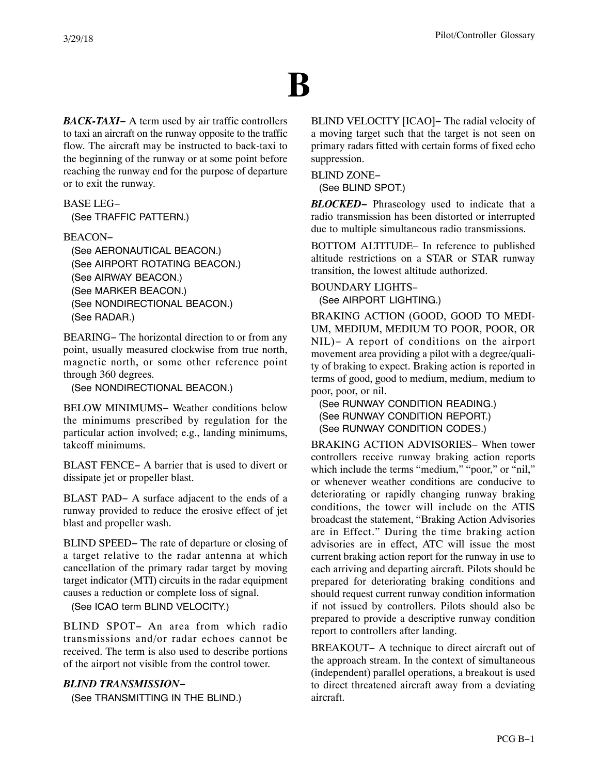# **B**

*BACK-TAXI*<sup>−</sup> A term used by air traffic controllers to taxi an aircraft on the runway opposite to the traffic flow. The aircraft may be instructed to back-taxi to the beginning of the runway or at some point before reaching the runway end for the purpose of departure or to exit the runway.

BASE LEG−

(See TRAFFIC PATTERN.)

#### BEACON−

(See AERONAUTICAL BEACON.) (See AIRPORT ROTATING BEACON.) (See AIRWAY BEACON.) (See MARKER BEACON.) (See NONDIRECTIONAL BEACON.) (See RADAR.)

 magnetic north, or some other reference point BEARING– The horizontal direction to or from any point, usually measured clockwise from true north, through 360 degrees.

(See NONDIRECTIONAL BEACON.)

 the minimums prescribed by regulation for the BELOW MINIMUMS− Weather conditions below particular action involved; e.g., landing minimums, takeoff minimums.

BLAST FENCE− A barrier that is used to divert or dissipate jet or propeller blast.

BLAST PAD− A surface adjacent to the ends of a runway provided to reduce the erosive effect of jet blast and propeller wash.

 a target relative to the radar antenna at which BLIND SPEED− The rate of departure or closing of cancellation of the primary radar target by moving target indicator (MTI) circuits in the radar equipment causes a reduction or complete loss of signal.

(See ICAO term BLIND VELOCITY.)

 BLIND SPOT− An area from which radio transmissions and/or radar echoes cannot be received. The term is also used to describe portions of the airport not visible from the control tower.

# *BLIND TRANSMISSION−*

(See TRANSMITTING IN THE BLIND.)

BLIND VELOCITY [ICAO]− The radial velocity of a moving target such that the target is not seen on primary radars fitted with certain forms of fixed echo suppression.

BLIND ZONE−

(See BLIND SPOT.)

*BLOCKED* − Phraseology used to indicate that a radio transmission has been distorted or interrupted due to multiple simultaneous radio transmissions.

BOTTOM ALTITUDE– In reference to published altitude restrictions on a STAR or STAR runway transition, the lowest altitude authorized.

BOUNDARY LIGHTS− (See AIRPORT LIGHTING.)

 NIL)− A report of conditions on the airport BRAKING ACTION (GOOD, GOOD TO MEDI-UM, MEDIUM, MEDIUM TO POOR, POOR, OR movement area providing a pilot with a degree/quality of braking to expect. Braking action is reported in terms of good, good to medium, medium, medium to poor, poor, or nil.

(See RUNWAY CONDITION READING.) (See RUNWAY CONDITION REPORT.) (See RUNWAY CONDITION CODES.)

 conditions, the tower will include on the ATIS are in Effect." During the time braking action BRAKING ACTION ADVISORIES− When tower controllers receive runway braking action reports which include the terms "medium," "poor," or "nil," or whenever weather conditions are conducive to deteriorating or rapidly changing runway braking broadcast the statement, "Braking Action Advisories advisories are in effect, ATC will issue the most current braking action report for the runway in use to each arriving and departing aircraft. Pilots should be prepared for deteriorating braking conditions and should request current runway condition information if not issued by controllers. Pilots should also be prepared to provide a descriptive runway condition report to controllers after landing.

BREAKOUT− A technique to direct aircraft out of the approach stream. In the context of simultaneous (independent) parallel operations, a breakout is used to direct threatened aircraft away from a deviating aircraft.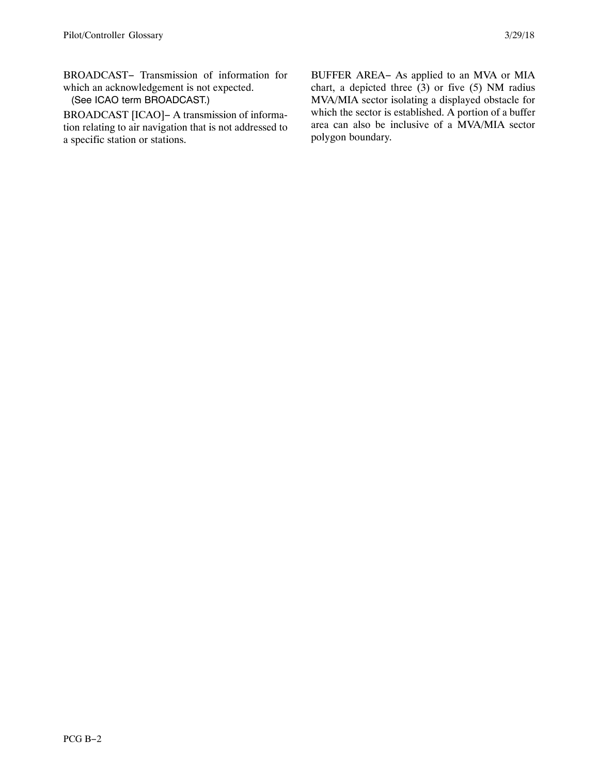BROADCAST− Transmission of information for which an acknowledgement is not expected.

(See ICAO term BROADCAST.)

BROADCAST [ICAO]− A transmission of information relating to air navigation that is not addressed to a specific station or stations.

 which the sector is established. A portion of a buffer BUFFER AREA− As applied to an MVA or MIA chart, a depicted three (3) or five (5) NM radius MVA/MIA sector isolating a displayed obstacle for area can also be inclusive of a MVA/MIA sector polygon boundary.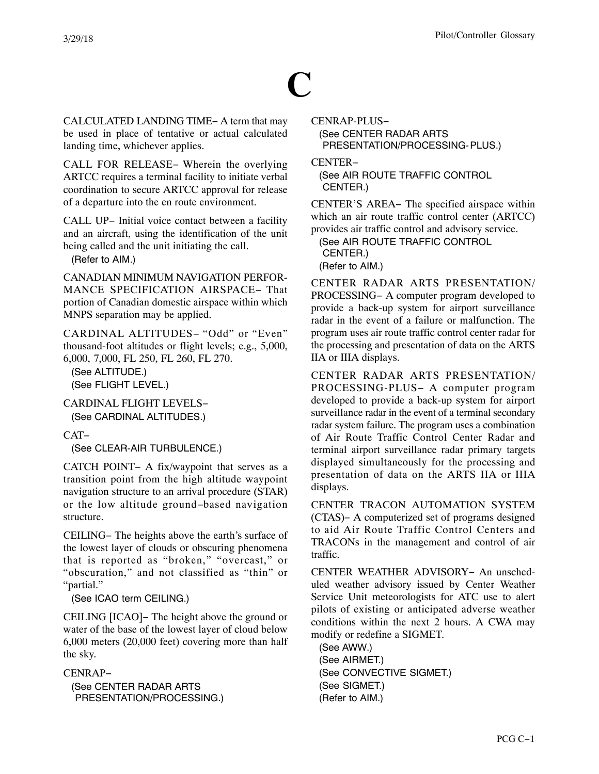# **C**

CALCULATED LANDING TIME− A term that may be used in place of tentative or actual calculated landing time, whichever applies.

CALL FOR RELEASE− Wherein the overlying ARTCC requires a terminal facility to initiate verbal coordination to secure ARTCC approval for release of a departure into the en route environment.

CALL UP− Initial voice contact between a facility and an aircraft, using the identification of the unit being called and the unit initiating the call.

(Refer to AIM.)

CANADIAN MINIMUM NAVIGATION PERFOR-MANCE SPECIFICATION AIRSPACE− That portion of Canadian domestic airspace within which MNPS separation may be applied.

 CARDINAL ALTITUDES− "Odd" or "Even" thousand-foot altitudes or flight levels; e.g., 5,000, 6,000, 7,000, FL 250, FL 260, FL 270.

(See ALTITUDE.) (See FLIGHT LEVEL.)

CARDINAL FLIGHT LEVELS− (See CARDINAL ALTITUDES.)

CAT−

(See CLEAR-AIR TURBULENCE.)

 transition point from the high altitude waypoint or the low altitude ground−based navigation CATCH POINT− A fix/waypoint that serves as a navigation structure to an arrival procedure (STAR) structure.

 "obscuration," and not classified as "thin" or CEILING− The heights above the earth's surface of the lowest layer of clouds or obscuring phenomena that is reported as "broken," "overcast," or "partial."

(See ICAO term CEILING.)

CEILING [ICAO]− The height above the ground or water of the base of the lowest layer of cloud below 6,000 meters (20,000 feet) covering more than half the sky.

CENRAP−

(See CENTER RADAR ARTS PRESENTATION/PROCESSING.) CENRAP-PLUS−

(See CENTER RADAR ARTS PRESENTATION/PROCESSING-PLUS.)

CENTER−

(See AIR ROUTE TRAFFIC CONTROL CENTER.)

CENTER'S AREA− The specified airspace within which an air route traffic control center (ARTCC) provides air traffic control and advisory service.

(See AIR ROUTE TRAFFIC CONTROL CENTER.) (Refer to AIM.)

 CENTER RADAR ARTS PRESENTATION/ PROCESSING− A computer program developed to provide a back-up system for airport surveillance radar in the event of a failure or malfunction. The program uses air route traffic control center radar for the processing and presentation of data on the ARTS IIA or IIIA displays.

 CENTER RADAR ARTS PRESENTATION/ of Air Route Traffic Control Center Radar and displayed simultaneously for the processing and presentation of data on the ARTS IIA or IIIA PROCESSING-PLUS− A computer program developed to provide a back-up system for airport surveillance radar in the event of a terminal secondary radar system failure. The program uses a combination terminal airport surveillance radar primary targets displays.

CENTER TRACON AUTOMATION SYSTEM (CTAS)− A computerized set of programs designed to aid Air Route Traffic Control Centers and TRACONs in the management and control of air traffic.

 pilots of existing or anticipated adverse weather CENTER WEATHER ADVISORY− An unscheduled weather advisory issued by Center Weather Service Unit meteorologists for ATC use to alert conditions within the next 2 hours. A CWA may modify or redefine a SIGMET.

(See AWW.) (See AIRMET.) (See CONVECTIVE SIGMET.) (See SIGMET.) (Refer to AIM.)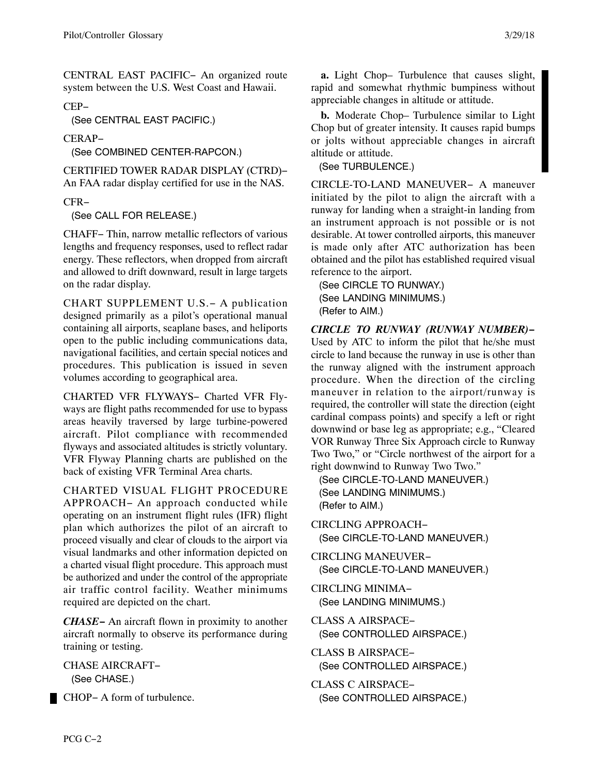CENTRAL EAST PACIFIC− An organized route system between the U.S. West Coast and Hawaii.

#### CEP−

(See CENTRAL EAST PACIFIC.)

CERAP−

(See COMBINED CENTER-RAPCON.)

CERTIFIED TOWER RADAR DISPLAY (CTRD)− An FAA radar display certified for use in the NAS.

# CFR−

(See CALL FOR RELEASE.)

CHAFF− Thin, narrow metallic reflectors of various lengths and frequency responses, used to reflect radar energy. These reflectors, when dropped from aircraft and allowed to drift downward, result in large targets on the radar display.

 procedures. This publication is issued in seven CHART SUPPLEMENT U.S.− A publication designed primarily as a pilot's operational manual containing all airports, seaplane bases, and heliports open to the public including communications data, navigational facilities, and certain special notices and volumes according to geographical area.

 aircraft. Pilot compliance with recommended CHARTED VFR FLYWAYS− Charted VFR Flyways are flight paths recommended for use to bypass areas heavily traversed by large turbine-powered flyways and associated altitudes is strictly voluntary. VFR Flyway Planning charts are published on the back of existing VFR Terminal Area charts.

 CHARTED VISUAL FLIGHT PROCEDURE APPROACH− An approach conducted while plan which authorizes the pilot of an aircraft to air traffic control facility. Weather minimums operating on an instrument flight rules (IFR) flight proceed visually and clear of clouds to the airport via visual landmarks and other information depicted on a charted visual flight procedure. This approach must be authorized and under the control of the appropriate required are depicted on the chart.

*CHASE−* An aircraft flown in proximity to another aircraft normally to observe its performance during training or testing.

CHASE AIRCRAFT− (See CHASE.)

CHOP− A form of turbulence.

**a.** Light Chop– Turbulence that causes slight, rapid and somewhat rhythmic bumpiness without appreciable changes in altitude or attitude.

 or jolts without appreciable changes in aircraft **b.** Moderate Chop– Turbulence similar to Light Chop but of greater intensity. It causes rapid bumps altitude or attitude.

(See TURBULENCE.)

 initiated by the pilot to align the aircraft with a an instrument approach is not possible or is not is made only after ATC authorization has been CIRCLE-TO-LAND MANEUVER− A maneuver runway for landing when a straight-in landing from desirable. At tower controlled airports, this maneuver obtained and the pilot has established required visual reference to the airport.

(See CIRCLE TO RUNWAY.) (See LANDING MINIMUMS.) (Refer to AIM.)

 procedure. When the direction of the circling *CIRCLE TO RUNWAY (RUNWAY NUMBER)−* Used by ATC to inform the pilot that he/she must circle to land because the runway in use is other than the runway aligned with the instrument approach maneuver in relation to the airport/runway is required, the controller will state the direction (eight cardinal compass points) and specify a left or right downwind or base leg as appropriate; e.g., "Cleared VOR Runway Three Six Approach circle to Runway Two Two," or "Circle northwest of the airport for a right downwind to Runway Two Two."

(See CIRCLE-TO-LAND MANEUVER.) (See LANDING MINIMUMS.) (Refer to AIM.)

- CIRCLING APPROACH− (See CIRCLE-TO-LAND MANEUVER.)
- CIRCLING MANEUVER− (See CIRCLE-TO-LAND MANEUVER.)
- CIRCLING MINIMA− (See LANDING MINIMUMS.)
- CLASS A AIRSPACE− (See CONTROLLED AIRSPACE.)
- CLASS B AIRSPACE− (See CONTROLLED AIRSPACE.)
- CLASS C AIRSPACE− (See CONTROLLED AIRSPACE.)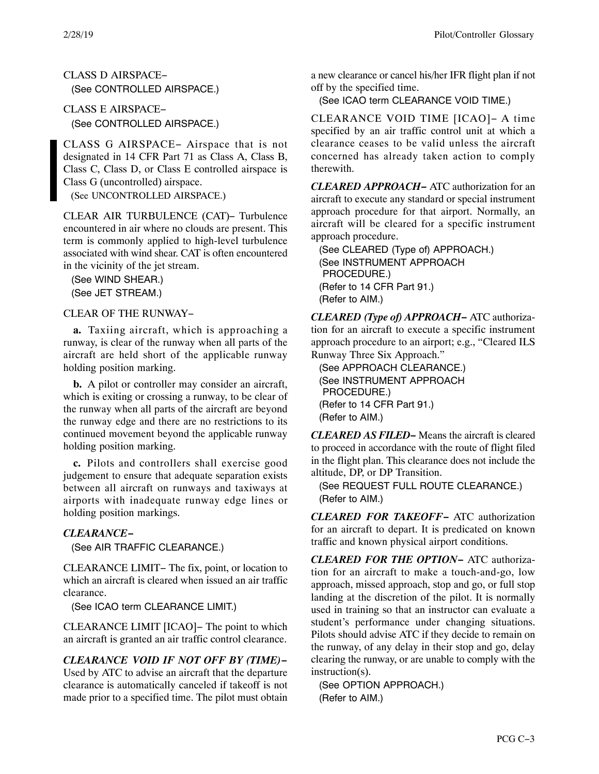#### CLASS D AIRSPACE− (See CONTROLLED AIRSPACE.)

CLASS E AIRSPACE− (See CONTROLLED AIRSPACE.)

 CLASS G AIRSPACE− Airspace that is not designated in 14 CFR Part 71 as Class A, Class B, Class C, Class D, or Class E controlled airspace is Class G (uncontrolled) airspace.

(See UNCONTROLLED AIRSPACE.)

CLEAR AIR TURBULENCE (CAT)− Turbulence encountered in air where no clouds are present. This term is commonly applied to high-level turbulence associated with wind shear. CAT is often encountered in the vicinity of the jet stream.

(See WIND SHEAR.) (See JET STREAM.)

# CLEAR OF THE RUNWAY−

 aircraft are held short of the applicable runway **a.** Taxiing aircraft, which is approaching a runway, is clear of the runway when all parts of the holding position marking.

**b.** A pilot or controller may consider an aircraft, which is exiting or crossing a runway, to be clear of the runway when all parts of the aircraft are beyond the runway edge and there are no restrictions to its continued movement beyond the applicable runway holding position marking.

 **c.** Pilots and controllers shall exercise good between all aircraft on runways and taxiways at airports with inadequate runway edge lines or judgement to ensure that adequate separation exists holding position markings.

# *CLEARANCE−*

(See AIR TRAFFIC CLEARANCE.)

CLEARANCE LIMIT− The fix, point, or location to which an aircraft is cleared when issued an air traffic clearance.

(See ICAO term CLEARANCE LIMIT.)

CLEARANCE LIMIT [ICAO]− The point to which an aircraft is granted an air traffic control clearance.

*CLEARANCE VOID IF NOT OFF BY (TIME)−*

Used by ATC to advise an aircraft that the departure clearance is automatically canceled if takeoff is not made prior to a specified time. The pilot must obtain a new clearance or cancel his/her IFR flight plan if not off by the specified time.

(See ICAO term CLEARANCE VOID TIME.)

 clearance ceases to be valid unless the aircraft concerned has already taken action to comply CLEARANCE VOID TIME [ICAO]− A time specified by an air traffic control unit at which a therewith.

 aircraft will be cleared for a specific instrument *CLEARED APPROACH−* ATC authorization for an aircraft to execute any standard or special instrument approach procedure for that airport. Normally, an approach procedure.

(See CLEARED (Type of) APPROACH.) (See INSTRUMENT APPROACH PROCEDURE.) (Refer to 14 CFR Part 91.) (Refer to AIM.)

*CLEARED (Type of) APPROACH−* ATC authorization for an aircraft to execute a specific instrument approach procedure to an airport; e.g., "Cleared ILS Runway Three Six Approach."

(See APPROACH CLEARANCE.) (See INSTRUMENT APPROACH PROCEDURE.) (Refer to 14 CFR Part 91.) (Refer to AIM.)

*CLEARED AS FILED−* Means the aircraft is cleared to proceed in accordance with the route of flight filed in the flight plan. This clearance does not include the altitude, DP, or DP Transition.

(See REQUEST FULL ROUTE CLEARANCE.) (Refer to AIM.)

*CLEARED FOR TAKEOFF−* ATC authorization for an aircraft to depart. It is predicated on known traffic and known physical airport conditions.

 tion for an aircraft to make a touch-and-go, low *CLEARED FOR THE OPTION−* ATC authorizaapproach, missed approach, stop and go, or full stop landing at the discretion of the pilot. It is normally used in training so that an instructor can evaluate a student's performance under changing situations. Pilots should advise ATC if they decide to remain on the runway, of any delay in their stop and go, delay clearing the runway, or are unable to comply with the instruction(s).

(See OPTION APPROACH.) (Refer to AIM.)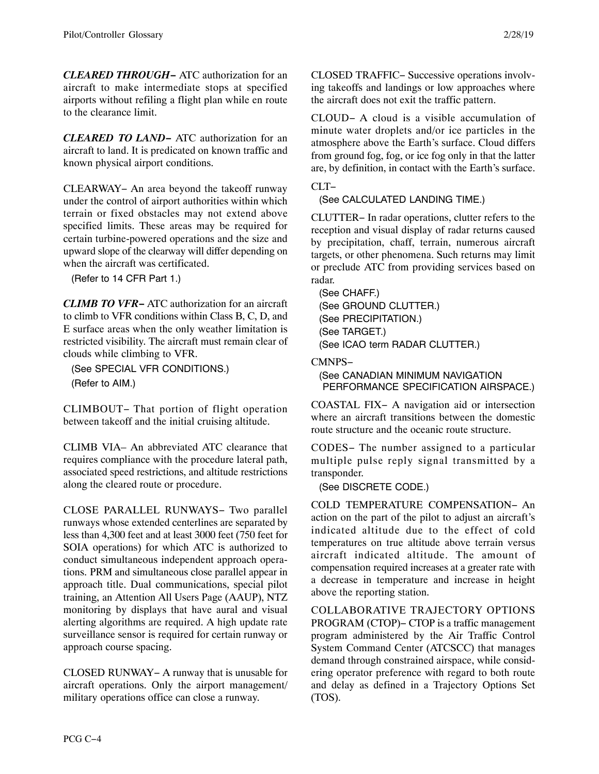aircraft to make intermediate stops at specified *CLEARED THROUGH−* ATC authorization for an airports without refiling a flight plan while en route to the clearance limit.

*CLEARED TO LAND−* ATC authorization for an aircraft to land. It is predicated on known traffic and known physical airport conditions.

 terrain or fixed obstacles may not extend above CLEARWAY− An area beyond the takeoff runway under the control of airport authorities within which specified limits. These areas may be required for certain turbine-powered operations and the size and upward slope of the clearway will differ depending on when the aircraft was certificated.

(Refer to 14 CFR Part 1.)

*CLIMB TO VFR−* ATC authorization for an aircraft to climb to VFR conditions within Class B, C, D, and E surface areas when the only weather limitation is restricted visibility. The aircraft must remain clear of clouds while climbing to VFR.

(See SPECIAL VFR CONDITIONS.) (Refer to AIM.)

 CLIMBOUT− That portion of flight operation between takeoff and the initial cruising altitude.

CLIMB VIA– An abbreviated ATC clearance that requires compliance with the procedure lateral path, associated speed restrictions, and altitude restrictions along the cleared route or procedure.

CLOSE PARALLEL RUNWAYS− Two parallel runways whose extended centerlines are separated by less than 4,300 feet and at least 3000 feet (750 feet for SOIA operations) for which ATC is authorized to conduct simultaneous independent approach operations. PRM and simultaneous close parallel appear in approach title. Dual communications, special pilot training, an Attention All Users Page (AAUP), NTZ monitoring by displays that have aural and visual alerting algorithms are required. A high update rate surveillance sensor is required for certain runway or approach course spacing.

CLOSED RUNWAY− A runway that is unusable for aircraft operations. Only the airport management/ military operations office can close a runway.

CLOSED TRAFFIC− Successive operations involving takeoffs and landings or low approaches where the aircraft does not exit the traffic pattern.

 CLOUD− A cloud is a visible accumulation of minute water droplets and/or ice particles in the atmosphere above the Earth's surface. Cloud differs from ground fog, fog, or ice fog only in that the latter are, by definition, in contact with the Earth's surface.

CLT−

(See CALCULATED LANDING TIME.)

CLUTTER− In radar operations, clutter refers to the reception and visual display of radar returns caused by precipitation, chaff, terrain, numerous aircraft targets, or other phenomena. Such returns may limit or preclude ATC from providing services based on radar.

(See CHAFF.) (See GROUND CLUTTER.) (See PRECIPITATION.) (See TARGET.) (See ICAO term RADAR CLUTTER.)

CMNPS−

(See CANADIAN MINIMUM NAVIGATION PERFORMANCE SPECIFICATION AIRSPACE.)

COASTAL FIX− A navigation aid or intersection where an aircraft transitions between the domestic route structure and the oceanic route structure.

 CODES− The number assigned to a particular multiple pulse reply signal transmitted by a transponder.

(See DISCRETE CODE.)

 indicated altitude due to the effect of cold aircraft indicated altitude. The amount of COLD TEMPERATURE COMPENSATION− An action on the part of the pilot to adjust an aircraft's temperatures on true altitude above terrain versus compensation required increases at a greater rate with a decrease in temperature and increase in height above the reporting station.

COLLABORATIVE TRAJECTORY OPTIONS PROGRAM (CTOP)− CTOP is a traffic management program administered by the Air Traffic Control System Command Center (ATCSCC) that manages demand through constrained airspace, while considering operator preference with regard to both route and delay as defined in a Trajectory Options Set (TOS).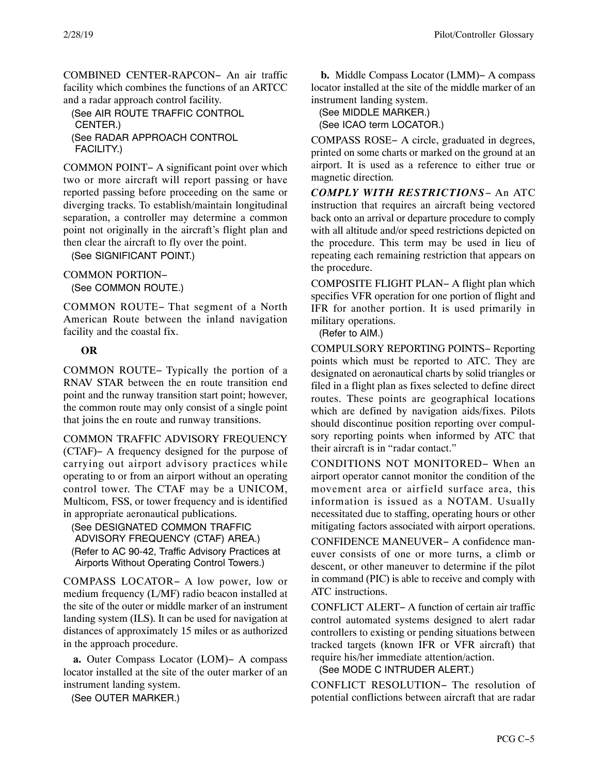COMBINED CENTER-RAPCON− An air traffic facility which combines the functions of an ARTCC and a radar approach control facility.

(See AIR ROUTE TRAFFIC CONTROL CENTER.) (See RADAR APPROACH CONTROL FACILITY.)

 two or more aircraft will report passing or have COMMON POINT− A significant point over which reported passing before proceeding on the same or diverging tracks. To establish/maintain longitudinal separation, a controller may determine a common point not originally in the aircraft's flight plan and then clear the aircraft to fly over the point.

(See SIGNIFICANT POINT.)

COMMON PORTION− (See COMMON ROUTE.)

 American Route between the inland navigation COMMON ROUTE− That segment of a North facility and the coastal fix.

#### **OR**

 COMMON ROUTE− Typically the portion of a RNAV STAR between the en route transition end point and the runway transition start point; however, the common route may only consist of a single point that joins the en route and runway transitions.

 control tower. The CTAF may be a UNICOM, COMMON TRAFFIC ADVISORY FREQUENCY (CTAF)− A frequency designed for the purpose of carrying out airport advisory practices while operating to or from an airport without an operating Multicom, FSS, or tower frequency and is identified in appropriate aeronautical publications.

(See DESIGNATED COMMON TRAFFIC ADVISORY FREQUENCY (CTAF) AREA.) (Refer to AC 90-42, Traffic Advisory Practices at Airports Without Operating Control Towers.)

 COMPASS LOCATOR− A low power, low or medium frequency (L/MF) radio beacon installed at the site of the outer or middle marker of an instrument landing system (ILS). It can be used for navigation at distances of approximately 15 miles or as authorized in the approach procedure.

**a.** Outer Compass Locator (LOM)− A compass locator installed at the site of the outer marker of an instrument landing system.

(See OUTER MARKER.)

**b.** Middle Compass Locator (LMM)− A compass locator installed at the site of the middle marker of an instrument landing system.

(See MIDDLE MARKER.) (See ICAO term LOCATOR.)

COMPASS ROSE− A circle, graduated in degrees, printed on some charts or marked on the ground at an airport. It is used as a reference to either true or magnetic direction*.* 

*COMPLY WITH RESTRICTIONS*− An ATC instruction that requires an aircraft being vectored back onto an arrival or departure procedure to comply with all altitude and/or speed restrictions depicted on the procedure. This term may be used in lieu of repeating each remaining restriction that appears on the procedure.

 IFR for another portion. It is used primarily in COMPOSITE FLIGHT PLAN− A flight plan which specifies VFR operation for one portion of flight and military operations.

(Refer to AIM.)

 routes. These points are geographical locations COMPULSORY REPORTING POINTS− Reporting points which must be reported to ATC. They are designated on aeronautical charts by solid triangles or filed in a flight plan as fixes selected to define direct which are defined by navigation aids/fixes. Pilots should discontinue position reporting over compulsory reporting points when informed by ATC that their aircraft is in "radar contact."

 movement area or airfield surface area, this information is issued as a NOTAM. Usually CONDITIONS NOT MONITORED− When an airport operator cannot monitor the condition of the necessitated due to staffing, operating hours or other mitigating factors associated with airport operations.

 euver consists of one or more turns, a climb or CONFIDENCE MANEUVER− A confidence mandescent, or other maneuver to determine if the pilot in command (PIC) is able to receive and comply with ATC instructions.

CONFLICT ALERT− A function of certain air traffic control automated systems designed to alert radar controllers to existing or pending situations between tracked targets (known IFR or VFR aircraft) that require his/her immediate attention/action.

(See MODE C INTRUDER ALERT.)

 CONFLICT RESOLUTION− The resolution of potential conflictions between aircraft that are radar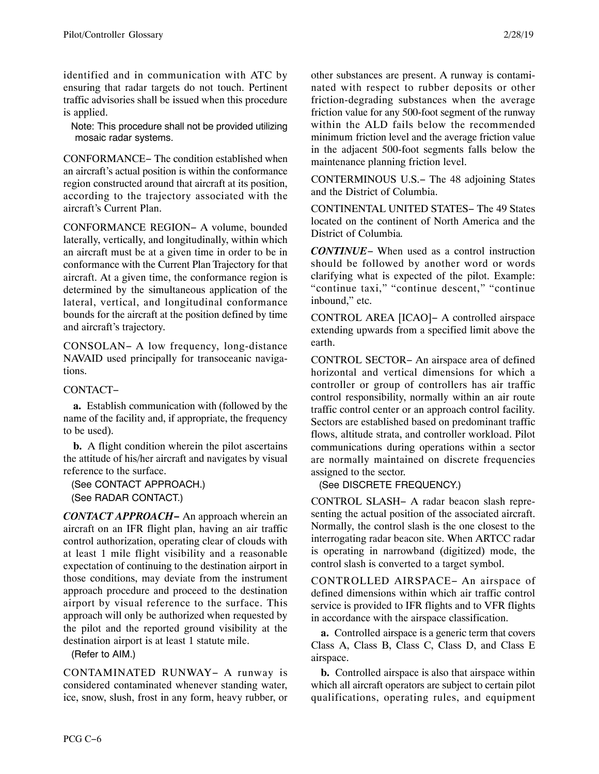identified and in communication with ATC by ensuring that radar targets do not touch. Pertinent traffic advisories shall be issued when this procedure is applied.

Note: This procedure shall not be provided utilizing mosaic radar systems.

 according to the trajectory associated with the CONFORMANCE− The condition established when an aircraft's actual position is within the conformance region constructed around that aircraft at its position, aircraft's Current Plan.

CONFORMANCE REGION− A volume, bounded laterally, vertically, and longitudinally, within which an aircraft must be at a given time in order to be in conformance with the Current Plan Trajectory for that aircraft. At a given time, the conformance region is determined by the simultaneous application of the lateral, vertical, and longitudinal conformance bounds for the aircraft at the position defined by time and aircraft's trajectory.

 CONSOLAN− A low frequency, long-distance NAVAID used principally for transoceanic navigations.

CONTACT−

**a.** Establish communication with (followed by the name of the facility and, if appropriate, the frequency to be used).

**b.** A flight condition wherein the pilot ascertains the attitude of his/her aircraft and navigates by visual reference to the surface.

(See CONTACT APPROACH.) (See RADAR CONTACT.)

 at least 1 mile flight visibility and a reasonable airport by visual reference to the surface. This *CONTACT APPROACH−* An approach wherein an aircraft on an IFR flight plan, having an air traffic control authorization, operating clear of clouds with expectation of continuing to the destination airport in those conditions, may deviate from the instrument approach procedure and proceed to the destination approach will only be authorized when requested by the pilot and the reported ground visibility at the destination airport is at least 1 statute mile.

(Refer to AIM.)

CONTAMINATED RUNWAY− A runway is considered contaminated whenever standing water, ice, snow, slush, frost in any form, heavy rubber, or

 nated with respect to rubber deposits or other friction-degrading substances when the average within the ALD fails below the recommended other substances are present. A runway is contamifriction value for any 500-foot segment of the runway minimum friction level and the average friction value in the adjacent 500-foot segments falls below the maintenance planning friction level.

CONTERMINOUS U.S.− The 48 adjoining States and the District of Columbia.

CONTINENTAL UNITED STATES− The 49 States located on the continent of North America and the District of Columbia*.* 

 should be followed by another word or words "continue taxi," "continue descent," "continue *CONTINUE*− When used as a control instruction clarifying what is expected of the pilot. Example: inbound," etc.

CONTROL AREA [ICAO]− A controlled airspace extending upwards from a specified limit above the earth.

 horizontal and vertical dimensions for which a controller or group of controllers has air traffic are normally maintained on discrete frequencies CONTROL SECTOR− An airspace area of defined control responsibility, normally within an air route traffic control center or an approach control facility. Sectors are established based on predominant traffic flows, altitude strata, and controller workload. Pilot communications during operations within a sector assigned to the sector.

(See DISCRETE FREQUENCY.)

CONTROL SLASH− A radar beacon slash representing the actual position of the associated aircraft. Normally, the control slash is the one closest to the interrogating radar beacon site. When ARTCC radar is operating in narrowband (digitized) mode, the control slash is converted to a target symbol.

CONTROLLED AIRSPACE− An airspace of defined dimensions within which air traffic control service is provided to IFR flights and to VFR flights in accordance with the airspace classification.

**a.** Controlled airspace is a generic term that covers Class A, Class B, Class C, Class D, and Class E airspace.

 qualifications, operating rules, and equipment **b.** Controlled airspace is also that airspace within which all aircraft operators are subject to certain pilot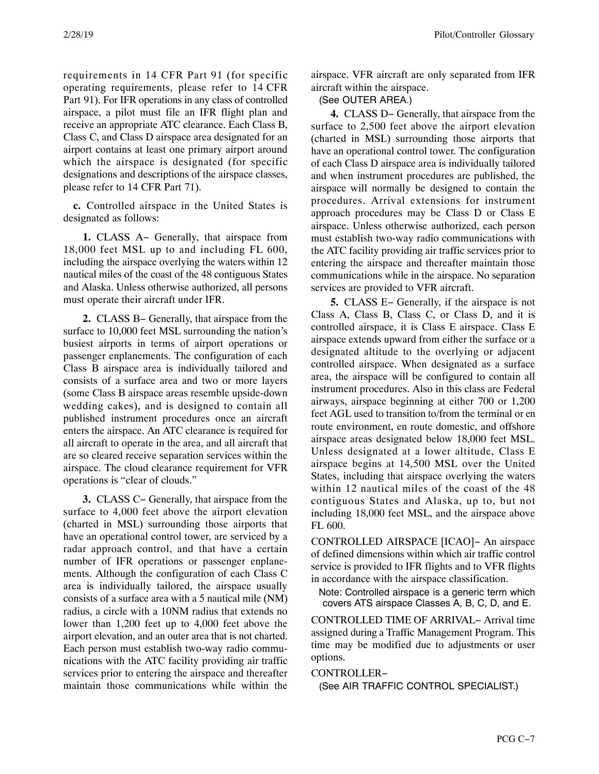requirements in 14 CFR Part 91 (for specific operating requirements, please refer to 14 CFR which the airspace is designated (for specific Part 91). For IFR operations in any class of controlled airspace, a pilot must file an IFR flight plan and receive an appropriate ATC clearance. Each Class B, Class C, and Class D airspace area designated for an airport contains at least one primary airport around designations and descriptions of the airspace classes, please refer to 14 CFR Part 71).

 **c.** Controlled airspace in the United States is designated as follows:

 18,000 feet MSL up to and including FL 600, **1.** CLASS A− Generally, that airspace from including the airspace overlying the waters within 12 nautical miles of the coast of the 48 contiguous States and Alaska. Unless otherwise authorized, all persons must operate their aircraft under IFR.

 wedding cakes), and is designed to contain all **2.** CLASS B− Generally, that airspace from the surface to 10,000 feet MSL surrounding the nation's busiest airports in terms of airport operations or passenger enplanements. The configuration of each Class B airspace area is individually tailored and consists of a surface area and two or more layers (some Class B airspace areas resemble upside-down published instrument procedures once an aircraft enters the airspace. An ATC clearance is required for all aircraft to operate in the area, and all aircraft that are so cleared receive separation services within the airspace. The cloud clearance requirement for VFR operations is "clear of clouds."

 surface to 4,000 feet above the airport elevation radar approach control, and that have a certain **3.** CLASS C− Generally, that airspace from the (charted in MSL) surrounding those airports that have an operational control tower, are serviced by a number of IFR operations or passenger enplanements. Although the configuration of each Class C area is individually tailored, the airspace usually consists of a surface area with a 5 nautical mile (NM) radius, a circle with a 10NM radius that extends no lower than 1,200 feet up to 4,000 feet above the airport elevation, and an outer area that is not charted. Each person must establish two-way radio communications with the ATC facility providing air traffic services prior to entering the airspace and thereafter maintain those communications while within the

airspace. VFR aircraft are only separated from IFR aircraft within the airspace.

(See OUTER AREA.)

 surface to 2,500 feet above the airport elevation **4.** CLASS D− Generally, that airspace from the (charted in MSL) surrounding those airports that have an operational control tower. The configuration of each Class D airspace area is individually tailored and when instrument procedures are published, the airspace will normally be designed to contain the procedures. Arrival extensions for instrument approach procedures may be Class D or Class E airspace. Unless otherwise authorized, each person must establish two-way radio communications with the ATC facility providing air traffic services prior to entering the airspace and thereafter maintain those communications while in the airspace. No separation services are provided to VFR aircraft.

 designated altitude to the overlying or adjacent Unless designated at a lower altitude, Class E airspace begins at 14,500 MSL over the United within 12 nautical miles of the coast of the 48 contiguous States and Alaska, up to, but not **5.** CLASS E− Generally, if the airspace is not Class A, Class B, Class C, or Class D, and it is controlled airspace, it is Class E airspace. Class E airspace extends upward from either the surface or a controlled airspace. When designated as a surface area, the airspace will be configured to contain all instrument procedures. Also in this class are Federal airways, airspace beginning at either 700 or 1,200 feet AGL used to transition to/from the terminal or en route environment, en route domestic, and offshore airspace areas designated below 18,000 feet MSL. States, including that airspace overlying the waters including 18,000 feet MSL, and the airspace above FL 600.

CONTROLLED AIRSPACE [ICAO]− An airspace of defined dimensions within which air traffic control service is provided to IFR flights and to VFR flights in accordance with the airspace classification.

Note: Controlled airspace is a generic term which covers ATS airspace Classes A, B, C, D, and E.

CONTROLLED TIME OF ARRIVAL− Arrival time assigned during a Traffic Management Program. This time may be modified due to adjustments or user options.

#### CONTROLLER−

(See AIR TRAFFIC CONTROL SPECIALIST.)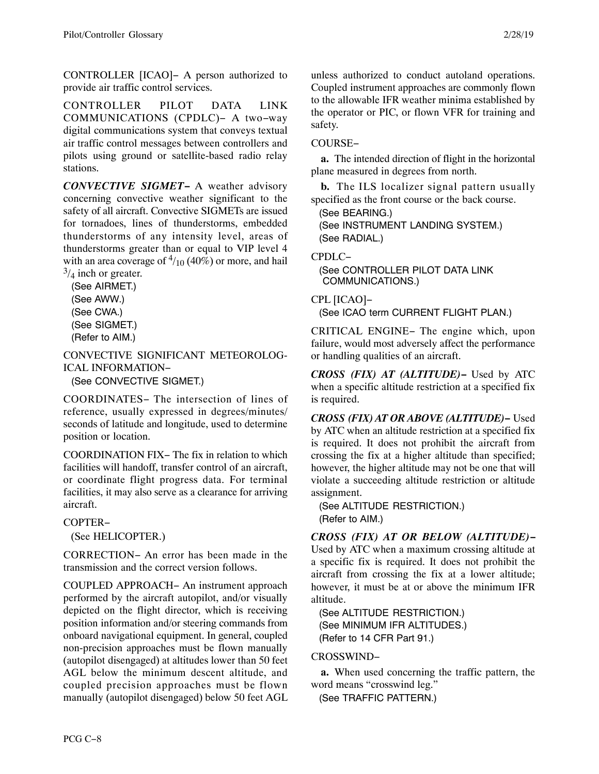CONTROLLER [ICAO]− A person authorized to provide air traffic control services.

CONTROLLER PILOT DATA LINK COMMUNICATIONS (CPDLC)− A two−way digital communications system that conveys textual air traffic control messages between controllers and pilots using ground or satellite-based radio relay stations.

 thunderstorms of any intensity level, areas of *CONVECTIVE SIGMET−* A weather advisory concerning convective weather significant to the safety of all aircraft. Convective SIGMETs are issued for tornadoes, lines of thunderstorms, embedded thunderstorms greater than or equal to VIP level 4 with an area coverage of  $\frac{4}{10}$  (40%) or more, and hail  $3/4$  inch or greater.

(See AIRMET.) (See AWW.) (See CWA.) (See SIGMET.) (Refer to AIM.)

CONVECTIVE SIGNIFICANT METEOROLOG-ICAL INFORMATION−

(See CONVECTIVE SIGMET.)

 reference, usually expressed in degrees/minutes/ COORDINATES− The intersection of lines of seconds of latitude and longitude, used to determine position or location.

 or coordinate flight progress data. For terminal COORDINATION FIX− The fix in relation to which facilities will handoff, transfer control of an aircraft, facilities, it may also serve as a clearance for arriving aircraft.

# COPTER−

(See HELICOPTER.)

 CORRECTION− An error has been made in the transmission and the correct version follows.

 coupled precision approaches must be flown COUPLED APPROACH− An instrument approach performed by the aircraft autopilot, and/or visually depicted on the flight director, which is receiving position information and/or steering commands from onboard navigational equipment. In general, coupled non-precision approaches must be flown manually (autopilot disengaged) at altitudes lower than 50 feet AGL below the minimum descent altitude, and manually (autopilot disengaged) below 50 feet AGL

unless authorized to conduct autoland operations. Coupled instrument approaches are commonly flown to the allowable IFR weather minima established by the operator or PIC, or flown VFR for training and safety.

COURSE−

**a.** The intended direction of flight in the horizontal plane measured in degrees from north.

 **b.** The ILS localizer signal pattern usually specified as the front course or the back course.

```
(See BEARING.) 
(See INSTRUMENT LANDING SYSTEM.) 
(See RADIAL.)
```
CPDLC−

(See CONTROLLER PILOT DATA LINK COMMUNICATIONS.)

CPL [ICAO]−

(See ICAO term CURRENT FLIGHT PLAN.)

 CRITICAL ENGINE− The engine which, upon failure, would most adversely affect the performance or handling qualities of an aircraft.

*CROSS (FIX) AT (ALTITUDE)−* Used by ATC when a specific altitude restriction at a specified fix is required.

*CROSS (FIX) AT OR ABOVE (ALTITUDE)−* Used by ATC when an altitude restriction at a specified fix is required. It does not prohibit the aircraft from crossing the fix at a higher altitude than specified; however, the higher altitude may not be one that will violate a succeeding altitude restriction or altitude assignment.

(See ALTITUDE RESTRICTION.) (Refer to AIM.)

 *CROSS (FIX) AT OR BELOW (ALTITUDE)−* Used by ATC when a maximum crossing altitude at a specific fix is required. It does not prohibit the aircraft from crossing the fix at a lower altitude; however, it must be at or above the minimum IFR altitude.

(See ALTITUDE RESTRICTION.) (See MINIMUM IFR ALTITUDES.) (Refer to 14 CFR Part 91.)

CROSSWIND−

**a.** When used concerning the traffic pattern, the word means "crosswind leg."

(See TRAFFIC PATTERN.)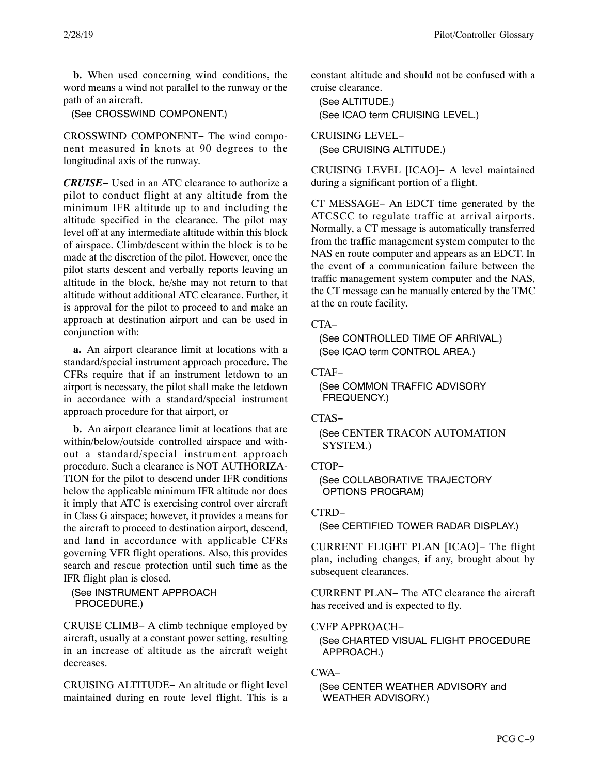**b.** When used concerning wind conditions, the word means a wind not parallel to the runway or the path of an aircraft.

(See CROSSWIND COMPONENT.)

CROSSWIND COMPONENT− The wind component measured in knots at 90 degrees to the longitudinal axis of the runway.

 pilot to conduct flight at any altitude from the minimum IFR altitude up to and including the level off at any intermediate altitude within this block *CRUISE−* Used in an ATC clearance to authorize a altitude specified in the clearance. The pilot may of airspace. Climb/descent within the block is to be made at the discretion of the pilot. However, once the pilot starts descent and verbally reports leaving an altitude in the block, he/she may not return to that altitude without additional ATC clearance. Further, it is approval for the pilot to proceed to and make an approach at destination airport and can be used in conjunction with:

**a.** An airport clearance limit at locations with a standard/special instrument approach procedure. The CFRs require that if an instrument letdown to an airport is necessary, the pilot shall make the letdown in accordance with a standard/special instrument approach procedure for that airport, or

 out a standard/special instrument approach and land in accordance with applicable CFRs **b.** An airport clearance limit at locations that are within/below/outside controlled airspace and withprocedure. Such a clearance is NOT AUTHORIZA-TION for the pilot to descend under IFR conditions below the applicable minimum IFR altitude nor does it imply that ATC is exercising control over aircraft in Class G airspace; however, it provides a means for the aircraft to proceed to destination airport, descend, governing VFR flight operations. Also, this provides search and rescue protection until such time as the IFR flight plan is closed.

(See INSTRUMENT APPROACH PROCEDURE.)

 in an increase of altitude as the aircraft weight CRUISE CLIMB− A climb technique employed by aircraft, usually at a constant power setting, resulting decreases.

CRUISING ALTITUDE− An altitude or flight level maintained during en route level flight. This is a constant altitude and should not be confused with a cruise clearance.

(See ALTITUDE.) (See ICAO term CRUISING LEVEL.)

CRUISING LEVEL− (See CRUISING ALTITUDE.)

CRUISING LEVEL [ICAO]− A level maintained during a significant portion of a flight.

 ATCSCC to regulate traffic at arrival airports. CT MESSAGE− An EDCT time generated by the Normally, a CT message is automatically transferred from the traffic management system computer to the NAS en route computer and appears as an EDCT. In the event of a communication failure between the traffic management system computer and the NAS, the CT message can be manually entered by the TMC at the en route facility.

# CTA−

(See CONTROLLED TIME OF ARRIVAL.) (See ICAO term CONTROL AREA.)

# CTAF−

(See COMMON TRAFFIC ADVISORY FREQUENCY.)

# CTAS−

(See CENTER TRACON AUTOMATION SYSTEM.)

#### CTOP−

(See COLLABORATIVE TRAJECTORY OPTIONS PROGRAM)

# CTRD−

(See CERTIFIED TOWER RADAR DISPLAY.)

CURRENT FLIGHT PLAN [ICAO]− The flight plan, including changes, if any, brought about by subsequent clearances.

CURRENT PLAN− The ATC clearance the aircraft has received and is expected to fly.

CVFP APPROACH−

(See CHARTED VISUAL FLIGHT PROCEDURE APPROACH.)

# CWA−

(See CENTER WEATHER ADVISORY and WEATHER ADVISORY.)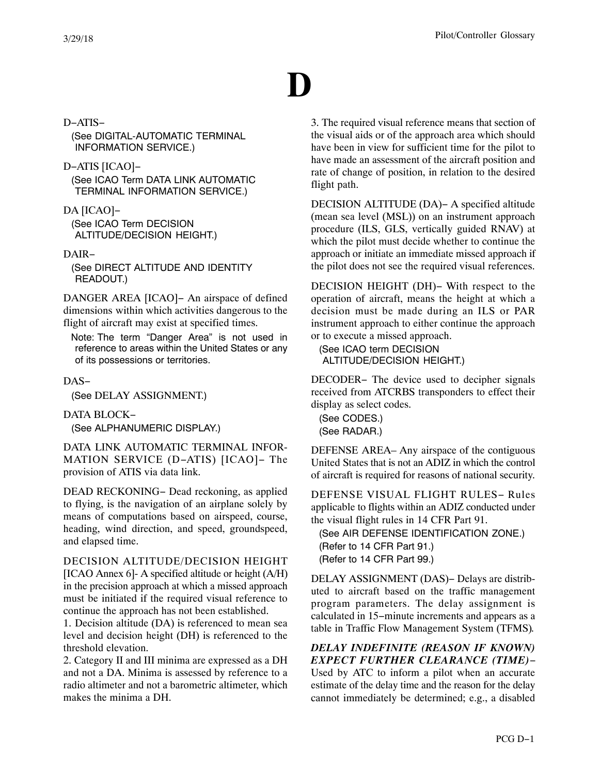# **D**

#### D−ATIS−

(See DIGITAL-AUTOMATIC TERMINAL INFORMATION SERVICE.)

# D−ATIS [ICAO]−

(See ICAO Term DATA LINK AUTOMATIC TERMINAL INFORMATION SERVICE.)

DA [ICAO]− (See ICAO Term DECISION ALTITUDE/DECISION HEIGHT.)

# DAIR−

(See DIRECT ALTITUDE AND IDENTITY READOUT.)

DANGER AREA [ICAO]– An airspace of defined dimensions within which activities dangerous to the flight of aircraft may exist at specified times.

Note: The term "Danger Area" is not used in reference to areas within the United States or any of its possessions or territories.

DAS−

(See DELAY ASSIGNMENT.)

DATA BLOCK−

(See ALPHANUMERIC DISPLAY.)

DATA LINK AUTOMATIC TERMINAL INFOR-MATION SERVICE (D−ATIS) [ICAO]− The provision of ATIS via data link.

DEAD RECKONING− Dead reckoning, as applied to flying, is the navigation of an airplane solely by means of computations based on airspeed, course, heading, wind direction, and speed, groundspeed, and elapsed time.

DECISION ALTITUDE/DECISION HEIGHT [ICAO Annex 6]- A specified altitude or height  $(A/H)$ ] in the precision approach at which a missed approach must be initiated if the required visual reference to continue the approach has not been established.

1. Decision altitude (DA) is referenced to mean sea level and decision height (DH) is referenced to the threshold elevation.

2. Category II and III minima are expressed as a DH and not a DA. Minima is assessed by reference to a radio altimeter and not a barometric altimeter, which makes the minima a DH.

3. The required visual reference means that section of the visual aids or of the approach area which should have been in view for sufficient time for the pilot to have made an assessment of the aircraft position and rate of change of position, in relation to the desired flight path.

DECISION ALTITUDE (DA)− A specified altitude (mean sea level (MSL)) on an instrument approach procedure (ILS, GLS, vertically guided RNAV) at which the pilot must decide whether to continue the approach or initiate an immediate missed approach if the pilot does not see the required visual references.

 DECISION HEIGHT (DH)− With respect to the decision must be made during an ILS or PAR operation of aircraft, means the height at which a instrument approach to either continue the approach or to execute a missed approach.

(See ICAO term DECISION ALTITUDE/DECISION HEIGHT.)

DECODER− The device used to decipher signals received from ATCRBS transponders to effect their display as select codes.

(See CODES.) (See RADAR.)

DEFENSE AREA– Any airspace of the contiguous United States that is not an ADIZ in which the control of aircraft is required for reasons of national security.

 DEFENSE VISUAL FLIGHT RULES− Rules applicable to flights within an ADIZ conducted under the visual flight rules in 14 CFR Part 91.

(See AIR DEFENSE IDENTIFICATION ZONE.) (Refer to 14 CFR Part 91.) (Refer to 14 CFR Part 99.)

DELAY ASSIGNMENT (DAS)− Delays are distributed to aircraft based on the traffic management program parameters. The delay assignment is calculated in 15−minute increments and appears as a table in Traffic Flow Management System (TFMS)*.* 

 *DELAY INDEFINITE (REASON IF KNOWN) EXPECT FURTHER CLEARANCE (TIME)*− Used by ATC to inform a pilot when an accurate estimate of the delay time and the reason for the delay cannot immediately be determined; e.g., a disabled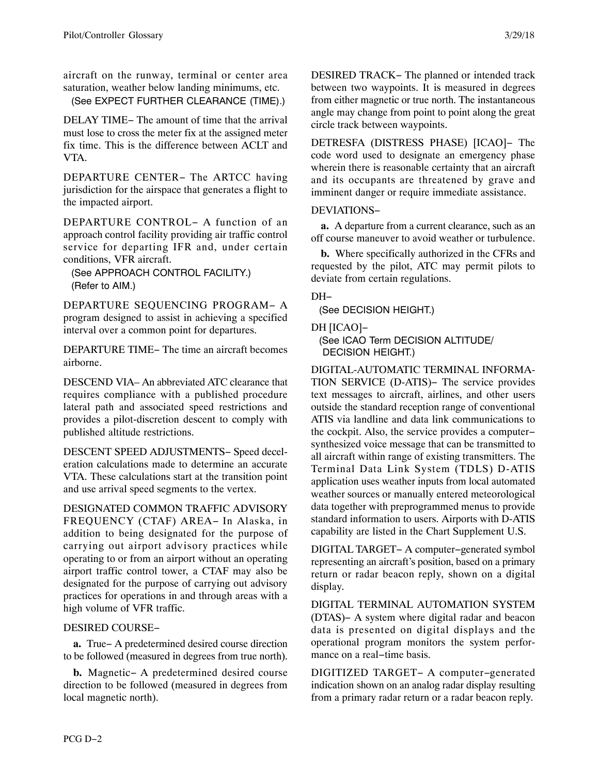aircraft on the runway, terminal or center area saturation, weather below landing minimums, etc.

(See EXPECT FURTHER CLEARANCE (TIME).)

DELAY TIME− The amount of time that the arrival must lose to cross the meter fix at the assigned meter fix time. This is the difference between ACLT and VTA.

 DEPARTURE CENTER− The ARTCC having jurisdiction for the airspace that generates a flight to the impacted airport.

 DEPARTURE CONTROL− A function of an service for departing IFR and, under certain approach control facility providing air traffic control conditions, VFR aircraft.

(See APPROACH CONTROL FACILITY.) (Refer to AIM.)

DEPARTURE SEQUENCING PROGRAM− A program designed to assist in achieving a specified interval over a common point for departures.

DEPARTURE TIME− The time an aircraft becomes airborne.

 requires compliance with a published procedure DESCEND VIA– An abbreviated ATC clearance that lateral path and associated speed restrictions and provides a pilot-discretion descent to comply with published altitude restrictions.

DESCENT SPEED ADJUSTMENTS− Speed deceleration calculations made to determine an accurate VTA. These calculations start at the transition point and use arrival speed segments to the vertex.

 FREQUENCY (CTAF) AREA− In Alaska, in addition to being designated for the purpose of carrying out airport advisory practices while DESIGNATED COMMON TRAFFIC ADVISORY operating to or from an airport without an operating airport traffic control tower, a CTAF may also be designated for the purpose of carrying out advisory practices for operations in and through areas with a high volume of VFR traffic.

# DESIRED COURSE−

**a.** True− A predetermined desired course direction to be followed (measured in degrees from true north).

**b.** Magnetic− A predetermined desired course direction to be followed (measured in degrees from local magnetic north).

DESIRED TRACK− The planned or intended track between two waypoints. It is measured in degrees from either magnetic or true north. The instantaneous angle may change from point to point along the great circle track between waypoints.

 and its occupants are threatened by grave and DETRESFA (DISTRESS PHASE) [ICAO]− The code word used to designate an emergency phase wherein there is reasonable certainty that an aircraft imminent danger or require immediate assistance.

#### DEVIATIONS−

**a.** A departure from a current clearance, such as an off course maneuver to avoid weather or turbulence.

**b.** Where specifically authorized in the CFRs and requested by the pilot, ATC may permit pilots to deviate from certain regulations.

DH−

(See DECISION HEIGHT.)

DH [ICAO]−

(See ICAO Term DECISION ALTITUDE/ DECISION HEIGHT.)

 Terminal Data Link System (TDLS) D-ATIS DIGITAL-AUTOMATIC TERMINAL INFORMA-TION SERVICE (D-ATIS)− The service provides text messages to aircraft, airlines, and other users outside the standard reception range of conventional ATIS via landline and data link communications to the cockpit. Also, the service provides a computer− synthesized voice message that can be transmitted to all aircraft within range of existing transmitters. The application uses weather inputs from local automated weather sources or manually entered meteorological data together with preprogrammed menus to provide standard information to users. Airports with D-ATIS capability are listed in the Chart Supplement U.S.

 return or radar beacon reply, shown on a digital DIGITAL TARGET− A computer−generated symbol representing an aircraft's position, based on a primary display.

 data is presented on digital displays and the DIGITAL TERMINAL AUTOMATION SYSTEM (DTAS)− A system where digital radar and beacon operational program monitors the system performance on a real−time basis.

DIGITIZED TARGET− A computer−generated indication shown on an analog radar display resulting from a primary radar return or a radar beacon reply.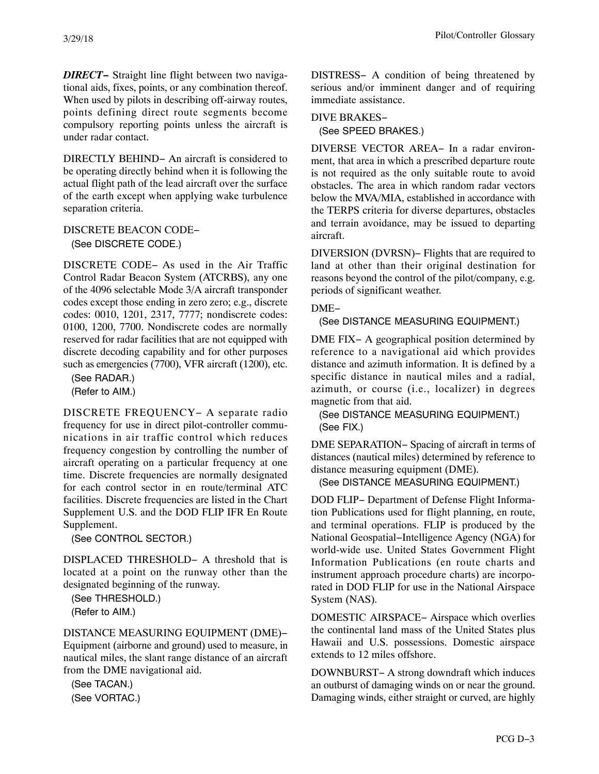3/29/18 Pilot/Controller Glossary

*DIRECT* − Straight line flight between two navigational aids, fixes, points, or any combination thereof. When used by pilots in describing off-airway routes, points defining direct route segments become compulsory reporting points unless the aircraft is under radar contact.

DIRECTLY BEHIND− An aircraft is considered to be operating directly behind when it is following the actual flight path of the lead aircraft over the surface of the earth except when applying wake turbulence separation criteria.

DISCRETE BEACON CODE− (See DISCRETE CODE.)

 DISCRETE CODE− As used in the Air Traffic Control Radar Beacon System (ATCRBS), any one of the 4096 selectable Mode 3/A aircraft transponder codes except those ending in zero zero; e.g., discrete codes: 0010, 1201, 2317, 7777; nondiscrete codes: 0100, 1200, 7700. Nondiscrete codes are normally reserved for radar facilities that are not equipped with discrete decoding capability and for other purposes such as emergencies (7700), VFR aircraft (1200), etc.

(See RADAR.) (Refer to AIM.)

 nications in air traffic control which reduces DISCRETE FREQUENCY− A separate radio frequency for use in direct pilot-controller commufrequency congestion by controlling the number of aircraft operating on a particular frequency at one time. Discrete frequencies are normally designated for each control sector in en route/terminal ATC facilities. Discrete frequencies are listed in the Chart Supplement U.S. and the DOD FLIP IFR En Route Supplement.

(See CONTROL SECTOR.)

 located at a point on the runway other than the DISPLACED THRESHOLD− A threshold that is designated beginning of the runway.

(See THRESHOLD.) (Refer to AIM.)

DISTANCE MEASURING EQUIPMENT (DME)− Equipment (airborne and ground) used to measure, in nautical miles, the slant range distance of an aircraft from the DME navigational aid.

(See TACAN.) (See VORTAC.)

DISTRESS− A condition of being threatened by serious and/or imminent danger and of requiring immediate assistance.

DIVE BRAKES− (See SPEED BRAKES.)

DIVERSE VECTOR AREA− In a radar environment, that area in which a prescribed departure route is not required as the only suitable route to avoid obstacles. The area in which random radar vectors below the MVA/MIA, established in accordance with the TERPS criteria for diverse departures, obstacles and terrain avoidance, may be issued to departing aircraft.

 land at other than their original destination for DIVERSION (DVRSN)− Flights that are required to reasons beyond the control of the pilot/company, e.g. periods of significant weather.

#### DME−

(See DISTANCE MEASURING EQUIPMENT.)

 reference to a navigational aid which provides specific distance in nautical miles and a radial, azimuth, or course (i.e., localizer) in degrees DME FIX– A geographical position determined by distance and azimuth information. It is defined by a magnetic from that aid.

(See DISTANCE MEASURING EQUIPMENT.) (See FIX.)

DME SEPARATION− Spacing of aircraft in terms of distances (nautical miles) determined by reference to distance measuring equipment (DME).

(See DISTANCE MEASURING EQUIPMENT.)

 Information Publications (en route charts and DOD FLIP− Department of Defense Flight Information Publications used for flight planning, en route, and terminal operations. FLIP is produced by the National Geospatial−Intelligence Agency (NGA) for world-wide use. United States Government Flight instrument approach procedure charts) are incorporated in DOD FLIP for use in the National Airspace System (NAS).

DOMESTIC AIRSPACE− Airspace which overlies the continental land mass of the United States plus Hawaii and U.S. possessions. Domestic airspace extends to 12 miles offshore.

DOWNBURST− A strong downdraft which induces an outburst of damaging winds on or near the ground. Damaging winds, either straight or curved, are highly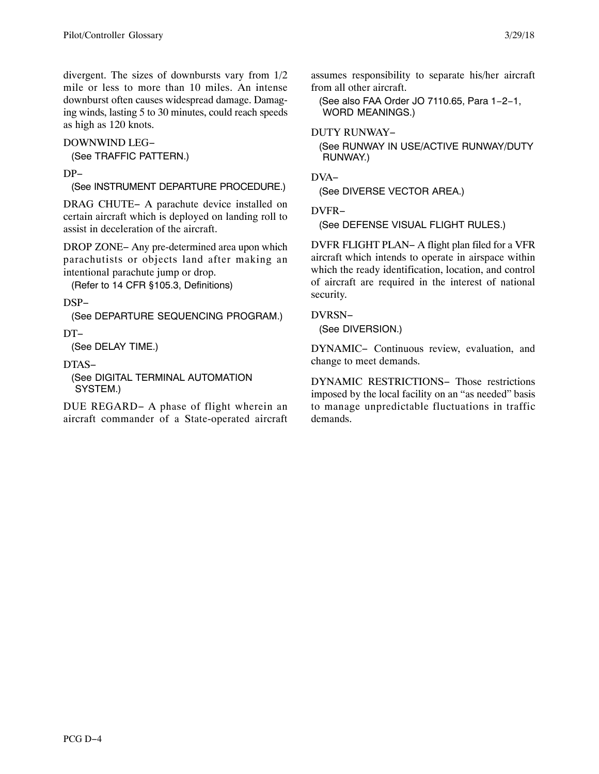mile or less to more than 10 miles. An intense divergent. The sizes of downbursts vary from 1/2 downburst often causes widespread damage. Damaging winds, lasting 5 to 30 minutes, could reach speeds as high as 120 knots.

# DOWNWIND LEG−

(See TRAFFIC PATTERN.)

DP−

(See INSTRUMENT DEPARTURE PROCEDURE.)

DRAG CHUTE− A parachute device installed on certain aircraft which is deployed on landing roll to assist in deceleration of the aircraft.

 parachutists or objects land after making an DROP ZONE− Any pre-determined area upon which intentional parachute jump or drop.

(Refer to 14 CFR §105.3, Definitions)

DSP−

(See DEPARTURE SEQUENCING PROGRAM.)

DT–

(See DELAY TIME.)

DTAS−

(See DIGITAL TERMINAL AUTOMATION SYSTEM.)

 DUE REGARD− A phase of flight wherein an aircraft commander of a State-operated aircraft

assumes responsibility to separate his/her aircraft from all other aircraft.

(See also FAA Order JO 7110.65, Para 1−2−1, WORD MEANINGS.)

DUTY RUNWAY− (See RUNWAY IN USE/ACTIVE RUNWAY/DUTY RUNWAY.)

DVA−

(See DIVERSE VECTOR AREA.)

DVFR−

(See DEFENSE VISUAL FLIGHT RULES.)

DVFR FLIGHT PLAN− A flight plan filed for a VFR aircraft which intends to operate in airspace within which the ready identification, location, and control of aircraft are required in the interest of national security.

DVRSN−

(See DIVERSION.)

DYNAMIC− Continuous review, evaluation, and change to meet demands.

DYNAMIC RESTRICTIONS− Those restrictions imposed by the local facility on an "as needed" basis to manage unpredictable fluctuations in traffic demands.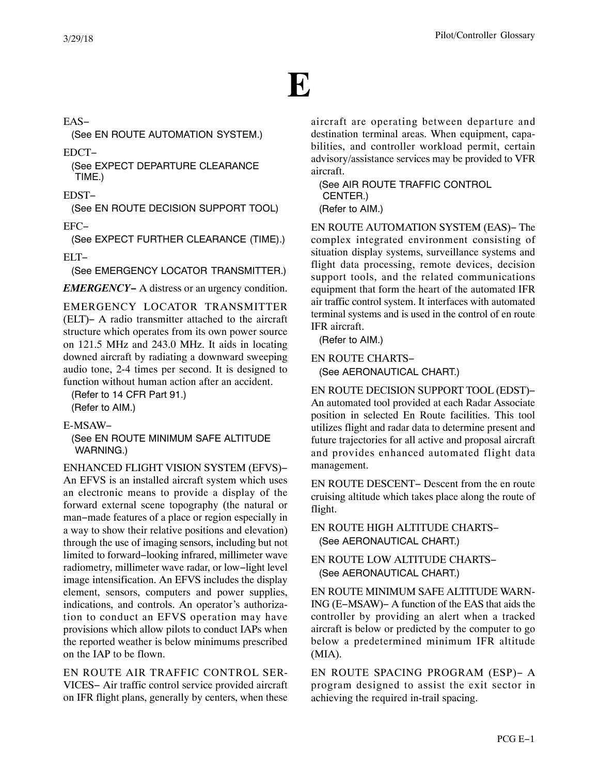# EAS−

(See EN ROUTE AUTOMATION SYSTEM.)

EDCT−

(See EXPECT DEPARTURE CLEARANCE TIME.)

EDST−

(See EN ROUTE DECISION SUPPORT TOOL)

EFC−

(See EXPECT FURTHER CLEARANCE (TIME).) ELT−

(See EMERGENCY LOCATOR TRANSMITTER.)

*EMERGENCY* − A distress or an urgency condition.

EMERGENCY LOCATOR TRANSMITTER (ELT)− A radio transmitter attached to the aircraft structure which operates from its own power source on 121.5 MHz and 243.0 MHz. It aids in locating downed aircraft by radiating a downward sweeping audio tone, 2-4 times per second. It is designed to function without human action after an accident.

(Refer to 14 CFR Part 91.)

(Refer to AIM.)

E-MSAW−

(See EN ROUTE MINIMUM SAFE ALTITUDE WARNING.)

 tion to conduct an EFVS operation may have ENHANCED FLIGHT VISION SYSTEM (EFVS)− An EFVS is an installed aircraft system which uses an electronic means to provide a display of the forward external scene topography (the natural or man−made features of a place or region especially in a way to show their relative positions and elevation) through the use of imaging sensors, including but not limited to forward−looking infrared, millimeter wave radiometry, millimeter wave radar, or low−light level image intensification. An EFVS includes the display element, sensors, computers and power supplies, indications, and controls. An operator's authorizaprovisions which allow pilots to conduct IAPs when the reported weather is below minimums prescribed on the IAP to be flown.

EN ROUTE AIR TRAFFIC CONTROL SER-VICES− Air traffic control service provided aircraft on IFR flight plans, generally by centers, when these

 aircraft are operating between departure and bilities, and controller workload permit, certain destination terminal areas. When equipment, capaadvisory/assistance services may be provided to VFR aircraft.

(See AIR ROUTE TRAFFIC CONTROL CENTER.) (Refer to AIM.)

 complex integrated environment consisting of EN ROUTE AUTOMATION SYSTEM (EAS)− The situation display systems, surveillance systems and flight data processing, remote devices, decision support tools, and the related communications equipment that form the heart of the automated IFR air traffic control system. It interfaces with automated terminal systems and is used in the control of en route IFR aircraft.

(Refer to AIM.)

EN ROUTE CHARTS−

(See AERONAUTICAL CHART.)

 and provides enhanced automated flight data EN ROUTE DECISION SUPPORT TOOL (EDST)− An automated tool provided at each Radar Associate position in selected En Route facilities. This tool utilizes flight and radar data to determine present and future trajectories for all active and proposal aircraft management.

EN ROUTE DESCENT− Descent from the en route cruising altitude which takes place along the route of flight.

EN ROUTE HIGH ALTITUDE CHARTS− (See AERONAUTICAL CHART.)

# EN ROUTE LOW ALTITUDE CHARTS− (See AERONAUTICAL CHART.)

 controller by providing an alert when a tracked below a predetermined minimum IFR altitude EN ROUTE MINIMUM SAFE ALTITUDE WARN-ING (E−MSAW)− A function of the EAS that aids the aircraft is below or predicted by the computer to go (MIA).

 program designed to assist the exit sector in EN ROUTE SPACING PROGRAM (ESP)− A achieving the required in-trail spacing.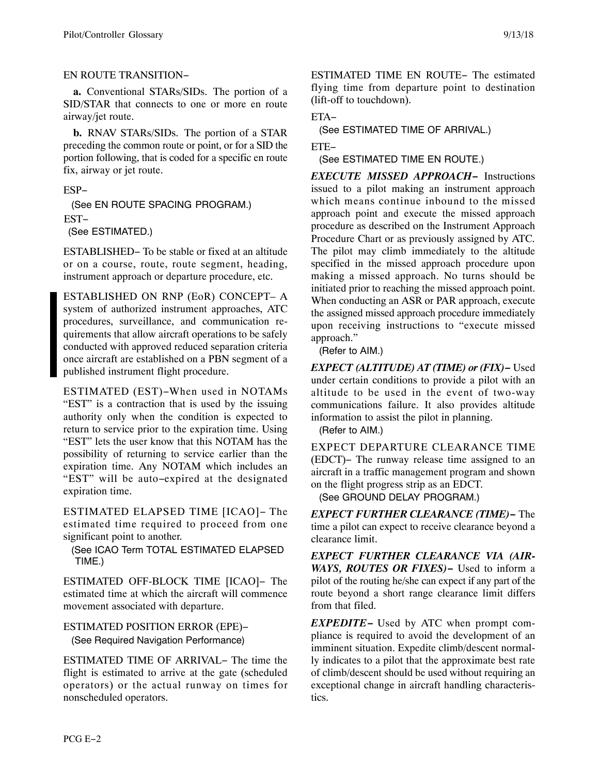**a.** Conventional STARs/SIDs. The portion of a SID/STAR that connects to one or more en route airway/jet route.

**b.** RNAV STARs/SIDs. The portion of a STAR preceding the common route or point, or for a SID the portion following, that is coded for a specific en route fix, airway or jet route.

ESP−

(See EN ROUTE SPACING PROGRAM.) EST− (See ESTIMATED.)

 or on a course, route, route segment, heading, ESTABLISHED− To be stable or fixed at an altitude instrument approach or departure procedure, etc.

 ESTABLISHED ON RNP (EoR) CONCEPT– A system of authorized instrument approaches, ATC procedures, surveillance, and communication requirements that allow aircraft operations to be safely conducted with approved reduced separation criteria once aircraft are established on a PBN segment of a published instrument flight procedure.

 "EST" will be auto−expired at the designated ESTIMATED (EST)−When used in NOTAMs "EST" is a contraction that is used by the issuing authority only when the condition is expected to return to service prior to the expiration time. Using "EST" lets the user know that this NOTAM has the possibility of returning to service earlier than the expiration time. Any NOTAM which includes an expiration time.

ESTIMATED ELAPSED TIME [ICAO]− The estimated time required to proceed from one significant point to another.

(See ICAO Term TOTAL ESTIMATED ELAPSED TIME.)

ESTIMATED OFF-BLOCK TIME [ICAO]− The estimated time at which the aircraft will commence movement associated with departure.

ESTIMATED POSITION ERROR (EPE)− (See Required Navigation Performance)

 operators) or the actual runway on times for ESTIMATED TIME OF ARRIVAL− The time the flight is estimated to arrive at the gate (scheduled nonscheduled operators.

 flying time from departure point to destination ESTIMATED TIME EN ROUTE− The estimated (lift-off to touchdown).

ETA−

(See ESTIMATED TIME OF ARRIVAL.)

ETE−

(See ESTIMATED TIME EN ROUTE.)

 which means continue inbound to the missed making a missed approach. No turns should be *EXECUTE MISSED APPROACH−* Instructions issued to a pilot making an instrument approach approach point and execute the missed approach procedure as described on the Instrument Approach Procedure Chart or as previously assigned by ATC. The pilot may climb immediately to the altitude specified in the missed approach procedure upon initiated prior to reaching the missed approach point. When conducting an ASR or PAR approach, execute the assigned missed approach procedure immediately upon receiving instructions to "execute missed approach."

(Refer to AIM.)

 altitude to be used in the event of two-way *EXPECT (ALTITUDE) AT (TIME) or (FIX)−* Used under certain conditions to provide a pilot with an communications failure. It also provides altitude information to assist the pilot in planning.

(Refer to AIM.)

EXPECT DEPARTURE CLEARANCE TIME (EDCT)− The runway release time assigned to an aircraft in a traffic management program and shown on the flight progress strip as an EDCT.

(See GROUND DELAY PROGRAM.)

*EXPECT FURTHER CLEARANCE (TIME)−* The time a pilot can expect to receive clearance beyond a clearance limit.

*EXPECT FURTHER CLEARANCE VIA (AIR-WAYS, ROUTES OR FIXES)−* Used to inform a pilot of the routing he/she can expect if any part of the route beyond a short range clearance limit differs from that filed.

*EXPEDITE* − Used by ATC when prompt compliance is required to avoid the development of an imminent situation. Expedite climb/descent normally indicates to a pilot that the approximate best rate of climb/descent should be used without requiring an exceptional change in aircraft handling characteristics.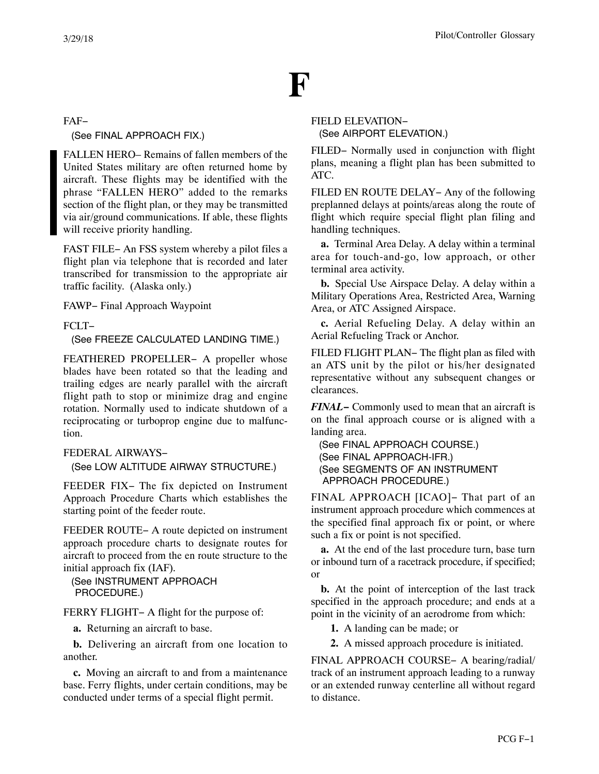## **F**

## FAF−

## (See FINAL APPROACH FIX.)

 phrase "FALLEN HERO" added to the remarks FALLEN HERO– Remains of fallen members of the United States military are often returned home by aircraft. These flights may be identified with the section of the flight plan, or they may be transmitted via air/ground communications. If able, these flights will receive priority handling.

FAST FILE− An FSS system whereby a pilot files a flight plan via telephone that is recorded and later transcribed for transmission to the appropriate air traffic facility. (Alaska only.)

FAWP− Final Approach Waypoint

FCLT−

(See FREEZE CALCULATED LANDING TIME.)

 flight path to stop or minimize drag and engine FEATHERED PROPELLER− A propeller whose blades have been rotated so that the leading and trailing edges are nearly parallel with the aircraft rotation. Normally used to indicate shutdown of a reciprocating or turboprop engine due to malfunction.

## FEDERAL AIRWAYS−

## (See LOW ALTITUDE AIRWAY STRUCTURE.)

 FEEDER FIX− The fix depicted on Instrument Approach Procedure Charts which establishes the starting point of the feeder route.

FEEDER ROUTE− A route depicted on instrument approach procedure charts to designate routes for aircraft to proceed from the en route structure to the initial approach fix (IAF).

(See INSTRUMENT APPROACH PROCEDURE.)

FERRY FLIGHT− A flight for the purpose of:

**a.** Returning an aircraft to base.

 **b.** Delivering an aircraft from one location to another.

**c.** Moving an aircraft to and from a maintenance base. Ferry flights, under certain conditions, may be conducted under terms of a special flight permit.

## FIELD ELEVATION− (See AIRPORT ELEVATION.)

FILED− Normally used in conjunction with flight plans, meaning a flight plan has been submitted to ATC.

FILED EN ROUTE DELAY− Any of the following preplanned delays at points/areas along the route of flight which require special flight plan filing and handling techniques.

**a.** Terminal Area Delay. A delay within a terminal area for touch-and-go, low approach, or other terminal area activity.

**b.** Special Use Airspace Delay. A delay within a Military Operations Area, Restricted Area, Warning Area, or ATC Assigned Airspace.

 **c.** Aerial Refueling Delay. A delay within an Aerial Refueling Track or Anchor.

 an ATS unit by the pilot or his/her designated FILED FLIGHT PLAN− The flight plan as filed with representative without any subsequent changes or clearances.

*FINAL−* Commonly used to mean that an aircraft is on the final approach course or is aligned with a landing area.

(See FINAL APPROACH COURSE.) (See FINAL APPROACH-IFR.) (See SEGMENTS OF AN INSTRUMENT APPROACH PROCEDURE.)

 FINAL APPROACH [ICAO]− That part of an instrument approach procedure which commences at the specified final approach fix or point, or where such a fix or point is not specified.

**a.** At the end of the last procedure turn, base turn or inbound turn of a racetrack procedure, if specified; or

**b.** At the point of interception of the last track specified in the approach procedure; and ends at a point in the vicinity of an aerodrome from which:

**1.** A landing can be made; or

**2.** A missed approach procedure is initiated.

FINAL APPROACH COURSE− A bearing/radial/ track of an instrument approach leading to a runway or an extended runway centerline all without regard to distance.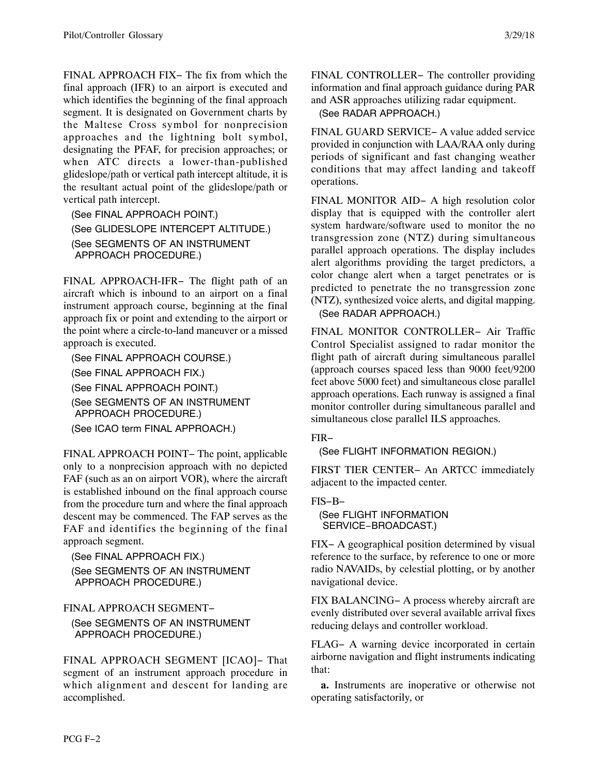the Maltese Cross symbol for nonprecision approaches and the lightning bolt symbol, when ATC directs a lower-than-published FINAL APPROACH FIX− The fix from which the final approach (IFR) to an airport is executed and which identifies the beginning of the final approach segment. It is designated on Government charts by designating the PFAF, for precision approaches; or glideslope/path or vertical path intercept altitude, it is the resultant actual point of the glideslope/path or vertical path intercept.

(See FINAL APPROACH POINT.) (See GLIDESLOPE INTERCEPT ALTITUDE.) (See SEGMENTS OF AN INSTRUMENT APPROACH PROCEDURE.)

FINAL APPROACH-IFR− The flight path of an aircraft which is inbound to an airport on a final instrument approach course, beginning at the final approach fix or point and extending to the airport or the point where a circle-to-land maneuver or a missed approach is executed.

(See FINAL APPROACH COURSE.) (See FINAL APPROACH FIX.) (See FINAL APPROACH POINT.) (See SEGMENTS OF AN INSTRUMENT APPROACH PROCEDURE.) (See ICAO term FINAL APPROACH.)

 FAF and identifies the beginning of the final FINAL APPROACH POINT− The point, applicable only to a nonprecision approach with no depicted FAF (such as an on airport VOR), where the aircraft is established inbound on the final approach course from the procedure turn and where the final approach descent may be commenced. The FAP serves as the approach segment.

(See FINAL APPROACH FIX.) (See SEGMENTS OF AN INSTRUMENT APPROACH PROCEDURE.)

FINAL APPROACH SEGMENT− (See SEGMENTS OF AN INSTRUMENT APPROACH PROCEDURE.)

FINAL APPROACH SEGMENT [ICAO]− That segment of an instrument approach procedure in which alignment and descent for landing are accomplished.

FINAL CONTROLLER− The controller providing information and final approach guidance during PAR and ASR approaches utilizing radar equipment.

(See RADAR APPROACH.)

 periods of significant and fast changing weather FINAL GUARD SERVICE− A value added service provided in conjunction with LAA/RAA only during conditions that may affect landing and takeoff operations.

 predicted to penetrate the no transgression zone FINAL MONITOR AID− A high resolution color display that is equipped with the controller alert system hardware/software used to monitor the no transgression zone (NTZ) during simultaneous parallel approach operations. The display includes alert algorithms providing the target predictors, a color change alert when a target penetrates or is (NTZ), synthesized voice alerts, and digital mapping. (See RADAR APPROACH.)

 Control Specialist assigned to radar monitor the FINAL MONITOR CONTROLLER− Air Traffic flight path of aircraft during simultaneous parallel (approach courses spaced less than 9000 feet/9200 feet above 5000 feet) and simultaneous close parallel approach operations. Each runway is assigned a final monitor controller during simultaneous parallel and simultaneous close parallel ILS approaches.

## FIR−

(See FLIGHT INFORMATION REGION.)

FIRST TIER CENTER− An ARTCC immediately adjacent to the impacted center.

## FIS−B−

(See FLIGHT INFORMATION SERVICE−BROADCAST.)

FIX− A geographical position determined by visual reference to the surface, by reference to one or more radio NAVAIDs, by celestial plotting, or by another navigational device.

FIX BALANCING− A process whereby aircraft are evenly distributed over several available arrival fixes reducing delays and controller workload.

FLAG− A warning device incorporated in certain airborne navigation and flight instruments indicating that:

**a.** Instruments are inoperative or otherwise not operating satisfactorily, or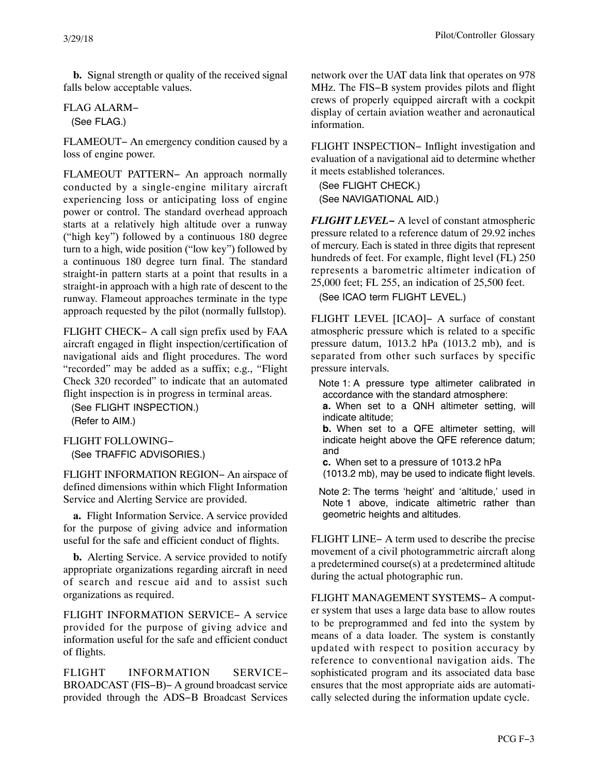**b.** Signal strength or quality of the received signal falls below acceptable values.

FLAG ALARM− (See FLAG.)

FLAMEOUT− An emergency condition caused by a loss of engine power.

 conducted by a single-engine military aircraft FLAMEOUT PATTERN− An approach normally experiencing loss or anticipating loss of engine power or control. The standard overhead approach starts at a relatively high altitude over a runway ("high key") followed by a continuous 180 degree turn to a high, wide position ("low key") followed by a continuous 180 degree turn final. The standard straight-in pattern starts at a point that results in a straight-in approach with a high rate of descent to the runway. Flameout approaches terminate in the type approach requested by the pilot (normally fullstop).

FLIGHT CHECK− A call sign prefix used by FAA aircraft engaged in flight inspection/certification of navigational aids and flight procedures. The word "recorded" may be added as a suffix; e.g., "Flight Check 320 recorded" to indicate that an automated flight inspection is in progress in terminal areas.

(See FLIGHT INSPECTION.) (Refer to AIM.)

FLIGHT FOLLOWING− (See TRAFFIC ADVISORIES.)

FLIGHT INFORMATION REGION− An airspace of defined dimensions within which Flight Information Service and Alerting Service are provided.

**a.** Flight Information Service. A service provided for the purpose of giving advice and information useful for the safe and efficient conduct of flights.

 of search and rescue aid and to assist such **b.** Alerting Service. A service provided to notify appropriate organizations regarding aircraft in need organizations as required.

 provided for the purpose of giving advice and FLIGHT INFORMATION SERVICE− A service information useful for the safe and efficient conduct of flights.

FLIGHT INFORMATION SERVICE− BROADCAST (FIS−B)− A ground broadcast service provided through the ADS−B Broadcast Services network over the UAT data link that operates on 978 MHz. The FIS−B system provides pilots and flight crews of properly equipped aircraft with a cockpit display of certain aviation weather and aeronautical information.

FLIGHT INSPECTION− Inflight investigation and evaluation of a navigational aid to determine whether it meets established tolerances.

(See FLIGHT CHECK.) (See NAVIGATIONAL AID.)

*FLIGHT LEVEL−* A level of constant atmospheric pressure related to a reference datum of 29.92 inches of mercury. Each is stated in three digits that represent hundreds of feet. For example, flight level (FL) 250 represents a barometric altimeter indication of 25,000 feet; FL 255, an indication of 25,500 feet.

(See ICAO term FLIGHT LEVEL.)

 separated from other such surfaces by specific FLIGHT LEVEL [ICAO]− A surface of constant atmospheric pressure which is related to a specific pressure datum, 1013.2 hPa (1013.2 mb), and is pressure intervals.

Note 1: A pressure type altimeter calibrated in accordance with the standard atmosphere:

**a.** When set to a QNH altimeter setting, will indicate altitude;

**b.** When set to a QFE altimeter setting, will indicate height above the QFE reference datum; and

**c.** When set to a pressure of 1013.2 hPa

(1013.2 mb), may be used to indicate flight levels.

Note 2: The terms 'height' and 'altitude,' used in Note 1 above, indicate altimetric rather than geometric heights and altitudes.

FLIGHT LINE− A term used to describe the precise movement of a civil photogrammetric aircraft along a predetermined course(s) at a predetermined altitude during the actual photographic run.

 updated with respect to position accuracy by FLIGHT MANAGEMENT SYSTEMS− A computer system that uses a large data base to allow routes to be preprogrammed and fed into the system by means of a data loader. The system is constantly reference to conventional navigation aids. The sophisticated program and its associated data base ensures that the most appropriate aids are automatically selected during the information update cycle.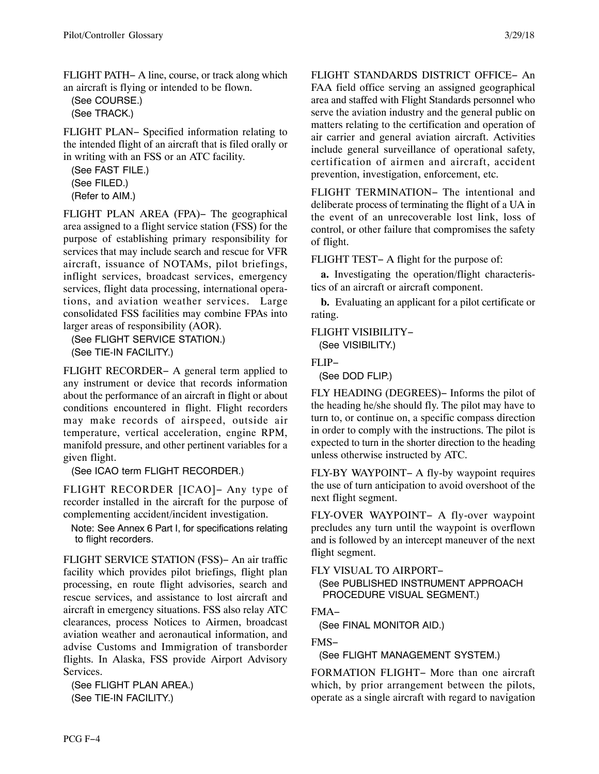FLIGHT PATH− A line, course, or track along which an aircraft is flying or intended to be flown.

```
(See COURSE.) 
(See TRACK.)
```
FLIGHT PLAN− Specified information relating to the intended flight of an aircraft that is filed orally or in writing with an FSS or an ATC facility.

```
(See FAST FILE.) 
(See FILED.) 
(Refer to AIM.)
```
 aircraft, issuance of NOTAMs, pilot briefings, inflight services, broadcast services, emergency FLIGHT PLAN AREA (FPA)− The geographical area assigned to a flight service station (FSS) for the purpose of establishing primary responsibility for services that may include search and rescue for VFR services, flight data processing, international operations, and aviation weather services. Large consolidated FSS facilities may combine FPAs into larger areas of responsibility (AOR).

(See FLIGHT SERVICE STATION.) (See TIE-IN FACILITY.)

FLIGHT RECORDER− A general term applied to any instrument or device that records information about the performance of an aircraft in flight or about conditions encountered in flight. Flight recorders may make records of airspeed, outside air temperature, vertical acceleration, engine RPM, manifold pressure, and other pertinent variables for a given flight.

(See ICAO term FLIGHT RECORDER.)

FLIGHT RECORDER [ICAO]− Any type of recorder installed in the aircraft for the purpose of complementing accident/incident investigation.

Note: See Annex 6 Part I, for specifications relating to flight recorders.

FLIGHT SERVICE STATION (FSS)− An air traffic facility which provides pilot briefings, flight plan processing, en route flight advisories, search and rescue services, and assistance to lost aircraft and aircraft in emergency situations. FSS also relay ATC clearances, process Notices to Airmen, broadcast aviation weather and aeronautical information, and advise Customs and Immigration of transborder flights. In Alaska, FSS provide Airport Advisory Services.

(See FLIGHT PLAN AREA.) (See TIE-IN FACILITY.)

 certification of airmen and aircraft, accident FLIGHT STANDARDS DISTRICT OFFICE− An FAA field office serving an assigned geographical area and staffed with Flight Standards personnel who serve the aviation industry and the general public on matters relating to the certification and operation of air carrier and general aviation aircraft. Activities include general surveillance of operational safety, prevention, investigation, enforcement, etc.

 the event of an unrecoverable lost link, loss of FLIGHT TERMINATION− The intentional and deliberate process of terminating the flight of a UA in control, or other failure that compromises the safety of flight.

FLIGHT TEST− A flight for the purpose of:

**a.** Investigating the operation/flight characteristics of an aircraft or aircraft component.

**b.** Evaluating an applicant for a pilot certificate or rating.

FLIGHT VISIBILITY−

(See VISIBILITY.)

FLIP−

(See DOD FLIP.)

FLY HEADING (DEGREES)− Informs the pilot of the heading he/she should fly. The pilot may have to turn to, or continue on, a specific compass direction in order to comply with the instructions. The pilot is expected to turn in the shorter direction to the heading unless otherwise instructed by ATC.

FLY-BY WAYPOINT− A fly-by waypoint requires the use of turn anticipation to avoid overshoot of the next flight segment.

FLY-OVER WAYPOINT− A fly-over waypoint precludes any turn until the waypoint is overflown and is followed by an intercept maneuver of the next flight segment.

FLY VISUAL TO AIRPORT− (See PUBLISHED INSTRUMENT APPROACH PROCEDURE VISUAL SEGMENT.)

## FMA−

(See FINAL MONITOR AID.)

FMS−

(See FLIGHT MANAGEMENT SYSTEM.)

 FORMATION FLIGHT− More than one aircraft which, by prior arrangement between the pilots, operate as a single aircraft with regard to navigation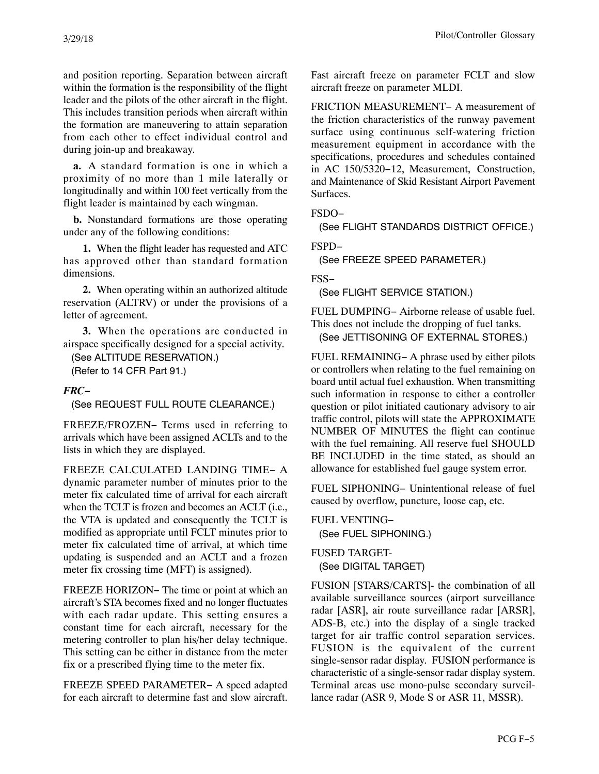from each other to effect individual control and and position reporting. Separation between aircraft within the formation is the responsibility of the flight leader and the pilots of the other aircraft in the flight. This includes transition periods when aircraft within the formation are maneuvering to attain separation during join-up and breakaway.

 **a.** A standard formation is one in which a proximity of no more than 1 mile laterally or longitudinally and within 100 feet vertically from the flight leader is maintained by each wingman.

**b.** Nonstandard formations are those operating under any of the following conditions:

 has approved other than standard formation **1.** When the flight leader has requested and ATC dimensions.

**2.** When operating within an authorized altitude reservation (ALTRV) or under the provisions of a letter of agreement.

 **3.** When the operations are conducted in airspace specifically designed for a special activity.

```
(See ALTITUDE RESERVATION.) 
(Refer to 14 CFR Part 91.)
```
## *FRC−*

(See REQUEST FULL ROUTE CLEARANCE.)

 FREEZE/FROZEN− Terms used in referring to arrivals which have been assigned ACLTs and to the lists in which they are displayed.

 FREEZE CALCULATED LANDING TIME− A dynamic parameter number of minutes prior to the meter fix calculated time of arrival for each aircraft when the TCLT is frozen and becomes an ACLT (i.e., the VTA is updated and consequently the TCLT is modified as appropriate until FCLT minutes prior to meter fix calculated time of arrival, at which time updating is suspended and an ACLT and a frozen meter fix crossing time (MFT) is assigned).

 with each radar update. This setting ensures a FREEZE HORIZON− The time or point at which an aircraft's STA becomes fixed and no longer fluctuates constant time for each aircraft, necessary for the metering controller to plan his/her delay technique. This setting can be either in distance from the meter fix or a prescribed flying time to the meter fix.

FREEZE SPEED PARAMETER− A speed adapted for each aircraft to determine fast and slow aircraft.

Fast aircraft freeze on parameter FCLT and slow aircraft freeze on parameter MLDI.

 surface using continuous self-watering friction measurement equipment in accordance with the FRICTION MEASUREMENT− A measurement of the friction characteristics of the runway pavement specifications, procedures and schedules contained in AC 150/5320−12, Measurement, Construction, and Maintenance of Skid Resistant Airport Pavement Surfaces.

FSDO−

(See FLIGHT STANDARDS DISTRICT OFFICE.)

FSPD−

(See FREEZE SPEED PARAMETER.)

FSS−

(See FLIGHT SERVICE STATION.)

FUEL DUMPING− Airborne release of usable fuel. This does not include the dropping of fuel tanks.

(See JETTISONING OF EXTERNAL STORES.)

FUEL REMAINING− A phrase used by either pilots or controllers when relating to the fuel remaining on board until actual fuel exhaustion. When transmitting such information in response to either a controller question or pilot initiated cautionary advisory to air traffic control, pilots will state the APPROXIMATE NUMBER OF MINUTES the flight can continue with the fuel remaining. All reserve fuel SHOULD BE INCLUDED in the time stated, as should an allowance for established fuel gauge system error.

FUEL SIPHONING− Unintentional release of fuel caused by overflow, puncture, loose cap, etc.

FUEL VENTING− (See FUEL SIPHONING.)

## FUSED TARGET- (See DIGITAL TARGET)

 FUSION is the equivalent of the current FUSION [STARS/CARTS]- the combination of all available surveillance sources (airport surveillance radar [ASR], air route surveillance radar [ARSR], ADS-B, etc.) into the display of a single tracked target for air traffic control separation services. single-sensor radar display. FUSION performance is characteristic of a single-sensor radar display system. Terminal areas use mono-pulse secondary surveillance radar (ASR 9, Mode S or ASR 11, MSSR).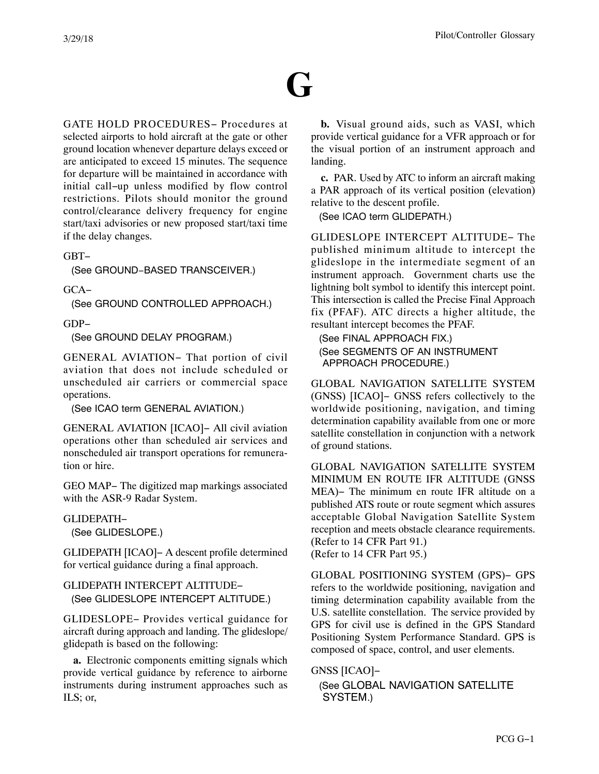## **G**

 initial call−up unless modified by flow control restrictions. Pilots should monitor the ground GATE HOLD PROCEDURES− Procedures at selected airports to hold aircraft at the gate or other ground location whenever departure delays exceed or are anticipated to exceed 15 minutes. The sequence for departure will be maintained in accordance with control/clearance delivery frequency for engine start/taxi advisories or new proposed start/taxi time if the delay changes.

## GBT−

(See GROUND−BASED TRANSCEIVER.)

GCA−

(See GROUND CONTROLLED APPROACH.)

GDP−

(See GROUND DELAY PROGRAM.)

 GENERAL AVIATION− That portion of civil aviation that does not include scheduled or unscheduled air carriers or commercial space operations.

(See ICAO term GENERAL AVIATION.)

GENERAL AVIATION [ICAO]− All civil aviation operations other than scheduled air services and nonscheduled air transport operations for remuneration or hire.

GEO MAP− The digitized map markings associated with the ASR-9 Radar System.

## GLIDEPATH−

(See GLIDESLOPE.)

GLIDEPATH [ICAO]− A descent profile determined for vertical guidance during a final approach.

## GLIDEPATH INTERCEPT ALTITUDE− (See GLIDESLOPE INTERCEPT ALTITUDE.)

GLIDESLOPE− Provides vertical guidance for aircraft during approach and landing. The glideslope/ glidepath is based on the following:

**a.** Electronic components emitting signals which provide vertical guidance by reference to airborne instruments during instrument approaches such as ILS; or,

 **b.** Visual ground aids, such as VASI, which provide vertical guidance for a VFR approach or for the visual portion of an instrument approach and landing.

**c.** PAR. Used by ATC to inform an aircraft making a PAR approach of its vertical position (elevation) relative to the descent profile.

(See ICAO term GLIDEPATH.)

 published minimum altitude to intercept the fix (PFAF). ATC directs a higher altitude, the GLIDESLOPE INTERCEPT ALTITUDE− The glideslope in the intermediate segment of an instrument approach. Government charts use the lightning bolt symbol to identify this intercept point. This intersection is called the Precise Final Approach resultant intercept becomes the PFAF.

(See FINAL APPROACH FIX.) (See SEGMENTS OF AN INSTRUMENT APPROACH PROCEDURE.)

 worldwide positioning, navigation, and timing GLOBAL NAVIGATION SATELLITE SYSTEM (GNSS) [ICAO]− GNSS refers collectively to the determination capability available from one or more satellite constellation in conjunction with a network of ground stations.

 acceptable Global Navigation Satellite System GLOBAL NAVIGATION SATELLITE SYSTEM MINIMUM EN ROUTE IFR ALTITUDE (GNSS MEA)− The minimum en route IFR altitude on a published ATS route or route segment which assures reception and meets obstacle clearance requirements. (Refer to 14 CFR Part 91.) (Refer to 14 CFR Part 95.)

GLOBAL POSITIONING SYSTEM (GPS)− GPS refers to the worldwide positioning, navigation and timing determination capability available from the U.S. satellite constellation. The service provided by GPS for civil use is defined in the GPS Standard Positioning System Performance Standard. GPS is composed of space, control, and user elements.

GNSS [ICAO]−

(See GLOBAL NAVIGATION SATELLITE SYSTEM.)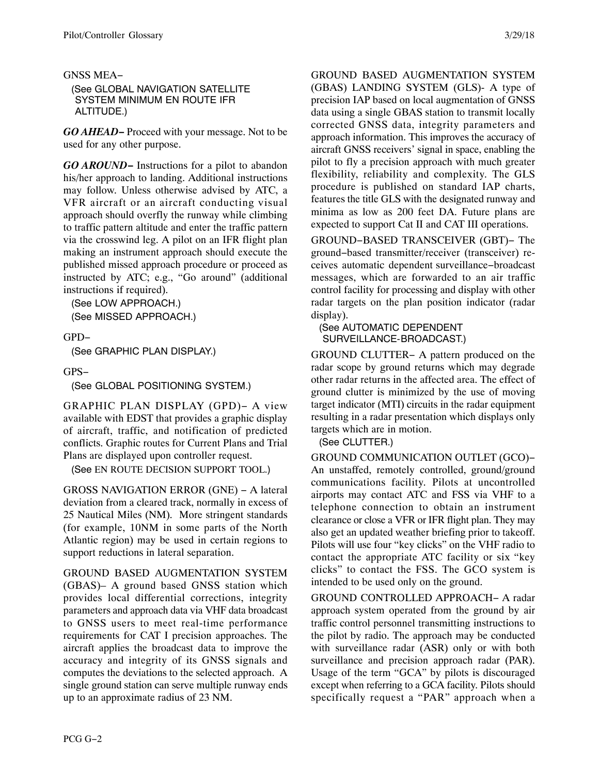GNSS MEA−

(See GLOBAL NAVIGATION SATELLITE SYSTEM MINIMUM EN ROUTE IFR ALTITUDE.)

*GO AHEAD−* Proceed with your message. Not to be used for any other purpose.

 VFR aircraft or an aircraft conducting visual *GO AROUND−* Instructions for a pilot to abandon his/her approach to landing. Additional instructions may follow. Unless otherwise advised by ATC, a approach should overfly the runway while climbing to traffic pattern altitude and enter the traffic pattern via the crosswind leg. A pilot on an IFR flight plan making an instrument approach should execute the published missed approach procedure or proceed as instructed by ATC; e.g., "Go around" (additional instructions if required).

(See LOW APPROACH.) (See MISSED APPROACH.)

GPD−

(See GRAPHIC PLAN DISPLAY.)

GPS−

(See GLOBAL POSITIONING SYSTEM.)

 GRAPHIC PLAN DISPLAY (GPD)− A view of aircraft, traffic, and notification of predicted available with EDST that provides a graphic display conflicts. Graphic routes for Current Plans and Trial Plans are displayed upon controller request.

(See EN ROUTE DECISION SUPPORT TOOL.)

 (for example, 10NM in some parts of the North GROSS NAVIGATION ERROR (GNE) − A lateral deviation from a cleared track, normally in excess of 25 Nautical Miles (NM). More stringent standards Atlantic region) may be used in certain regions to support reductions in lateral separation.

 (GBAS)– A ground based GNSS station which provides local differential corrections, integrity to GNSS users to meet real-time performance accuracy and integrity of its GNSS signals and GROUND BASED AUGMENTATION SYSTEM parameters and approach data via VHF data broadcast requirements for CAT I precision approaches. The aircraft applies the broadcast data to improve the computes the deviations to the selected approach. A single ground station can serve multiple runway ends up to an approximate radius of 23 NM.

 corrected GNSS data, integrity parameters and GROUND BASED AUGMENTATION SYSTEM (GBAS) LANDING SYSTEM (GLS)- A type of precision IAP based on local augmentation of GNSS data using a single GBAS station to transmit locally approach information. This improves the accuracy of aircraft GNSS receivers' signal in space, enabling the

 flexibility, reliability and complexity. The GLS pilot to fly a precision approach with much greater procedure is published on standard IAP charts, features the title GLS with the designated runway and minima as low as 200 feet DA. Future plans are expected to support Cat II and CAT III operations.

 messages, which are forwarded to an air traffic GROUND−BASED TRANSCEIVER (GBT)− The ground−based transmitter/receiver (transceiver) receives automatic dependent surveillance−broadcast control facility for processing and display with other radar targets on the plan position indicator (radar display).

(See AUTOMATIC DEPENDENT SURVEILLANCE-BROADCAST.)

GROUND CLUTTER− A pattern produced on the radar scope by ground returns which may degrade other radar returns in the affected area. The effect of ground clutter is minimized by the use of moving target indicator (MTI) circuits in the radar equipment resulting in a radar presentation which displays only targets which are in motion.

(See CLUTTER.)

 communications facility. Pilots at uncontrolled telephone connection to obtain an instrument contact the appropriate ATC facility or six "key clicks" to contact the FSS. The GCO system is GROUND COMMUNICATION OUTLET (GCO)− An unstaffed, remotely controlled, ground/ground airports may contact ATC and FSS via VHF to a clearance or close a VFR or IFR flight plan. They may also get an updated weather briefing prior to takeoff. Pilots will use four "key clicks" on the VHF radio to intended to be used only on the ground.

GROUND CONTROLLED APPROACH− A radar approach system operated from the ground by air traffic control personnel transmitting instructions to the pilot by radio. The approach may be conducted with surveillance radar (ASR) only or with both surveillance and precision approach radar (PAR). Usage of the term "GCA" by pilots is discouraged except when referring to a GCA facility. Pilots should specifically request a "PAR" approach when a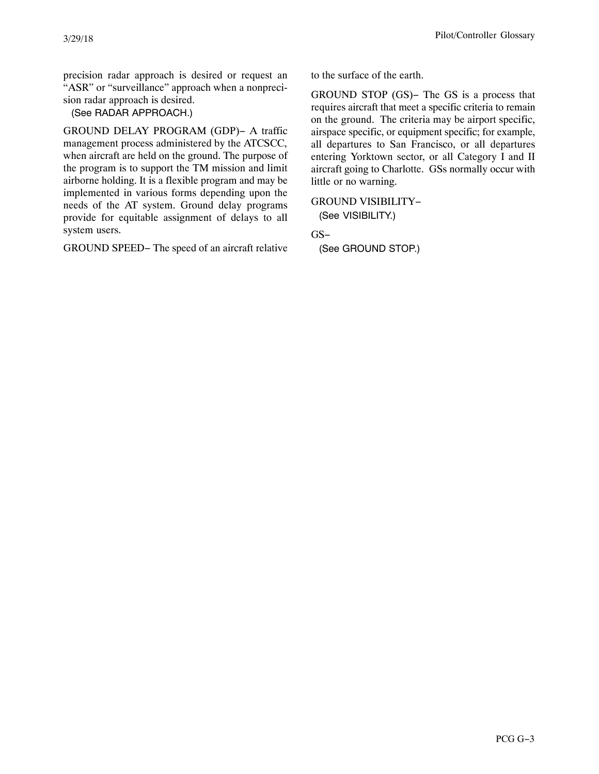precision radar approach is desired or request an "ASR" or "surveillance" approach when a nonprecision radar approach is desired.

(See RADAR APPROACH.)

GROUND DELAY PROGRAM (GDP)− A traffic management process administered by the ATCSCC, when aircraft are held on the ground. The purpose of the program is to support the TM mission and limit airborne holding. It is a flexible program and may be implemented in various forms depending upon the needs of the AT system. Ground delay programs provide for equitable assignment of delays to all system users.

GROUND SPEED− The speed of an aircraft relative

to the surface of the earth.

GROUND STOP (GS)− The GS is a process that requires aircraft that meet a specific criteria to remain on the ground. The criteria may be airport specific, airspace specific, or equipment specific; for example, all departures to San Francisco, or all departures entering Yorktown sector, or all Category I and II aircraft going to Charlotte. GSs normally occur with little or no warning.

GROUND VISIBILITY− (See VISIBILITY.)

GS−

(See GROUND STOP.)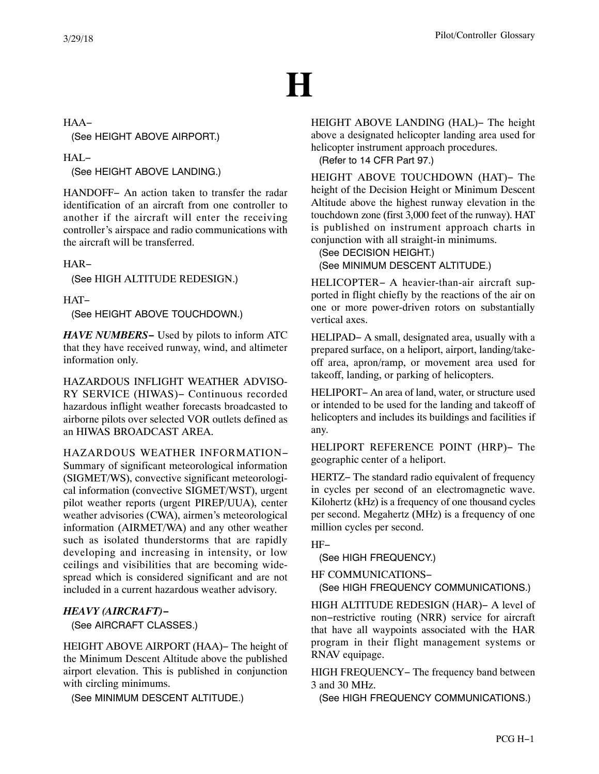## **H**

## HAA−

(See HEIGHT ABOVE AIRPORT.)

## HAL−

(See HEIGHT ABOVE LANDING.)

 another if the aircraft will enter the receiving HANDOFF− An action taken to transfer the radar identification of an aircraft from one controller to controller's airspace and radio communications with the aircraft will be transferred.

HAR−

(See HIGH ALTITUDE REDESIGN.)

HAT−

(See HEIGHT ABOVE TOUCHDOWN.)

*HAVE NUMBERS*− Used by pilots to inform ATC that they have received runway, wind, and altimeter information only.

HAZARDOUS INFLIGHT WEATHER ADVISO-RY SERVICE (HIWAS)− Continuous recorded hazardous inflight weather forecasts broadcasted to airborne pilots over selected VOR outlets defined as an HIWAS BROADCAST AREA.

 such as isolated thunderstorms that are rapidly developing and increasing in intensity, or low ceilings and visibilities that are becoming wide-HAZARDOUS WEATHER INFORMATION− Summary of significant meteorological information (SIGMET/WS), convective significant meteorological information (convective SIGMET/WST), urgent pilot weather reports (urgent PIREP/UUA), center weather advisories (CWA), airmen's meteorological information (AIRMET/WA) and any other weather spread which is considered significant and are not included in a current hazardous weather advisory.

## *HEAVY (AIRCRAFT)−*

(See AIRCRAFT CLASSES.)

HEIGHT ABOVE AIRPORT (HAA)− The height of the Minimum Descent Altitude above the published airport elevation. This is published in conjunction with circling minimums.

(See MINIMUM DESCENT ALTITUDE.)

HEIGHT ABOVE LANDING (HAL)− The height above a designated helicopter landing area used for helicopter instrument approach procedures.

(Refer to 14 CFR Part 97.)

 is published on instrument approach charts in HEIGHT ABOVE TOUCHDOWN (HAT)− The height of the Decision Height or Minimum Descent Altitude above the highest runway elevation in the touchdown zone (first 3,000 feet of the runway). HAT conjunction with all straight-in minimums.

(See DECISION HEIGHT.) (See MINIMUM DESCENT ALTITUDE.)

 HELICOPTER− A heavier-than-air aircraft supported in flight chiefly by the reactions of the air on one or more power-driven rotors on substantially vertical axes.

HELIPAD− A small, designated area, usually with a prepared surface, on a heliport, airport, landing/takeoff area, apron/ramp, or movement area used for takeoff, landing, or parking of helicopters.

HELIPORT− An area of land, water, or structure used or intended to be used for the landing and takeoff of helicopters and includes its buildings and facilities if any.

HELIPORT REFERENCE POINT (HRP)− The geographic center of a heliport.

HERTZ– The standard radio equivalent of frequency in cycles per second of an electromagnetic wave. Kilohertz (kHz) is a frequency of one thousand cycles per second. Megahertz (MHz) is a frequency of one million cycles per second.

HF−

(See HIGH FREQUENCY.)

HF COMMUNICATIONS−

(See HIGH FREQUENCY COMMUNICATIONS.)

 program in their flight management systems or HIGH ALTITUDE REDESIGN (HAR)− A level of non−restrictive routing (NRR) service for aircraft that have all waypoints associated with the HAR RNAV equipage.

HIGH FREQUENCY- The frequency band between 3 and 30 MHz.

(See HIGH FREQUENCY COMMUNICATIONS.)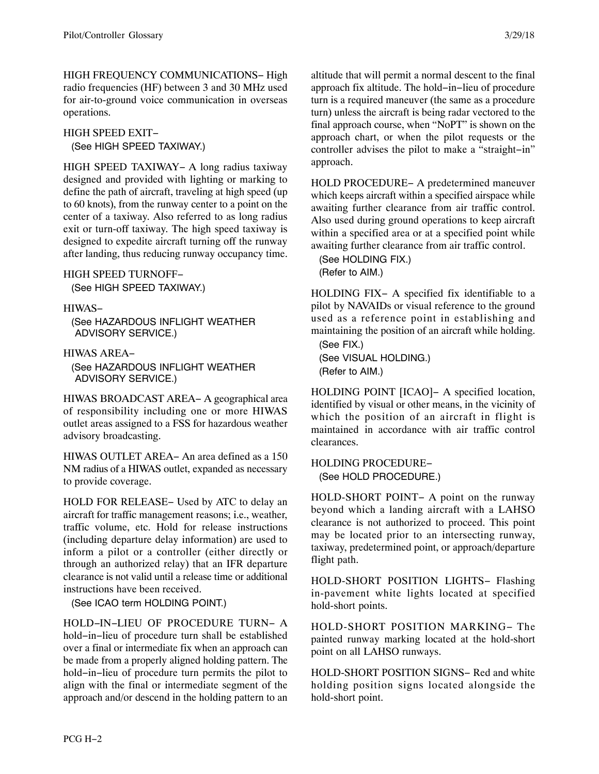HIGH FREQUENCY COMMUNICATIONS− High radio frequencies (HF) between 3 and 30 MHz used for air-to-ground voice communication in overseas operations.

## HIGH SPEED EXIT− (See HIGH SPEED TAXIWAY.)

HIGH SPEED TAXIWAY− A long radius taxiway designed and provided with lighting or marking to define the path of aircraft, traveling at high speed (up to 60 knots), from the runway center to a point on the center of a taxiway. Also referred to as long radius exit or turn-off taxiway. The high speed taxiway is designed to expedite aircraft turning off the runway after landing, thus reducing runway occupancy time.

HIGH SPEED TURNOFF−

(See HIGH SPEED TAXIWAY.)

HIWAS−

(See HAZARDOUS INFLIGHT WEATHER ADVISORY SERVICE.)

HIWAS AREA−

(See HAZARDOUS INFLIGHT WEATHER ADVISORY SERVICE.)

 of responsibility including one or more HIWAS HIWAS BROADCAST AREA− A geographical area outlet areas assigned to a FSS for hazardous weather advisory broadcasting.

HIWAS OUTLET AREA− An area defined as a 150 NM radius of a HIWAS outlet, expanded as necessary to provide coverage.

 inform a pilot or a controller (either directly or HOLD FOR RELEASE− Used by ATC to delay an aircraft for traffic management reasons; i.e., weather, traffic volume, etc. Hold for release instructions (including departure delay information) are used to through an authorized relay) that an IFR departure clearance is not valid until a release time or additional instructions have been received.

(See ICAO term HOLDING POINT.)

HOLD−IN−LIEU OF PROCEDURE TURN− A hold−in−lieu of procedure turn shall be established over a final or intermediate fix when an approach can be made from a properly aligned holding pattern. The hold−in−lieu of procedure turn permits the pilot to align with the final or intermediate segment of the approach and/or descend in the holding pattern to an

altitude that will permit a normal descent to the final approach fix altitude. The hold−in−lieu of procedure turn is a required maneuver (the same as a procedure turn) unless the aircraft is being radar vectored to the final approach course, when "NoPT" is shown on the approach chart, or when the pilot requests or the controller advises the pilot to make a "straight−in" approach.

HOLD PROCEDURE− A predetermined maneuver which keeps aircraft within a specified airspace while awaiting further clearance from air traffic control. Also used during ground operations to keep aircraft within a specified area or at a specified point while awaiting further clearance from air traffic control.

(See HOLDING FIX.) (Refer to AIM.)

HOLDING FIX− A specified fix identifiable to a pilot by NAVAIDs or visual reference to the ground used as a reference point in establishing and maintaining the position of an aircraft while holding.

(See FIX.) (See VISUAL HOLDING.) (Refer to AIM.)

 which the position of an aircraft in flight is HOLDING POINT [ICAO]− A specified location, identified by visual or other means, in the vicinity of maintained in accordance with air traffic control clearances.

HOLDING PROCEDURE− (See HOLD PROCEDURE.)

HOLD-SHORT POINT− A point on the runway beyond which a landing aircraft with a LAHSO may be located prior to an intersecting runway, clearance is not authorized to proceed. This point taxiway, predetermined point, or approach/departure flight path.

 in-pavement white lights located at specified HOLD-SHORT POSITION LIGHTS− Flashing hold-short points.

HOLD-SHORT POSITION MARKING− The painted runway marking located at the hold-short point on all LAHSO runways.

 holding position signs located alongside the HOLD-SHORT POSITION SIGNS− Red and white hold-short point.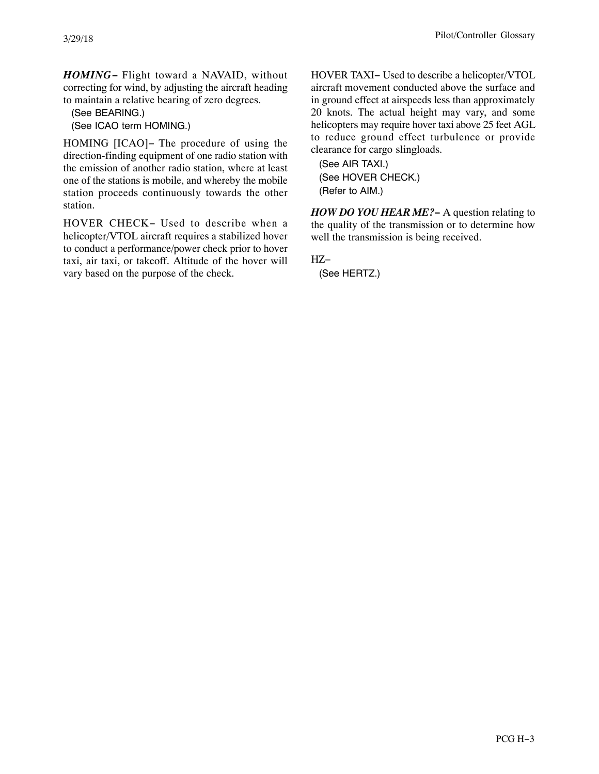*HOMING−* Flight toward a NAVAID, without correcting for wind, by adjusting the aircraft heading to maintain a relative bearing of zero degrees.

(See BEARING.) (See ICAO term HOMING.)

HOMING [ICAO]– The procedure of using the station proceeds continuously towards the other direction-finding equipment of one radio station with the emission of another radio station, where at least one of the stations is mobile, and whereby the mobile station.

 HOVER CHECK− Used to describe when a helicopter/VTOL aircraft requires a stabilized hover to conduct a performance/power check prior to hover taxi, air taxi, or takeoff. Altitude of the hover will vary based on the purpose of the check.

HOVER TAXI− Used to describe a helicopter/VTOL aircraft movement conducted above the surface and in ground effect at airspeeds less than approximately 20 knots. The actual height may vary, and some helicopters may require hover taxi above 25 feet AGL to reduce ground effect turbulence or provide clearance for cargo slingloads.

(See AIR TAXI.) (See HOVER CHECK.) (Refer to AIM.)

*HOW DO YOU HEAR ME?*− A question relating to the quality of the transmission or to determine how well the transmission is being received.

HZ−

(See HERTZ.)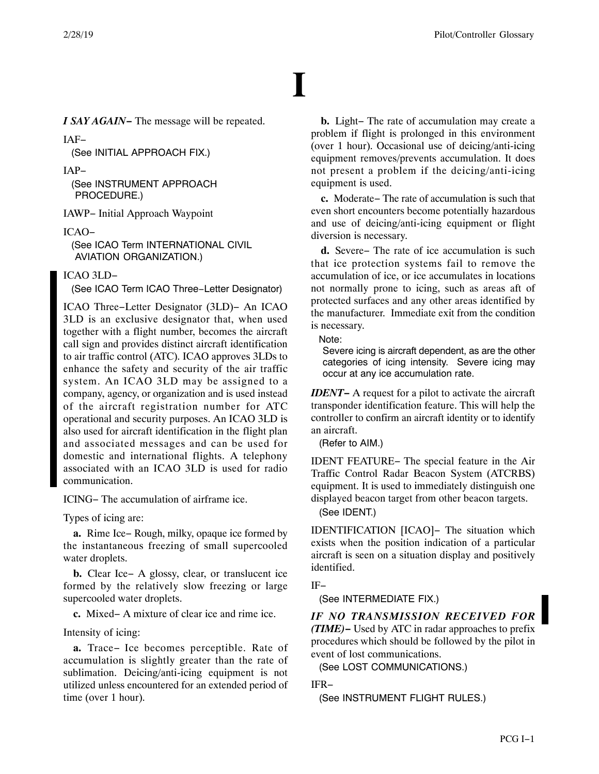# **I**

*I SAY AGAIN* − The message will be repeated.

IAF−

(See INITIAL APPROACH FIX.)

IAP−

(See INSTRUMENT APPROACH PROCEDURE.)

IAWP− Initial Approach Waypoint

## ICAO−

(See ICAO Term INTERNATIONAL CIVIL AVIATION ORGANIZATION.)

## ICAO 3LD−

(See ICAO Term ICAO Three−Letter Designator)

 3LD is an exclusive designator that, when used enhance the safety and security of the air traffic system. An ICAO 3LD may be assigned to a company, agency, or organization and is used instead of the aircraft registration number for ATC and associated messages and can be used for domestic and international flights. A telephony associated with an ICAO 3LD is used for radio ICAO Three−Letter Designator (3LD)− An ICAO together with a flight number, becomes the aircraft call sign and provides distinct aircraft identification to air traffic control (ATC). ICAO approves 3LDs to operational and security purposes. An ICAO 3LD is also used for aircraft identification in the flight plan communication.

ICING− The accumulation of airframe ice.

Types of icing are:

 the instantaneous freezing of small supercooled **a.** Rime Ice− Rough, milky, opaque ice formed by water droplets.

 formed by the relatively slow freezing or large **b.** Clear Ice− A glossy, clear, or translucent ice supercooled water droplets.

**c.** Mixed− A mixture of clear ice and rime ice.

Intensity of icing:

 **a.** Trace− Ice becomes perceptible. Rate of accumulation is slightly greater than the rate of sublimation. Deicing/anti-icing equipment is not utilized unless encountered for an extended period of time (over 1 hour).

 not present a problem if the deicing/anti-icing **b.** Light− The rate of accumulation may create a problem if flight is prolonged in this environment (over 1 hour). Occasional use of deicing/anti-icing equipment removes/prevents accumulation. It does equipment is used.

**c.** Moderate− The rate of accumulation is such that even short encounters become potentially hazardous and use of deicing/anti-icing equipment or flight diversion is necessary.

 that ice protection systems fail to remove the the manufacturer. Immediate exit from the condition **d.** Severe− The rate of ice accumulation is such accumulation of ice, or ice accumulates in locations not normally prone to icing, such as areas aft of protected surfaces and any other areas identified by is necessary.

Note:

Severe icing is aircraft dependent, as are the other categories of icing intensity. Severe icing may occur at any ice accumulation rate.

*IDENT* − A request for a pilot to activate the aircraft transponder identification feature. This will help the controller to confirm an aircraft identity or to identify an aircraft.

(Refer to AIM.)

IDENT FEATURE− The special feature in the Air Traffic Control Radar Beacon System (ATCRBS) equipment. It is used to immediately distinguish one displayed beacon target from other beacon targets.

(See IDENT.)

IDENTIFICATION [ICAO]− The situation which exists when the position indication of a particular aircraft is seen on a situation display and positively identified.

IF−

(See INTERMEDIATE FIX.)

*IF NO TRANSMISSION RECEIVED FOR (TIME)−* Used by ATC in radar approaches to prefix procedures which should be followed by the pilot in event of lost communications.

(See LOST COMMUNICATIONS.)

IFR−

(See INSTRUMENT FLIGHT RULES.)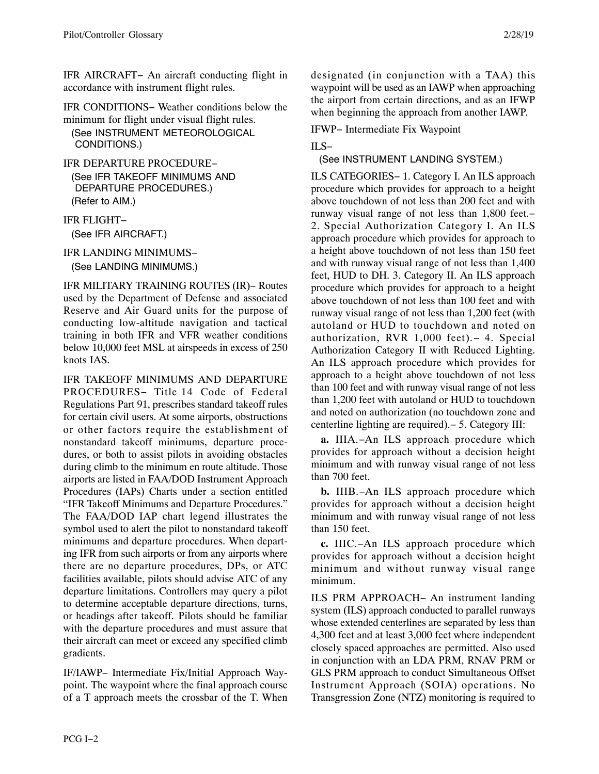IFR AIRCRAFT− An aircraft conducting flight in accordance with instrument flight rules.

IFR CONDITIONS− Weather conditions below the minimum for flight under visual flight rules.

(See INSTRUMENT METEOROLOGICAL CONDITIONS.)

IFR DEPARTURE PROCEDURE− (See IFR TAKEOFF MINIMUMS AND DEPARTURE PROCEDURES.) (Refer to AIM.)

IFR FLIGHT− (See IFR AIRCRAFT.)

IFR LANDING MINIMUMS− (See LANDING MINIMUMS.)

 Reserve and Air Guard units for the purpose of IFR MILITARY TRAINING ROUTES (IR)− Routes used by the Department of Defense and associated conducting low-altitude navigation and tactical training in both IFR and VFR weather conditions below 10,000 feet MSL at airspeeds in excess of 250 knots IAS.

 PROCEDURES− Title 14 Code of Federal The FAA/DOD IAP chart legend illustrates the there are no departure procedures, DPs, or ATC IFR TAKEOFF MINIMUMS AND DEPARTURE Regulations Part 91, prescribes standard takeoff rules for certain civil users. At some airports, obstructions or other factors require the establishment of nonstandard takeoff minimums, departure procedures, or both to assist pilots in avoiding obstacles during climb to the minimum en route altitude. Those airports are listed in FAA/DOD Instrument Approach Procedures (IAPs) Charts under a section entitled "IFR Takeoff Minimums and Departure Procedures." symbol used to alert the pilot to nonstandard takeoff minimums and departure procedures. When departing IFR from such airports or from any airports where facilities available, pilots should advise ATC of any departure limitations. Controllers may query a pilot to determine acceptable departure directions, turns, or headings after takeoff. Pilots should be familiar with the departure procedures and must assure that their aircraft can meet or exceed any specified climb gradients.

IF/IAWP− Intermediate Fix/Initial Approach Waypoint. The waypoint where the final approach course of a T approach meets the crossbar of the T. When

 designated (in conjunction with a TAA) this waypoint will be used as an IAWP when approaching the airport from certain directions, and as an IFWP when beginning the approach from another IAWP.

IFWP− Intermediate Fix Waypoint

## ILS−

(See INSTRUMENT LANDING SYSTEM.)

 autoland or HUD to touchdown and noted on authorization, RVR 1,000 feet).− 4. Special An ILS approach procedure which provides for ILS CATEGORIES− 1. Category I. An ILS approach procedure which provides for approach to a height above touchdown of not less than 200 feet and with runway visual range of not less than 1,800 feet.− 2. Special Authorization Category I. An ILS approach procedure which provides for approach to a height above touchdown of not less than 150 feet and with runway visual range of not less than 1,400 feet, HUD to DH. 3. Category II. An ILS approach procedure which provides for approach to a height above touchdown of not less than 100 feet and with runway visual range of not less than 1,200 feet (with Authorization Category II with Reduced Lighting. approach to a height above touchdown of not less than 100 feet and with runway visual range of not less than 1,200 feet with autoland or HUD to touchdown and noted on authorization (no touchdown zone and centerline lighting are required).− 5. Category III:

 provides for approach without a decision height **a.** IIIA.−An ILS approach procedure which minimum and with runway visual range of not less than 700 feet.

 provides for approach without a decision height **b.** IIIB.−An ILS approach procedure which minimum and with runway visual range of not less than 150 feet.

 **c.** IIIC.−An ILS approach procedure which provides for approach without a decision height minimum and without runway visual range minimum.

 ILS PRM APPROACH− An instrument landing system (ILS) approach conducted to parallel runways whose extended centerlines are separated by less than 4,300 feet and at least 3,000 feet where independent closely spaced approaches are permitted. Also used in conjunction with an LDA PRM, RNAV PRM or GLS PRM approach to conduct Simultaneous Offset Instrument Approach (SOIA) operations. No Transgression Zone (NTZ) monitoring is required to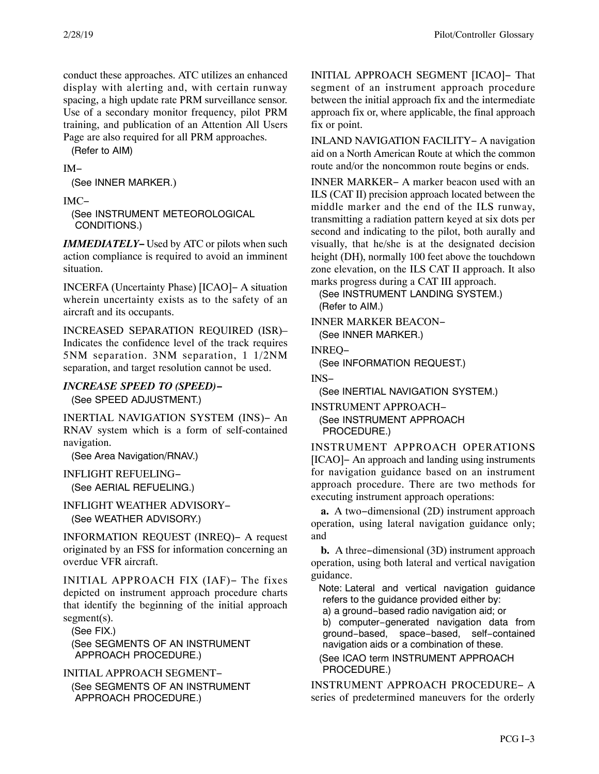conduct these approaches. ATC utilizes an enhanced display with alerting and, with certain runway spacing, a high update rate PRM surveillance sensor. Use of a secondary monitor frequency, pilot PRM training, and publication of an Attention All Users Page are also required for all PRM approaches.

(Refer to AIM)

## IM−

(See INNER MARKER.)

IMC−

(See INSTRUMENT METEOROLOGICAL CONDITIONS.)

*IMMEDIATELY*<sup>−</sup>Used by ATC or pilots when such action compliance is required to avoid an imminent situation.

 wherein uncertainty exists as to the safety of an INCERFA (Uncertainty Phase) [ICAO]− A situation aircraft and its occupants.

INCREASED SEPARATION REQUIRED (ISR)– Indicates the confidence level of the track requires 5NM separation. 3NM separation, 1 1/2NM separation, and target resolution cannot be used.

## *INCREASE SPEED TO (SPEED)−* (See SPEED ADJUSTMENT.)

 INERTIAL NAVIGATION SYSTEM (INS)− An RNAV system which is a form of self-contained navigation.

(See Area Navigation/RNAV.)

```
INFLIGHT REFUELING−
 (See AERIAL REFUELING.)
```
INFLIGHT WEATHER ADVISORY− (See WEATHER ADVISORY.)

INFORMATION REQUEST (INREQ)− A request originated by an FSS for information concerning an

 INITIAL APPROACH FIX (IAF)− The fixes overdue VFR aircraft. depicted on instrument approach procedure charts

that identify the beginning of the initial approach segment(s).

(See FIX.) (See SEGMENTS OF AN INSTRUMENT APPROACH PROCEDURE.)

INITIAL APPROACH SEGMENT− (See SEGMENTS OF AN INSTRUMENT APPROACH PROCEDURE.)

 segment of an instrument approach procedure INITIAL APPROACH SEGMENT [ICAO]− That between the initial approach fix and the intermediate approach fix or, where applicable, the final approach fix or point.

INLAND NAVIGATION FACILITY− A navigation aid on a North American Route at which the common route and/or the noncommon route begins or ends.

 middle marker and the end of the ILS runway, INNER MARKER− A marker beacon used with an ILS (CAT II) precision approach located between the transmitting a radiation pattern keyed at six dots per second and indicating to the pilot, both aurally and visually, that he/she is at the designated decision height (DH), normally 100 feet above the touchdown zone elevation, on the ILS CAT II approach. It also marks progress during a CAT III approach.

(See INSTRUMENT LANDING SYSTEM.) (Refer to AIM.)

INNER MARKER BEACON− (See INNER MARKER.)

INREQ−

(See INFORMATION REQUEST.)

INS−

(See INERTIAL NAVIGATION SYSTEM.)

INSTRUMENT APPROACH− (See INSTRUMENT APPROACH

PROCEDURE.)

 for navigation guidance based on an instrument approach procedure. There are two methods for INSTRUMENT APPROACH OPERATIONS [ICAO]− An approach and landing using instruments executing instrument approach operations:

**a.** A two−dimensional (2D) instrument approach operation, using lateral navigation guidance only; and

**b.** A three−dimensional (3D) instrument approach operation, using both lateral and vertical navigation guidance.

Note: Lateral and vertical navigation guidance refers to the guidance provided either by:

a) a ground−based radio navigation aid; or

b) computer−generated navigation data from ground−based, space−based, self−contained navigation aids or a combination of these.

(See ICAO term INSTRUMENT APPROACH PROCEDURE.)

INSTRUMENT APPROACH PROCEDURE− A series of predetermined maneuvers for the orderly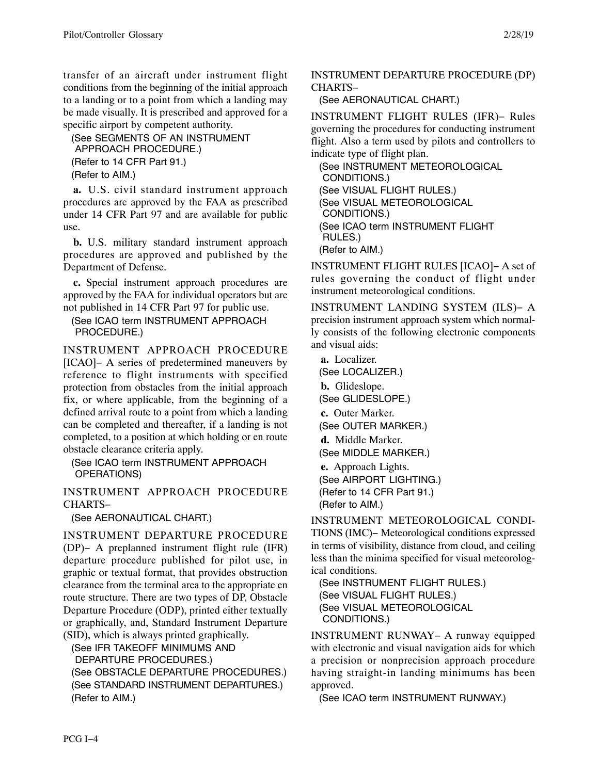transfer of an aircraft under instrument flight conditions from the beginning of the initial approach to a landing or to a point from which a landing may be made visually. It is prescribed and approved for a specific airport by competent authority.

(See SEGMENTS OF AN INSTRUMENT APPROACH PROCEDURE.) (Refer to 14 CFR Part 91.) (Refer to AIM.)

 **a.** U.S. civil standard instrument approach procedures are approved by the FAA as prescribed under 14 CFR Part 97 and are available for public use.

 procedures are approved and published by the **b.** U.S. military standard instrument approach Department of Defense.

**c.** Special instrument approach procedures are approved by the FAA for individual operators but are not published in 14 CFR Part 97 for public use.

(See ICAO term INSTRUMENT APPROACH PROCEDURE.)

 reference to flight instruments with specified INSTRUMENT APPROACH PROCEDURE [ICAO]− A series of predetermined maneuvers by protection from obstacles from the initial approach fix, or where applicable, from the beginning of a defined arrival route to a point from which a landing can be completed and thereafter, if a landing is not completed, to a position at which holding or en route obstacle clearance criteria apply.

(See ICAO term INSTRUMENT APPROACH OPERATIONS)

INSTRUMENT APPROACH PROCEDURE CHARTS−

(See AERONAUTICAL CHART.)

 departure procedure published for pilot use, in INSTRUMENT DEPARTURE PROCEDURE (DP)− A preplanned instrument flight rule (IFR) graphic or textual format, that provides obstruction clearance from the terminal area to the appropriate en route structure. There are two types of DP, Obstacle Departure Procedure (ODP), printed either textually or graphically, and, Standard Instrument Departure (SID), which is always printed graphically.

(See IFR TAKEOFF MINIMUMS AND DEPARTURE PROCEDURES.) (See OBSTACLE DEPARTURE PROCEDURES.) (See STANDARD INSTRUMENT DEPARTURES.) (Refer to AIM.)

INSTRUMENT DEPARTURE PROCEDURE (DP) CHARTS−

(See AERONAUTICAL CHART.)

INSTRUMENT FLIGHT RULES (IFR)− Rules governing the procedures for conducting instrument flight. Also a term used by pilots and controllers to indicate type of flight plan.

(See INSTRUMENT METEOROLOGICAL CONDITIONS.) (See VISUAL FLIGHT RULES.) (See VISUAL METEOROLOGICAL CONDITIONS.) (See ICAO term INSTRUMENT FLIGHT RULES.) (Refer to AIM.)

INSTRUMENT FLIGHT RULES [ICAO]− A set of rules governing the conduct of flight under instrument meteorological conditions.

 INSTRUMENT LANDING SYSTEM (ILS)− A precision instrument approach system which normally consists of the following electronic components and visual aids:

**a.** Localizer. (See LOCALIZER.) **b.** Glideslope. (See GLIDESLOPE.) **c.** Outer Marker. (See OUTER MARKER.) **d.** Middle Marker. (See MIDDLE MARKER.) **e.** Approach Lights. (See AIRPORT LIGHTING.) (Refer to 14 CFR Part 91.)

(Refer to AIM.)

INSTRUMENT METEOROLOGICAL CONDI-TIONS (IMC)− Meteorological conditions expressed in terms of visibility, distance from cloud, and ceiling less than the minima specified for visual meteorological conditions.

(See INSTRUMENT FLIGHT RULES.) (See VISUAL FLIGHT RULES.) (See VISUAL METEOROLOGICAL CONDITIONS.)

 a precision or nonprecision approach procedure INSTRUMENT RUNWAY− A runway equipped with electronic and visual navigation aids for which having straight-in landing minimums has been approved.

(See ICAO term INSTRUMENT RUNWAY.)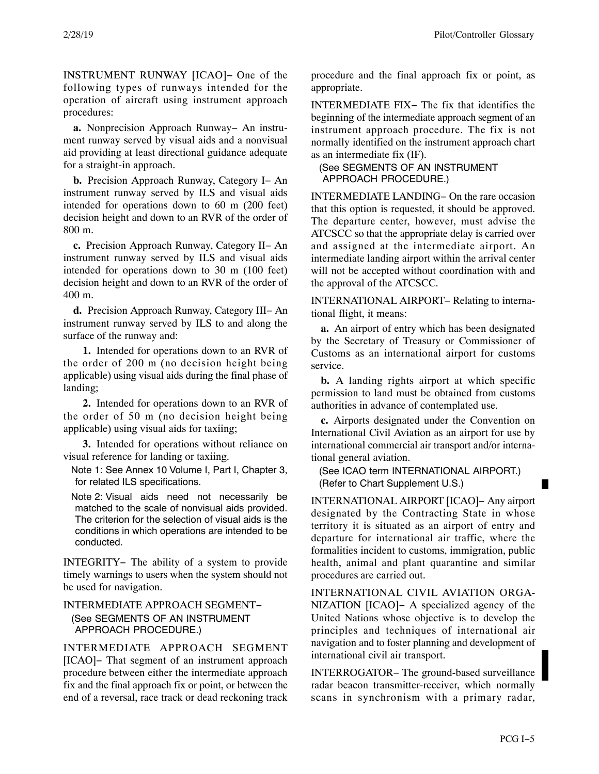INSTRUMENT RUNWAY [ICAO]− One of the following types of runways intended for the operation of aircraft using instrument approach procedures:

**a.** Nonprecision Approach Runway− An instrument runway served by visual aids and a nonvisual aid providing at least directional guidance adequate for a straight-in approach.

**b.** Precision Approach Runway, Category I− An instrument runway served by ILS and visual aids intended for operations down to 60 m (200 feet) decision height and down to an RVR of the order of 800 m.

**c.** Precision Approach Runway, Category II− An instrument runway served by ILS and visual aids intended for operations down to 30 m (100 feet) decision height and down to an RVR of the order of 400 m.

**d.** Precision Approach Runway, Category III− An instrument runway served by ILS to and along the surface of the runway and:

 the order of 200 m (no decision height being **1.** Intended for operations down to an RVR of applicable) using visual aids during the final phase of landing;

 the order of 50 m (no decision height being **2.** Intended for operations down to an RVR of applicable) using visual aids for taxiing;

**3.** Intended for operations without reliance on visual reference for landing or taxiing.

Note 1: See Annex 10 Volume I, Part I, Chapter 3, for related ILS specifications.

Note 2: Visual aids need not necessarily be matched to the scale of nonvisual aids provided. The criterion for the selection of visual aids is the conditions in which operations are intended to be conducted.

INTEGRITY− The ability of a system to provide timely warnings to users when the system should not be used for navigation.

## INTERMEDIATE APPROACH SEGMENT− (See SEGMENTS OF AN INSTRUMENT APPROACH PROCEDURE.)

INTERMEDIATE APPROACH SEGMENT [ICAO]− That segment of an instrument approach procedure between either the intermediate approach fix and the final approach fix or point, or between the end of a reversal, race track or dead reckoning track procedure and the final approach fix or point, as appropriate.

 instrument approach procedure. The fix is not INTERMEDIATE FIX− The fix that identifies the beginning of the intermediate approach segment of an normally identified on the instrument approach chart as an intermediate fix (IF).

(See SEGMENTS OF AN INSTRUMENT APPROACH PROCEDURE.)

 The departure center, however, must advise the and assigned at the intermediate airport. An INTERMEDIATE LANDING− On the rare occasion that this option is requested, it should be approved. ATCSCC so that the appropriate delay is carried over intermediate landing airport within the arrival center will not be accepted without coordination with and the approval of the ATCSCC.

INTERNATIONAL AIRPORT− Relating to international flight, it means:

**a.** An airport of entry which has been designated by the Secretary of Treasury or Commissioner of Customs as an international airport for customs service.

 **b.** A landing rights airport at which specific permission to land must be obtained from customs authorities in advance of contemplated use.

**c.** Airports designated under the Convention on International Civil Aviation as an airport for use by international commercial air transport and/or international general aviation.

(See ICAO term INTERNATIONAL AIRPORT.) (Refer to Chart Supplement U.S.)

 designated by the Contracting State in whose territory it is situated as an airport of entry and departure for international air traffic, where the health, animal and plant quarantine and similar INTERNATIONAL AIRPORT [ICAO]− Any airport formalities incident to customs, immigration, public procedures are carried out.

 INTERNATIONAL CIVIL AVIATION ORGA- principles and techniques of international air NIZATION [ICAO]− A specialized agency of the United Nations whose objective is to develop the navigation and to foster planning and development of international civil air transport.

 scans in synchronism with a primary radar, INTERROGATOR− The ground-based surveillance radar beacon transmitter-receiver, which normally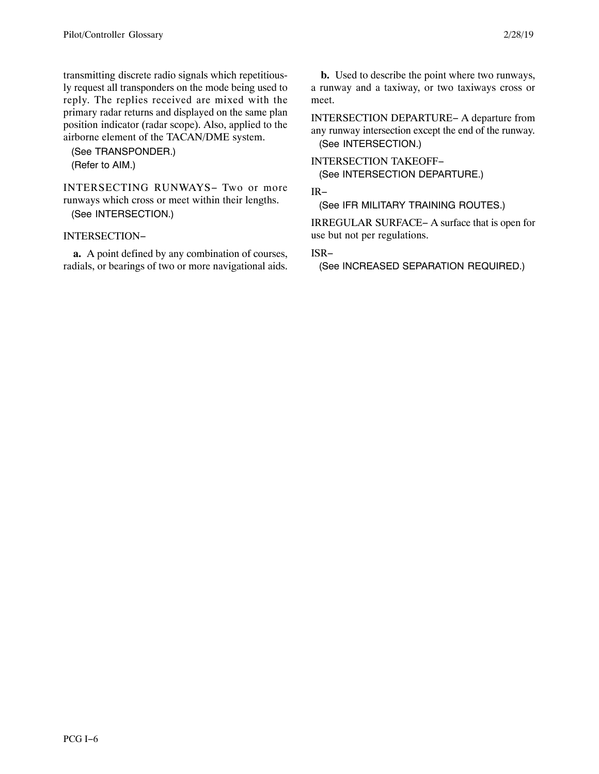reply. The replies received are mixed with the transmitting discrete radio signals which repetitiously request all transponders on the mode being used to primary radar returns and displayed on the same plan position indicator (radar scope). Also, applied to the airborne element of the TACAN/DME system.

(See TRANSPONDER.)

(Refer to AIM.)

INTERSECTING RUNWAYS− Two or more runways which cross or meet within their lengths.

(See INTERSECTION.)

INTERSECTION−

**a.** A point defined by any combination of courses, radials, or bearings of two or more navigational aids.

**b.** Used to describe the point where two runways, a runway and a taxiway, or two taxiways cross or meet.

INTERSECTION DEPARTURE− A departure from any runway intersection except the end of the runway. (See INTERSECTION.)

INTERSECTION TAKEOFF− (See INTERSECTION DEPARTURE.)

IR−

(See IFR MILITARY TRAINING ROUTES.)

IRREGULAR SURFACE− A surface that is open for use but not per regulations.

ISR−

(See INCREASED SEPARATION REQUIRED.)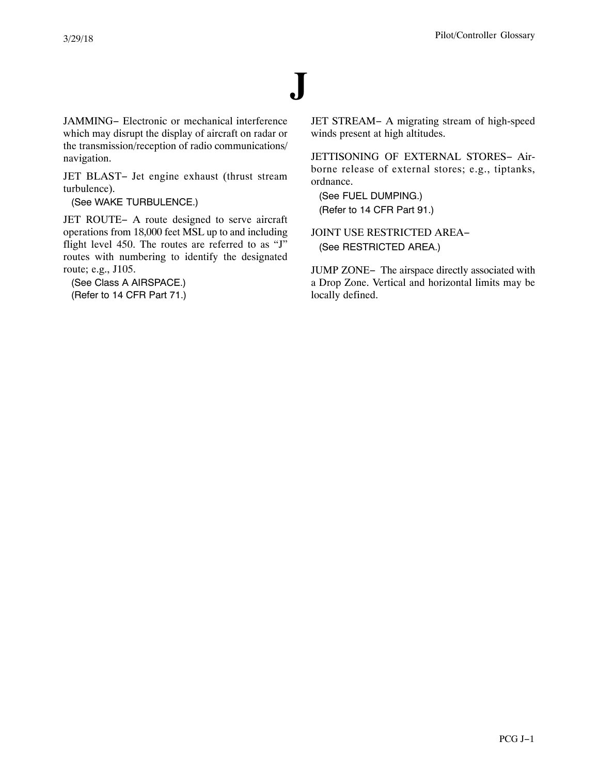## **J**

JAMMING− Electronic or mechanical interference which may disrupt the display of aircraft on radar or the transmission/reception of radio communications/ navigation.

 JET BLAST− Jet engine exhaust (thrust stream turbulence).

(See WAKE TURBULENCE.)

JET ROUTE− A route designed to serve aircraft operations from 18,000 feet MSL up to and including flight level 450. The routes are referred to as "J" routes with numbering to identify the designated route; e.g., J105.

(See Class A AIRSPACE.) (Refer to 14 CFR Part 71.) JET STREAM− A migrating stream of high-speed winds present at high altitudes.

JETTISONING OF EXTERNAL STORES− Airborne release of external stores; e.g., tiptanks, ordnance.

(See FUEL DUMPING.) (Refer to 14 CFR Part 91.)

JOINT USE RESTRICTED AREA− (See RESTRICTED AREA.)

JUMP ZONE− The airspace directly associated with a Drop Zone. Vertical and horizontal limits may be locally defined.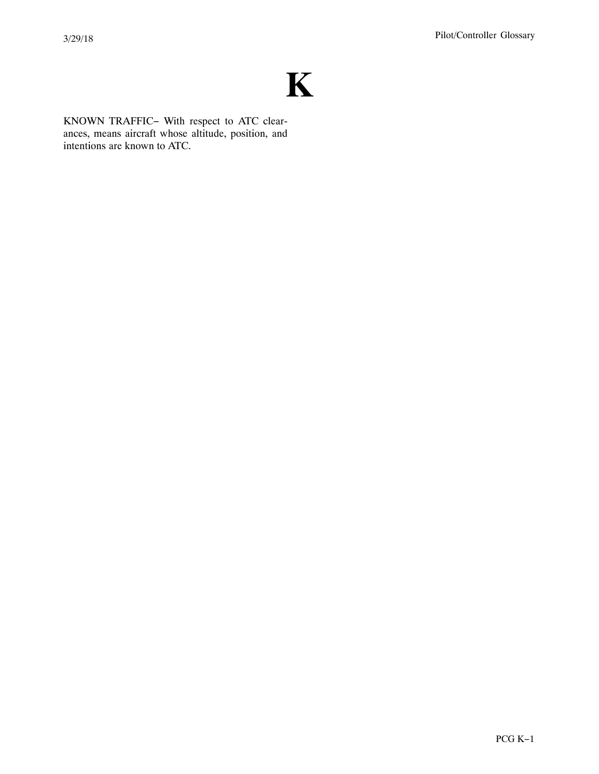KNOWN TRAFFIC− With respect to ATC clearances, means aircraft whose altitude, position, and intentions are known to ATC.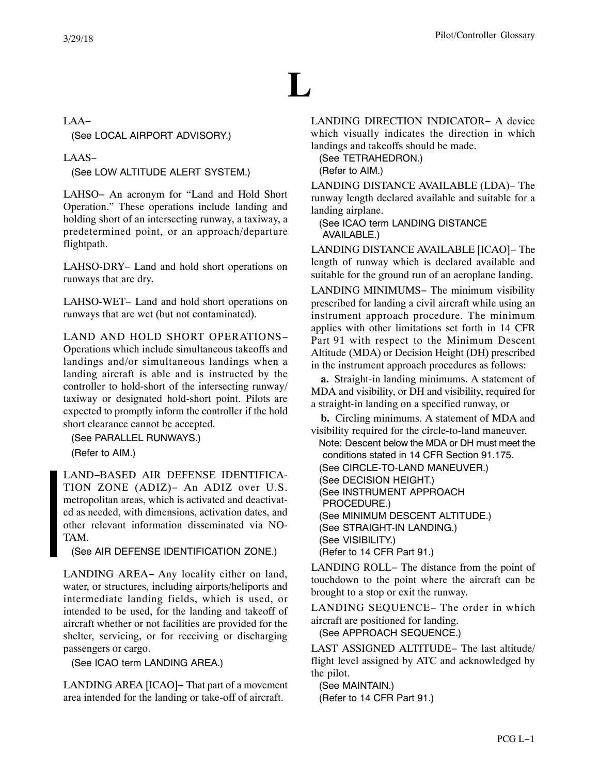## **L**

#### LAA− (See LOCAL AIRPORT ADVISORY.)

## LAAS−

(See LOW ALTITUDE ALERT SYSTEM.)

 predetermined point, or an approach/departure LAHSO− An acronym for "Land and Hold Short Operation." These operations include landing and holding short of an intersecting runway, a taxiway, a flightpath.

LAHSO-DRY− Land and hold short operations on runways that are dry.

LAHSO-WET− Land and hold short operations on runways that are wet (but not contaminated).

 LAND AND HOLD SHORT OPERATIONS− landings and/or simultaneous landings when a landing aircraft is able and is instructed by the Operations which include simultaneous takeoffs and controller to hold-short of the intersecting runway/ taxiway or designated hold-short point. Pilots are expected to promptly inform the controller if the hold short clearance cannot be accepted.

(See PARALLEL RUNWAYS.) (Refer to AIM.)

 TION ZONE (ADIZ)− An ADIZ over U.S. LAND−BASED AIR DEFENSE IDENTIFICAmetropolitan areas, which is activated and deactivated as needed, with dimensions, activation dates, and other relevant information disseminated via NO-TAM.

(See AIR DEFENSE IDENTIFICATION ZONE.)

 LANDING AREA− Any locality either on land, water, or structures, including airports/heliports and intermediate landing fields, which is used, or intended to be used, for the landing and takeoff of aircraft whether or not facilities are provided for the shelter, servicing, or for receiving or discharging passengers or cargo.

(See ICAO term LANDING AREA.)

LANDING AREA [ICAO]− That part of a movement area intended for the landing or take-off of aircraft.

 which visually indicates the direction in which LANDING DIRECTION INDICATOR− A device landings and takeoffs should be made.

(See TETRAHEDRON.) (Refer to AIM.)

LANDING DISTANCE AVAILABLE (LDA)− The runway length declared available and suitable for a landing airplane.

(See ICAO term LANDING DISTANCE AVAILABLE.)

LANDING DISTANCE AVAILABLE [ICAO]− The length of runway which is declared available and suitable for the ground run of an aeroplane landing.

 instrument approach procedure. The minimum Part 91 with respect to the Minimum Descent LANDING MINIMUMS− The minimum visibility prescribed for landing a civil aircraft while using an applies with other limitations set forth in 14 CFR Altitude (MDA) or Decision Height (DH) prescribed in the instrument approach procedures as follows:

**a.** Straight-in landing minimums. A statement of MDA and visibility, or DH and visibility, required for a straight-in landing on a specified runway, or

**b.** Circling minimums. A statement of MDA and visibility required for the circle-to-land maneuver. Note: Descent below the MDA or DH must meet the conditions stated in 14 CFR Section 91.175. (See CIRCLE-TO-LAND MANEUVER.) (See DECISION HEIGHT.) (See INSTRUMENT APPROACH PROCEDURE.) (See MINIMUM DESCENT ALTITUDE.) (See STRAIGHT-IN LANDING.) (See VISIBILITY.) (Refer to 14 CFR Part 91.)

LANDING ROLL− The distance from the point of touchdown to the point where the aircraft can be brought to a stop or exit the runway.

 LANDING SEQUENCE− The order in which aircraft are positioned for landing.

(See APPROACH SEQUENCE.)

LAST ASSIGNED ALTITUDE− The last altitude/ flight level assigned by ATC and acknowledged by the pilot.

(See MAINTAIN.) (Refer to 14 CFR Part 91.)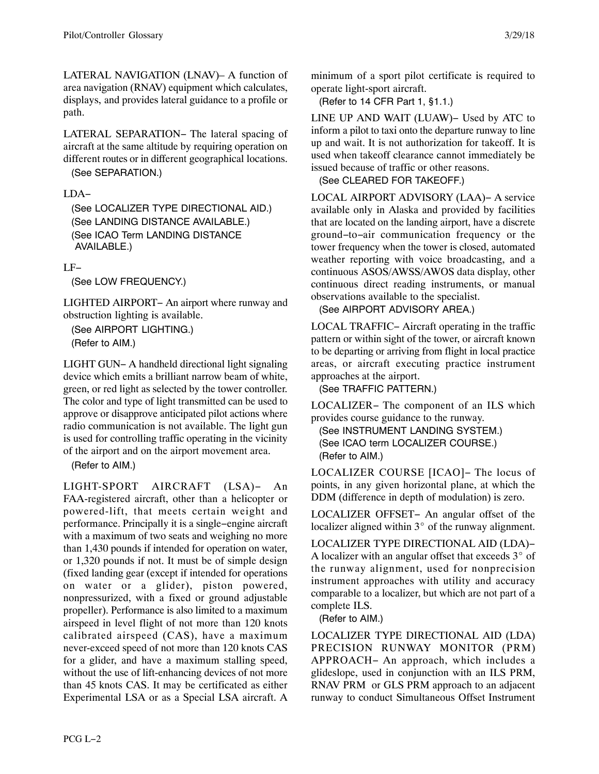LATERAL NAVIGATION (LNAV)– A function of area navigation (RNAV) equipment which calculates, displays, and provides lateral guidance to a profile or path.

LATERAL SEPARATION− The lateral spacing of aircraft at the same altitude by requiring operation on different routes or in different geographical locations.

(See SEPARATION.)

## LDA−

(See LOCALIZER TYPE DIRECTIONAL AID.) (See LANDING DISTANCE AVAILABLE.) (See ICAO Term LANDING DISTANCE AVAILABLE.)

## LF−

(See LOW FREQUENCY.)

LIGHTED AIRPORT− An airport where runway and obstruction lighting is available.

(See AIRPORT LIGHTING.) (Refer to AIM.)

LIGHT GUN− A handheld directional light signaling device which emits a brilliant narrow beam of white, green, or red light as selected by the tower controller. The color and type of light transmitted can be used to approve or disapprove anticipated pilot actions where radio communication is not available. The light gun is used for controlling traffic operating in the vicinity of the airport and on the airport movement area.

(Refer to AIM.)

 powered-lift, that meets certain weight and on water or a glider), piston powered, calibrated airspeed (CAS), have a maximum LIGHT-SPORT AIRCRAFT (LSA)− An FAA-registered aircraft, other than a helicopter or performance. Principally it is a single−engine aircraft with a maximum of two seats and weighing no more than 1,430 pounds if intended for operation on water, or 1,320 pounds if not. It must be of simple design (fixed landing gear (except if intended for operations nonpressurized, with a fixed or ground adjustable propeller). Performance is also limited to a maximum airspeed in level flight of not more than 120 knots never-exceed speed of not more than 120 knots CAS for a glider, and have a maximum stalling speed, without the use of lift-enhancing devices of not more than 45 knots CAS. It may be certificated as either Experimental LSA or as a Special LSA aircraft. A

PCG L−2

minimum of a sport pilot certificate is required to operate light-sport aircraft.

(Refer to 14 CFR Part 1, §1.1.)

LINE UP AND WAIT (LUAW)− Used by ATC to inform a pilot to taxi onto the departure runway to line up and wait. It is not authorization for takeoff. It is used when takeoff clearance cannot immediately be issued because of traffic or other reasons.

(See CLEARED FOR TAKEOFF.)

 ground−to−air communication frequency or the LOCAL AIRPORT ADVISORY (LAA)− A service available only in Alaska and provided by facilities that are located on the landing airport, have a discrete tower frequency when the tower is closed, automated weather reporting with voice broadcasting, and a continuous ASOS/AWSS/AWOS data display, other continuous direct reading instruments, or manual observations available to the specialist.

(See AIRPORT ADVISORY AREA.)

LOCAL TRAFFIC− Aircraft operating in the traffic pattern or within sight of the tower, or aircraft known to be departing or arriving from flight in local practice areas, or aircraft executing practice instrument approaches at the airport.

(See TRAFFIC PATTERN.)

 LOCALIZER− The component of an ILS which provides course guidance to the runway.

(See INSTRUMENT LANDING SYSTEM.) (See ICAO term LOCALIZER COURSE.) (Refer to AIM.)

 LOCALIZER COURSE [ICAO]− The locus of points, in any given horizontal plane, at which the DDM (difference in depth of modulation) is zero.

LOCALIZER OFFSET– An angular offset of the localizer aligned within 3° of the runway alignment. localizer aligned within  $3^{\circ}$  of the runway alignment.

 the runway alignment, used for nonprecision instrument approaches with utility and accuracy LOCALIZER TYPE DIRECTIONAL AID (LDA)–<br>A localizer with an angular offset that exceeds 3° of A localizer with an angular offset that exceeds  $3^{\circ}$  of comparable to a localizer, but which are not part of a complete ILS.

(Refer to AIM.)

 APPROACH− An approach, which includes a LOCALIZER TYPE DIRECTIONAL AID (LDA) PRECISION RUNWAY MONITOR (PRM) glideslope, used in conjunction with an ILS PRM, RNAV PRM or GLS PRM approach to an adjacent runway to conduct Simultaneous Offset Instrument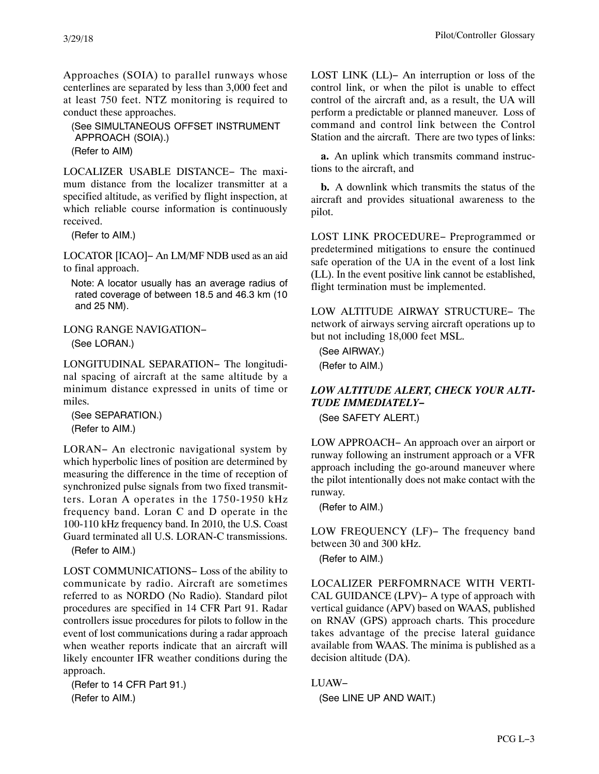Approaches (SOIA) to parallel runways whose centerlines are separated by less than 3,000 feet and at least 750 feet. NTZ monitoring is required to conduct these approaches.

(See SIMULTANEOUS OFFSET INSTRUMENT APPROACH (SOIA).)

(Refer to AIM)

LOCALIZER USABLE DISTANCE− The maximum distance from the localizer transmitter at a specified altitude, as verified by flight inspection, at which reliable course information is continuously received.

(Refer to AIM.)

LOCATOR [ICAO]− An LM/MF NDB used as an aid to final approach.

Note: A locator usually has an average radius of rated coverage of between 18.5 and 46.3 km (10 and 25 NM).

LONG RANGE NAVIGATION−

(See LORAN.)

 nal spacing of aircraft at the same altitude by a minimum distance expressed in units of time or LONGITUDINAL SEPARATION− The longitudimiles.

(See SEPARATION.) (Refer to AIM.)

 LORAN− An electronic navigational system by ters. Loran A operates in the 1750-1950 kHz which hyperbolic lines of position are determined by measuring the difference in the time of reception of synchronized pulse signals from two fixed transmitfrequency band. Loran C and D operate in the 100-110 kHz frequency band. In 2010, the U.S. Coast Guard terminated all U.S. LORAN-C transmissions.

(Refer to AIM.)

 communicate by radio. Aircraft are sometimes LOST COMMUNICATIONS− Loss of the ability to referred to as NORDO (No Radio). Standard pilot procedures are specified in 14 CFR Part 91. Radar controllers issue procedures for pilots to follow in the event of lost communications during a radar approach when weather reports indicate that an aircraft will likely encounter IFR weather conditions during the approach.

(Refer to 14 CFR Part 91.) (Refer to AIM.)

 command and control link between the Control LOST LINK (LL)− An interruption or loss of the control link, or when the pilot is unable to effect control of the aircraft and, as a result, the UA will perform a predictable or planned maneuver. Loss of Station and the aircraft. There are two types of links:

**a.** An uplink which transmits command instructions to the aircraft, and

**b.** A downlink which transmits the status of the aircraft and provides situational awareness to the pilot.

LOST LINK PROCEDURE− Preprogrammed or predetermined mitigations to ensure the continued safe operation of the UA in the event of a lost link (LL). In the event positive link cannot be established, flight termination must be implemented.

LOW ALTITUDE AIRWAY STRUCTURE− The network of airways serving aircraft operations up to but not including 18,000 feet MSL.

(See AIRWAY.) (Refer to AIM.)

## *LOW ALTITUDE ALERT, CHECK YOUR ALTI-TUDE IMMEDIATELY−*

(See SAFETY ALERT.)

LOW APPROACH− An approach over an airport or runway following an instrument approach or a VFR approach including the go-around maneuver where the pilot intentionally does not make contact with the runway.

(Refer to AIM.)

 LOW FREQUENCY (LF)− The frequency band between 30 and 300 kHz.

(Refer to AIM.)

 LOCALIZER PERFOMRNACE WITH VERTI- takes advantage of the precise lateral guidance CAL GUIDANCE (LPV)− A type of approach with vertical guidance (APV) based on WAAS, published on RNAV (GPS) approach charts. This procedure available from WAAS. The minima is published as a decision altitude (DA).

LUAW−

(See LINE UP AND WAIT.)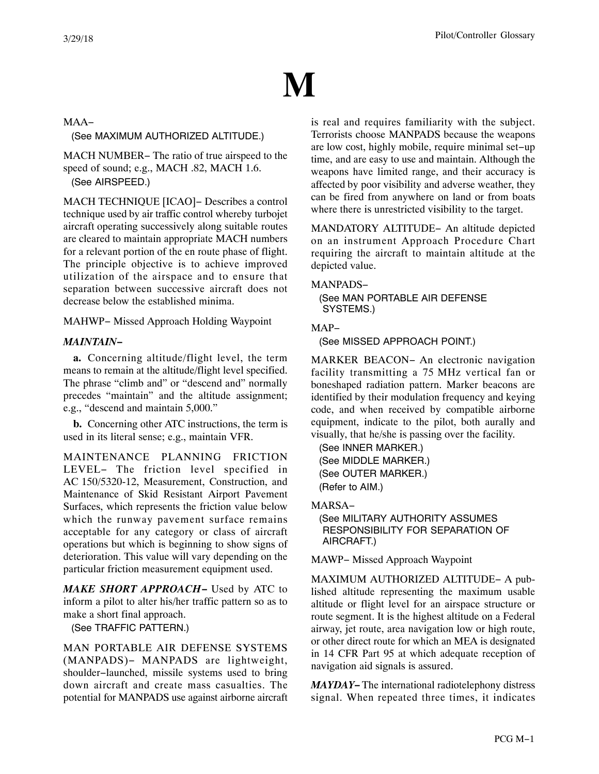## **M**

## MAA−

(See MAXIMUM AUTHORIZED ALTITUDE.)

MACH NUMBER− The ratio of true airspeed to the speed of sound; e.g., MACH .82, MACH 1.6.

(See AIRSPEED.)

 utilization of the airspace and to ensure that separation between successive aircraft does not MACH TECHNIQUE [ICAO]− Describes a control technique used by air traffic control whereby turbojet aircraft operating successively along suitable routes are cleared to maintain appropriate MACH numbers for a relevant portion of the en route phase of flight. The principle objective is to achieve improved decrease below the established minima.

MAHWP− Missed Approach Holding Waypoint

## *MAINTAIN−*

 **a.** Concerning altitude/flight level, the term means to remain at the altitude/flight level specified. The phrase "climb and" or "descend and" normally precedes "maintain" and the altitude assignment; e.g., "descend and maintain 5,000."

**b.** Concerning other ATC instructions, the term is used in its literal sense; e.g., maintain VFR.

 LEVEL− The friction level specified in which the runway pavement surface remains acceptable for any category or class of aircraft MAINTENANCE PLANNING FRICTION AC 150/5320-12, Measurement, Construction, and Maintenance of Skid Resistant Airport Pavement Surfaces, which represents the friction value below operations but which is beginning to show signs of deterioration. This value will vary depending on the particular friction measurement equipment used.

 *MAKE SHORT APPROACH−* Used by ATC to inform a pilot to alter his/her traffic pattern so as to make a short final approach.

(See TRAFFIC PATTERN.)

 down aircraft and create mass casualties. The MAN PORTABLE AIR DEFENSE SYSTEMS (MANPADS)− MANPADS are lightweight, shoulder−launched, missile systems used to bring potential for MANPADS use against airborne aircraft

is real and requires familiarity with the subject. Terrorists choose MANPADS because the weapons are low cost, highly mobile, require minimal set−up time, and are easy to use and maintain. Although the weapons have limited range, and their accuracy is affected by poor visibility and adverse weather, they can be fired from anywhere on land or from boats where there is unrestricted visibility to the target.

 on an instrument Approach Procedure Chart requiring the aircraft to maintain altitude at the MANDATORY ALTITUDE− An altitude depicted depicted value.

MANPADS−

(See MAN PORTABLE AIR DEFENSE SYSTEMS.)

MAP−

(See MISSED APPROACH POINT.)

MARKER BEACON− An electronic navigation facility transmitting a 75 MHz vertical fan or boneshaped radiation pattern. Marker beacons are identified by their modulation frequency and keying code, and when received by compatible airborne equipment, indicate to the pilot, both aurally and visually, that he/she is passing over the facility.

(See INNER MARKER.) (See MIDDLE MARKER.) (See OUTER MARKER.) (Refer to AIM.)

MARSA−

(See MILITARY AUTHORITY ASSUMES RESPONSIBILITY FOR SEPARATION OF AIRCRAFT.)

MAWP− Missed Approach Waypoint

MAXIMUM AUTHORIZED ALTITUDE− A published altitude representing the maximum usable altitude or flight level for an airspace structure or route segment. It is the highest altitude on a Federal airway, jet route, area navigation low or high route, or other direct route for which an MEA is designated in 14 CFR Part 95 at which adequate reception of navigation aid signals is assured.

 signal. When repeated three times, it indicates *MAYDAY* − The international radiotelephony distress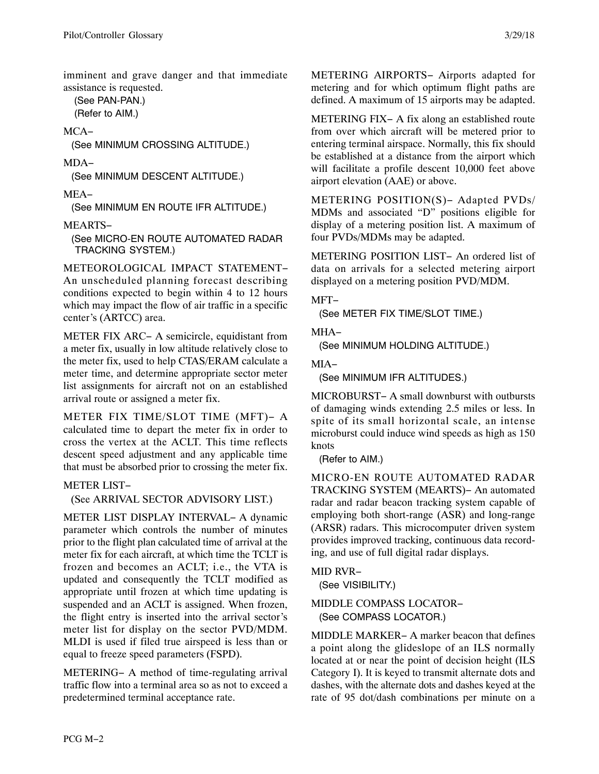imminent and grave danger and that immediate assistance is requested.

(See PAN-PAN.)

(Refer to AIM.)

## MCA−

(See MINIMUM CROSSING ALTITUDE.)

## MDA−

(See MINIMUM DESCENT ALTITUDE.)

```
MEA−
```
(See MINIMUM EN ROUTE IFR ALTITUDE.)

## MEARTS−

(See MICRO-EN ROUTE AUTOMATED RADAR TRACKING SYSTEM.)

 An unscheduled planning forecast describing METEOROLOGICAL IMPACT STATEMENT− conditions expected to begin within 4 to 12 hours which may impact the flow of air traffic in a specific center's (ARTCC) area.

METER FIX ARC− A semicircle, equidistant from a meter fix, usually in low altitude relatively close to the meter fix, used to help CTAS/ERAM calculate a meter time, and determine appropriate sector meter list assignments for aircraft not on an established arrival route or assigned a meter fix.

 cross the vertex at the ACLT. This time reflects METER FIX TIME/SLOT TIME (MFT)− A calculated time to depart the meter fix in order to descent speed adjustment and any applicable time that must be absorbed prior to crossing the meter fix.

## METER LIST−

(See ARRIVAL SECTOR ADVISORY LIST.)

 frozen and becomes an ACLT; i.e., the VTA is meter list for display on the sector PVD/MDM. METER LIST DISPLAY INTERVAL− A dynamic parameter which controls the number of minutes prior to the flight plan calculated time of arrival at the meter fix for each aircraft, at which time the TCLT is updated and consequently the TCLT modified as appropriate until frozen at which time updating is suspended and an ACLT is assigned. When frozen, the flight entry is inserted into the arrival sector's MLDI is used if filed true airspeed is less than or equal to freeze speed parameters (FSPD).

METERING− A method of time-regulating arrival traffic flow into a terminal area so as not to exceed a predetermined terminal acceptance rate.

 METERING AIRPORTS− Airports adapted for metering and for which optimum flight paths are defined. A maximum of 15 airports may be adapted.

METERING FIX− A fix along an established route from over which aircraft will be metered prior to entering terminal airspace. Normally, this fix should be established at a distance from the airport which will facilitate a profile descent 10,000 feet above airport elevation (AAE) or above.

METERING POSITION(S)− Adapted PVDs/ MDMs and associated "D" positions eligible for display of a metering position list. A maximum of four PVDs/MDMs may be adapted.

 data on arrivals for a selected metering airport METERING POSITION LIST− An ordered list of displayed on a metering position PVD/MDM.

## MFT−

(See METER FIX TIME/SLOT TIME.)

MHA−

(See MINIMUM HOLDING ALTITUDE.)

MIA−

(See MINIMUM IFR ALTITUDES.)

 spite of its small horizontal scale, an intense MICROBURST− A small downburst with outbursts of damaging winds extending 2.5 miles or less. In microburst could induce wind speeds as high as 150 knots

(Refer to AIM.)

MICRO-EN ROUTE AUTOMATED RADAR TRACKING SYSTEM (MEARTS)− An automated radar and radar beacon tracking system capable of employing both short-range (ASR) and long-range (ARSR) radars. This microcomputer driven system provides improved tracking, continuous data recording, and use of full digital radar displays.

## MID RVR−

(See VISIBILITY.)

## MIDDLE COMPASS LOCATOR− (See COMPASS LOCATOR.)

 a point along the glideslope of an ILS normally MIDDLE MARKER− A marker beacon that defines located at or near the point of decision height (ILS Category I). It is keyed to transmit alternate dots and dashes, with the alternate dots and dashes keyed at the rate of 95 dot/dash combinations per minute on a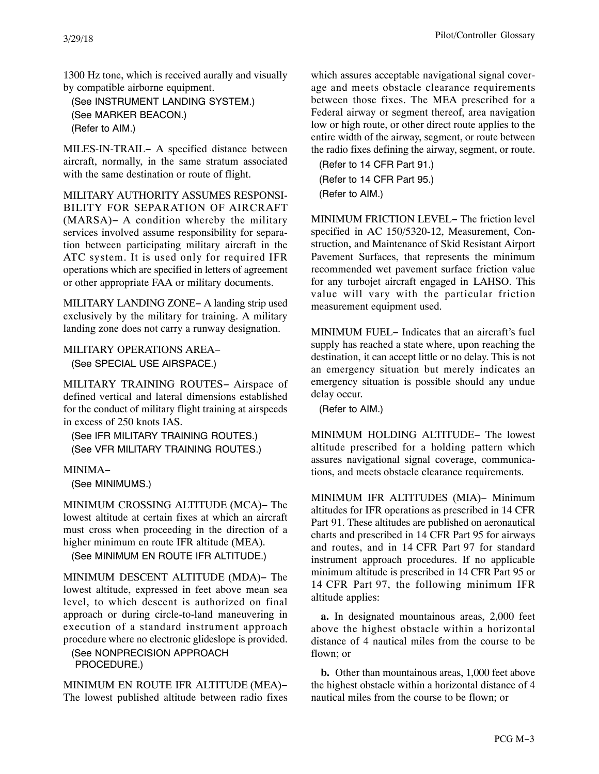1300 Hz tone, which is received aurally and visually by compatible airborne equipment.

(See INSTRUMENT LANDING SYSTEM.) (See MARKER BEACON.) (Refer to AIM.)

MILES-IN-TRAIL− A specified distance between aircraft, normally, in the same stratum associated with the same destination or route of flight.

 BILITY FOR SEPARATION OF AIRCRAFT (MARSA)− A condition whereby the military ATC system. It is used only for required IFR MILITARY AUTHORITY ASSUMES RESPONSIservices involved assume responsibility for separation between participating military aircraft in the operations which are specified in letters of agreement or other appropriate FAA or military documents.

MILITARY LANDING ZONE− A landing strip used exclusively by the military for training. A military landing zone does not carry a runway designation.

MILITARY OPERATIONS AREA− (See SPECIAL USE AIRSPACE.)

MILITARY TRAINING ROUTES− Airspace of defined vertical and lateral dimensions established for the conduct of military flight training at airspeeds in excess of 250 knots IAS.

(See IFR MILITARY TRAINING ROUTES.) (See VFR MILITARY TRAINING ROUTES.)

## MINIMA−

(See MINIMUMS.)

MINIMUM CROSSING ALTITUDE (MCA)− The lowest altitude at certain fixes at which an aircraft must cross when proceeding in the direction of a higher minimum en route IFR altitude (MEA).

(See MINIMUM EN ROUTE IFR ALTITUDE.)

 level, to which descent is authorized on final execution of a standard instrument approach MINIMUM DESCENT ALTITUDE (MDA)− The lowest altitude, expressed in feet above mean sea approach or during circle-to-land maneuvering in procedure where no electronic glideslope is provided.

(See NONPRECISION APPROACH PROCEDURE.)

MINIMUM EN ROUTE IFR ALTITUDE (MEA)− The lowest published altitude between radio fixes

 age and meets obstacle clearance requirements between those fixes. The MEA prescribed for a which assures acceptable navigational signal cover-Federal airway or segment thereof, area navigation low or high route, or other direct route applies to the entire width of the airway, segment, or route between the radio fixes defining the airway, segment, or route.

(Refer to 14 CFR Part 91.) (Refer to 14 CFR Part 95.) (Refer to AIM.)

 value will vary with the particular friction MINIMUM FRICTION LEVEL– The friction level specified in AC 150/5320-12, Measurement, Construction, and Maintenance of Skid Resistant Airport Pavement Surfaces, that represents the minimum recommended wet pavement surface friction value for any turbojet aircraft engaged in LAHSO. This measurement equipment used.

 an emergency situation but merely indicates an MINIMUM FUEL− Indicates that an aircraft's fuel supply has reached a state where, upon reaching the destination, it can accept little or no delay. This is not emergency situation is possible should any undue delay occur.

(Refer to AIM.)

 altitude prescribed for a holding pattern which MINIMUM HOLDING ALTITUDE− The lowest assures navigational signal coverage, communications, and meets obstacle clearance requirements.

 and routes, and in 14 CFR Part 97 for standard 14 CFR Part 97, the following minimum IFR MINIMUM IFR ALTITUDES (MIA)− Minimum altitudes for IFR operations as prescribed in 14 CFR Part 91. These altitudes are published on aeronautical charts and prescribed in 14 CFR Part 95 for airways instrument approach procedures. If no applicable minimum altitude is prescribed in 14 CFR Part 95 or altitude applies:

 above the highest obstacle within a horizontal **a.** In designated mountainous areas, 2,000 feet distance of 4 nautical miles from the course to be flown; or

**b.** Other than mountainous areas, 1,000 feet above the highest obstacle within a horizontal distance of 4 nautical miles from the course to be flown; or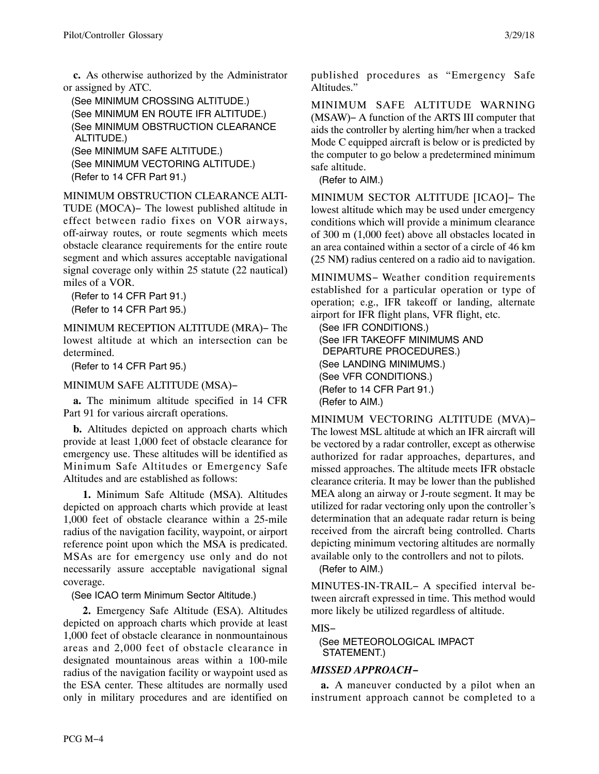**c.** As otherwise authorized by the Administrator or assigned by ATC.

(See MINIMUM CROSSING ALTITUDE.) (See MINIMUM EN ROUTE IFR ALTITUDE.) (See MINIMUM OBSTRUCTION CLEARANCE ALTITUDE.) (See MINIMUM SAFE ALTITUDE.) (See MINIMUM VECTORING ALTITUDE.) (Refer to 14 CFR Part 91.)

 effect between radio fixes on VOR airways, MINIMUM OBSTRUCTION CLEARANCE ALTI-TUDE (MOCA)− The lowest published altitude in off-airway routes, or route segments which meets obstacle clearance requirements for the entire route segment and which assures acceptable navigational signal coverage only within 25 statute (22 nautical) miles of a VOR.

(Refer to 14 CFR Part 91.) (Refer to 14 CFR Part 95.)

 lowest altitude at which an intersection can be MINIMUM RECEPTION ALTITUDE (MRA)− The determined.

(Refer to 14 CFR Part 95.)

## MINIMUM SAFE ALTITUDE (MSA)−

**a.** The minimum altitude specified in 14 CFR Part 91 for various aircraft operations.

**b.** Altitudes depicted on approach charts which provide at least 1,000 feet of obstacle clearance for emergency use. These altitudes will be identified as Minimum Safe Altitudes or Emergency Safe Altitudes and are established as follows:

 MSAs are for emergency use only and do not **1.** Minimum Safe Altitude (MSA). Altitudes depicted on approach charts which provide at least 1,000 feet of obstacle clearance within a 25-mile radius of the navigation facility, waypoint, or airport reference point upon which the MSA is predicated. necessarily assure acceptable navigational signal coverage.

(See ICAO term Minimum Sector Altitude.)

 areas and 2,000 feet of obstacle clearance in **2.** Emergency Safe Altitude (ESA). Altitudes depicted on approach charts which provide at least 1,000 feet of obstacle clearance in nonmountainous designated mountainous areas within a 100-mile radius of the navigation facility or waypoint used as the ESA center. These altitudes are normally used only in military procedures and are identified on

published procedures as "Emergency Safe Altitudes."

MINIMUM SAFE ALTITUDE WARNING (MSAW)− A function of the ARTS III computer that aids the controller by alerting him/her when a tracked Mode C equipped aircraft is below or is predicted by the computer to go below a predetermined minimum safe altitude.

(Refer to AIM.)

MINIMUM SECTOR ALTITUDE [ICAO]− The lowest altitude which may be used under emergency conditions which will provide a minimum clearance of 300 m (1,000 feet) above all obstacles located in an area contained within a sector of a circle of 46 km (25 NM) radius centered on a radio aid to navigation.

 established for a particular operation or type of MINIMUMS− Weather condition requirements operation; e.g., IFR takeoff or landing, alternate airport for IFR flight plans, VFR flight, etc.

(See IFR CONDITIONS.) (See IFR TAKEOFF MINIMUMS AND DEPARTURE PROCEDURES.) (See LANDING MINIMUMS.) (See VFR CONDITIONS.) (Refer to 14 CFR Part 91.) (Refer to AIM.)

 authorized for radar approaches, departures, and MINIMUM VECTORING ALTITUDE (MVA)− The lowest MSL altitude at which an IFR aircraft will be vectored by a radar controller, except as otherwise missed approaches. The altitude meets IFR obstacle clearance criteria. It may be lower than the published MEA along an airway or J-route segment. It may be utilized for radar vectoring only upon the controller's determination that an adequate radar return is being received from the aircraft being controlled. Charts depicting minimum vectoring altitudes are normally available only to the controllers and not to pilots.

(Refer to AIM.)

 MINUTES-IN-TRAIL− A specified interval between aircraft expressed in time. This method would more likely be utilized regardless of altitude.

## MIS−

(See METEOROLOGICAL IMPACT STATEMENT.)

## *MISSED APPROACH−*

 **a.** A maneuver conducted by a pilot when an instrument approach cannot be completed to a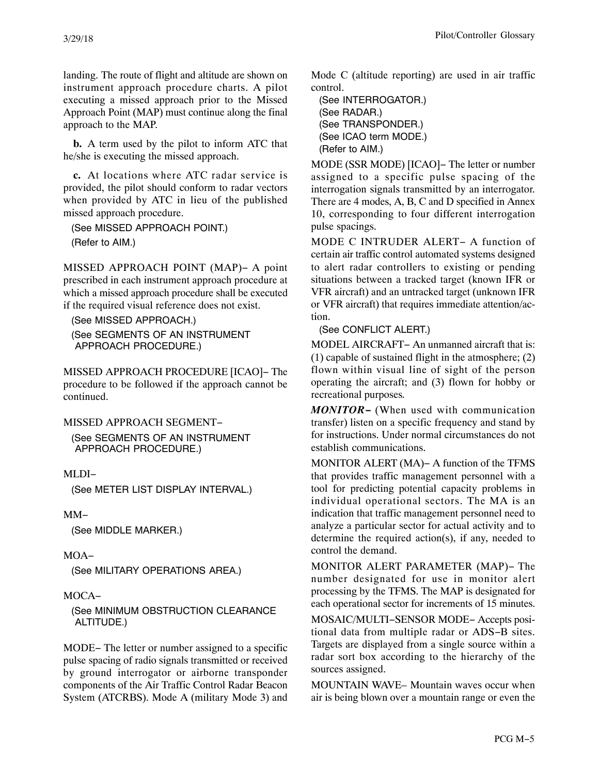3/29/18 Pilot/Controller Glossary

 instrument approach procedure charts. A pilot landing. The route of flight and altitude are shown on executing a missed approach prior to the Missed Approach Point (MAP) must continue along the final approach to the MAP.

**b.** A term used by the pilot to inform ATC that he/she is executing the missed approach.

 **c.** At locations where ATC radar service is when provided by ATC in lieu of the published provided, the pilot should conform to radar vectors missed approach procedure.

(See MISSED APPROACH POINT.) (Refer to AIM.)

MISSED APPROACH POINT (MAP)− A point prescribed in each instrument approach procedure at which a missed approach procedure shall be executed if the required visual reference does not exist.

(See MISSED APPROACH.) (See SEGMENTS OF AN INSTRUMENT APPROACH PROCEDURE.)

MISSED APPROACH PROCEDURE [ICAO]− The procedure to be followed if the approach cannot be continued.

MISSED APPROACH SEGMENT−

(See SEGMENTS OF AN INSTRUMENT APPROACH PROCEDURE.)

## MLDI−

(See METER LIST DISPLAY INTERVAL.)

## MM−

(See MIDDLE MARKER.)

## MOA−

(See MILITARY OPERATIONS AREA.)

## MOCA−

(See MINIMUM OBSTRUCTION CLEARANCE ALTITUDE.)

 by ground interrogator or airborne transponder MODE− The letter or number assigned to a specific pulse spacing of radio signals transmitted or received components of the Air Traffic Control Radar Beacon System (ATCRBS). Mode A (military Mode 3) and

Mode C (altitude reporting) are used in air traffic control.

(See INTERROGATOR.) (See RADAR.) (See TRANSPONDER.) (See ICAO term MODE.) (Refer to AIM.)

 10, corresponding to four different interrogation MODE (SSR MODE) [ICAO]− The letter or number assigned to a specific pulse spacing of the interrogation signals transmitted by an interrogator. There are 4 modes, A, B, C and D specified in Annex pulse spacings.

 to alert radar controllers to existing or pending MODE C INTRUDER ALERT− A function of certain air traffic control automated systems designed situations between a tracked target (known IFR or VFR aircraft) and an untracked target (unknown IFR or VFR aircraft) that requires immediate attention/action.

(See CONFLICT ALERT.)

 flown within visual line of sight of the person MODEL AIRCRAFT– An unmanned aircraft that is: (1) capable of sustained flight in the atmosphere; (2) operating the aircraft; and (3) flown for hobby or recreational purposes*.* 

 *MONITOR−* (When used with communication transfer) listen on a specific frequency and stand by for instructions. Under normal circumstances do not establish communications.

 individual operational sectors. The MA is an MONITOR ALERT (MA)− A function of the TFMS that provides traffic management personnel with a tool for predicting potential capacity problems in indication that traffic management personnel need to analyze a particular sector for actual activity and to determine the required action(s), if any, needed to control the demand.

 number designated for use in monitor alert MONITOR ALERT PARAMETER (MAP)− The processing by the TFMS. The MAP is designated for each operational sector for increments of 15 minutes.

 tional data from multiple radar or ADS−B sites. radar sort box according to the hierarchy of the MOSAIC/MULTI−SENSOR MODE− Accepts posi-Targets are displayed from a single source within a sources assigned.

MOUNTAIN WAVE– Mountain waves occur when air is being blown over a mountain range or even the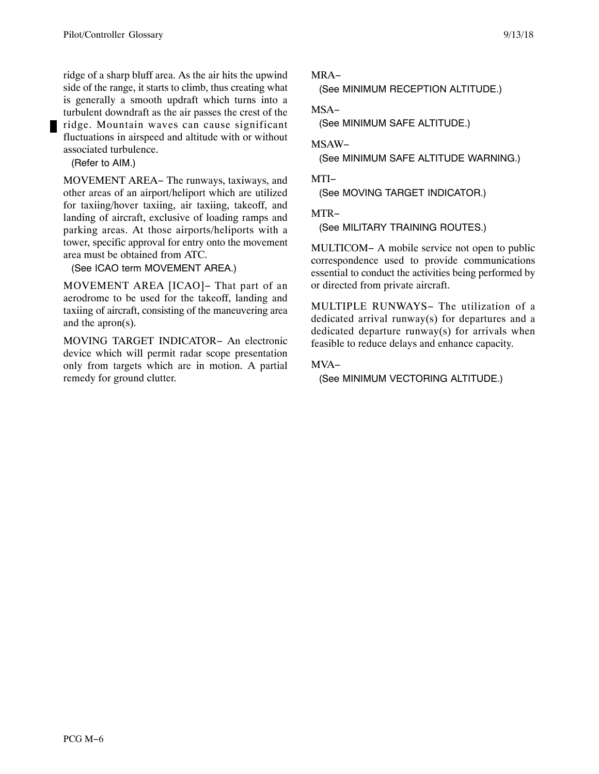ridge. Mountain waves can cause significant ridge of a sharp bluff area. As the air hits the upwind side of the range, it starts to climb, thus creating what is generally a smooth updraft which turns into a turbulent downdraft as the air passes the crest of the fluctuations in airspeed and altitude with or without associated turbulence.

(Refer to AIM.)

 parking areas. At those airports/heliports with a MOVEMENT AREA− The runways, taxiways, and other areas of an airport/heliport which are utilized for taxiing/hover taxiing, air taxiing, takeoff, and landing of aircraft, exclusive of loading ramps and tower, specific approval for entry onto the movement area must be obtained from ATC.

(See ICAO term MOVEMENT AREA.)

 MOVEMENT AREA [ICAO]− That part of an aerodrome to be used for the takeoff, landing and taxiing of aircraft, consisting of the maneuvering area and the apron(s).

MOVING TARGET INDICATOR− An electronic device which will permit radar scope presentation only from targets which are in motion. A partial remedy for ground clutter.

(See MINIMUM RECEPTION ALTITUDE.)

## MSA−

MRA−

(See MINIMUM SAFE ALTITUDE.)

## MSAW−

(See MINIMUM SAFE ALTITUDE WARNING.)

### MTI−

(See MOVING TARGET INDICATOR.)

### MTR−

(See MILITARY TRAINING ROUTES.)

MULTICOM− A mobile service not open to public correspondence used to provide communications essential to conduct the activities being performed by or directed from private aircraft.

 MULTIPLE RUNWAYS− The utilization of a dedicated departure runway(s) for arrivals when dedicated arrival runway(s) for departures and a feasible to reduce delays and enhance capacity.

## MVA−

(See MINIMUM VECTORING ALTITUDE.)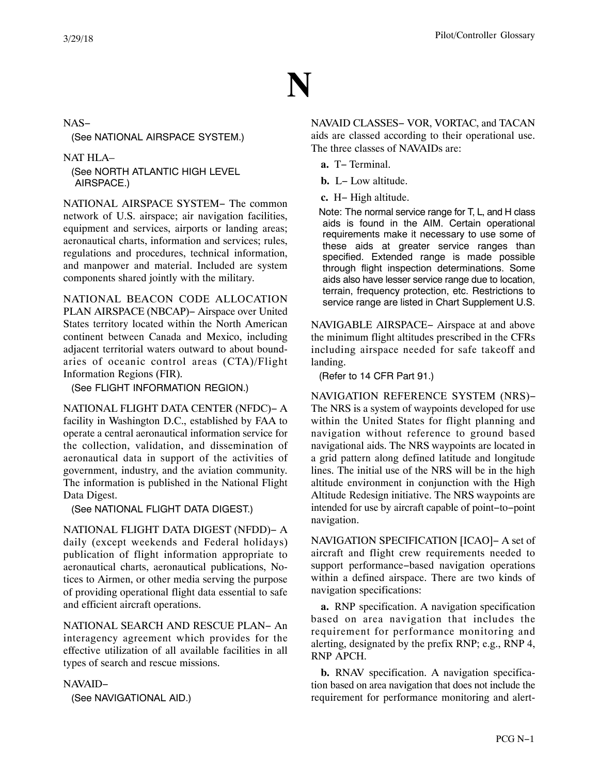## **N**

## NAS−

(See NATIONAL AIRSPACE SYSTEM.)

NAT HLA–

(See NORTH ATLANTIC HIGH LEVEL AIRSPACE.)

NATIONAL AIRSPACE SYSTEM− The common network of U.S. airspace; air navigation facilities, equipment and services, airports or landing areas; aeronautical charts, information and services; rules, regulations and procedures, technical information, and manpower and material. Included are system components shared jointly with the military.

 aries of oceanic control areas (CTA)/Flight NATIONAL BEACON CODE ALLOCATION PLAN AIRSPACE (NBCAP)− Airspace over United States territory located within the North American continent between Canada and Mexico, including adjacent territorial waters outward to about bound-Information Regions (FIR).

(See FLIGHT INFORMATION REGION.)

 the collection, validation, and dissemination of aeronautical data in support of the activities of NATIONAL FLIGHT DATA CENTER (NFDC)− A facility in Washington D.C., established by FAA to operate a central aeronautical information service for government, industry, and the aviation community. The information is published in the National Flight Data Digest.

(See NATIONAL FLIGHT DATA DIGEST.)

 daily (except weekends and Federal holidays) publication of flight information appropriate to NATIONAL FLIGHT DATA DIGEST (NFDD)− A aeronautical charts, aeronautical publications, Notices to Airmen, or other media serving the purpose of providing operational flight data essential to safe and efficient aircraft operations.

 interagency agreement which provides for the NATIONAL SEARCH AND RESCUE PLAN− An effective utilization of all available facilities in all types of search and rescue missions.

## NAVAID−

(See NAVIGATIONAL AID.)

NAVAID CLASSES− VOR, VORTAC, and TACAN aids are classed according to their operational use. The three classes of NAVAIDs are:

- **a.** T− Terminal.
- **b.** L− Low altitude.
- **c.** H− High altitude.

 Note: The normal service range for T, L, and H class aids is found in the AIM. Certain operational requirements make it necessary to use some of these aids at greater service ranges than specified. Extended range is made possible through flight inspection determinations. Some aids also have lesser service range due to location, terrain, frequency protection, etc. Restrictions to service range are listed in Chart Supplement U.S.

 including airspace needed for safe takeoff and NAVIGABLE AIRSPACE− Airspace at and above the minimum flight altitudes prescribed in the CFRs landing.

(Refer to 14 CFR Part 91.)

 NAVIGATION REFERENCE SYSTEM (NRS)− within the United States for flight planning and navigation without reference to ground based The NRS is a system of waypoints developed for use navigational aids. The NRS waypoints are located in a grid pattern along defined latitude and longitude lines. The initial use of the NRS will be in the high altitude environment in conjunction with the High Altitude Redesign initiative. The NRS waypoints are intended for use by aircraft capable of point−to−point navigation.

 aircraft and flight crew requirements needed to NAVIGATION SPECIFICATION [ICAO]− A set of support performance−based navigation operations within a defined airspace. There are two kinds of navigation specifications:

 based on area navigation that includes the **a.** RNP specification. A navigation specification requirement for performance monitoring and alerting, designated by the prefix RNP; e.g., RNP 4, RNP APCH.

**b.** RNAV specification. A navigation specification based on area navigation that does not include the requirement for performance monitoring and alert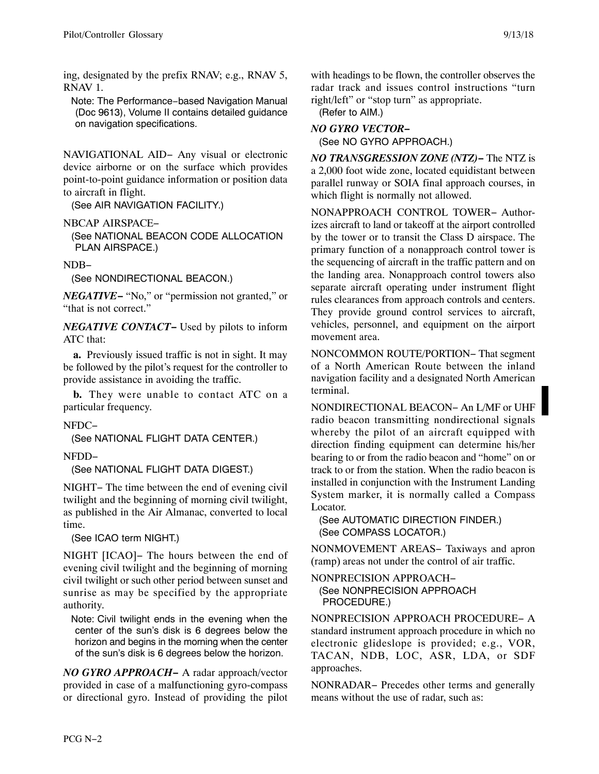ing, designated by the prefix RNAV; e.g., RNAV 5, RNAV 1.

Note: The Performance−based Navigation Manual (Doc 9613), Volume II contains detailed guidance on navigation specifications.

NAVIGATIONAL AID− Any visual or electronic device airborne or on the surface which provides point-to-point guidance information or position data to aircraft in flight.

(See AIR NAVIGATION FACILITY.)

```
NBCAP AIRSPACE−
```
(See NATIONAL BEACON CODE ALLOCATION PLAN AIRSPACE.)

NDB−

(See NONDIRECTIONAL BEACON.)

*NEGATIVE* − "No," or "permission not granted," or "that is not correct."

*NEGATIVE CONTACT* − Used by pilots to inform ATC that:

**a.** Previously issued traffic is not in sight. It may be followed by the pilot's request for the controller to provide assistance in avoiding the traffic.

 **b.** They were unable to contact ATC on a particular frequency.

NFDC−

(See NATIONAL FLIGHT DATA CENTER.)

NFDD−

(See NATIONAL FLIGHT DATA DIGEST.)

NIGHT− The time between the end of evening civil twilight and the beginning of morning civil twilight, as published in the Air Almanac, converted to local time.

(See ICAO term NIGHT.)

 NIGHT [ICAO]− The hours between the end of sunrise as may be specified by the appropriate evening civil twilight and the beginning of morning civil twilight or such other period between sunset and authority.

Note: Civil twilight ends in the evening when the center of the sun's disk is 6 degrees below the horizon and begins in the morning when the center of the sun's disk is 6 degrees below the horizon.

*NO GYRO APPROACH−* A radar approach/vector provided in case of a malfunctioning gyro-compass or directional gyro. Instead of providing the pilot

 radar track and issues control instructions "turn with headings to be flown, the controller observes the right/left" or "stop turn" as appropriate.

(Refer to AIM.)

## *NO GYRO VECTOR−* (See NO GYRO APPROACH.)

*NO TRANSGRESSION ZONE (NTZ)−* The NTZ is a 2,000 foot wide zone, located equidistant between parallel runway or SOIA final approach courses, in which flight is normally not allowed.

NONAPPROACH CONTROL TOWER− Authorizes aircraft to land or takeoff at the airport controlled by the tower or to transit the Class D airspace. The primary function of a nonapproach control tower is the sequencing of aircraft in the traffic pattern and on the landing area. Nonapproach control towers also separate aircraft operating under instrument flight rules clearances from approach controls and centers. They provide ground control services to aircraft, vehicles, personnel, and equipment on the airport movement area.

NONCOMMON ROUTE/PORTION− That segment of a North American Route between the inland navigation facility and a designated North American terminal.

 whereby the pilot of an aircraft equipped with System marker, it is normally called a Compass NONDIRECTIONAL BEACON− An L/MF or UHF radio beacon transmitting nondirectional signals direction finding equipment can determine his/her bearing to or from the radio beacon and "home" on or track to or from the station. When the radio beacon is installed in conjunction with the Instrument Landing Locator.

(See AUTOMATIC DIRECTION FINDER.) (See COMPASS LOCATOR.)

NONMOVEMENT AREAS− Taxiways and apron (ramp) areas not under the control of air traffic.

NONPRECISION APPROACH− (See NONPRECISION APPROACH PROCEDURE.)

NONPRECISION APPROACH PROCEDURE− A standard instrument approach procedure in which no electronic glideslope is provided; e.g., VOR, TACAN, NDB, LOC, ASR, LDA, or SDF approaches.

NONRADAR− Precedes other terms and generally means without the use of radar, such as: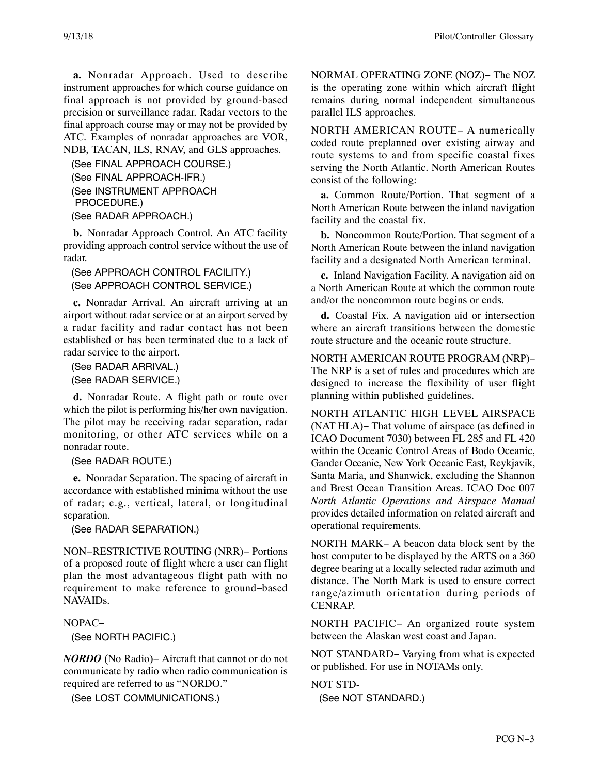**a.** Nonradar Approach. Used to describe final approach is not provided by ground-based instrument approaches for which course guidance on precision or surveillance radar. Radar vectors to the final approach course may or may not be provided by ATC. Examples of nonradar approaches are VOR, NDB, TACAN, ILS, RNAV, and GLS approaches.

(See FINAL APPROACH COURSE.) (See FINAL APPROACH-IFR.) (See INSTRUMENT APPROACH PROCEDURE.) (See RADAR APPROACH.)

**b.** Nonradar Approach Control. An ATC facility providing approach control service without the use of radar.

(See APPROACH CONTROL FACILITY.) (See APPROACH CONTROL SERVICE.)

 a radar facility and radar contact has not been **c.** Nonradar Arrival. An aircraft arriving at an airport without radar service or at an airport served by established or has been terminated due to a lack of radar service to the airport.

(See RADAR ARRIVAL.) (See RADAR SERVICE.)

 monitoring, or other ATC services while on a **d.** Nonradar Route. A flight path or route over which the pilot is performing his/her own navigation. The pilot may be receiving radar separation, radar nonradar route.

#### (See RADAR ROUTE.)

 of radar; e.g., vertical, lateral, or longitudinal **e.** Nonradar Separation. The spacing of aircraft in accordance with established minima without the use separation.

#### (See RADAR SEPARATION.)

 plan the most advantageous flight path with no requirement to make reference to ground−based NON−RESTRICTIVE ROUTING (NRR)− Portions of a proposed route of flight where a user can flight NAVAIDs.

# NOPAC−

(See NORTH PACIFIC.)

*NORDO* (No Radio)– Aircraft that cannot or do not communicate by radio when radio communication is required are referred to as "NORDO."

(See LOST COMMUNICATIONS.)

NORMAL OPERATING ZONE (NOZ)− The NOZ is the operating zone within which aircraft flight remains during normal independent simultaneous parallel ILS approaches.

 route systems to and from specific coastal fixes NORTH AMERICAN ROUTE− A numerically coded route preplanned over existing airway and serving the North Atlantic. North American Routes consist of the following:

**a.** Common Route/Portion. That segment of a North American Route between the inland navigation facility and the coastal fix.

**b.** Noncommon Route/Portion. That segment of a North American Route between the inland navigation facility and a designated North American terminal.

**c.** Inland Navigation Facility. A navigation aid on a North American Route at which the common route and/or the noncommon route begins or ends.

**d.** Coastal Fix. A navigation aid or intersection where an aircraft transitions between the domestic route structure and the oceanic route structure.

NORTH AMERICAN ROUTE PROGRAM (NRP)− The NRP is a set of rules and procedures which are designed to increase the flexibility of user flight planning within published guidelines.

 NORTH ATLANTIC HIGH LEVEL AIRSPACE (NAT HLA)− That volume of airspace (as defined in ICAO Document 7030) between FL 285 and FL 420 within the Oceanic Control Areas of Bodo Oceanic, Gander Oceanic, New York Oceanic East, Reykjavik, Santa Maria, and Shanwick, excluding the Shannon and Brest Ocean Transition Areas. ICAO Doc 007 *North Atlantic Operations and Airspace Manual*  provides detailed information on related aircraft and operational requirements.

 host computer to be displayed by the ARTS on a 360 NORTH MARK− A beacon data block sent by the degree bearing at a locally selected radar azimuth and distance. The North Mark is used to ensure correct range/azimuth orientation during periods of CENRAP.

 NORTH PACIFIC− An organized route system between the Alaskan west coast and Japan.

NOT STANDARD– Varying from what is expected or published. For use in NOTAMs only.

NOT STD- (See NOT STANDARD.)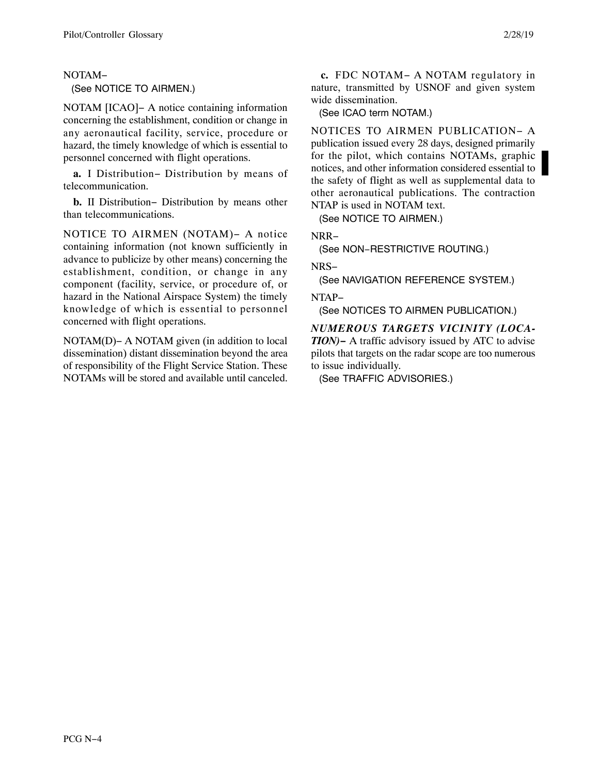# NOTAM−

#### (See NOTICE TO AIRMEN.)

 any aeronautical facility, service, procedure or NOTAM [ICAO]− A notice containing information concerning the establishment, condition or change in hazard, the timely knowledge of which is essential to personnel concerned with flight operations.

 **a.** I Distribution− Distribution by means of telecommunication.

**b.** II Distribution− Distribution by means other than telecommunications.

 establishment, condition, or change in any component (facility, service, or procedure of, or knowledge of which is essential to personnel NOTICE TO AIRMEN (NOTAM)− A notice containing information (not known sufficiently in advance to publicize by other means) concerning the hazard in the National Airspace System) the timely concerned with flight operations.

NOTAM(D)− A NOTAM given (in addition to local dissemination) distant dissemination beyond the area of responsibility of the Flight Service Station. These NOTAMs will be stored and available until canceled.

**c.** FDC NOTAM− A NOTAM regulatory in nature, transmitted by USNOF and given system wide dissemination.

(See ICAO term NOTAM.)

 NOTICES TO AIRMEN PUBLICATION− A for the pilot, which contains NOTAMs, graphic other aeronautical publications. The contraction publication issued every 28 days, designed primarily notices, and other information considered essential to the safety of flight as well as supplemental data to NTAP is used in NOTAM text.

(See NOTICE TO AIRMEN.)

NRR−

(See NON−RESTRICTIVE ROUTING.)

NRS−

(See NAVIGATION REFERENCE SYSTEM.)

NTAP−

(See NOTICES TO AIRMEN PUBLICATION.)

 *NUMEROUS TARGETS VICINITY (LOCA-TION*) − A traffic advisory issued by ATC to advise pilots that targets on the radar scope are too numerous to issue individually.

(See TRAFFIC ADVISORIES.)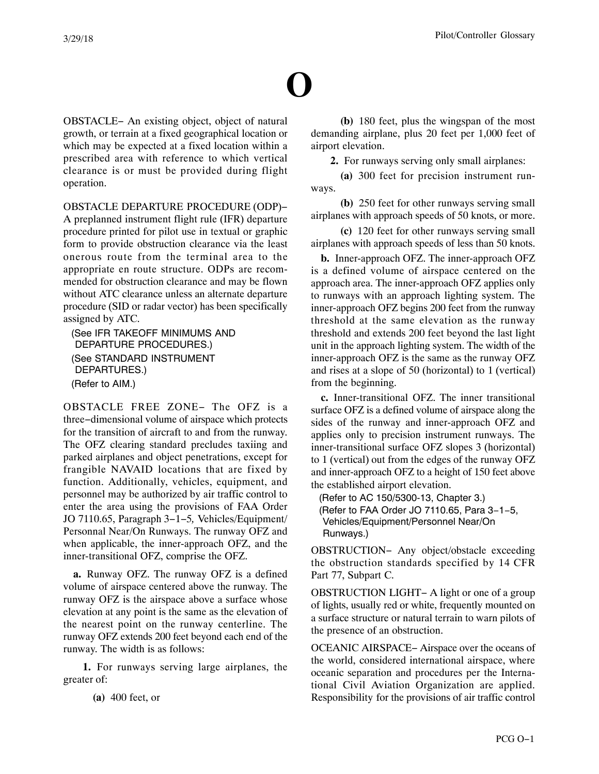# **O**

 prescribed area with reference to which vertical clearance is or must be provided during flight OBSTACLE− An existing object, object of natural growth, or terrain at a fixed geographical location or which may be expected at a fixed location within a operation.

OBSTACLE DEPARTURE PROCEDURE (ODP)−

 onerous route from the terminal area to the appropriate en route structure. ODPs are recom-A preplanned instrument flight rule (IFR) departure procedure printed for pilot use in textual or graphic form to provide obstruction clearance via the least mended for obstruction clearance and may be flown without ATC clearance unless an alternate departure procedure (SID or radar vector) has been specifically assigned by ATC.

(See IFR TAKEOFF MINIMUMS AND DEPARTURE PROCEDURES.) (See STANDARD INSTRUMENT DEPARTURES.) (Refer to AIM.)

 OBSTACLE FREE ZONE− The OFZ is a frangible NAVAID locations that are fixed by function. Additionally, vehicles, equipment, and three−dimensional volume of airspace which protects for the transition of aircraft to and from the runway. The OFZ clearing standard precludes taxiing and parked airplanes and object penetrations, except for personnel may be authorized by air traffic control to enter the area using the provisions of FAA Order JO 7110.65, Paragraph 3−1−5*,* Vehicles/Equipment/ Personnal Near/On Runways. The runway OFZ and when applicable, the inner-approach OFZ, and the inner-transitional OFZ, comprise the OFZ.

 the nearest point on the runway centerline. The **a.** Runway OFZ. The runway OFZ is a defined volume of airspace centered above the runway. The runway OFZ is the airspace above a surface whose elevation at any point is the same as the elevation of runway OFZ extends 200 feet beyond each end of the runway. The width is as follows:

 **1.** For runways serving large airplanes, the greater of:

**(a)** 400 feet, or

**(b)** 180 feet, plus the wingspan of the most demanding airplane, plus 20 feet per 1,000 feet of airport elevation.

**2.** For runways serving only small airplanes:

**(a)** 300 feet for precision instrument runways.

**(b)** 250 feet for other runways serving small airplanes with approach speeds of 50 knots, or more.

**(c)** 120 feet for other runways serving small airplanes with approach speeds of less than 50 knots.

 is a defined volume of airspace centered on the threshold at the same elevation as the runway **b.** Inner-approach OFZ. The inner-approach OFZ approach area. The inner-approach OFZ applies only to runways with an approach lighting system. The inner-approach OFZ begins 200 feet from the runway threshold and extends 200 feet beyond the last light unit in the approach lighting system. The width of the inner-approach OFZ is the same as the runway OFZ and rises at a slope of 50 (horizontal) to 1 (vertical) from the beginning.

**c.** Inner-transitional OFZ. The inner transitional surface OFZ is a defined volume of airspace along the sides of the runway and inner-approach OFZ and applies only to precision instrument runways. The inner-transitional surface OFZ slopes 3 (horizontal) to 1 (vertical) out from the edges of the runway OFZ and inner-approach OFZ to a height of 150 feet above the established airport elevation.

(Refer to AC 150/5300-13, Chapter 3.) (Refer to FAA Order JO 7110.65, Para 3−1−5, Vehicles/Equipment/Personnel Near/On Runways.)

OBSTRUCTION− Any object/obstacle exceeding the obstruction standards specified by 14 CFR Part 77, Subpart C.

OBSTRUCTION LIGHT− A light or one of a group of lights, usually red or white, frequently mounted on a surface structure or natural terrain to warn pilots of the presence of an obstruction.

 tional Civil Aviation Organization are applied. OCEANIC AIRSPACE− Airspace over the oceans of the world, considered international airspace, where oceanic separation and procedures per the Interna-Responsibility for the provisions of air traffic control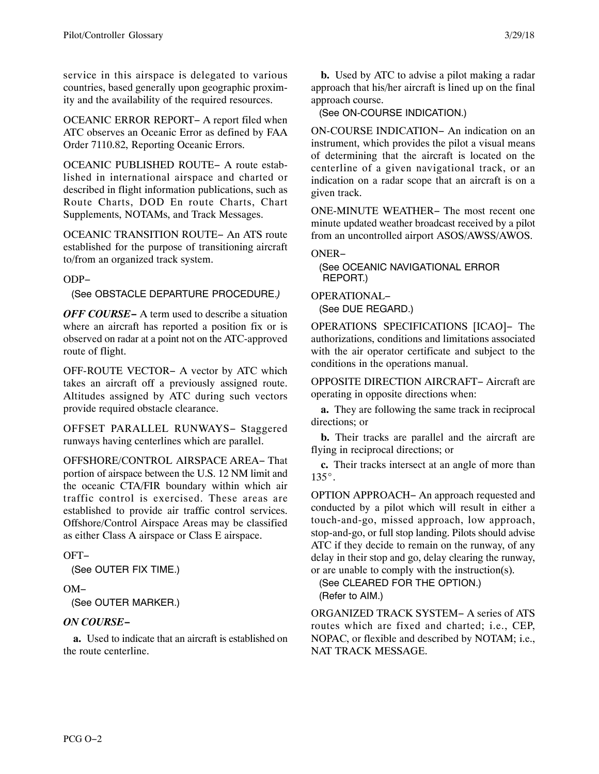service in this airspace is delegated to various countries, based generally upon geographic proximity and the availability of the required resources.

OCEANIC ERROR REPORT− A report filed when ATC observes an Oceanic Error as defined by FAA Order 7110.82, Reporting Oceanic Errors.

 lished in international airspace and charted or Route Charts, DOD En route Charts, Chart OCEANIC PUBLISHED ROUTE− A route estabdescribed in flight information publications, such as Supplements, NOTAMs, and Track Messages.

OCEANIC TRANSITION ROUTE− An ATS route established for the purpose of transitioning aircraft to/from an organized track system.

ODP−

(See OBSTACLE DEPARTURE PROCEDURE.*)*

*OFF COURSE* − A term used to describe a situation where an aircraft has reported a position fix or is observed on radar at a point not on the ATC-approved route of flight.

 Altitudes assigned by ATC during such vectors OFF-ROUTE VECTOR− A vector by ATC which takes an aircraft off a previously assigned route. provide required obstacle clearance.

OFFSET PARALLEL RUNWAYS− Staggered runways having centerlines which are parallel.

 traffic control is exercised. These areas are OFFSHORE/CONTROL AIRSPACE AREA− That portion of airspace between the U.S. 12 NM limit and the oceanic CTA/FIR boundary within which air established to provide air traffic control services. Offshore/Control Airspace Areas may be classified as either Class A airspace or Class E airspace.

OFT−

(See OUTER FIX TIME.)

# $OM-$

(See OUTER MARKER.)

# *ON COURSE−*

**a.** Used to indicate that an aircraft is established on the route centerline.

**b.** Used by ATC to advise a pilot making a radar approach that his/her aircraft is lined up on the final approach course.

(See ON-COURSE INDICATION.)

 centerline of a given navigational track, or an ON-COURSE INDICATION− An indication on an instrument, which provides the pilot a visual means of determining that the aircraft is located on the indication on a radar scope that an aircraft is on a given track.

ONE-MINUTE WEATHER− The most recent one minute updated weather broadcast received by a pilot from an uncontrolled airport ASOS/AWSS/AWOS.

ONER−

(See OCEANIC NAVIGATIONAL ERROR REPORT.)

OPERATIONAL− (See DUE REGARD.)

OPERATIONS SPECIFICATIONS [ICAO]− The authorizations, conditions and limitations associated with the air operator certificate and subject to the conditions in the operations manual.

OPPOSITE DIRECTION AIRCRAFT− Aircraft are operating in opposite directions when:

**a.** They are following the same track in reciprocal directions; or

**b.** Their tracks are parallel and the aircraft are flying in reciprocal directions; or

**c.** Their tracks intersect at an angle of more than c. T<br> $135^\circ$ .

OPTION APPROACH− An approach requested and conducted by a pilot which will result in either a touch-and-go, missed approach, low approach, stop-and-go, or full stop landing. Pilots should advise ATC if they decide to remain on the runway, of any delay in their stop and go, delay clearing the runway, or are unable to comply with the instruction(s).

(See CLEARED FOR THE OPTION.) (Refer to AIM.)

 routes which are fixed and charted; i.e., CEP, ORGANIZED TRACK SYSTEM− A series of ATS NOPAC, or flexible and described by NOTAM; i.e., NAT TRACK MESSAGE.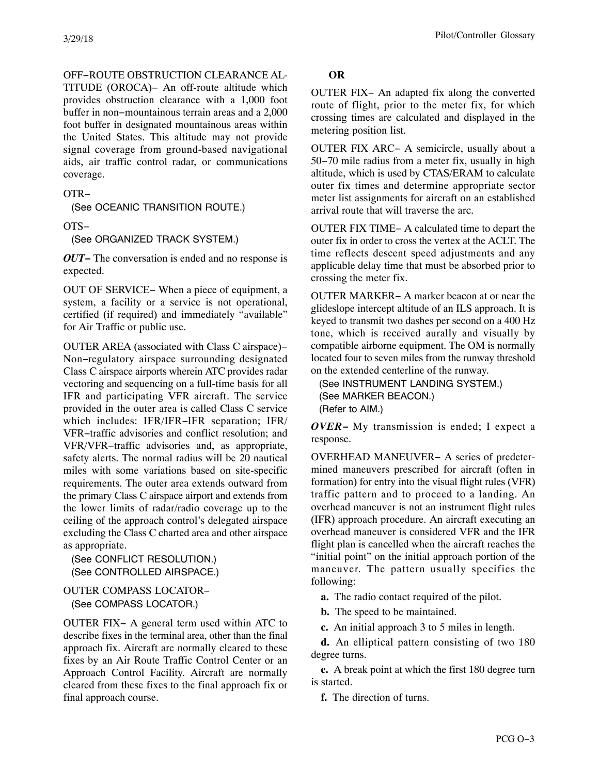signal coverage from ground-based navigational OFF−ROUTE OBSTRUCTION CLEARANCE AL-TITUDE (OROCA)− An off-route altitude which provides obstruction clearance with a 1,000 foot buffer in non−mountainous terrain areas and a 2,000 foot buffer in designated mountainous areas within the United States. This altitude may not provide aids, air traffic control radar, or communications coverage.

OTR−

(See OCEANIC TRANSITION ROUTE.)

OTS−

(See ORGANIZED TRACK SYSTEM.)

*OUT* − The conversation is ended and no response is expected.

OUT OF SERVICE− When a piece of equipment, a system, a facility or a service is not operational, certified (if required) and immediately "available" for Air Traffic or public use.

 IFR and participating VFR aircraft. The service OUTER AREA (associated with Class C airspace)− Non−regulatory airspace surrounding designated Class C airspace airports wherein ATC provides radar vectoring and sequencing on a full-time basis for all provided in the outer area is called Class C service which includes: IFR/IFR−IFR separation; IFR/ VFR−traffic advisories and conflict resolution; and VFR/VFR−traffic advisories and, as appropriate, safety alerts. The normal radius will be 20 nautical miles with some variations based on site-specific requirements. The outer area extends outward from the primary Class C airspace airport and extends from the lower limits of radar/radio coverage up to the ceiling of the approach control's delegated airspace excluding the Class C charted area and other airspace as appropriate.

(See CONFLICT RESOLUTION.) (See CONTROLLED AIRSPACE.)

OUTER COMPASS LOCATOR− (See COMPASS LOCATOR.)

OUTER FIX− A general term used within ATC to describe fixes in the terminal area, other than the final approach fix. Aircraft are normally cleared to these fixes by an Air Route Traffic Control Center or an Approach Control Facility. Aircraft are normally cleared from these fixes to the final approach fix or final approach course.

**OR** 

 route of flight, prior to the meter fix, for which OUTER FIX− An adapted fix along the converted crossing times are calculated and displayed in the metering position list.

 outer fix times and determine appropriate sector OUTER FIX ARC− A semicircle, usually about a 50−70 mile radius from a meter fix, usually in high altitude, which is used by CTAS/ERAM to calculate meter list assignments for aircraft on an established arrival route that will traverse the arc.

 time reflects descent speed adjustments and any OUTER FIX TIME− A calculated time to depart the outer fix in order to cross the vertex at the ACLT. The applicable delay time that must be absorbed prior to crossing the meter fix.

 tone, which is received aurally and visually by OUTER MARKER− A marker beacon at or near the glideslope intercept altitude of an ILS approach. It is keyed to transmit two dashes per second on a 400 Hz compatible airborne equipment. The OM is normally located four to seven miles from the runway threshold on the extended centerline of the runway.

(See INSTRUMENT LANDING SYSTEM.) (See MARKER BEACON.) (Refer to AIM.)

*OVER−* My transmission is ended; I expect a response.

 traffic pattern and to proceed to a landing. An maneuver. The pattern usually specifies the OVERHEAD MANEUVER− A series of predetermined maneuvers prescribed for aircraft (often in formation) for entry into the visual flight rules (VFR) overhead maneuver is not an instrument flight rules (IFR) approach procedure. An aircraft executing an overhead maneuver is considered VFR and the IFR flight plan is cancelled when the aircraft reaches the "initial point" on the initial approach portion of the following:

**a.** The radio contact required of the pilot.

**b.** The speed to be maintained.

**c.** An initial approach 3 to 5 miles in length.

 **d.** An elliptical pattern consisting of two 180 degree turns.

**e.** A break point at which the first 180 degree turn is started.

**f.** The direction of turns.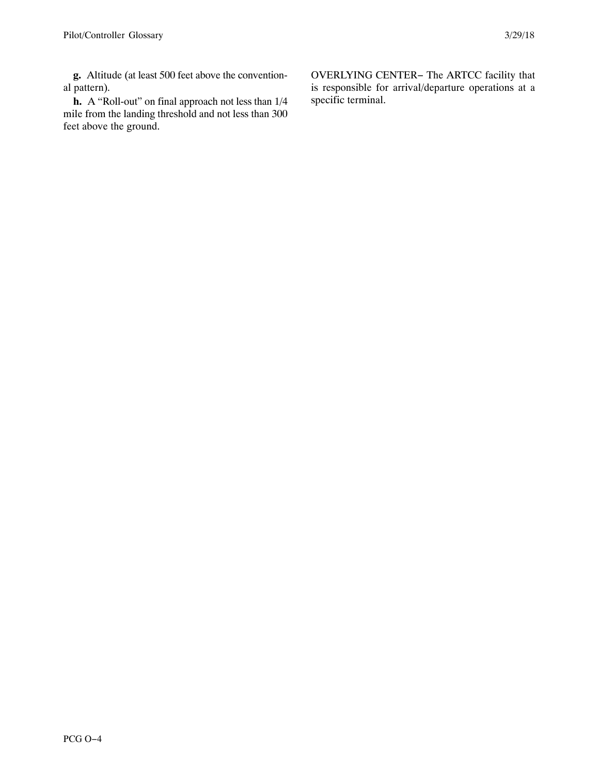al pattern). is responsible for arrival/departure operations at a

**h.** A "Roll-out" on final approach not less than  $1/4$  specific terminal. mile from the landing threshold and not less than 300 feet above the ground.

**g.** Altitude (at least 500 feet above the convention- OVERLYING CENTER− The ARTCC facility that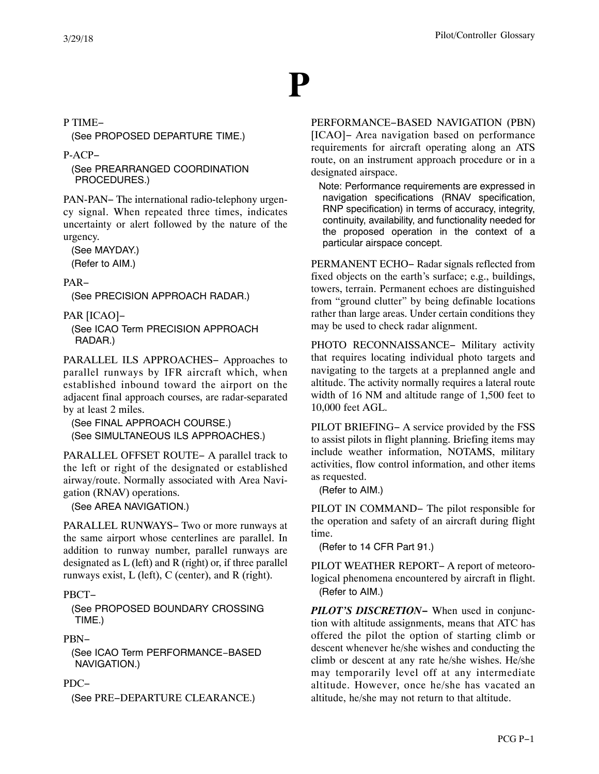# **P**

# P TIME−

(See PROPOSED DEPARTURE TIME.)

P-ACP−

(See PREARRANGED COORDINATION PROCEDURES.)

 cy signal. When repeated three times, indicates PAN-PAN– The international radio-telephony urgenuncertainty or alert followed by the nature of the urgency.

(See MAYDAY.)

(Refer to AIM.)

# PAR−

(See PRECISION APPROACH RADAR.)

PAR [ICAO]−

(See ICAO Term PRECISION APPROACH RADAR.)

 parallel runways by IFR aircraft which, when established inbound toward the airport on the PARALLEL ILS APPROACHES− Approaches to adjacent final approach courses, are radar-separated by at least 2 miles.

(See FINAL APPROACH COURSE.) (See SIMULTANEOUS ILS APPROACHES.)

 the left or right of the designated or established PARALLEL OFFSET ROUTE− A parallel track to airway/route. Normally associated with Area Navigation (RNAV) operations.

(See AREA NAVIGATION.)

PARALLEL RUNWAYS− Two or more runways at the same airport whose centerlines are parallel. In addition to runway number, parallel runways are designated as L (left) and R (right) or, if three parallel runways exist,  $L$  (left),  $C$  (center), and  $R$  (right).

# PBCT−

(See PROPOSED BOUNDARY CROSSING TIME.)

# PBN−

(See ICAO Term PERFORMANCE−BASED NAVIGATION.)

# PDC−

(See PRE−DEPARTURE CLEARANCE.)

 [ICAO]− Area navigation based on performance PERFORMANCE−BASED NAVIGATION (PBN) requirements for aircraft operating along an ATS route, on an instrument approach procedure or in a designated airspace.

Note: Performance requirements are expressed in navigation specifications (RNAV specification, RNP specification) in terms of accuracy, integrity, continuity, availability, and functionality needed for the proposed operation in the context of a particular airspace concept.

PERMANENT ECHO− Radar signals reflected from fixed objects on the earth's surface; e.g., buildings, towers, terrain. Permanent echoes are distinguished from "ground clutter" by being definable locations rather than large areas. Under certain conditions they may be used to check radar alignment.

PHOTO RECONNAISSANCE− Military activity that requires locating individual photo targets and navigating to the targets at a preplanned angle and altitude. The activity normally requires a lateral route width of 16 NM and altitude range of 1,500 feet to 10,000 feet AGL.

PILOT BRIEFING− A service provided by the FSS to assist pilots in flight planning. Briefing items may include weather information, NOTAMS, military activities, flow control information, and other items as requested.

(Refer to AIM.)

PILOT IN COMMAND− The pilot responsible for the operation and safety of an aircraft during flight time.

(Refer to 14 CFR Part 91.)

PILOT WEATHER REPORT− A report of meteorological phenomena encountered by aircraft in flight. (Refer to AIM.)

 offered the pilot the option of starting climb or may temporarily level off at any intermediate altitude. However, once he/she has vacated an *PILOT'S DISCRETION*− When used in conjunction with altitude assignments, means that ATC has descent whenever he/she wishes and conducting the climb or descent at any rate he/she wishes. He/she altitude, he/she may not return to that altitude.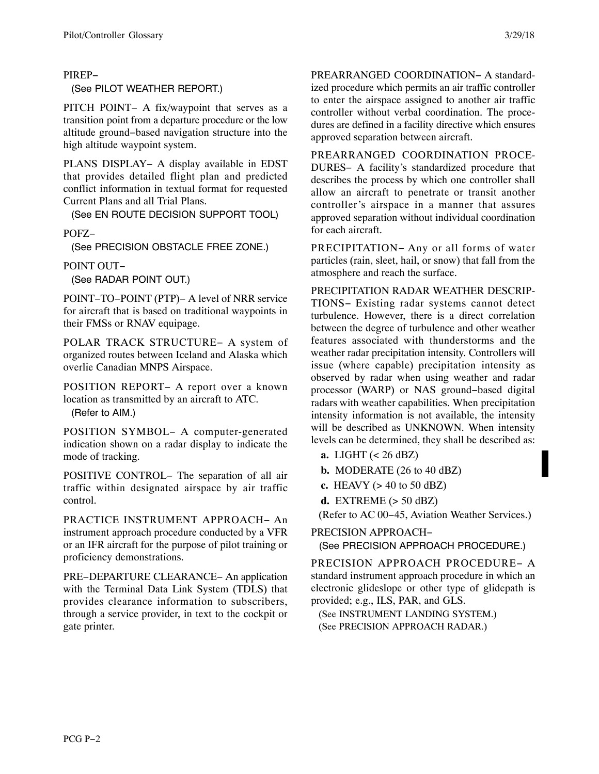# PIREP−

(See PILOT WEATHER REPORT.)

PITCH POINT− A fix/waypoint that serves as a transition point from a departure procedure or the low altitude ground−based navigation structure into the high altitude waypoint system.

 that provides detailed flight plan and predicted PLANS DISPLAY− A display available in EDST conflict information in textual format for requested Current Plans and all Trial Plans.

(See EN ROUTE DECISION SUPPORT TOOL)

POFZ−

(See PRECISION OBSTACLE FREE ZONE.)

POINT OUT−

(See RADAR POINT OUT.)

POINT−TO−POINT (PTP)− A level of NRR service for aircraft that is based on traditional waypoints in their FMSs or RNAV equipage.

POLAR TRACK STRUCTURE− A system of organized routes between Iceland and Alaska which overlie Canadian MNPS Airspace.

POSITION REPORT− A report over a known location as transmitted by an aircraft to ATC.

(Refer to AIM.)

POSITION SYMBOL− A computer-generated indication shown on a radar display to indicate the mode of tracking.

 traffic within designated airspace by air traffic POSITIVE CONTROL− The separation of all air control.

PRACTICE INSTRUMENT APPROACH− An instrument approach procedure conducted by a VFR or an IFR aircraft for the purpose of pilot training or proficiency demonstrations.

 provides clearance information to subscribers, PRE−DEPARTURE CLEARANCE− An application with the Terminal Data Link System (TDLS) that through a service provider, in text to the cockpit or gate printer.

PREARRANGED COORDINATION− A standardized procedure which permits an air traffic controller to enter the airspace assigned to another air traffic controller without verbal coordination. The procedures are defined in a facility directive which ensures approved separation between aircraft.

 allow an aircraft to penetrate or transit another controller's airspace in a manner that assures PREARRANGED COORDINATION PROCE-DURES− A facility's standardized procedure that describes the process by which one controller shall approved separation without individual coordination for each aircraft.

 PRECIPITATION− Any or all forms of water particles (rain, sleet, hail, or snow) that fall from the atmosphere and reach the surface.

 features associated with thunderstorms and the PRECIPITATION RADAR WEATHER DESCRIP-TIONS− Existing radar systems cannot detect turbulence. However, there is a direct correlation between the degree of turbulence and other weather weather radar precipitation intensity. Controllers will issue (where capable) precipitation intensity as observed by radar when using weather and radar processor (WARP) or NAS ground−based digital radars with weather capabilities. When precipitation intensity information is not available, the intensity will be described as UNKNOWN. When intensity levels can be determined, they shall be described as:

- **a.** LIGHT (< 26 dBZ)
- **b.** MODERATE (26 to 40 dBZ)
- **c.** HEAVY (> 40 to 50 dBZ)
- **d.** EXTREME (> 50 dBZ)

(Refer to AC 00−45, Aviation Weather Services.)

PRECISION APPROACH−

(See PRECISION APPROACH PROCEDURE.)

PRECISION APPROACH PROCEDURE− A standard instrument approach procedure in which an electronic glideslope or other type of glidepath is provided; e.g., ILS, PAR, and GLS.

(See INSTRUMENT LANDING SYSTEM.) (See PRECISION APPROACH RADAR.)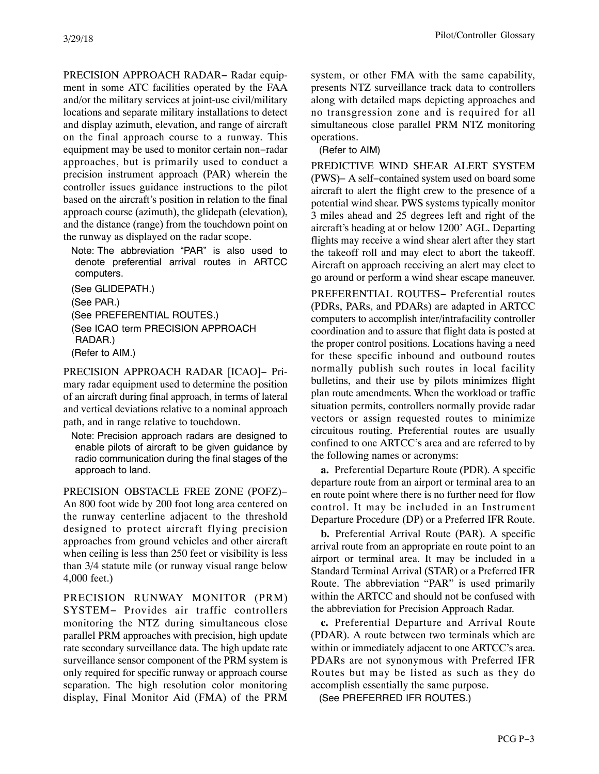on the final approach course to a runway. This approaches, but is primarily used to conduct a PRECISION APPROACH RADAR− Radar equipment in some ATC facilities operated by the FAA and/or the military services at joint-use civil/military locations and separate military installations to detect and display azimuth, elevation, and range of aircraft equipment may be used to monitor certain non−radar precision instrument approach (PAR) wherein the controller issues guidance instructions to the pilot based on the aircraft's position in relation to the final approach course (azimuth), the glidepath (elevation), and the distance (range) from the touchdown point on the runway as displayed on the radar scope.

Note: The abbreviation "PAR" is also used to denote preferential arrival routes in ARTCC computers.

(See GLIDEPATH.) (See PAR.) (See PREFERENTIAL ROUTES.) (See ICAO term PRECISION APPROACH RADAR.) (Refer to AIM.)

PRECISION APPROACH RADAR [ICAO]− Primary radar equipment used to determine the position of an aircraft during final approach, in terms of lateral and vertical deviations relative to a nominal approach path, and in range relative to touchdown.

Note: Precision approach radars are designed to enable pilots of aircraft to be given guidance by radio communication during the final stages of the approach to land.

 the runway centerline adjacent to the threshold PRECISION OBSTACLE FREE ZONE (POFZ)− An 800 foot wide by 200 foot long area centered on designed to protect aircraft flying precision approaches from ground vehicles and other aircraft when ceiling is less than 250 feet or visibility is less than 3/4 statute mile (or runway visual range below 4,000 feet.)

 SYSTEM− Provides air traffic controllers display, Final Monitor Aid (FMA) of the PRM PRECISION RUNWAY MONITOR (PRM) monitoring the NTZ during simultaneous close parallel PRM approaches with precision, high update rate secondary surveillance data. The high update rate surveillance sensor component of the PRM system is only required for specific runway or approach course separation. The high resolution color monitoring

 system, or other FMA with the same capability, no transgression zone and is required for all presents NTZ surveillance track data to controllers along with detailed maps depicting approaches and simultaneous close parallel PRM NTZ monitoring operations.

(Refer to AIM)

PREDICTIVE WIND SHEAR ALERT SYSTEM (PWS)− A self−contained system used on board some aircraft to alert the flight crew to the presence of a potential wind shear. PWS systems typically monitor 3 miles ahead and 25 degrees left and right of the aircraft's heading at or below 1200' AGL. Departing flights may receive a wind shear alert after they start the takeoff roll and may elect to abort the takeoff. Aircraft on approach receiving an alert may elect to go around or perform a wind shear escape maneuver.

 for these specific inbound and outbound routes normally publish such routes in local facility vectors or assign requested routes to minimize PREFERENTIAL ROUTES− Preferential routes (PDRs, PARs, and PDARs) are adapted in ARTCC computers to accomplish inter/intrafacility controller coordination and to assure that flight data is posted at the proper control positions. Locations having a need bulletins, and their use by pilots minimizes flight plan route amendments. When the workload or traffic situation permits, controllers normally provide radar circuitous routing. Preferential routes are usually confined to one ARTCC's area and are referred to by the following names or acronyms:

 control. It may be included in an Instrument **a.** Preferential Departure Route (PDR). A specific departure route from an airport or terminal area to an en route point where there is no further need for flow Departure Procedure (DP) or a Preferred IFR Route.

**b.** Preferential Arrival Route (PAR). A specific arrival route from an appropriate en route point to an airport or terminal area. It may be included in a Standard Terminal Arrival (STAR) or a Preferred IFR Route. The abbreviation "PAR" is used primarily within the ARTCC and should not be confused with the abbreviation for Precision Approach Radar.

 **c.** Preferential Departure and Arrival Route PDARs are not synonymous with Preferred IFR Routes but may be listed as such as they do (PDAR). A route between two terminals which are within or immediately adjacent to one ARTCC's area. accomplish essentially the same purpose.

(See PREFERRED IFR ROUTES.)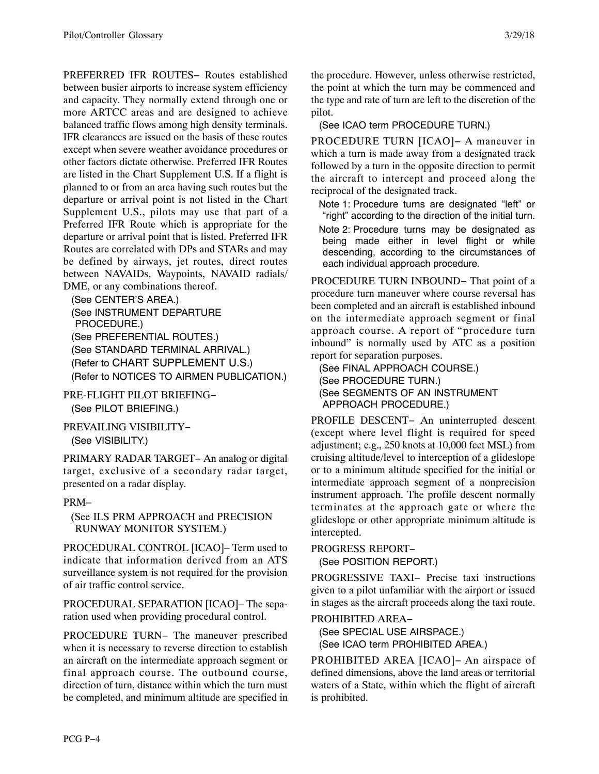more ARTCC areas and are designed to achieve Supplement U.S., pilots may use that part of a be defined by airways, jet routes, direct routes PREFERRED IFR ROUTES− Routes established between busier airports to increase system efficiency and capacity. They normally extend through one or balanced traffic flows among high density terminals. IFR clearances are issued on the basis of these routes except when severe weather avoidance procedures or other factors dictate otherwise. Preferred IFR Routes are listed in the Chart Supplement U.S. If a flight is planned to or from an area having such routes but the departure or arrival point is not listed in the Chart Preferred IFR Route which is appropriate for the departure or arrival point that is listed. Preferred IFR Routes are correlated with DPs and STARs and may between NAVAIDs, Waypoints, NAVAID radials/ DME, or any combinations thereof.

(See CENTER'S AREA.) (See INSTRUMENT DEPARTURE PROCEDURE.) (See PREFERENTIAL ROUTES.) (See STANDARD TERMINAL ARRIVAL.) (Refer to CHART SUPPLEMENT U.S.) (Refer to NOTICES TO AIRMEN PUBLICATION.)

PRE-FLIGHT PILOT BRIEFING− (See PILOT BRIEFING.)

PREVAILING VISIBILITY− (See VISIBILITY.)

 target, exclusive of a secondary radar target, PRIMARY RADAR TARGET− An analog or digital presented on a radar display.

# PRM−

(See ILS PRM APPROACH and PRECISION RUNWAY MONITOR SYSTEM.)

 indicate that information derived from an ATS PROCEDURAL CONTROL [ICAO]– Term used to surveillance system is not required for the provision of air traffic control service.

PROCEDURAL SEPARATION [ICAO]– The separation used when providing procedural control.

 final approach course. The outbound course, PROCEDURE TURN− The maneuver prescribed when it is necessary to reverse direction to establish an aircraft on the intermediate approach segment or direction of turn, distance within which the turn must be completed, and minimum altitude are specified in

the procedure. However, unless otherwise restricted, the point at which the turn may be commenced and the type and rate of turn are left to the discretion of the pilot.

(See ICAO term PROCEDURE TURN.)

PROCEDURE TURN [ICAO]− A maneuver in which a turn is made away from a designated track followed by a turn in the opposite direction to permit the aircraft to intercept and proceed along the reciprocal of the designated track.

Note 1: Procedure turns are designated "left" or "right" according to the direction of the initial turn.

Note 2: Procedure turns may be designated as being made either in level flight or while descending, according to the circumstances of each individual approach procedure.

 on the intermediate approach segment or final approach course. A report of "procedure turn PROCEDURE TURN INBOUND− That point of a procedure turn maneuver where course reversal has been completed and an aircraft is established inbound inbound" is normally used by ATC as a position report for separation purposes.

(See FINAL APPROACH COURSE.) (See PROCEDURE TURN.) (See SEGMENTS OF AN INSTRUMENT APPROACH PROCEDURE.)

 (except where level flight is required for speed terminates at the approach gate or where the PROFILE DESCENT− An uninterrupted descent adjustment; e.g., 250 knots at 10,000 feet MSL) from cruising altitude/level to interception of a glideslope or to a minimum altitude specified for the initial or intermediate approach segment of a nonprecision instrument approach. The profile descent normally glideslope or other appropriate minimum altitude is intercepted.

PROGRESS REPORT− (See POSITION REPORT.)

PROGRESSIVE TAXI− Precise taxi instructions given to a pilot unfamiliar with the airport or issued in stages as the aircraft proceeds along the taxi route.

PROHIBITED AREA−

(See SPECIAL USE AIRSPACE.) (See ICAO term PROHIBITED AREA.)

PROHIBITED AREA [ICAO]− An airspace of defined dimensions, above the land areas or territorial waters of a State, within which the flight of aircraft is prohibited.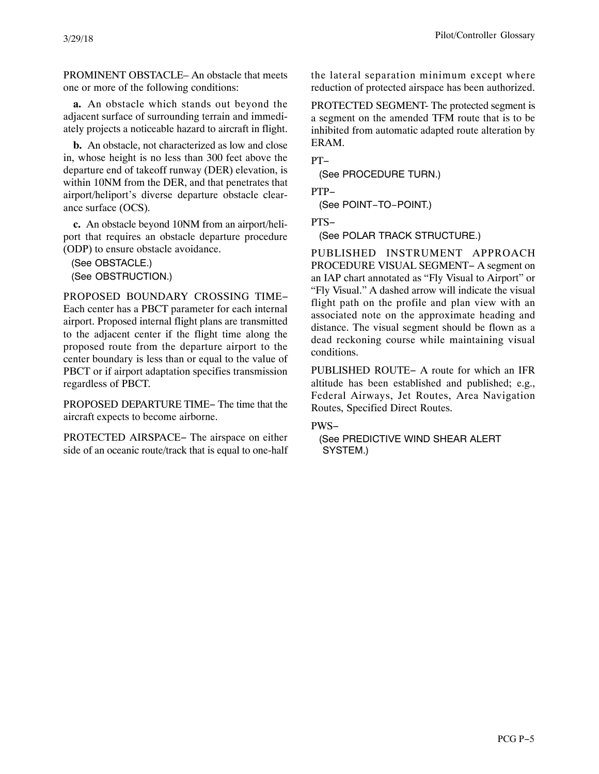PROMINENT OBSTACLE– An obstacle that meets one or more of the following conditions:

 **a.** An obstacle which stands out beyond the adjacent surface of surrounding terrain and immediately projects a noticeable hazard to aircraft in flight.

**b.** An obstacle, not characterized as low and close in, whose height is no less than 300 feet above the departure end of takeoff runway (DER) elevation, is within 10NM from the DER, and that penetrates that airport/heliport's diverse departure obstacle clearance surface (OCS).

**c.** An obstacle beyond 10NM from an airport/heliport that requires an obstacle departure procedure (ODP) to ensure obstacle avoidance.

(See OBSTACLE.) (See OBSTRUCTION.)

 proposed route from the departure airport to the PROPOSED BOUNDARY CROSSING TIME− Each center has a PBCT parameter for each internal airport. Proposed internal flight plans are transmitted to the adjacent center if the flight time along the center boundary is less than or equal to the value of PBCT or if airport adaptation specifies transmission regardless of PBCT.

PROPOSED DEPARTURE TIME− The time that the aircraft expects to become airborne.

PROTECTED AIRSPACE− The airspace on either side of an oceanic route/track that is equal to one-half the lateral separation minimum except where reduction of protected airspace has been authorized.

PROTECTED SEGMENT- The protected segment is a segment on the amended TFM route that is to be inhibited from automatic adapted route alteration by ERAM.

PT−

(See PROCEDURE TURN.)

PTP−

(See POINT−TO−POINT.)

PTS−

(See POLAR TRACK STRUCTURE.)

 flight path on the profile and plan view with an associated note on the approximate heading and PUBLISHED INSTRUMENT APPROACH PROCEDURE VISUAL SEGMENT− A segment on an IAP chart annotated as "Fly Visual to Airport" or "Fly Visual." A dashed arrow will indicate the visual distance. The visual segment should be flown as a dead reckoning course while maintaining visual conditions.

 Federal Airways, Jet Routes, Area Navigation PUBLISHED ROUTE− A route for which an IFR altitude has been established and published; e.g., Routes, Specified Direct Routes.

PWS−

(See PREDICTIVE WIND SHEAR ALERT SYSTEM.)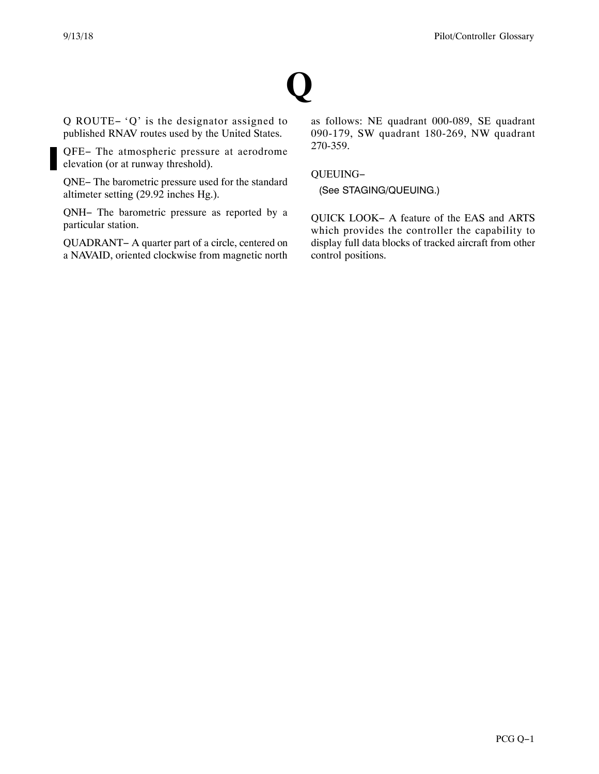# **Q**

 Q ROUTE− 'Q' is the designator assigned to published RNAV routes used by the United States.

QFE− The atmospheric pressure at aerodrome elevation (or at runway threshold).

QNE− The barometric pressure used for the standard altimeter setting (29.92 inches Hg.).

QNH− The barometric pressure as reported by a particular station.

QUADRANT− A quarter part of a circle, centered on a NAVAID, oriented clockwise from magnetic north

 090-179, SW quadrant 180-269, NW quadrant as follows: NE quadrant 000-089, SE quadrant 270-359.

#### QUEUING−

(See STAGING/QUEUING.)

 which provides the controller the capability to QUICK LOOK− A feature of the EAS and ARTS display full data blocks of tracked aircraft from other control positions.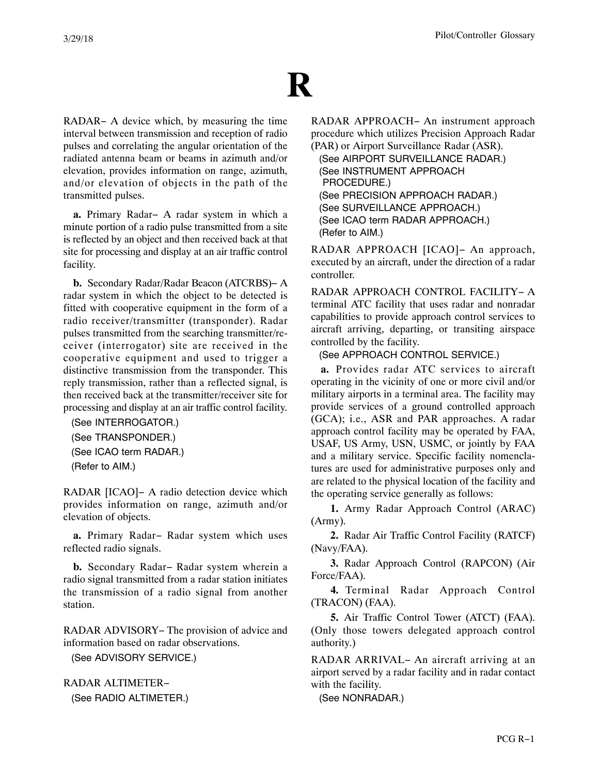# **R**

 and/or elevation of objects in the path of the RADAR− A device which, by measuring the time interval between transmission and reception of radio pulses and correlating the angular orientation of the radiated antenna beam or beams in azimuth and/or elevation, provides information on range, azimuth, transmitted pulses.

**a.** Primary Radar− A radar system in which a minute portion of a radio pulse transmitted from a site is reflected by an object and then received back at that site for processing and display at an air traffic control facility.

 ceiver (interrogator) site are received in the cooperative equipment and used to trigger a **b.** Secondary Radar/Radar Beacon (ATCRBS)− A radar system in which the object to be detected is fitted with cooperative equipment in the form of a radio receiver/transmitter (transponder). Radar pulses transmitted from the searching transmitter/redistinctive transmission from the transponder. This reply transmission, rather than a reflected signal, is then received back at the transmitter/receiver site for processing and display at an air traffic control facility.

(See INTERROGATOR.) (See TRANSPONDER.) (See ICAO term RADAR.) (Refer to AIM.)

 provides information on range, azimuth and/or RADAR [ICAO]− A radio detection device which elevation of objects.

 **a.** Primary Radar− Radar system which uses reflected radio signals.

 **b.** Secondary Radar− Radar system wherein a the transmission of a radio signal from another radio signal transmitted from a radar station initiates station.

RADAR ADVISORY− The provision of advice and information based on radar observations.

(See ADVISORY SERVICE.)

RADAR ALTIMETER− (See RADIO ALTIMETER.)  RADAR APPROACH− An instrument approach procedure which utilizes Precision Approach Radar (PAR) or Airport Surveillance Radar (ASR).

(See AIRPORT SURVEILLANCE RADAR.) (See INSTRUMENT APPROACH PROCEDURE.) (See PRECISION APPROACH RADAR.) (See SURVEILLANCE APPROACH.) (See ICAO term RADAR APPROACH.) (Refer to AIM.)

RADAR APPROACH [ICAO]− An approach, executed by an aircraft, under the direction of a radar controller.

RADAR APPROACH CONTROL FACILITY− A terminal ATC facility that uses radar and nonradar capabilities to provide approach control services to aircraft arriving, departing, or transiting airspace controlled by the facility.

(See APPROACH CONTROL SERVICE.)

 **a.** Provides radar ATC services to aircraft operating in the vicinity of one or more civil and/or military airports in a terminal area. The facility may provide services of a ground controlled approach (GCA); i.e., ASR and PAR approaches. A radar approach control facility may be operated by FAA, USAF, US Army, USN, USMC, or jointly by FAA and a military service. Specific facility nomenclatures are used for administrative purposes only and are related to the physical location of the facility and the operating service generally as follows:

**1.** Army Radar Approach Control (ARAC) (Army).

**2.** Radar Air Traffic Control Facility (RATCF) (Navy/FAA).

**3.** Radar Approach Control (RAPCON) (Air Force/FAA).

**4.** Terminal Radar Approach Control (TRACON) (FAA).

 (Only those towers delegated approach control **5.** Air Traffic Control Tower (ATCT) (FAA). authority.)

RADAR ARRIVAL− An aircraft arriving at an airport served by a radar facility and in radar contact with the facility.

(See NONRADAR.)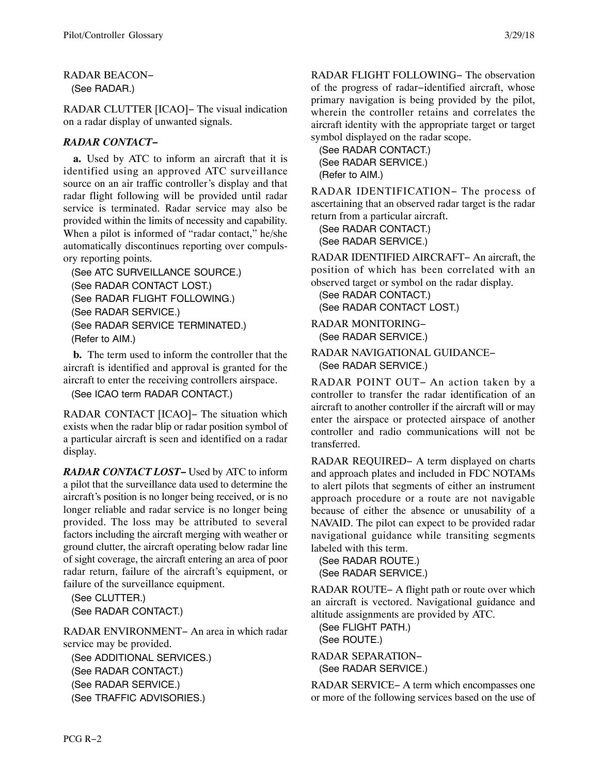RADAR BEACON−

(See RADAR.)

RADAR CLUTTER [ICAO]− The visual indication on a radar display of unwanted signals.

# *RADAR CONTACT−*

 identified using an approved ATC surveillance **a.** Used by ATC to inform an aircraft that it is source on an air traffic controller's display and that radar flight following will be provided until radar service is terminated. Radar service may also be provided within the limits of necessity and capability. When a pilot is informed of "radar contact," he/she automatically discontinues reporting over compulsory reporting points.

(See ATC SURVEILLANCE SOURCE.) (See RADAR CONTACT LOST.) (See RADAR FLIGHT FOLLOWING.) (See RADAR SERVICE.) (See RADAR SERVICE TERMINATED.) (Refer to AIM.)

**b.** The term used to inform the controller that the aircraft is identified and approval is granted for the aircraft to enter the receiving controllers airspace.

(See ICAO term RADAR CONTACT.)

RADAR CONTACT [ICAO]− The situation which exists when the radar blip or radar position symbol of a particular aircraft is seen and identified on a radar display.

 provided. The loss may be attributed to several *RADAR CONTACT LOST−* Used by ATC to inform a pilot that the surveillance data used to determine the aircraft's position is no longer being received, or is no longer reliable and radar service is no longer being factors including the aircraft merging with weather or ground clutter, the aircraft operating below radar line of sight coverage, the aircraft entering an area of poor radar return, failure of the aircraft's equipment, or failure of the surveillance equipment.

(See CLUTTER.) (See RADAR CONTACT.)

RADAR ENVIRONMENT− An area in which radar service may be provided.

(See ADDITIONAL SERVICES.) (See RADAR CONTACT.) (See RADAR SERVICE.) (See TRAFFIC ADVISORIES.)

 wherein the controller retains and correlates the RADAR FLIGHT FOLLOWING− The observation of the progress of radar−identified aircraft, whose primary navigation is being provided by the pilot, aircraft identity with the appropriate target or target symbol displayed on the radar scope.

(See RADAR CONTACT.) (See RADAR SERVICE.) (Refer to AIM.)

 RADAR IDENTIFICATION− The process of ascertaining that an observed radar target is the radar return from a particular aircraft.

(See RADAR CONTACT.) (See RADAR SERVICE.)

 position of which has been correlated with an RADAR IDENTIFIED AIRCRAFT− An aircraft, the observed target or symbol on the radar display.

(See RADAR CONTACT.) (See RADAR CONTACT LOST.)

RADAR MONITORING−

(See RADAR SERVICE.)

RADAR NAVIGATIONAL GUIDANCE− (See RADAR SERVICE.)

 RADAR POINT OUT− An action taken by a controller to transfer the radar identification of an aircraft to another controller if the aircraft will or may enter the airspace or protected airspace of another controller and radio communications will not be transferred.

 approach procedure or a route are not navigable RADAR REQUIRED− A term displayed on charts and approach plates and included in FDC NOTAMs to alert pilots that segments of either an instrument because of either the absence or unusability of a NAVAID. The pilot can expect to be provided radar navigational guidance while transiting segments labeled with this term.

(See RADAR ROUTE.) (See RADAR SERVICE.)

RADAR ROUTE− A flight path or route over which an aircraft is vectored. Navigational guidance and altitude assignments are provided by ATC.

(See FLIGHT PATH.) (See ROUTE.)

RADAR SEPARATION− (See RADAR SERVICE.)

RADAR SERVICE− A term which encompasses one or more of the following services based on the use of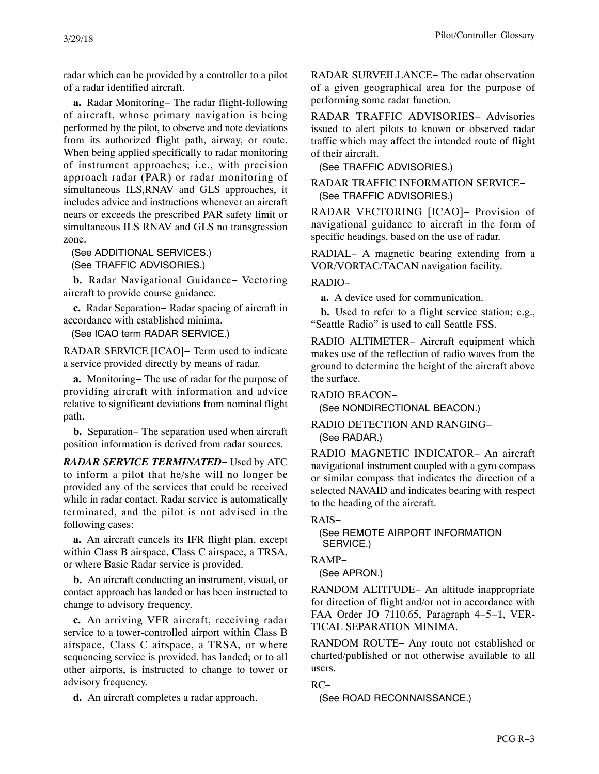radar which can be provided by a controller to a pilot of a radar identified aircraft.

 of aircraft, whose primary navigation is being of instrument approaches; i.e., with precision approach radar (PAR) or radar monitoring of **a.** Radar Monitoring− The radar flight-following performed by the pilot, to observe and note deviations from its authorized flight path, airway, or route. When being applied specifically to radar monitoring simultaneous ILS,RNAV and GLS approaches, it includes advice and instructions whenever an aircraft nears or exceeds the prescribed PAR safety limit or simultaneous ILS RNAV and GLS no transgression zone.

(See ADDITIONAL SERVICES.)

(See TRAFFIC ADVISORIES.)

**b.** Radar Navigational Guidance− Vectoring aircraft to provide course guidance.

**c.** Radar Separation− Radar spacing of aircraft in accordance with established minima.

(See ICAO term RADAR SERVICE.)

RADAR SERVICE [ICAO]− Term used to indicate a service provided directly by means of radar.

 providing aircraft with information and advice **a.** Monitoring− The use of radar for the purpose of relative to significant deviations from nominal flight path.

**b.** Separation− The separation used when aircraft position information is derived from radar sources.

 to inform a pilot that he/she will no longer be terminated, and the pilot is not advised in the *RADAR SERVICE TERMINATED−* Used by ATC provided any of the services that could be received while in radar contact. Radar service is automatically following cases:

**a.** An aircraft cancels its IFR flight plan, except within Class B airspace, Class C airspace, a TRSA, or where Basic Radar service is provided.

**b.** An aircraft conducting an instrument, visual, or contact approach has landed or has been instructed to change to advisory frequency.

 **c.** An arriving VFR aircraft, receiving radar airspace, Class C airspace, a TRSA, or where service to a tower-controlled airport within Class B sequencing service is provided, has landed; or to all other airports, is instructed to change to tower or advisory frequency.

**d.** An aircraft completes a radar approach.

 of a given geographical area for the purpose of RADAR SURVEILLANCE− The radar observation performing some radar function.

RADAR TRAFFIC ADVISORIES− Advisories issued to alert pilots to known or observed radar traffic which may affect the intended route of flight of their aircraft.

(See TRAFFIC ADVISORIES.)

RADAR TRAFFIC INFORMATION SERVICE− (See TRAFFIC ADVISORIES.)

 navigational guidance to aircraft in the form of RADAR VECTORING [ICAO]− Provision of specific headings, based on the use of radar.

RADIAL− A magnetic bearing extending from a VOR/VORTAC/TACAN navigation facility.

RADIO−

**a.** A device used for communication.

**b.** Used to refer to a flight service station; e.g., "Seattle Radio" is used to call Seattle FSS.

RADIO ALTIMETER− Aircraft equipment which makes use of the reflection of radio waves from the ground to determine the height of the aircraft above the surface.

RADIO BEACON−

(See NONDIRECTIONAL BEACON.)

RADIO DETECTION AND RANGING− (See RADAR.)

RADIO MAGNETIC INDICATOR− An aircraft navigational instrument coupled with a gyro compass or similar compass that indicates the direction of a selected NAVAID and indicates bearing with respect to the heading of the aircraft.

RAIS−

(See REMOTE AIRPORT INFORMATION SERVICE.)

RAMP−

(See APRON.)

RANDOM ALTITUDE− An altitude inappropriate for direction of flight and/or not in accordance with FAA Order JO 7110.65, Paragraph 4−5−1, VER-TICAL SEPARATION MINIMA.

RANDOM ROUTE− Any route not established or charted/published or not otherwise available to all users.

R<sub>C−</sub>

(See ROAD RECONNAISSANCE.)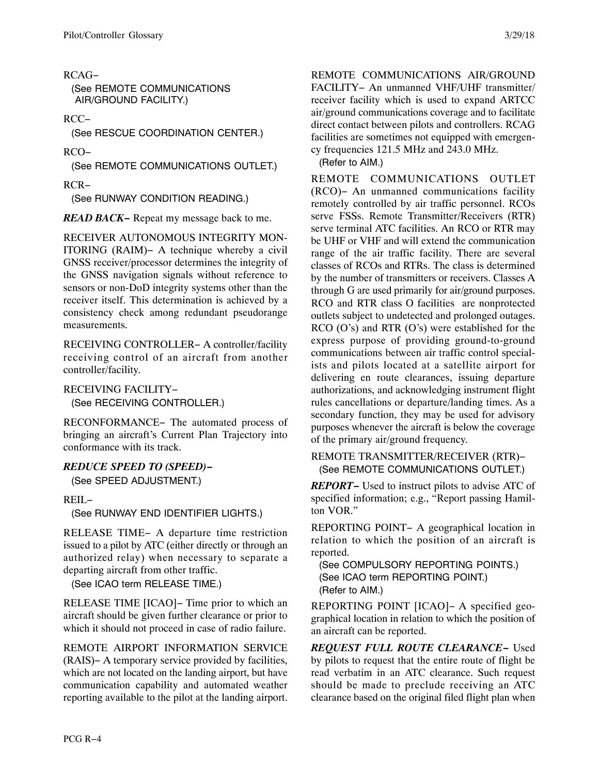# RCAG−

(See REMOTE COMMUNICATIONS AIR/GROUND FACILITY.)

RCC−

(See RESCUE COORDINATION CENTER.)

RCO−

(See REMOTE COMMUNICATIONS OUTLET.)

RCR−

(See RUNWAY CONDITION READING.)

*READ BACK−* Repeat my message back to me.

RECEIVER AUTONOMOUS INTEGRITY MON-ITORING (RAIM)− A technique whereby a civil GNSS receiver/processor determines the integrity of the GNSS navigation signals without reference to sensors or non-DoD integrity systems other than the receiver itself. This determination is achieved by a consistency check among redundant pseudorange measurements.

 receiving control of an aircraft from another RECEIVING CONTROLLER− A controller/facility controller/facility.

RECEIVING FACILITY− (See RECEIVING CONTROLLER.)

RECONFORMANCE− The automated process of bringing an aircraft's Current Plan Trajectory into conformance with its track.

*REDUCE SPEED TO (SPEED)−* (See SPEED ADJUSTMENT.)

REIL−

(See RUNWAY END IDENTIFIER LIGHTS.)

 authorized relay) when necessary to separate a RELEASE TIME− A departure time restriction issued to a pilot by ATC (either directly or through an departing aircraft from other traffic.

(See ICAO term RELEASE TIME.)

RELEASE TIME [ICAO]− Time prior to which an aircraft should be given further clearance or prior to which it should not proceed in case of radio failure.

REMOTE AIRPORT INFORMATION SERVICE (RAIS)− A temporary service provided by facilities, which are not located on the landing airport, but have communication capability and automated weather reporting available to the pilot at the landing airport.

REMOTE COMMUNICATIONS AIR/GROUND FACILITY− An unmanned VHF/UHF transmitter/ receiver facility which is used to expand ARTCC air/ground communications coverage and to facilitate direct contact between pilots and controllers. RCAG facilities are sometimes not equipped with emergency frequencies 121.5 MHz and 243.0 MHz.

(Refer to AIM.)

 (RCO)− An unmanned communications facility express purpose of providing ground-to-ground ists and pilots located at a satellite airport for REMOTE COMMUNICATIONS OUTLET remotely controlled by air traffic personnel. RCOs serve FSSs. Remote Transmitter/Receivers (RTR) serve terminal ATC facilities. An RCO or RTR may be UHF or VHF and will extend the communication range of the air traffic facility. There are several classes of RCOs and RTRs. The class is determined by the number of transmitters or receivers. Classes A through G are used primarily for air/ground purposes. RCO and RTR class O facilities are nonprotected outlets subject to undetected and prolonged outages. RCO (O's) and RTR (O's) were established for the communications between air traffic control specialdelivering en route clearances, issuing departure authorizations, and acknowledging instrument flight rules cancellations or departure/landing times. As a secondary function, they may be used for advisory purposes whenever the aircraft is below the coverage of the primary air/ground frequency.

REMOTE TRANSMITTER/RECEIVER (RTR)− (See REMOTE COMMUNICATIONS OUTLET.)

*REPORT* − Used to instruct pilots to advise ATC of specified information; e.g., "Report passing Hamilton VOR."

 relation to which the position of an aircraft is REPORTING POINT− A geographical location in reported.

(See COMPULSORY REPORTING POINTS.) (See ICAO term REPORTING POINT.) (Refer to AIM.)

REPORTING POINT [ICAO]− A specified geographical location in relation to which the position of an aircraft can be reported.

*REQUEST FULL ROUTE CLEARANCE−* Used by pilots to request that the entire route of flight be read verbatim in an ATC clearance. Such request should be made to preclude receiving an ATC clearance based on the original filed flight plan when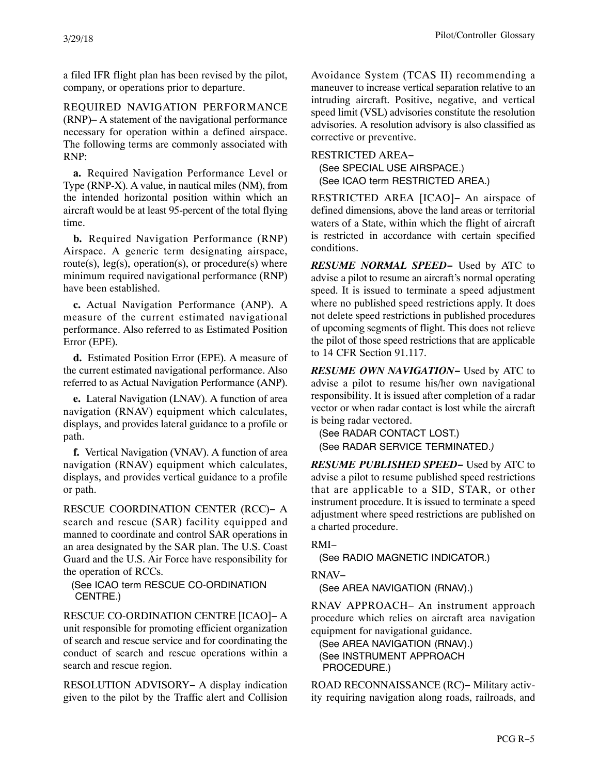a filed IFR flight plan has been revised by the pilot, company, or operations prior to departure.

REQUIRED NAVIGATION PERFORMANCE (RNP)– A statement of the navigational performance necessary for operation within a defined airspace. The following terms are commonly associated with RNP:

 **a.** Required Navigation Performance Level or Type (RNP-X). A value, in nautical miles (NM), from the intended horizontal position within which an aircraft would be at least 95-percent of the total flying time.

 Airspace. A generic term designating airspace, **b.** Required Navigation Performance (RNP) route(s),  $leg(s)$ , operation(s), or procedure(s) where minimum required navigational performance (RNP) have been established.

 **c.** Actual Navigation Performance (ANP). A measure of the current estimated navigational performance. Also referred to as Estimated Position Error (EPE).

**d.** Estimated Position Error (EPE). A measure of the current estimated navigational performance. Also referred to as Actual Navigation Performance (ANP).

 navigation (RNAV) equipment which calculates, **e.** Lateral Navigation (LNAV). A function of area displays, and provides lateral guidance to a profile or path.

 navigation (RNAV) equipment which calculates, **f.** Vertical Navigation (VNAV). A function of area displays, and provides vertical guidance to a profile or path.

 search and rescue (SAR) facility equipped and RESCUE COORDINATION CENTER (RCC)− A manned to coordinate and control SAR operations in an area designated by the SAR plan. The U.S. Coast Guard and the U.S. Air Force have responsibility for the operation of RCCs.

(See ICAO term RESCUE CO-ORDINATION CENTRE.)

RESCUE CO-ORDINATION CENTRE [ICAO]− A unit responsible for promoting efficient organization of search and rescue service and for coordinating the conduct of search and rescue operations within a search and rescue region.

RESOLUTION ADVISORY− A display indication given to the pilot by the Traffic alert and Collision

 Avoidance System (TCAS II) recommending a maneuver to increase vertical separation relative to an intruding aircraft. Positive, negative, and vertical speed limit (VSL) advisories constitute the resolution advisories. A resolution advisory is also classified as corrective or preventive.

#### RESTRICTED AREA−

(See SPECIAL USE AIRSPACE.) (See ICAO term RESTRICTED AREA.)

 RESTRICTED AREA [ICAO]− An airspace of defined dimensions, above the land areas or territorial waters of a State, within which the flight of aircraft is restricted in accordance with certain specified conditions.

*RESUME NORMAL SPEED−* Used by ATC to advise a pilot to resume an aircraft's normal operating speed. It is issued to terminate a speed adjustment where no published speed restrictions apply. It does not delete speed restrictions in published procedures of upcoming segments of flight. This does not relieve the pilot of those speed restrictions that are applicable to 14 CFR Section 91.117.

*RESUME OWN NAVIGATION−* Used by ATC to advise a pilot to resume his/her own navigational responsibility. It is issued after completion of a radar vector or when radar contact is lost while the aircraft is being radar vectored.

(See RADAR CONTACT LOST.) (See RADAR SERVICE TERMINATED.*)*

 that are applicable to a SID, STAR, or other *RESUME PUBLISHED SPEED−* Used by ATC to advise a pilot to resume published speed restrictions instrument procedure. It is issued to terminate a speed adjustment where speed restrictions are published on a charted procedure.

RMI−

(See RADIO MAGNETIC INDICATOR.)

RNAV−

(See AREA NAVIGATION (RNAV).)

RNAV APPROACH− An instrument approach procedure which relies on aircraft area navigation equipment for navigational guidance.

(See AREA NAVIGATION (RNAV).) (See INSTRUMENT APPROACH PROCEDURE.)

ROAD RECONNAISSANCE (RC)− Military activity requiring navigation along roads, railroads, and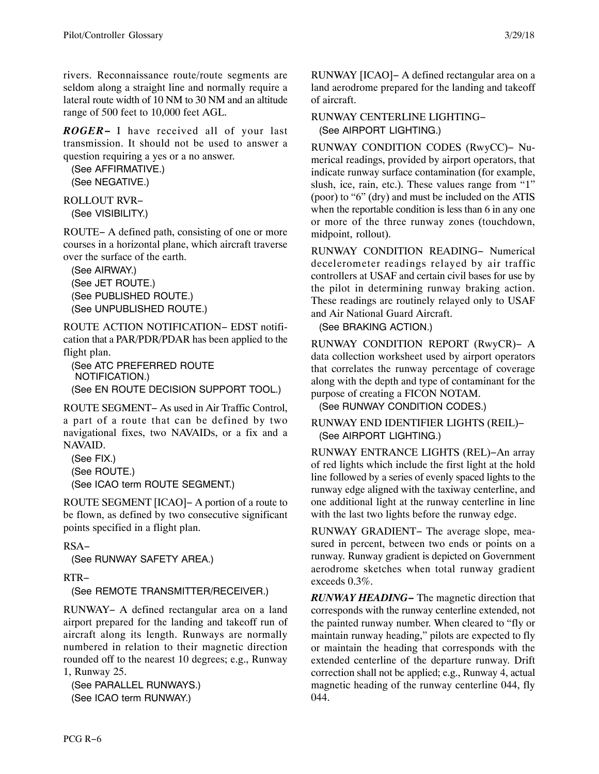rivers. Reconnaissance route/route segments are seldom along a straight line and normally require a lateral route width of 10 NM to 30 NM and an altitude range of 500 feet to 10,000 feet AGL.

 *ROGER−* I have received all of your last transmission. It should not be used to answer a question requiring a yes or a no answer.

(See AFFIRMATIVE.) (See NEGATIVE.)

ROLLOUT RVR− (See VISIBILITY.)

ROUTE− A defined path, consisting of one or more courses in a horizontal plane, which aircraft traverse over the surface of the earth.

(See AIRWAY.) (See JET ROUTE.) (See PUBLISHED ROUTE.) (See UNPUBLISHED ROUTE.)

ROUTE ACTION NOTIFICATION− EDST notification that a PAR/PDR/PDAR has been applied to the flight plan.

(See ATC PREFERRED ROUTE NOTIFICATION.) (See EN ROUTE DECISION SUPPORT TOOL.)

 a part of a route that can be defined by two ROUTE SEGMENT− As used in Air Traffic Control, navigational fixes, two NAVAIDs, or a fix and a NAVAID.

(See FIX.) (See ROUTE.) (See ICAO term ROUTE SEGMENT.)

ROUTE SEGMENT [ICAO]− A portion of a route to be flown, as defined by two consecutive significant points specified in a flight plan.

RSA−

(See RUNWAY SAFETY AREA.)

RTR−

(See REMOTE TRANSMITTER/RECEIVER.)

 aircraft along its length. Runways are normally numbered in relation to their magnetic direction RUNWAY− A defined rectangular area on a land airport prepared for the landing and takeoff run of rounded off to the nearest 10 degrees; e.g., Runway 1, Runway 25.

(See PARALLEL RUNWAYS.) (See ICAO term RUNWAY.)

RUNWAY [ICAO]− A defined rectangular area on a land aerodrome prepared for the landing and takeoff of aircraft.

RUNWAY CENTERLINE LIGHTING− (See AIRPORT LIGHTING.)

 or more of the three runway zones (touchdown, RUNWAY CONDITION CODES (RwyCC)− Numerical readings, provided by airport operators, that indicate runway surface contamination (for example, slush, ice, rain, etc.). These values range from "1" (poor) to "6" (dry) and must be included on the ATIS when the reportable condition is less than 6 in any one midpoint, rollout).

 decelerometer readings relayed by air traffic the pilot in determining runway braking action. RUNWAY CONDITION READING− Numerical controllers at USAF and certain civil bases for use by These readings are routinely relayed only to USAF and Air National Guard Aircraft.

(See BRAKING ACTION.)

RUNWAY CONDITION REPORT (RwyCR)− A data collection worksheet used by airport operators that correlates the runway percentage of coverage along with the depth and type of contaminant for the purpose of creating a FICON NOTAM.

(See RUNWAY CONDITION CODES.)

RUNWAY END IDENTIFIER LIGHTS (REIL)− (See AIRPORT LIGHTING.)

RUNWAY ENTRANCE LIGHTS (REL)−An array of red lights which include the first light at the hold line followed by a series of evenly spaced lights to the runway edge aligned with the taxiway centerline, and one additional light at the runway centerline in line with the last two lights before the runway edge.

RUNWAY GRADIENT− The average slope, measured in percent, between two ends or points on a runway. Runway gradient is depicted on Government aerodrome sketches when total runway gradient exceeds 0.3%.

*RUNWAY HEADING* − The magnetic direction that corresponds with the runway centerline extended, not the painted runway number. When cleared to "fly or maintain runway heading," pilots are expected to fly or maintain the heading that corresponds with the extended centerline of the departure runway. Drift correction shall not be applied; e.g., Runway 4, actual magnetic heading of the runway centerline 044, fly 044.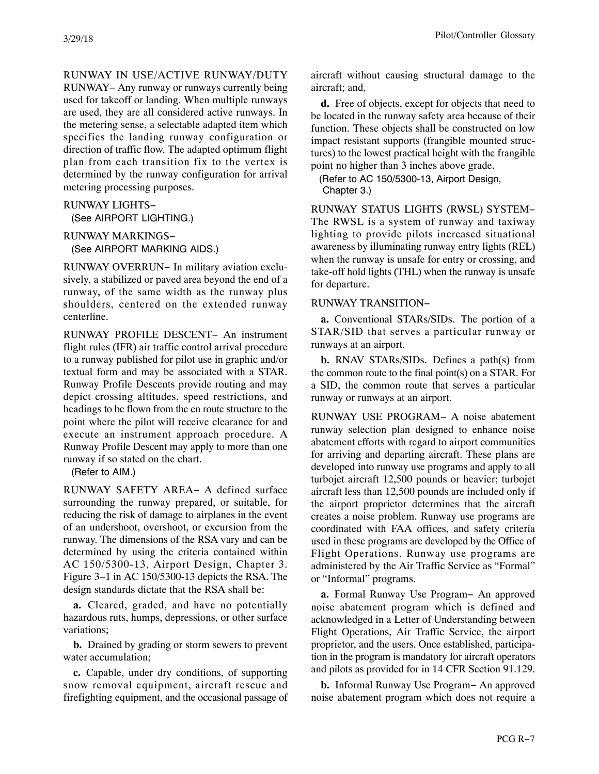specifies the landing runway configuration or plan from each transition fix to the vertex is RUNWAY IN USE/ACTIVE RUNWAY/DUTY RUNWAY− Any runway or runways currently being used for takeoff or landing. When multiple runways are used, they are all considered active runways. In the metering sense, a selectable adapted item which direction of traffic flow. The adapted optimum flight determined by the runway configuration for arrival metering processing purposes.

RUNWAY LIGHTS− (See AIRPORT LIGHTING.)

RUNWAY MARKINGS− (See AIRPORT MARKING AIDS.)

 runway, of the same width as the runway plus shoulders, centered on the extended runway RUNWAY OVERRUN− In military aviation exclusively, a stabilized or paved area beyond the end of a centerline.

 depict crossing altitudes, speed restrictions, and execute an instrument approach procedure. A RUNWAY PROFILE DESCENT− An instrument flight rules (IFR) air traffic control arrival procedure to a runway published for pilot use in graphic and/or textual form and may be associated with a STAR. Runway Profile Descents provide routing and may headings to be flown from the en route structure to the point where the pilot will receive clearance for and Runway Profile Descent may apply to more than one runway if so stated on the chart.

(Refer to AIM.)

 AC 150/5300-13, Airport Design, Chapter 3. RUNWAY SAFETY AREA− A defined surface surrounding the runway prepared, or suitable, for reducing the risk of damage to airplanes in the event of an undershoot, overshoot, or excursion from the runway. The dimensions of the RSA vary and can be determined by using the criteria contained within Figure 3−1 in AC 150/5300-13 depicts the RSA. The design standards dictate that the RSA shall be:

 **a.** Cleared, graded, and have no potentially hazardous ruts, humps, depressions, or other surface variations;

**b.** Drained by grading or storm sewers to prevent water accumulation;

 snow removal equipment, aircraft rescue and **c.** Capable, under dry conditions, of supporting firefighting equipment, and the occasional passage of

aircraft without causing structural damage to the aircraft; and,

**d.** Free of objects, except for objects that need to be located in the runway safety area because of their function. These objects shall be constructed on low impact resistant supports (frangible mounted structures) to the lowest practical height with the frangible point no higher than 3 inches above grade.

(Refer to AC 150/5300-13, Airport Design, Chapter 3.)

 The RWSL is a system of runway and taxiway RUNWAY STATUS LIGHTS (RWSL) SYSTEM− lighting to provide pilots increased situational awareness by illuminating runway entry lights (REL) when the runway is unsafe for entry or crossing, and take-off hold lights (THL) when the runway is unsafe for departure.

#### RUNWAY TRANSITION−

**a.** Conventional STARs/SIDs. The portion of a STAR/SID that serves a particular runway or runways at an airport.

**b.** RNAV STARs/SIDs. Defines a path(s) from the common route to the final point(s) on a STAR. For a SID, the common route that serves a particular runway or runways at an airport.

 Flight Operations. Runway use programs are RUNWAY USE PROGRAM− A noise abatement runway selection plan designed to enhance noise abatement efforts with regard to airport communities for arriving and departing aircraft. These plans are developed into runway use programs and apply to all turbojet aircraft 12,500 pounds or heavier; turbojet aircraft less than 12,500 pounds are included only if the airport proprietor determines that the aircraft creates a noise problem. Runway use programs are coordinated with FAA offices, and safety criteria used in these programs are developed by the Office of administered by the Air Traffic Service as "Formal" or "Informal" programs.

**a.** Formal Runway Use Program− An approved noise abatement program which is defined and acknowledged in a Letter of Understanding between Flight Operations, Air Traffic Service, the airport proprietor, and the users. Once established, participation in the program is mandatory for aircraft operators and pilots as provided for in 14 CFR Section 91.129.

**b.** Informal Runway Use Program− An approved noise abatement program which does not require a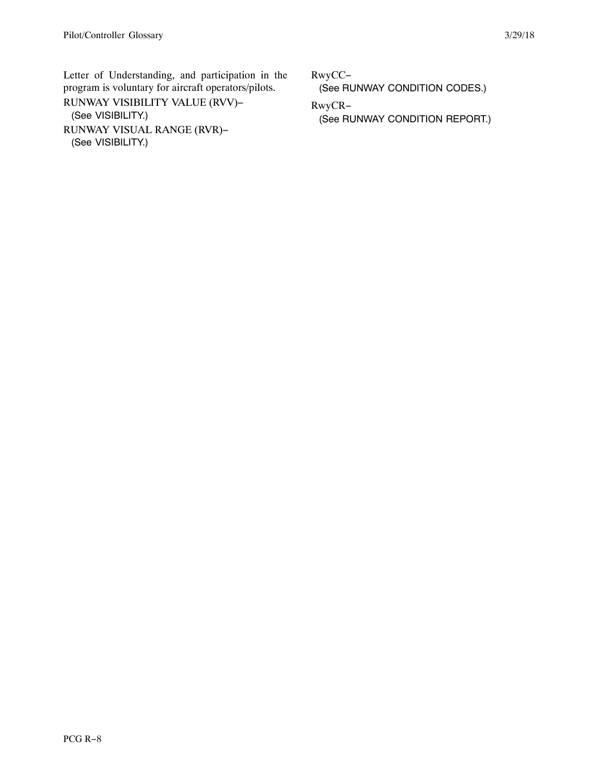Letter of Understanding, and participation in the RwyCC− program is voluntary for aircraft operators/pilots. (See RUNWAY CONDITION CODES.)

RUNWAY VISIBILITY VALUE (RVV)− RwyCR−<br>(See RUNWAY CONDITION REPORT.) RUNWAY VISUAL RANGE (RVR)− (See VISIBILITY.)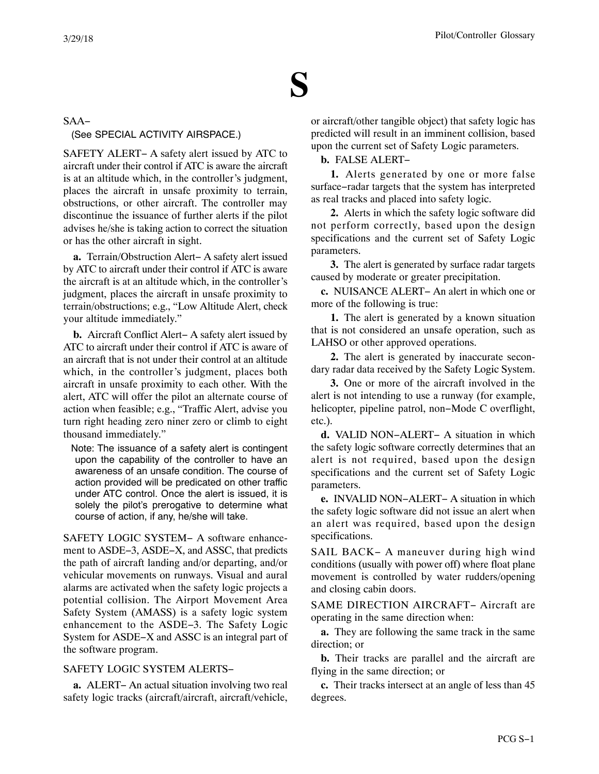# **S**

# SAA− (See SPECIAL ACTIVITY AIRSPACE.)

SAFETY ALERT− A safety alert issued by ATC to aircraft under their control if ATC is aware the aircraft is at an altitude which, in the controller's judgment, places the aircraft in unsafe proximity to terrain, obstructions, or other aircraft. The controller may discontinue the issuance of further alerts if the pilot advises he/she is taking action to correct the situation or has the other aircraft in sight.

**a.** Terrain/Obstruction Alert− A safety alert issued by ATC to aircraft under their control if ATC is aware the aircraft is at an altitude which, in the controller's judgment, places the aircraft in unsafe proximity to terrain/obstructions; e.g., "Low Altitude Alert, check your altitude immediately."

**b.** Aircraft Conflict Alert− A safety alert issued by ATC to aircraft under their control if ATC is aware of an aircraft that is not under their control at an altitude which, in the controller's judgment, places both aircraft in unsafe proximity to each other. With the alert, ATC will offer the pilot an alternate course of action when feasible; e.g., "Traffic Alert, advise you turn right heading zero niner zero or climb to eight thousand immediately."

Note: The issuance of a safety alert is contingent upon the capability of the controller to have an awareness of an unsafe condition. The course of action provided will be predicated on other traffic under ATC control. Once the alert is issued, it is solely the pilot's prerogative to determine what course of action, if any, he/she will take.

 potential collision. The Airport Movement Area enhancement to the ASDE−3. The Safety Logic SAFETY LOGIC SYSTEM− A software enhancement to ASDE−3, ASDE−X, and ASSC, that predicts the path of aircraft landing and/or departing, and/or vehicular movements on runways. Visual and aural alarms are activated when the safety logic projects a Safety System (AMASS) is a safety logic system System for ASDE−X and ASSC is an integral part of the software program.

# SAFETY LOGIC SYSTEM ALERTS−

**a.** ALERT− An actual situation involving two real safety logic tracks (aircraft/aircraft, aircraft/vehicle, or aircraft/other tangible object) that safety logic has predicted will result in an imminent collision, based upon the current set of Safety Logic parameters.

**b.** FALSE ALERT−

 **1.** Alerts generated by one or more false surface−radar targets that the system has interpreted as real tracks and placed into safety logic.

 not perform correctly, based upon the design **2.** Alerts in which the safety logic software did specifications and the current set of Safety Logic parameters.

**3.** The alert is generated by surface radar targets caused by moderate or greater precipitation.

**c.** NUISANCE ALERT− An alert in which one or more of the following is true:

**1.** The alert is generated by a known situation that is not considered an unsafe operation, such as LAHSO or other approved operations.

**2.** The alert is generated by inaccurate secondary radar data received by the Safety Logic System.

**3.** One or more of the aircraft involved in the alert is not intending to use a runway (for example, helicopter, pipeline patrol, non−Mode C overflight, etc.).

 alert is not required, based upon the design **d.** VALID NON−ALERT− A situation in which the safety logic software correctly determines that an specifications and the current set of Safety Logic parameters.

 an alert was required, based upon the design **e.** INVALID NON−ALERT− A situation in which the safety logic software did not issue an alert when specifications.

 SAIL BACK− A maneuver during high wind conditions (usually with power off) where float plane movement is controlled by water rudders/opening and closing cabin doors.

SAME DIRECTION AIRCRAFT− Aircraft are operating in the same direction when:

**a.** They are following the same track in the same direction; or

**b.** Their tracks are parallel and the aircraft are flying in the same direction; or

**c.** Their tracks intersect at an angle of less than 45 degrees.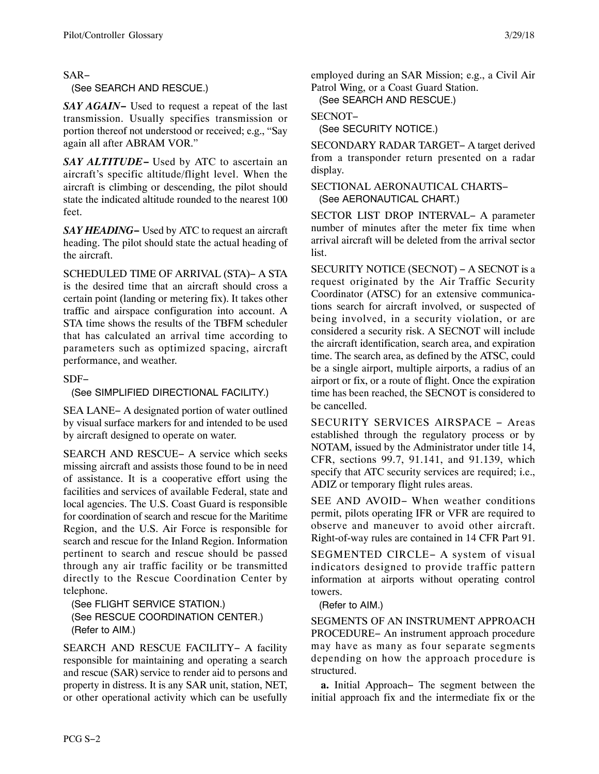# SAR−

(See SEARCH AND RESCUE.)

 transmission. Usually specifies transmission or *SAY AGAIN*− Used to request a repeat of the last portion thereof not understood or received; e.g., "Say again all after ABRAM VOR."

 *SAY ALTITUDE−* Used by ATC to ascertain an aircraft's specific altitude/flight level. When the aircraft is climbing or descending, the pilot should state the indicated altitude rounded to the nearest 100 feet.

*SAY HEADING* − Used by ATC to request an aircraft heading. The pilot should state the actual heading of the aircraft.

 that has calculated an arrival time according to SCHEDULED TIME OF ARRIVAL (STA)− A STA is the desired time that an aircraft should cross a certain point (landing or metering fix). It takes other traffic and airspace configuration into account. A STA time shows the results of the TBFM scheduler parameters such as optimized spacing, aircraft performance, and weather.

SDF−

#### (See SIMPLIFIED DIRECTIONAL FACILITY.)

SEA LANE− A designated portion of water outlined by visual surface markers for and intended to be used by aircraft designed to operate on water.

 pertinent to search and rescue should be passed through any air traffic facility or be transmitted directly to the Rescue Coordination Center by SEARCH AND RESCUE− A service which seeks missing aircraft and assists those found to be in need of assistance. It is a cooperative effort using the facilities and services of available Federal, state and local agencies. The U.S. Coast Guard is responsible for coordination of search and rescue for the Maritime Region, and the U.S. Air Force is responsible for search and rescue for the Inland Region. Information telephone.

(See FLIGHT SERVICE STATION.) (See RESCUE COORDINATION CENTER.) (Refer to AIM.)

SEARCH AND RESCUE FACILITY- A facility responsible for maintaining and operating a search and rescue (SAR) service to render aid to persons and property in distress. It is any SAR unit, station, NET, or other operational activity which can be usefully

employed during an SAR Mission; e.g., a Civil Air Patrol Wing, or a Coast Guard Station.

(See SEARCH AND RESCUE.)

#### SECNOT−

(See SECURITY NOTICE.)

 from a transponder return presented on a radar SECONDARY RADAR TARGET− A target derived display.

SECTIONAL AERONAUTICAL CHARTS− (See AERONAUTICAL CHART.)

SECTOR LIST DROP INTERVAL− A parameter number of minutes after the meter fix time when arrival aircraft will be deleted from the arrival sector list.

 being involved, in a security violation, or are SECURITY NOTICE (SECNOT) − A SECNOT is a request originated by the Air Traffic Security Coordinator (ATSC) for an extensive communications search for aircraft involved, or suspected of considered a security risk. A SECNOT will include the aircraft identification, search area, and expiration time. The search area, as defined by the ATSC, could be a single airport, multiple airports, a radius of an airport or fix, or a route of flight. Once the expiration time has been reached, the SECNOT is considered to be cancelled.

SECURITY SERVICES AIRSPACE − Areas established through the regulatory process or by NOTAM, issued by the Administrator under title 14, CFR, sections 99.7, 91.141, and 91.139, which specify that ATC security services are required; i.e., ADIZ or temporary flight rules areas.

 SEE AND AVOID− When weather conditions observe and maneuver to avoid other aircraft. permit, pilots operating IFR or VFR are required to Right-of-way rules are contained in 14 CFR Part 91.

 SEGMENTED CIRCLE− A system of visual indicators designed to provide traffic pattern information at airports without operating control towers.

(Refer to AIM.)

 may have as many as four separate segments depending on how the approach procedure is SEGMENTS OF AN INSTRUMENT APPROACH PROCEDURE− An instrument approach procedure structured.

**a.** Initial Approach− The segment between the initial approach fix and the intermediate fix or the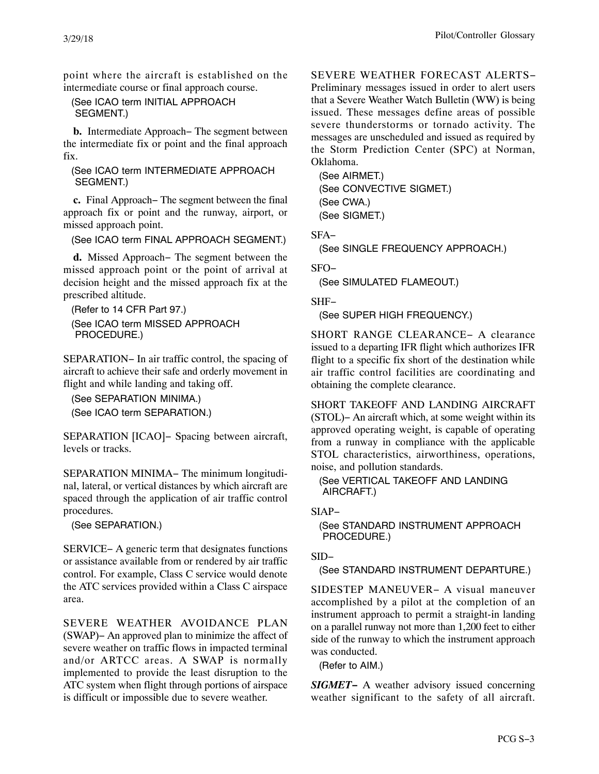point where the aircraft is established on the intermediate course or final approach course.

(See ICAO term INITIAL APPROACH SEGMENT.)

**b.** Intermediate Approach− The segment between the intermediate fix or point and the final approach fix.

(See ICAO term INTERMEDIATE APPROACH SEGMENT.)

**c.** Final Approach− The segment between the final approach fix or point and the runway, airport, or missed approach point.

(See ICAO term FINAL APPROACH SEGMENT.)

 missed approach point or the point of arrival at **d.** Missed Approach− The segment between the decision height and the missed approach fix at the prescribed altitude.

(Refer to 14 CFR Part 97.) (See ICAO term MISSED APPROACH PROCEDURE.)

SEPARATION− In air traffic control, the spacing of aircraft to achieve their safe and orderly movement in flight and while landing and taking off.

(See SEPARATION MINIMA.) (See ICAO term SEPARATION.)

SEPARATION [ICAO]− Spacing between aircraft, levels or tracks.

SEPARATION MINIMA– The minimum longitudinal, lateral, or vertical distances by which aircraft are spaced through the application of air traffic control procedures.

(See SEPARATION.)

SERVICE− A generic term that designates functions or assistance available from or rendered by air traffic control. For example, Class C service would denote the ATC services provided within a Class C airspace area.

 and/or ARTCC areas. A SWAP is normally SEVERE WEATHER AVOIDANCE PLAN (SWAP)− An approved plan to minimize the affect of severe weather on traffic flows in impacted terminal implemented to provide the least disruption to the ATC system when flight through portions of airspace is difficult or impossible due to severe weather.

 issued. These messages define areas of possible severe thunderstorms or tornado activity. The the Storm Prediction Center (SPC) at Norman, SEVERE WEATHER FORECAST ALERTS− Preliminary messages issued in order to alert users that a Severe Weather Watch Bulletin (WW) is being messages are unscheduled and issued as required by Oklahoma.

(See AIRMET.) (See CONVECTIVE SIGMET.) (See CWA.) (See SIGMET.)

SFA−

(See SINGLE FREQUENCY APPROACH.)

SFO−

(See SIMULATED FLAMEOUT.)

SHF−

(See SUPER HIGH FREQUENCY.)

 air traffic control facilities are coordinating and SHORT RANGE CLEARANCE− A clearance issued to a departing IFR flight which authorizes IFR flight to a specific fix short of the destination while obtaining the complete clearance.

SHORT TAKEOFF AND LANDING AIRCRAFT (STOL)− An aircraft which, at some weight within its approved operating weight, is capable of operating from a runway in compliance with the applicable STOL characteristics, airworthiness, operations, noise, and pollution standards.

(See VERTICAL TAKEOFF AND LANDING AIRCRAFT.)

SIAP−

(See STANDARD INSTRUMENT APPROACH PROCEDURE.)

SID−

(See STANDARD INSTRUMENT DEPARTURE.)

 accomplished by a pilot at the completion of an SIDESTEP MANEUVER− A visual maneuver instrument approach to permit a straight-in landing on a parallel runway not more than 1,200 feet to either side of the runway to which the instrument approach was conducted.

(Refer to AIM.)

 weather significant to the safety of all aircraft. *SIGMET−* A weather advisory issued concerning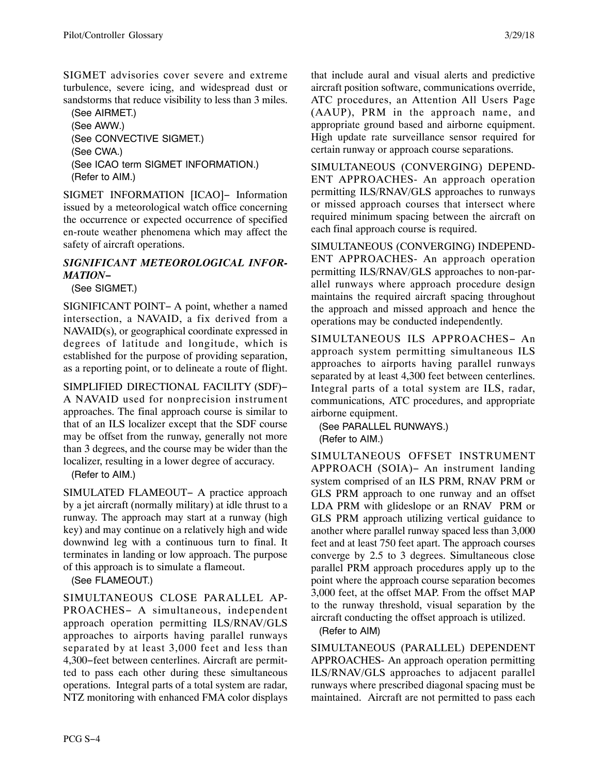SIGMET advisories cover severe and extreme turbulence, severe icing, and widespread dust or sandstorms that reduce visibility to less than 3 miles.

(See AIRMET.) (See AWW.) (See CONVECTIVE SIGMET.) (See CWA.) (See ICAO term SIGMET INFORMATION.) (Refer to AIM.)

SIGMET INFORMATION [ICAO]− Information issued by a meteorological watch office concerning the occurrence or expected occurrence of specified en-route weather phenomena which may affect the safety of aircraft operations.

# *SIGNIFICANT METEOROLOGICAL INFOR-MATION−*

(See SIGMET.)

 degrees of latitude and longitude, which is SIGNIFICANT POINT− A point, whether a named intersection, a NAVAID, a fix derived from a NAVAID(s), or geographical coordinate expressed in established for the purpose of providing separation, as a reporting point, or to delineate a route of flight.

SIMPLIFIED DIRECTIONAL FACILITY (SDF)− A NAVAID used for nonprecision instrument approaches. The final approach course is similar to that of an ILS localizer except that the SDF course may be offset from the runway, generally not more than 3 degrees, and the course may be wider than the localizer, resulting in a lower degree of accuracy.

(Refer to AIM.)

SIMULATED FLAMEOUT− A practice approach by a jet aircraft (normally military) at idle thrust to a runway. The approach may start at a runway (high key) and may continue on a relatively high and wide downwind leg with a continuous turn to final. It terminates in landing or low approach. The purpose of this approach is to simulate a flameout.

(See FLAMEOUT.)

 approach operation permitting ILS/RNAV/GLS approaches to airports having parallel runways separated by at least 3,000 feet and less than SIMULTANEOUS CLOSE PARALLEL AP-PROACHES− A simultaneous, independent 4,300−feet between centerlines. Aircraft are permitted to pass each other during these simultaneous operations. Integral parts of a total system are radar, NTZ monitoring with enhanced FMA color displays

 ATC procedures, an Attention All Users Page (AAUP), PRM in the approach name, and that include aural and visual alerts and predictive aircraft position software, communications override, appropriate ground based and airborne equipment. High update rate surveillance sensor required for certain runway or approach course separations.

 or missed approach courses that intersect where SIMULTANEOUS (CONVERGING) DEPEND-ENT APPROACHES- An approach operation permitting ILS/RNAV/GLS approaches to runways required minimum spacing between the aircraft on each final approach course is required.

 allel runways where approach procedure design SIMULTANEOUS (CONVERGING) INDEPEND-ENT APPROACHES- An approach operation permitting ILS/RNAV/GLS approaches to non-parmaintains the required aircraft spacing throughout the approach and missed approach and hence the operations may be conducted independently.

 approaches to airports having parallel runways Integral parts of a total system are ILS, radar, SIMULTANEOUS ILS APPROACHES− An approach system permitting simultaneous ILS separated by at least 4,300 feet between centerlines. communications, ATC procedures, and appropriate airborne equipment.

(See PARALLEL RUNWAYS.) (Refer to AIM.)

 APPROACH (SOIA)− An instrument landing SIMULTANEOUS OFFSET INSTRUMENT system comprised of an ILS PRM, RNAV PRM or GLS PRM approach to one runway and an offset LDA PRM with glideslope or an RNAV PRM or GLS PRM approach utilizing vertical guidance to another where parallel runway spaced less than 3,000 feet and at least 750 feet apart. The approach courses converge by 2.5 to 3 degrees. Simultaneous close parallel PRM approach procedures apply up to the point where the approach course separation becomes 3,000 feet, at the offset MAP. From the offset MAP to the runway threshold, visual separation by the aircraft conducting the offset approach is utilized.

(Refer to AIM)

 ILS/RNAV/GLS approaches to adjacent parallel SIMULTANEOUS (PARALLEL) DEPENDENT APPROACHES- An approach operation permitting runways where prescribed diagonal spacing must be maintained. Aircraft are not permitted to pass each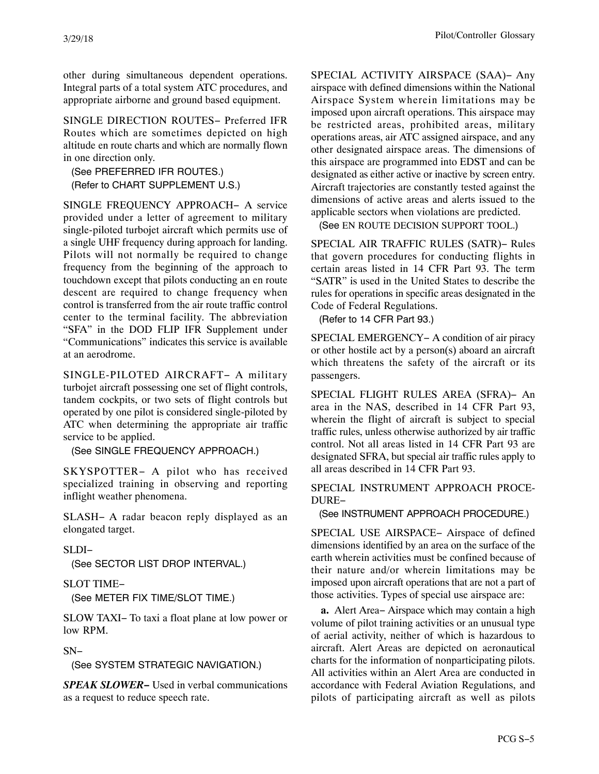3/29/18 Pilot/Controller Glossary

other during simultaneous dependent operations. Integral parts of a total system ATC procedures, and appropriate airborne and ground based equipment.

 Routes which are sometimes depicted on high SINGLE DIRECTION ROUTES− Preferred IFR altitude en route charts and which are normally flown in one direction only.

(See PREFERRED IFR ROUTES.) (Refer to CHART SUPPLEMENT U.S.)

 provided under a letter of agreement to military Pilots will not normally be required to change descent are required to change frequency when center to the terminal facility. The abbreviation SINGLE FREQUENCY APPROACH− A service single-piloted turbojet aircraft which permits use of a single UHF frequency during approach for landing. frequency from the beginning of the approach to touchdown except that pilots conducting an en route control is transferred from the air route traffic control "SFA" in the DOD FLIP IFR Supplement under "Communications" indicates this service is available at an aerodrome.

SINGLE-PILOTED AIRCRAFT− A military turbojet aircraft possessing one set of flight controls, tandem cockpits, or two sets of flight controls but operated by one pilot is considered single-piloted by ATC when determining the appropriate air traffic service to be applied.

(See SINGLE FREQUENCY APPROACH.)

 SKYSPOTTER− A pilot who has received specialized training in observing and reporting inflight weather phenomena.

SLASH− A radar beacon reply displayed as an elongated target.

SLDI−

(See SECTOR LIST DROP INTERVAL.)

# SLOT TIME−

(See METER FIX TIME/SLOT TIME.)

SLOW TAXI− To taxi a float plane at low power or low RPM.

SN−

(See SYSTEM STRATEGIC NAVIGATION.)

 *SPEAK SLOWER−* Used in verbal communications as a request to reduce speech rate.

 Airspace System wherein limitations may be SPECIAL ACTIVITY AIRSPACE (SAA)− Any airspace with defined dimensions within the National imposed upon aircraft operations. This airspace may be restricted areas, prohibited areas, military operations areas, air ATC assigned airspace, and any other designated airspace areas. The dimensions of this airspace are programmed into EDST and can be designated as either active or inactive by screen entry. Aircraft trajectories are constantly tested against the dimensions of active areas and alerts issued to the applicable sectors when violations are predicted.

(See EN ROUTE DECISION SUPPORT TOOL.)

 that govern procedures for conducting flights in SPECIAL AIR TRAFFIC RULES (SATR)− Rules certain areas listed in 14 CFR Part 93. The term "SATR" is used in the United States to describe the rules for operations in specific areas designated in the Code of Federal Regulations.

(Refer to 14 CFR Part 93.)

 which threatens the safety of the aircraft or its SPECIAL EMERGENCY- A condition of air piracy or other hostile act by a person(s) aboard an aircraft passengers.

 area in the NAS, described in 14 CFR Part 93, SPECIAL FLIGHT RULES AREA (SFRA)− An wherein the flight of aircraft is subject to special traffic rules, unless otherwise authorized by air traffic control. Not all areas listed in 14 CFR Part 93 are designated SFRA, but special air traffic rules apply to all areas described in 14 CFR Part 93.

# SPECIAL INSTRUMENT APPROACH PROCE-DURE−

(See INSTRUMENT APPROACH PROCEDURE.)

 their nature and/or wherein limitations may be SPECIAL USE AIRSPACE− Airspace of defined dimensions identified by an area on the surface of the earth wherein activities must be confined because of imposed upon aircraft operations that are not a part of those activities. Types of special use airspace are:

 pilots of participating aircraft as well as pilots **a.** Alert Area− Airspace which may contain a high volume of pilot training activities or an unusual type of aerial activity, neither of which is hazardous to aircraft. Alert Areas are depicted on aeronautical charts for the information of nonparticipating pilots. All activities within an Alert Area are conducted in accordance with Federal Aviation Regulations, and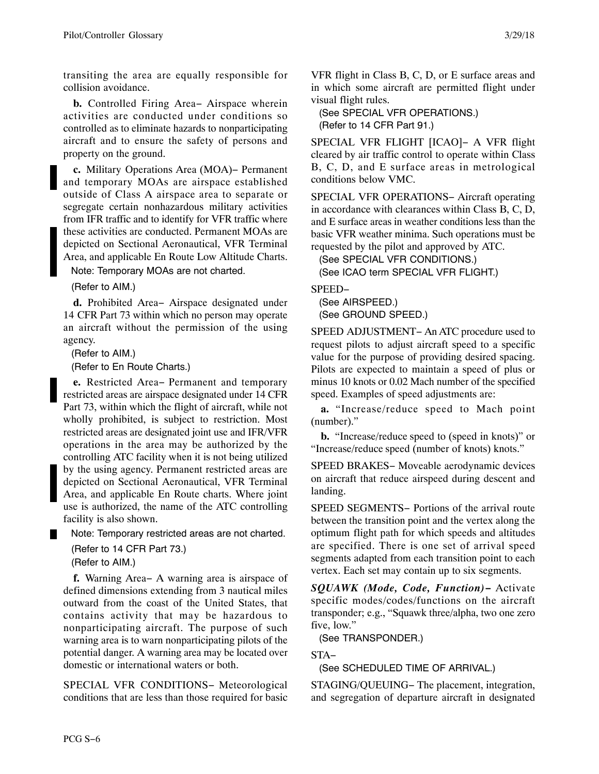transiting the area are equally responsible for collision avoidance.

 activities are conducted under conditions so aircraft and to ensure the safety of persons and **b.** Controlled Firing Area− Airspace wherein controlled as to eliminate hazards to nonparticipating property on the ground.

 and temporary MOAs are airspace established outside of Class A airspace area to separate or **c.** Military Operations Area (MOA)− Permanent segregate certain nonhazardous military activities from IFR traffic and to identify for VFR traffic where these activities are conducted. Permanent MOAs are depicted on Sectional Aeronautical, VFR Terminal Area, and applicable En Route Low Altitude Charts.

Note: Temporary MOAs are not charted.

(Refer to AIM.)

 an aircraft without the permission of the using **d.** Prohibited Area− Airspace designated under 14 CFR Part 73 within which no person may operate agency.

(Refer to AIM.)

(Refer to En Route Charts.)

**e.** Restricted Area− Permanent and temporary restricted areas are airspace designated under 14 CFR Part 73, within which the flight of aircraft, while not wholly prohibited, is subject to restriction. Most restricted areas are designated joint use and IFR/VFR operations in the area may be authorized by the controlling ATC facility when it is not being utilized by the using agency. Permanent restricted areas are depicted on Sectional Aeronautical, VFR Terminal Area, and applicable En Route charts. Where joint use is authorized, the name of the ATC controlling facility is also shown.

Note: Temporary restricted areas are not charted.

(Refer to 14 CFR Part 73.) (Refer to AIM.)

 contains activity that may be hazardous to nonparticipating aircraft. The purpose of such potential danger. A warning area may be located over **f.** Warning Area− A warning area is airspace of defined dimensions extending from 3 nautical miles outward from the coast of the United States, that warning area is to warn nonparticipating pilots of the domestic or international waters or both.

SPECIAL VFR CONDITIONS− Meteorological conditions that are less than those required for basic VFR flight in Class B, C, D, or E surface areas and in which some aircraft are permitted flight under visual flight rules.

(See SPECIAL VFR OPERATIONS.) (Refer to 14 CFR Part 91.)

 B, C, D, and E surface areas in metrological SPECIAL VFR FLIGHT [ICAO]− A VFR flight cleared by air traffic control to operate within Class conditions below VMC.

SPECIAL VFR OPERATIONS− Aircraft operating in accordance with clearances within Class B, C, D, and E surface areas in weather conditions less than the basic VFR weather minima. Such operations must be requested by the pilot and approved by ATC.

(See SPECIAL VFR CONDITIONS.)

(See ICAO term SPECIAL VFR FLIGHT.)

SPEED−

(See AIRSPEED.) (See GROUND SPEED.)

 SPEED ADJUSTMENT− An ATC procedure used to request pilots to adjust aircraft speed to a specific value for the purpose of providing desired spacing. Pilots are expected to maintain a speed of plus or minus 10 knots or 0.02 Mach number of the specified speed. Examples of speed adjustments are:

**a.** "Increase/reduce speed to Mach point (number)."

**b.** "Increase/reduce speed to (speed in knots)" or "Increase/reduce speed (number of knots) knots."

SPEED BRAKES− Moveable aerodynamic devices on aircraft that reduce airspeed during descent and landing.

 are specified. There is one set of arrival speed SPEED SEGMENTS− Portions of the arrival route between the transition point and the vertex along the optimum flight path for which speeds and altitudes segments adapted from each transition point to each vertex. Each set may contain up to six segments.

 *SQUAWK (Mode, Code, Function)−* Activate specific modes/codes/functions on the aircraft transponder; e.g., "Squawk three/alpha, two one zero five, low."

(See TRANSPONDER.)

STA−

(See SCHEDULED TIME OF ARRIVAL.)

STAGING/QUEUING− The placement, integration, and segregation of departure aircraft in designated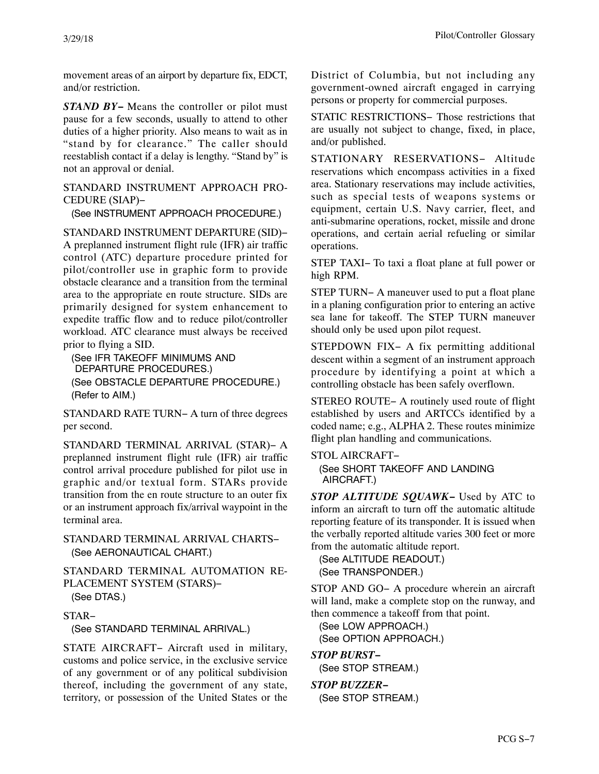movement areas of an airport by departure fix, EDCT, and/or restriction.

 "stand by for clearance." The caller should *STAND BY*<sup>−</sup> Means the controller or pilot must pause for a few seconds, usually to attend to other duties of a higher priority. Also means to wait as in reestablish contact if a delay is lengthy. "Stand by" is not an approval or denial.

STANDARD INSTRUMENT APPROACH PRO-CEDURE (SIAP)−

(See INSTRUMENT APPROACH PROCEDURE.)

 pilot/controller use in graphic form to provide primarily designed for system enhancement to STANDARD INSTRUMENT DEPARTURE (SID)− A preplanned instrument flight rule (IFR) air traffic control (ATC) departure procedure printed for obstacle clearance and a transition from the terminal area to the appropriate en route structure. SIDs are expedite traffic flow and to reduce pilot/controller workload. ATC clearance must always be received prior to flying a SID.

(See IFR TAKEOFF MINIMUMS AND DEPARTURE PROCEDURES.) (See OBSTACLE DEPARTURE PROCEDURE.) (Refer to AIM.)

STANDARD RATE TURN− A turn of three degrees per second.

 graphic and/or textual form. STARs provide STANDARD TERMINAL ARRIVAL (STAR)− A preplanned instrument flight rule (IFR) air traffic control arrival procedure published for pilot use in transition from the en route structure to an outer fix or an instrument approach fix/arrival waypoint in the terminal area.

STANDARD TERMINAL ARRIVAL CHARTS− (See AERONAUTICAL CHART.)

STANDARD TERMINAL AUTOMATION RE-PLACEMENT SYSTEM (STARS)− (See DTAS.)

# STAR−

(See STANDARD TERMINAL ARRIVAL.)

 thereof, including the government of any state, STATE AIRCRAFT− Aircraft used in military, customs and police service, in the exclusive service of any government or of any political subdivision territory, or possession of the United States or the

 District of Columbia, but not including any government-owned aircraft engaged in carrying persons or property for commercial purposes.

STATIC RESTRICTIONS- Those restrictions that are usually not subject to change, fixed, in place, and/or published.

 such as special tests of weapons systems or equipment, certain U.S. Navy carrier, fleet, and STATIONARY RESERVATIONS− Altitude reservations which encompass activities in a fixed area. Stationary reservations may include activities, anti-submarine operations, rocket, missile and drone operations, and certain aerial refueling or similar operations.

STEP TAXI− To taxi a float plane at full power or high RPM.

STEP TURN− A maneuver used to put a float plane in a planing configuration prior to entering an active sea lane for takeoff. The STEP TURN maneuver should only be used upon pilot request.

 STEPDOWN FIX− A fix permitting additional descent within a segment of an instrument approach procedure by identifying a point at which a controlling obstacle has been safely overflown.

STEREO ROUTE− A routinely used route of flight established by users and ARTCCs identified by a coded name; e.g., ALPHA 2. These routes minimize flight plan handling and communications.

#### STOL AIRCRAFT−

(See SHORT TAKEOFF AND LANDING AIRCRAFT.)

 *STOP ALTITUDE SQUAWK−* Used by ATC to inform an aircraft to turn off the automatic altitude reporting feature of its transponder. It is issued when the verbally reported altitude varies 300 feet or more from the automatic altitude report.

(See ALTITUDE READOUT.) (See TRANSPONDER.)

STOP AND GO− A procedure wherein an aircraft will land, make a complete stop on the runway, and then commence a takeoff from that point.

(See LOW APPROACH.) (See OPTION APPROACH.)

# *STOP BURST−*

(See STOP STREAM.)

# *STOP BUZZER−*

(See STOP STREAM.)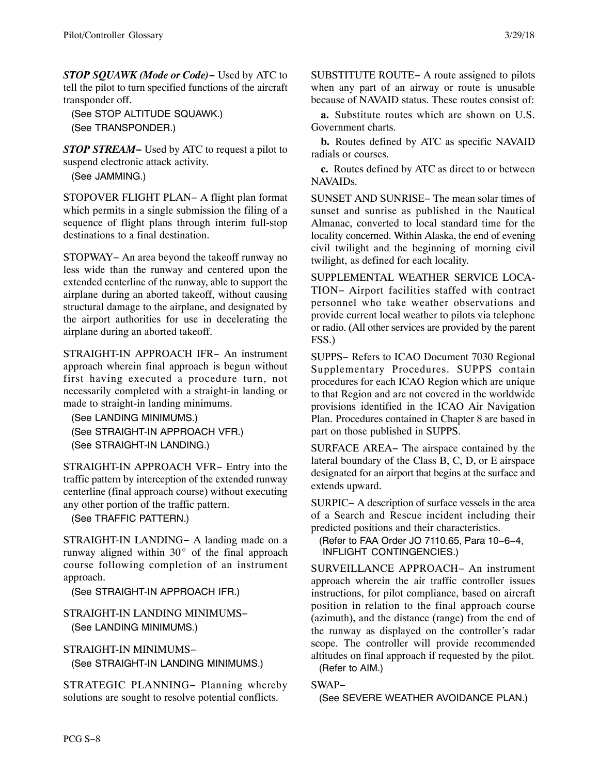*STOP SQUAWK (Mode or Code)−* Used by ATC to tell the pilot to turn specified functions of the aircraft transponder off.

(See STOP ALTITUDE SQUAWK.) (See TRANSPONDER.)

*STOP STREAM* − Used by ATC to request a pilot to suspend electronic attack activity.

(See JAMMING.)

STOPOVER FLIGHT PLAN− A flight plan format which permits in a single submission the filing of a sequence of flight plans through interim full-stop destinations to a final destination.

STOPWAY− An area beyond the takeoff runway no less wide than the runway and centered upon the extended centerline of the runway, able to support the airplane during an aborted takeoff, without causing structural damage to the airplane, and designated by the airport authorities for use in decelerating the airplane during an aborted takeoff.

 first having executed a procedure turn, not STRAIGHT-IN APPROACH IFR− An instrument approach wherein final approach is begun without necessarily completed with a straight-in landing or made to straight-in landing minimums.

(See LANDING MINIMUMS.) (See STRAIGHT-IN APPROACH VFR.) (See STRAIGHT-IN LANDING.)

STRAIGHT-IN APPROACH VFR− Entry into the traffic pattern by interception of the extended runway centerline (final approach course) without executing any other portion of the traffic pattern.

(See TRAFFIC PATTERN.)

 course following completion of an instrument STRAIGHT-IN LANDING− A landing made on a **STRAIGHT-IN LANDING– A landing made on a** runway aligned within  $30^\circ$  of the final approach approach.

(See STRAIGHT-IN APPROACH IFR.)

STRAIGHT-IN LANDING MINIMUMS− (See LANDING MINIMUMS.)

STRAIGHT-IN MINIMUMS−

(See STRAIGHT-IN LANDING MINIMUMS.)

STRATEGIC PLANNING− Planning whereby solutions are sought to resolve potential conflicts.

SUBSTITUTE ROUTE− A route assigned to pilots when any part of an airway or route is unusable because of NAVAID status. These routes consist of:

 **a.** Substitute routes which are shown on U.S. Government charts.

**b.** Routes defined by ATC as specific NAVAID radials or courses.

**c.** Routes defined by ATC as direct to or between NAVAIDs.

 sunset and sunrise as published in the Nautical SUNSET AND SUNRISE− The mean solar times of Almanac, converted to local standard time for the locality concerned. Within Alaska, the end of evening civil twilight and the beginning of morning civil twilight, as defined for each locality.

 personnel who take weather observations and SUPPLEMENTAL WEATHER SERVICE LOCA-TION− Airport facilities staffed with contract provide current local weather to pilots via telephone or radio. (All other services are provided by the parent FSS.)

 Supplementary Procedures. SUPPS contain SUPPS− Refers to ICAO Document 7030 Regional procedures for each ICAO Region which are unique to that Region and are not covered in the worldwide provisions identified in the ICAO Air Navigation Plan. Procedures contained in Chapter 8 are based in part on those published in SUPPS.

SURFACE AREA− The airspace contained by the lateral boundary of the Class B, C, D, or E airspace designated for an airport that begins at the surface and extends upward.

 of a Search and Rescue incident including their SURPIC− A description of surface vessels in the area predicted positions and their characteristics.

(Refer to FAA Order JO 7110.65, Para 10−6−4, INFLIGHT CONTINGENCIES.)

 position in relation to the final approach course SURVEILLANCE APPROACH− An instrument approach wherein the air traffic controller issues instructions, for pilot compliance, based on aircraft (azimuth), and the distance (range) from the end of the runway as displayed on the controller's radar scope. The controller will provide recommended altitudes on final approach if requested by the pilot. (Refer to AIM.)

SWAP−

(See SEVERE WEATHER AVOIDANCE PLAN.)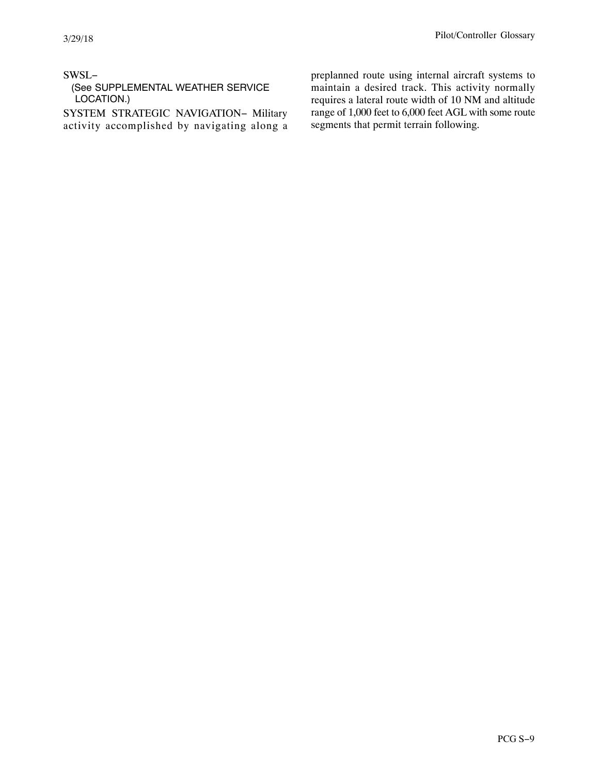# SWSL−

(See SUPPLEMENTAL WEATHER SERVICE LOCATION.)

 activity accomplished by navigating along a SYSTEM STRATEGIC NAVIGATION− Military

 maintain a desired track. This activity normally preplanned route using internal aircraft systems to requires a lateral route width of 10 NM and altitude range of 1,000 feet to 6,000 feet AGL with some route segments that permit terrain following.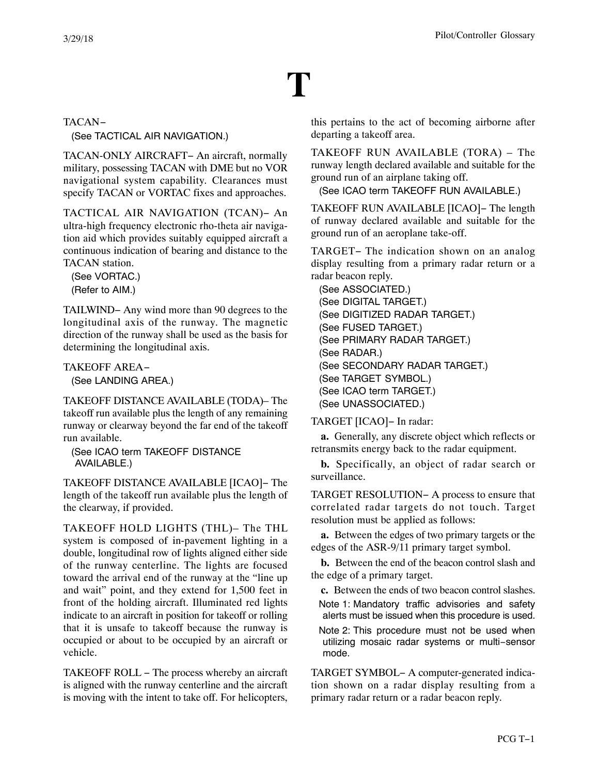# **T**

#### TACAN*−*

(See TACTICAL AIR NAVIGATION.)

 navigational system capability. Clearances must TACAN-ONLY AIRCRAFT− An aircraft, normally military, possessing TACAN with DME but no VOR specify TACAN or VORTAC fixes and approaches.

TACTICAL AIR NAVIGATION (TCAN)− An ultra-high frequency electronic rho-theta air navigation aid which provides suitably equipped aircraft a continuous indication of bearing and distance to the TACAN station.

(See VORTAC.) (Refer to AIM.)

 longitudinal axis of the runway. The magnetic TAILWIND− Any wind more than 90 degrees to the direction of the runway shall be used as the basis for determining the longitudinal axis.

TAKEOFF AREA*−* (See LANDING AREA.)

TAKEOFF DISTANCE AVAILABLE (TODA)– The takeoff run available plus the length of any remaining runway or clearway beyond the far end of the takeoff run available.

(See ICAO term TAKEOFF DISTANCE AVAILABLE.)

TAKEOFF DISTANCE AVAILABLE [ICAO]− The length of the takeoff run available plus the length of the clearway, if provided.

 TAKEOFF HOLD LIGHTS (THL)– The THL of the runway centerline. The lights are focused system is composed of in-pavement lighting in a double, longitudinal row of lights aligned either side toward the arrival end of the runway at the "line up and wait" point, and they extend for 1,500 feet in front of the holding aircraft. Illuminated red lights indicate to an aircraft in position for takeoff or rolling that it is unsafe to takeoff because the runway is occupied or about to be occupied by an aircraft or vehicle.

TAKEOFF ROLL – The process whereby an aircraft is aligned with the runway centerline and the aircraft is moving with the intent to take off. For helicopters,

this pertains to the act of becoming airborne after departing a takeoff area.

TAKEOFF RUN AVAILABLE (TORA) – The runway length declared available and suitable for the ground run of an airplane taking off.

(See ICAO term TAKEOFF RUN AVAILABLE.)

TAKEOFF RUN AVAILABLE [ICAO]− The length of runway declared available and suitable for the ground run of an aeroplane take-off.

 TARGET− The indication shown on an analog display resulting from a primary radar return or a radar beacon reply.

(See ASSOCIATED.) (See DIGITAL TARGET.) (See DIGITIZED RADAR TARGET.) (See FUSED TARGET.) (See PRIMARY RADAR TARGET.) (See RADAR.) (See SECONDARY RADAR TARGET.) (See TARGET SYMBOL.) (See ICAO term TARGET.) (See UNASSOCIATED.)

TARGET [ICAO]− In radar:

**a.** Generally, any discrete object which reflects or retransmits energy back to the radar equipment.

 **b.** Specifically, an object of radar search or surveillance.

 correlated radar targets do not touch. Target TARGET RESOLUTION− A process to ensure that resolution must be applied as follows:

**a.** Between the edges of two primary targets or the edges of the ASR-9/11 primary target symbol.

**b.** Between the end of the beacon control slash and the edge of a primary target.

**c.** Between the ends of two beacon control slashes.

- Note 1: Mandatory traffic advisories and safety alerts must be issued when this procedure is used.
- Note 2: This procedure must not be used when utilizing mosaic radar systems or multi−sensor mode.

 tion shown on a radar display resulting from a TARGET SYMBOL− A computer-generated indicaprimary radar return or a radar beacon reply.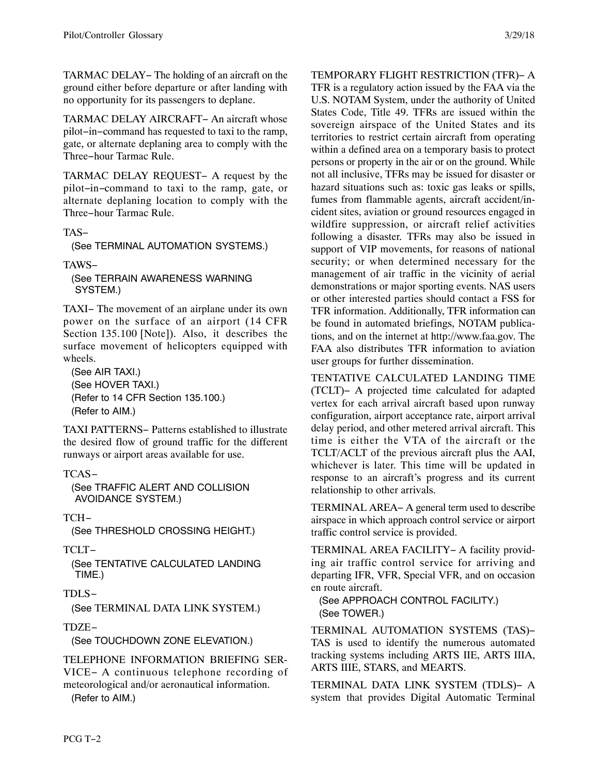TARMAC DELAY− The holding of an aircraft on the ground either before departure or after landing with no opportunity for its passengers to deplane.

TARMAC DELAY AIRCRAFT− An aircraft whose pilot−in−command has requested to taxi to the ramp, gate, or alternate deplaning area to comply with the Three−hour Tarmac Rule.

 pilot−in−command to taxi to the ramp, gate, or alternate deplaning location to comply with the TARMAC DELAY REQUEST− A request by the Three−hour Tarmac Rule.

# TAS−

(See TERMINAL AUTOMATION SYSTEMS.)

TAWS−

(See TERRAIN AWARENESS WARNING SYSTEM.)

 power on the surface of an airport (14 CFR Section 135.100 [Note]). Also, it describes the surface movement of helicopters equipped with TAXI− The movement of an airplane under its own wheels.

(See AIR TAXI.) (See HOVER TAXI.) (Refer to 14 CFR Section 135.100.) (Refer to AIM.)

TAXI PATTERNS− Patterns established to illustrate the desired flow of ground traffic for the different runways or airport areas available for use.

# TCAS*−*

(See TRAFFIC ALERT AND COLLISION AVOIDANCE SYSTEM.)

# TCH*−*

(See THRESHOLD CROSSING HEIGHT.)

# TCLT*−*

(See TENTATIVE CALCULATED LANDING TIME.)

# TDLS*−*

(See TERMINAL DATA LINK SYSTEM.)

# TDZE*−*

(See TOUCHDOWN ZONE ELEVATION.)

 VICE− A continuous telephone recording of TELEPHONE INFORMATION BRIEFING SERmeteorological and/or aeronautical information.

(Refer to AIM.)

# TEMPORARY FLIGHT RESTRICTION (TFR)− A

 sovereign airspace of the United States and its wildfire suppression, or aircraft relief activities security; or when determined necessary for the TFR is a regulatory action issued by the FAA via the U.S. NOTAM System, under the authority of United States Code, Title 49. TFRs are issued within the territories to restrict certain aircraft from operating within a defined area on a temporary basis to protect persons or property in the air or on the ground. While not all inclusive, TFRs may be issued for disaster or hazard situations such as: toxic gas leaks or spills, fumes from flammable agents, aircraft accident/incident sites, aviation or ground resources engaged in following a disaster. TFRs may also be issued in support of VIP movements, for reasons of national management of air traffic in the vicinity of aerial demonstrations or major sporting events. NAS users or other interested parties should contact a FSS for TFR information. Additionally, TFR information can be found in automated briefings, NOTAM publications, and on the internet at http://www.faa.gov. The FAA also distributes TFR information to aviation user groups for further dissemination.

 time is either the VTA of the aircraft or the whichever is later. This time will be updated in TENTATIVE CALCULATED LANDING TIME (TCLT)− A projected time calculated for adapted vertex for each arrival aircraft based upon runway configuration, airport acceptance rate, airport arrival delay period, and other metered arrival aircraft. This TCLT/ACLT of the previous aircraft plus the AAI, response to an aircraft's progress and its current relationship to other arrivals.

TERMINAL AREA− A general term used to describe airspace in which approach control service or airport traffic control service is provided.

 ing air traffic control service for arriving and TERMINAL AREA FACILITY− A facility providdeparting IFR, VFR, Special VFR, and on occasion en route aircraft.

(See APPROACH CONTROL FACILITY.) (See TOWER.)

TERMINAL AUTOMATION SYSTEMS (TAS)− TAS is used to identify the numerous automated tracking systems including ARTS IIE, ARTS IIIA, ARTS IIIE, STARS, and MEARTS.

TERMINAL DATA LINK SYSTEM (TDLS)− A system that provides Digital Automatic Terminal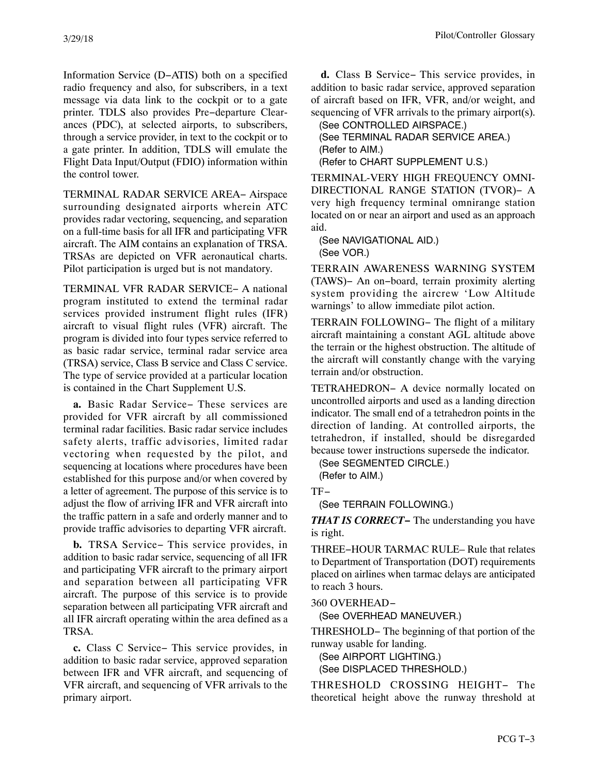Information Service (D−ATIS) both on a specified radio frequency and also, for subscribers, in a text message via data link to the cockpit or to a gate printer. TDLS also provides Pre−departure Clearances (PDC), at selected airports, to subscribers, through a service provider, in text to the cockpit or to a gate printer. In addition, TDLS will emulate the Flight Data Input/Output (FDIO) information within the control tower.

TERMINAL RADAR SERVICE AREA− Airspace surrounding designated airports wherein ATC provides radar vectoring, sequencing, and separation on a full-time basis for all IFR and participating VFR aircraft. The AIM contains an explanation of TRSA. TRSAs are depicted on VFR aeronautical charts. Pilot participation is urged but is not mandatory.

 program instituted to extend the terminal radar TERMINAL VFR RADAR SERVICE− A national services provided instrument flight rules (IFR) aircraft to visual flight rules (VFR) aircraft. The program is divided into four types service referred to as basic radar service, terminal radar service area (TRSA) service, Class B service and Class C service. The type of service provided at a particular location is contained in the Chart Supplement U.S.

 provided for VFR aircraft by all commissioned vectoring when requested by the pilot, and **a.** Basic Radar Service− These services are terminal radar facilities. Basic radar service includes safety alerts, traffic advisories, limited radar sequencing at locations where procedures have been established for this purpose and/or when covered by a letter of agreement. The purpose of this service is to adjust the flow of arriving IFR and VFR aircraft into the traffic pattern in a safe and orderly manner and to provide traffic advisories to departing VFR aircraft.

 **b.** TRSA Service− This service provides, in addition to basic radar service, sequencing of all IFR and participating VFR aircraft to the primary airport and separation between all participating VFR aircraft. The purpose of this service is to provide separation between all participating VFR aircraft and all IFR aircraft operating within the area defined as a TRSA.

 **c.** Class C Service− This service provides, in addition to basic radar service, approved separation between IFR and VFR aircraft, and sequencing of VFR aircraft, and sequencing of VFR arrivals to the primary airport.

 **d.** Class B Service− This service provides, in addition to basic radar service, approved separation of aircraft based on IFR, VFR, and/or weight, and sequencing of VFR arrivals to the primary airport(s).

(See CONTROLLED AIRSPACE.) (See TERMINAL RADAR SERVICE AREA.)

(Refer to AIM.)

(Refer to CHART SUPPLEMENT U.S.)

 very high frequency terminal omnirange station TERMINAL-VERY HIGH FREQUENCY OMNI-DIRECTIONAL RANGE STATION (TVOR)− A located on or near an airport and used as an approach aid.

(See NAVIGATIONAL AID.) (See VOR.)

 TERRAIN AWARENESS WARNING SYSTEM system providing the aircrew 'Low Altitude (TAWS)− An on−board, terrain proximity alerting warnings' to allow immediate pilot action.

TERRAIN FOLLOWING− The flight of a military aircraft maintaining a constant AGL altitude above the terrain or the highest obstruction. The altitude of the aircraft will constantly change with the varying terrain and/or obstruction.

 direction of landing. At controlled airports, the tetrahedron, if installed, should be disregarded TETRAHEDRON− A device normally located on uncontrolled airports and used as a landing direction indicator. The small end of a tetrahedron points in the because tower instructions supersede the indicator.

(See SEGMENTED CIRCLE.) (Refer to AIM.)

TF*−*

(See TERRAIN FOLLOWING.)

*THAT IS CORRECT−* The understanding you have is right.

THREE−HOUR TARMAC RULE– Rule that relates to Department of Transportation (DOT) requirements placed on airlines when tarmac delays are anticipated to reach 3 hours.

360 OVERHEAD*−*

(See OVERHEAD MANEUVER.)

THRESHOLD− The beginning of that portion of the runway usable for landing.

(See AIRPORT LIGHTING.)

(See DISPLACED THRESHOLD.)

THRESHOLD CROSSING HEIGHT− The theoretical height above the runway threshold at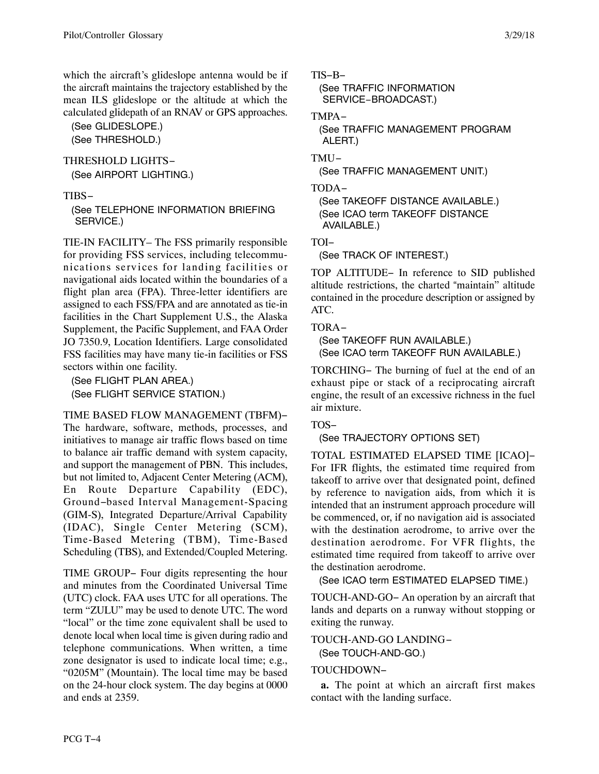which the aircraft's glideslope antenna would be if the aircraft maintains the trajectory established by the mean ILS glideslope or the altitude at which the calculated glidepath of an RNAV or GPS approaches.

(See GLIDESLOPE.) (See THRESHOLD.)

# THRESHOLD LIGHTS*−*

(See AIRPORT LIGHTING.)

TIBS*−*

(See TELEPHONE INFORMATION BRIEFING SERVICE.)

TIE-IN FACILITY– The FSS primarily responsible for providing FSS services, including telecommunications services for landing facilities or navigational aids located within the boundaries of a flight plan area (FPA). Three-letter identifiers are assigned to each FSS/FPA and are annotated as tie-in facilities in the Chart Supplement U.S., the Alaska Supplement, the Pacific Supplement, and FAA Order JO 7350.9, Location Identifiers. Large consolidated FSS facilities may have many tie-in facilities or FSS sectors within one facility.

(See FLIGHT PLAN AREA.) (See FLIGHT SERVICE STATION.)

 En Route Departure Capability (EDC), (IDAC), Single Center Metering (SCM), Time-Based Metering (TBM), Time-Based TIME BASED FLOW MANAGEMENT (TBFM)− The hardware, software, methods, processes, and initiatives to manage air traffic flows based on time to balance air traffic demand with system capacity, and support the management of PBN. This includes, but not limited to, Adjacent Center Metering (ACM), Ground−based Interval Management-Spacing (GIM-S), Integrated Departure/Arrival Capability Scheduling (TBS), and Extended/Coupled Metering.

TIME GROUP− Four digits representing the hour and minutes from the Coordinated Universal Time (UTC) clock. FAA uses UTC for all operations. The term "ZULU" may be used to denote UTC. The word "local" or the time zone equivalent shall be used to denote local when local time is given during radio and telephone communications. When written, a time zone designator is used to indicate local time; e.g., "0205M" (Mountain). The local time may be based on the 24-hour clock system. The day begins at 0000 and ends at 2359.

TIS−B−

(See TRAFFIC INFORMATION SERVICE−BROADCAST.)

TMPA*−*

(See TRAFFIC MANAGEMENT PROGRAM ALERT.)

TMU*−*

(See TRAFFIC MANAGEMENT UNIT.)

TODA*−*

(See TAKEOFF DISTANCE AVAILABLE.) (See ICAO term TAKEOFF DISTANCE AVAILABLE.)

TOI−

(See TRACK OF INTEREST.)

TOP ALTITUDE− In reference to SID published altitude restrictions, the charted "maintain" altitude contained in the procedure description or assigned by ATC.

TORA*−*

(See TAKEOFF RUN AVAILABLE.) (See ICAO term TAKEOFF RUN AVAILABLE.)

 exhaust pipe or stack of a reciprocating aircraft TORCHING− The burning of fuel at the end of an engine, the result of an excessive richness in the fuel air mixture.

TOS−

(See TRAJECTORY OPTIONS SET)

 destination aerodrome. For VFR flights, the TOTAL ESTIMATED ELAPSED TIME [ICAO]− For IFR flights, the estimated time required from takeoff to arrive over that designated point, defined by reference to navigation aids, from which it is intended that an instrument approach procedure will be commenced, or, if no navigation aid is associated with the destination aerodrome, to arrive over the estimated time required from takeoff to arrive over the destination aerodrome.

(See ICAO term ESTIMATED ELAPSED TIME.)

TOUCH-AND-GO− An operation by an aircraft that lands and departs on a runway without stopping or exiting the runway.

TOUCH-AND-GO LANDING*−* (See TOUCH-AND-GO.)

# TOUCHDOWN−

 **a.** The point at which an aircraft first makes contact with the landing surface.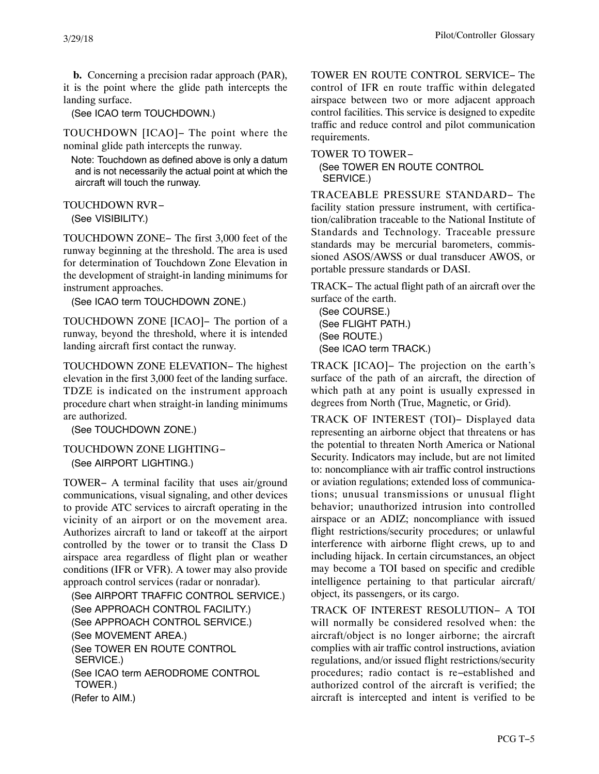**b.** Concerning a precision radar approach (PAR), it is the point where the glide path intercepts the landing surface.

(See ICAO term TOUCHDOWN.)

 TOUCHDOWN [ICAO]− The point where the nominal glide path intercepts the runway.

Note: Touchdown as defined above is only a datum and is not necessarily the actual point at which the aircraft will touch the runway.

TOUCHDOWN RVR*−*

(See VISIBILITY.)

TOUCHDOWN ZONE− The first 3,000 feet of the runway beginning at the threshold. The area is used for determination of Touchdown Zone Elevation in the development of straight-in landing minimums for instrument approaches.

(See ICAO term TOUCHDOWN ZONE.)

TOUCHDOWN ZONE [ICAO]− The portion of a runway, beyond the threshold, where it is intended landing aircraft first contact the runway.

 TDZE is indicated on the instrument approach TOUCHDOWN ZONE ELEVATION− The highest elevation in the first 3,000 feet of the landing surface. procedure chart when straight-in landing minimums are authorized.

(See TOUCHDOWN ZONE.)

```
TOUCHDOWN ZONE LIGHTING−
(See AIRPORT LIGHTING.)
```
 vicinity of an airport or on the movement area. TOWER− A terminal facility that uses air/ground communications, visual signaling, and other devices to provide ATC services to aircraft operating in the Authorizes aircraft to land or takeoff at the airport controlled by the tower or to transit the Class D airspace area regardless of flight plan or weather conditions (IFR or VFR). A tower may also provide approach control services (radar or nonradar).

(See AIRPORT TRAFFIC CONTROL SERVICE.) (See APPROACH CONTROL FACILITY.) (See APPROACH CONTROL SERVICE.) (See MOVEMENT AREA.) (See TOWER EN ROUTE CONTROL SERVICE.) (See ICAO term AERODROME CONTROL TOWER.) (Refer to AIM.)

 control of IFR en route traffic within delegated TOWER EN ROUTE CONTROL SERVICE− The airspace between two or more adjacent approach control facilities. This service is designed to expedite traffic and reduce control and pilot communication requirements.

TOWER TO TOWER*−*

(See TOWER EN ROUTE CONTROL SERVICE.)

TRACEABLE PRESSURE STANDARD− The facility station pressure instrument, with certification/calibration traceable to the National Institute of Standards and Technology. Traceable pressure standards may be mercurial barometers, commissioned ASOS/AWSS or dual transducer AWOS, or portable pressure standards or DASI.

TRACK− The actual flight path of an aircraft over the surface of the earth.

(See COURSE.) (See FLIGHT PATH.) (See ROUTE.) (See ICAO term TRACK.)

 TRACK [ICAO]− The projection on the earth's which path at any point is usually expressed in surface of the path of an aircraft, the direction of degrees from North (True, Magnetic, or Grid).

TRACK OF INTEREST (TOI)− Displayed data representing an airborne object that threatens or has the potential to threaten North America or National Security. Indicators may include, but are not limited to: noncompliance with air traffic control instructions or aviation regulations; extended loss of communications; unusual transmissions or unusual flight behavior; unauthorized intrusion into controlled airspace or an ADIZ; noncompliance with issued flight restrictions/security procedures; or unlawful interference with airborne flight crews, up to and including hijack. In certain circumstances, an object may become a TOI based on specific and credible intelligence pertaining to that particular aircraft/ object, its passengers, or its cargo.

 will normally be considered resolved when: the aircraft/object is no longer airborne; the aircraft procedures; radio contact is re−established and authorized control of the aircraft is verified; the TRACK OF INTEREST RESOLUTION− A TOI complies with air traffic control instructions, aviation regulations, and/or issued flight restrictions/security aircraft is intercepted and intent is verified to be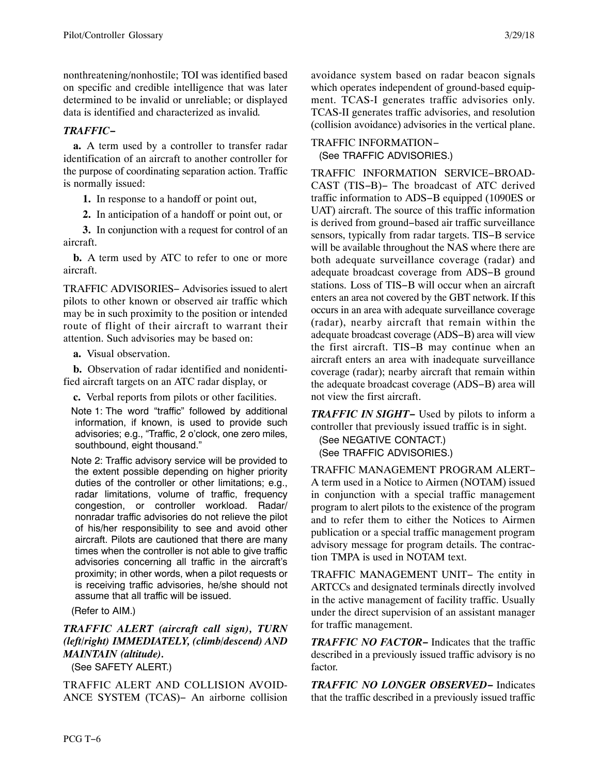nonthreatening/nonhostile; TOI was identified based on specific and credible intelligence that was later determined to be invalid or unreliable; or displayed data is identified and characterized as invalid*.* 

#### *TRAFFIC−*

**a.** A term used by a controller to transfer radar identification of an aircraft to another controller for the purpose of coordinating separation action. Traffic is normally issued:

- **1.** In response to a handoff or point out,
- **2.** In anticipation of a handoff or point out, or

**3.** In conjunction with a request for control of an aircraft.

**b.** A term used by ATC to refer to one or more aircraft.

 route of flight of their aircraft to warrant their TRAFFIC ADVISORIES− Advisories issued to alert pilots to other known or observed air traffic which may be in such proximity to the position or intended attention. Such advisories may be based on:

**a.** Visual observation.

**b.** Observation of radar identified and nonidentified aircraft targets on an ATC radar display, or

**c.** Verbal reports from pilots or other facilities.

Note 1: The word "traffic" followed by additional information, if known, is used to provide such advisories; e.g., "Traffic, 2 o'clock, one zero miles, southbound, eight thousand."

Note 2: Traffic advisory service will be provided to the extent possible depending on higher priority duties of the controller or other limitations; e.g., radar limitations, volume of traffic, frequency congestion, or controller workload. Radar/ nonradar traffic advisories do not relieve the pilot of his/her responsibility to see and avoid other aircraft. Pilots are cautioned that there are many times when the controller is not able to give traffic advisories concerning all traffic in the aircraft's proximity; in other words, when a pilot requests or is receiving traffic advisories, he/she should not assume that all traffic will be issued.

(Refer to AIM.)

 *TRAFFIC ALERT (aircraft call sign), TURN (left/right) IMMEDIATELY, (climb/descend) AND MAINTAIN (altitude).* 

(See SAFETY ALERT.)

TRAFFIC ALERT AND COLLISION AVOID-ANCE SYSTEM (TCAS)− An airborne collision

 avoidance system based on radar beacon signals ment. TCAS-I generates traffic advisories only. which operates independent of ground-based equip-TCAS-II generates traffic advisories, and resolution (collision avoidance) advisories in the vertical plane.

TRAFFIC INFORMATION*−* (See TRAFFIC ADVISORIES.)

 CAST (TIS−B)− The broadcast of ATC derived both adequate surveillance coverage (radar) and (radar), nearby aircraft that remain within the TRAFFIC INFORMATION SERVICE−BROADtraffic information to ADS−B equipped (1090ES or UAT) aircraft. The source of this traffic information is derived from ground−based air traffic surveillance sensors, typically from radar targets. TIS−B service will be available throughout the NAS where there are adequate broadcast coverage from ADS−B ground stations. Loss of TIS−B will occur when an aircraft enters an area not covered by the GBT network. If this occurs in an area with adequate surveillance coverage adequate broadcast coverage (ADS−B) area will view the first aircraft. TIS−B may continue when an aircraft enters an area with inadequate surveillance coverage (radar); nearby aircraft that remain within the adequate broadcast coverage (ADS−B) area will not view the first aircraft.

*TRAFFIC IN SIGHT−* Used by pilots to inform a controller that previously issued traffic is in sight.

(See NEGATIVE CONTACT.) (See TRAFFIC ADVISORIES.)

TRAFFIC MANAGEMENT PROGRAM ALERT− A term used in a Notice to Airmen (NOTAM) issued in conjunction with a special traffic management program to alert pilots to the existence of the program and to refer them to either the Notices to Airmen publication or a special traffic management program advisory message for program details. The contraction TMPA is used in NOTAM text.

TRAFFIC MANAGEMENT UNIT− The entity in ARTCCs and designated terminals directly involved in the active management of facility traffic. Usually under the direct supervision of an assistant manager for traffic management.

*TRAFFIC NO FACTOR−* Indicates that the traffic described in a previously issued traffic advisory is no factor.

*TRAFFIC NO LONGER OBSERVED−* Indicates that the traffic described in a previously issued traffic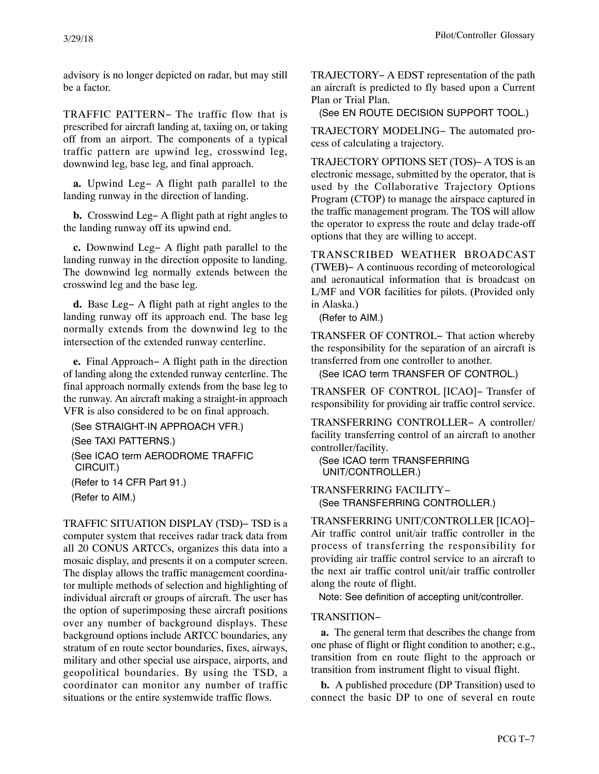advisory is no longer depicted on radar, but may still be a factor.

 TRAFFIC PATTERN− The traffic flow that is traffic pattern are upwind leg, crosswind leg, prescribed for aircraft landing at, taxiing on, or taking off from an airport. The components of a typical downwind leg, base leg, and final approach.

 **a.** Upwind Leg− A flight path parallel to the landing runway in the direction of landing.

**b.** Crosswind Leg− A flight path at right angles to the landing runway off its upwind end.

**c.** Downwind Leg− A flight path parallel to the landing runway in the direction opposite to landing. The downwind leg normally extends between the crosswind leg and the base leg.

 normally extends from the downwind leg to the **d.** Base Leg− A flight path at right angles to the landing runway off its approach end. The base leg intersection of the extended runway centerline.

**e.** Final Approach− A flight path in the direction of landing along the extended runway centerline. The final approach normally extends from the base leg to the runway. An aircraft making a straight-in approach VFR is also considered to be on final approach.

(See STRAIGHT-IN APPROACH VFR.) (See TAXI PATTERNS.) (See ICAO term AERODROME TRAFFIC CIRCUIT.) (Refer to 14 CFR Part 91.) (Refer to AIM.)

 over any number of background displays. These geopolitical boundaries. By using the TSD, a coordinator can monitor any number of traffic TRAFFIC SITUATION DISPLAY (TSD)− TSD is a computer system that receives radar track data from all 20 CONUS ARTCCs, organizes this data into a mosaic display, and presents it on a computer screen. The display allows the traffic management coordinator multiple methods of selection and highlighting of individual aircraft or groups of aircraft. The user has the option of superimposing these aircraft positions background options include ARTCC boundaries, any stratum of en route sector boundaries, fixes, airways, military and other special use airspace, airports, and situations or the entire systemwide traffic flows.

TRAJECTORY− A EDST representation of the path an aircraft is predicted to fly based upon a Current Plan or Trial Plan.

(See EN ROUTE DECISION SUPPORT TOOL.)

TRAJECTORY MODELING− The automated process of calculating a trajectory.

 used by the Collaborative Trajectory Options TRAJECTORY OPTIONS SET (TOS)− A TOS is an electronic message, submitted by the operator, that is Program (CTOP) to manage the airspace captured in the traffic management program. The TOS will allow the operator to express the route and delay trade-off options that they are willing to accept.

TRANSCRIBED WEATHER BROADCAST (TWEB)− A continuous recording of meteorological and aeronautical information that is broadcast on L/MF and VOR facilities for pilots. (Provided only in Alaska.)

(Refer to AIM.)

TRANSFER OF CONTROL− That action whereby the responsibility for the separation of an aircraft is transferred from one controller to another.

(See ICAO term TRANSFER OF CONTROL.)

TRANSFER OF CONTROL [ICAO]− Transfer of responsibility for providing air traffic control service.

TRANSFERRING CONTROLLER− A controller/ facility transferring control of an aircraft to another controller/facility.

(See ICAO term TRANSFERRING UNIT/CONTROLLER.)

TRANSFERRING FACILITY*−* (See TRANSFERRING CONTROLLER.)

TRANSFERRING UNIT/CONTROLLER [ICAO]− Air traffic control unit/air traffic controller in the process of transferring the responsibility for providing air traffic control service to an aircraft to the next air traffic control unit/air traffic controller along the route of flight.

Note: See definition of accepting unit/controller.

#### TRANSITION−

**a.** The general term that describes the change from one phase of flight or flight condition to another; e.g., transition from en route flight to the approach or transition from instrument flight to visual flight.

 connect the basic DP to one of several en route **b.** A published procedure (DP Transition) used to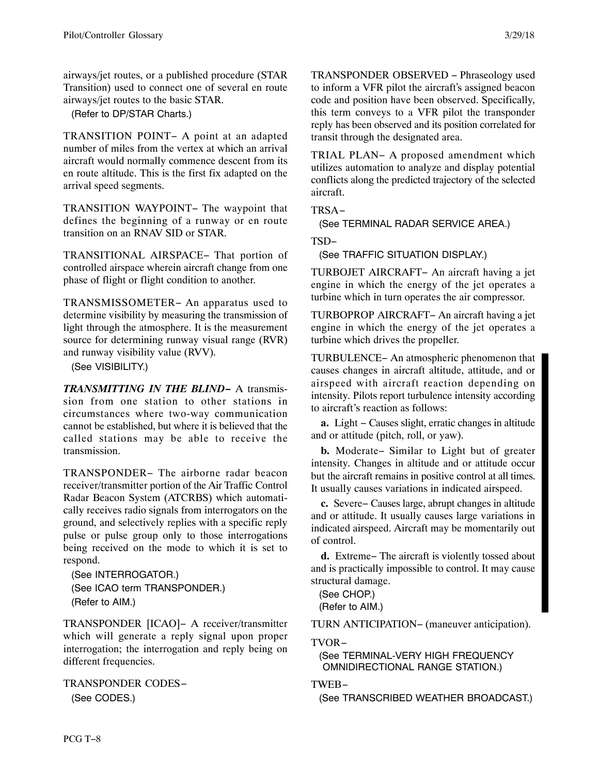airways/jet routes, or a published procedure (STAR Transition) used to connect one of several en route airways/jet routes to the basic STAR.

(Refer to DP/STAR Charts.)

TRANSITION POINT− A point at an adapted number of miles from the vertex at which an arrival aircraft would normally commence descent from its en route altitude. This is the first fix adapted on the arrival speed segments.

 TRANSITION WAYPOINT− The waypoint that defines the beginning of a runway or en route transition on an RNAV SID or STAR.

 TRANSITIONAL AIRSPACE− That portion of controlled airspace wherein aircraft change from one phase of flight or flight condition to another.

 TRANSMISSOMETER− An apparatus used to determine visibility by measuring the transmission of light through the atmosphere. It is the measurement source for determining runway visual range (RVR) and runway visibility value (RVV).

(See VISIBILITY.)

 sion from one station to other stations in called stations may be able to receive the *TRANSMITTING IN THE BLIND−* A transmiscircumstances where two-way communication cannot be established, but where it is believed that the transmission.

 TRANSPONDER− The airborne radar beacon receiver/transmitter portion of the Air Traffic Control Radar Beacon System (ATCRBS) which automatically receives radio signals from interrogators on the ground, and selectively replies with a specific reply pulse or pulse group only to those interrogations being received on the mode to which it is set to respond.

(See INTERROGATOR.) (See ICAO term TRANSPONDER.) (Refer to AIM.)

 which will generate a reply signal upon proper TRANSPONDER [ICAO]− A receiver/transmitter interrogation; the interrogation and reply being on different frequencies.

TRANSPONDER CODES*−* (See CODES.)

TRANSPONDER OBSERVED − Phraseology used TRANSPONDER OBSERVED – Phraseology used<br>to inform a VFR pilot the aircraft's assigned beacon code and position have been observed. Specifically, this term conveys to a VFR pilot the transponder reply has been observed and its position correlated for transit through the designated area.

TRIAL PLAN− A proposed amendment which utilizes automation to analyze and display potential conflicts along the predicted trajectory of the selected aircraft.

TRSA*−*

(See TERMINAL RADAR SERVICE AREA.)

TSD−

(See TRAFFIC SITUATION DISPLAY.)

 engine in which the energy of the jet operates a TURBOJET AIRCRAFT− An aircraft having a jet turbine which in turn operates the air compressor.

 engine in which the energy of the jet operates a TURBOPROP AIRCRAFT− An aircraft having a jet turbine which drives the propeller.

 airspeed with aircraft reaction depending on TURBULENCE− An atmospheric phenomenon that causes changes in aircraft altitude, attitude, and or intensity. Pilots report turbulence intensity according to aircraft's reaction as follows:

**a.** Light − Causes slight, erratic changes in altitude and or attitude (pitch, roll, or yaw).

 **b.** Moderate− Similar to Light but of greater but the aircraft remains in positive control at all times. intensity. Changes in altitude and or attitude occur It usually causes variations in indicated airspeed.

**c.** Severe− Causes large, abrupt changes in altitude and or attitude. It usually causes large variations in indicated airspeed. Aircraft may be momentarily out of control.

**d.** Extreme− The aircraft is violently tossed about and is practically impossible to control. It may cause structural damage.

(See CHOP.)

(Refer to AIM.)

TURN ANTICIPATION− (maneuver anticipation).

TVOR*−*

(See TERMINAL-VERY HIGH FREQUENCY OMNIDIRECTIONAL RANGE STATION.)

TWEB*−*

(See TRANSCRIBED WEATHER BROADCAST.)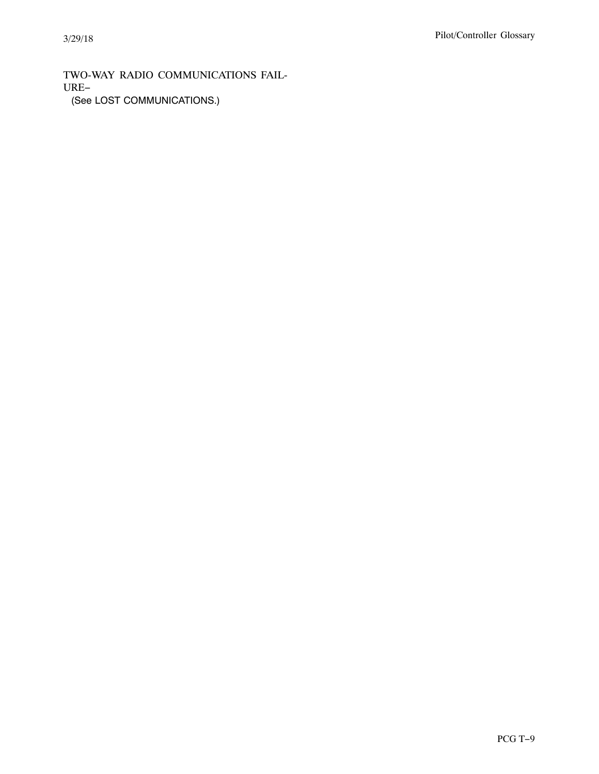# TWO-WAY RADIO COMMUNICATIONS FAIL-URE− (See LOST COMMUNICATIONS.)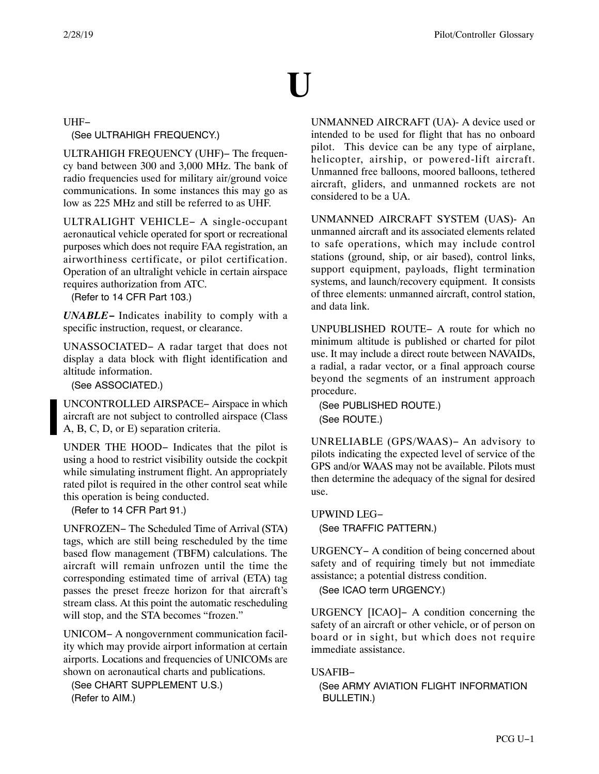# **U**

#### UHF−

## (See ULTRAHIGH FREQUENCY.)

ULTRAHIGH FREQUENCY (UHF)− The frequency band between 300 and 3,000 MHz. The bank of radio frequencies used for military air/ground voice communications. In some instances this may go as low as 225 MHz and still be referred to as UHF.

 airworthiness certificate, or pilot certification. ULTRALIGHT VEHICLE− A single-occupant aeronautical vehicle operated for sport or recreational purposes which does not require FAA registration, an Operation of an ultralight vehicle in certain airspace requires authorization from ATC.

(Refer to 14 CFR Part 103.)

 *UNABLE−* Indicates inability to comply with a specific instruction, request, or clearance.

 UNASSOCIATED− A radar target that does not display a data block with flight identification and altitude information.

(See ASSOCIATED.)

UNCONTROLLED AIRSPACE− Airspace in which aircraft are not subject to controlled airspace (Class A, B, C, D, or E) separation criteria.

UNDER THE HOOD− Indicates that the pilot is using a hood to restrict visibility outside the cockpit while simulating instrument flight. An appropriately rated pilot is required in the other control seat while this operation is being conducted.

(Refer to 14 CFR Part 91.)

 aircraft will remain unfrozen until the time the UNFROZEN− The Scheduled Time of Arrival (STA) tags, which are still being rescheduled by the time based flow management (TBFM) calculations. The corresponding estimated time of arrival (ETA) tag passes the preset freeze horizon for that aircraft's stream class. At this point the automatic rescheduling will stop, and the STA becomes "frozen."

UNICOM− A nongovernment communication facility which may provide airport information at certain airports. Locations and frequencies of UNICOMs are shown on aeronautical charts and publications.

(See CHART SUPPLEMENT U.S.) (Refer to AIM.)

 pilot. This device can be any type of airplane, aircraft, gliders, and unmanned rockets are not UNMANNED AIRCRAFT (UA)- A device used or intended to be used for flight that has no onboard helicopter, airship, or powered-lift aircraft. Unmanned free balloons, moored balloons, tethered considered to be a UA.

 to safe operations, which may include control support equipment, payloads, flight termination UNMANNED AIRCRAFT SYSTEM (UAS)- An unmanned aircraft and its associated elements related stations (ground, ship, or air based), control links, systems, and launch/recovery equipment. It consists of three elements: unmanned aircraft, control station, and data link.

 beyond the segments of an instrument approach UNPUBLISHED ROUTE− A route for which no minimum altitude is published or charted for pilot use. It may include a direct route between NAVAIDs, a radial, a radar vector, or a final approach course procedure.

(See PUBLISHED ROUTE.) (See ROUTE.)

 UNRELIABLE (GPS/WAAS)− An advisory to pilots indicating the expected level of service of the GPS and/or WAAS may not be available. Pilots must then determine the adequacy of the signal for desired use.

UPWIND LEG− (See TRAFFIC PATTERN.)

URGENCY− A condition of being concerned about safety and of requiring timely but not immediate assistance; a potential distress condition.

(See ICAO term URGENCY.)

 board or in sight, but which does not require URGENCY [ICAO]− A condition concerning the safety of an aircraft or other vehicle, or of person on immediate assistance.

USAFIB−

(See ARMY AVIATION FLIGHT INFORMATION BULLETIN.)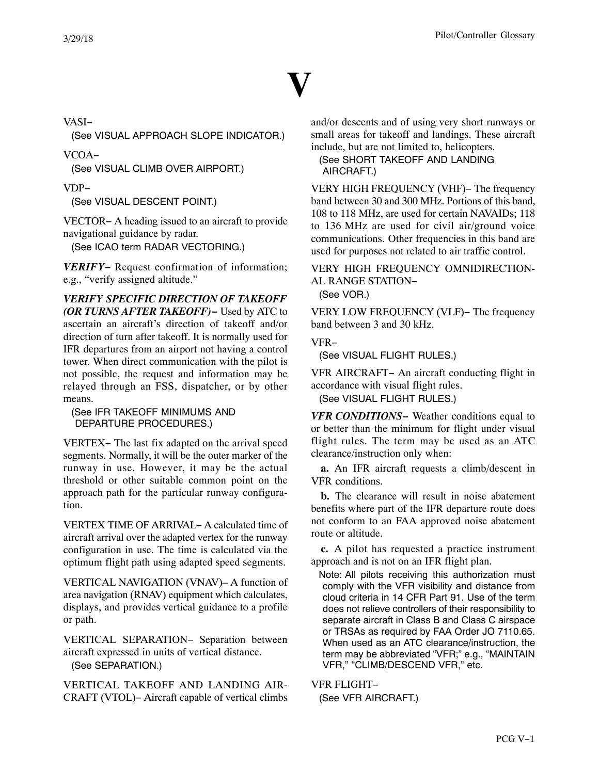# **V**

VASI−

(See VISUAL APPROACH SLOPE INDICATOR.)

VCOA−

(See VISUAL CLIMB OVER AIRPORT.)

VDP−

(See VISUAL DESCENT POINT.)

VECTOR− A heading issued to an aircraft to provide navigational guidance by radar.

(See ICAO term RADAR VECTORING.)

 *VERIFY−* Request confirmation of information; e.g., "verify assigned altitude."

 relayed through an FSS, dispatcher, or by other *VERIFY SPECIFIC DIRECTION OF TAKEOFF (OR TURNS AFTER TAKEOFF)−* Used by ATC to ascertain an aircraft's direction of takeoff and/or direction of turn after takeoff. It is normally used for IFR departures from an airport not having a control tower. When direct communication with the pilot is not possible, the request and information may be means.

(See IFR TAKEOFF MINIMUMS AND DEPARTURE PROCEDURES.)

 runway in use. However, it may be the actual VERTEX− The last fix adapted on the arrival speed segments. Normally, it will be the outer marker of the threshold or other suitable common point on the approach path for the particular runway configuration.

VERTEX TIME OF ARRIVAL− A calculated time of aircraft arrival over the adapted vertex for the runway configuration in use. The time is calculated via the optimum flight path using adapted speed segments.

VERTICAL NAVIGATION (VNAV)– A function of area navigation (RNAV) equipment which calculates, displays, and provides vertical guidance to a profile or path.

VERTICAL SEPARATION− Separation between aircraft expressed in units of vertical distance.

(See SEPARATION.)

 VERTICAL TAKEOFF AND LANDING AIR-CRAFT (VTOL)− Aircraft capable of vertical climbs and/or descents and of using very short runways or small areas for takeoff and landings. These aircraft include, but are not limited to, helicopters.

(See SHORT TAKEOFF AND LANDING AIRCRAFT.)

 108 to 118 MHz, are used for certain NAVAIDs; 118 to 136 MHz are used for civil air/ground voice VERY HIGH FREQUENCY (VHF)− The frequency band between 30 and 300 MHz. Portions of this band, communications. Other frequencies in this band are used for purposes not related to air traffic control.

VERY HIGH FREQUENCY OMNIDIRECTION-AL RANGE STATION−

(See VOR.)

VERY LOW FREQUENCY (VLF)− The frequency band between 3 and 30 kHz.

VFR−

(See VISUAL FLIGHT RULES.)

VFR AIRCRAFT− An aircraft conducting flight in accordance with visual flight rules.

(See VISUAL FLIGHT RULES.)

 flight rules. The term may be used as an ATC *VFR CONDITIONS−* Weather conditions equal to or better than the minimum for flight under visual clearance/instruction only when:

**a.** An IFR aircraft requests a climb/descent in VFR conditions.

**b.** The clearance will result in noise abatement benefits where part of the IFR departure route does not conform to an FAA approved noise abatement route or altitude.

 **c.** A pilot has requested a practice instrument approach and is not on an IFR flight plan.

Note: All pilots receiving this authorization must comply with the VFR visibility and distance from cloud criteria in 14 CFR Part 91. Use of the term does not relieve controllers of their responsibility to separate aircraft in Class B and Class C airspace or TRSAs as required by FAA Order JO 7110.65. When used as an ATC clearance/instruction, the term may be abbreviated "VFR;" e.g., "MAINTAIN VFR," "CLIMB/DESCEND VFR," etc.

VFR FLIGHT−

(See VFR AIRCRAFT.)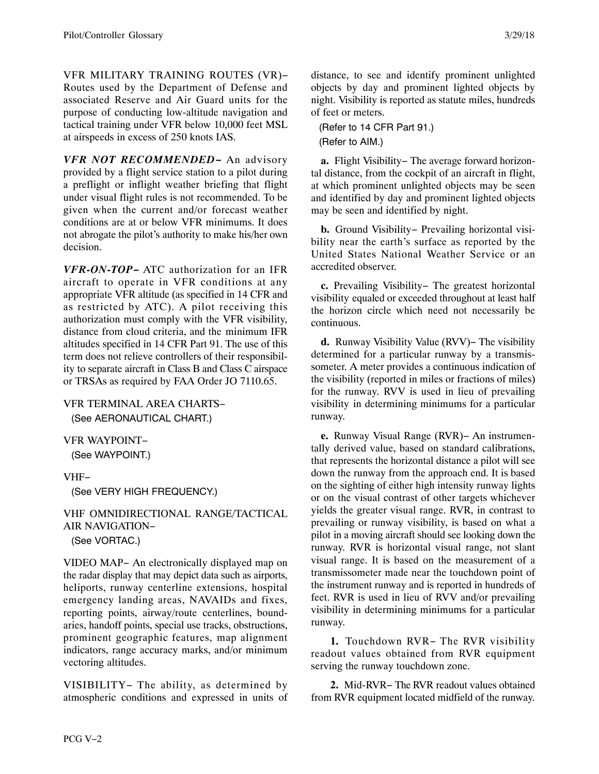Routes used by the Department of Defense and associated Reserve and Air Guard units for the VFR MILITARY TRAINING ROUTES (VR)− purpose of conducting low-altitude navigation and tactical training under VFR below 10,000 feet MSL at airspeeds in excess of 250 knots IAS.

 given when the current and/or forecast weather *VFR NOT RECOMMENDED−* An advisory provided by a flight service station to a pilot during a preflight or inflight weather briefing that flight under visual flight rules is not recommended. To be conditions are at or below VFR minimums. It does not abrogate the pilot's authority to make his/her own decision.

 aircraft to operate in VFR conditions at any as restricted by ATC). A pilot receiving this *VFR-ON-TOP−* ATC authorization for an IFR appropriate VFR altitude (as specified in 14 CFR and authorization must comply with the VFR visibility, distance from cloud criteria, and the minimum IFR altitudes specified in 14 CFR Part 91. The use of this term does not relieve controllers of their responsibility to separate aircraft in Class B and Class C airspace or TRSAs as required by FAA Order JO 7110.65.

VFR TERMINAL AREA CHARTS− (See AERONAUTICAL CHART.)

VFR WAYPOINT− (See WAYPOINT.)

VHF−

(See VERY HIGH FREQUENCY.)

VHF OMNIDIRECTIONAL RANGE/TACTICAL AIR NAVIGATION− (See VORTAC.)

 heliports, runway centerline extensions, hospital emergency landing areas, NAVAIDs and fixes, prominent geographic features, map alignment VIDEO MAP− An electronically displayed map on the radar display that may depict data such as airports, reporting points, airway/route centerlines, boundaries, handoff points, special use tracks, obstructions, indicators, range accuracy marks, and/or minimum vectoring altitudes.

 VISIBILITY− The ability, as determined by atmospheric conditions and expressed in units of

distance, to see and identify prominent unlighted objects by day and prominent lighted objects by night. Visibility is reported as statute miles, hundreds of feet or meters.

(Refer to 14 CFR Part 91.) (Refer to AIM.)

**a.** Flight Visibility− The average forward horizontal distance, from the cockpit of an aircraft in flight, at which prominent unlighted objects may be seen and identified by day and prominent lighted objects may be seen and identified by night.

 bility near the earth's surface as reported by the United States National Weather Service or an **b.** Ground Visibility− Prevailing horizontal visiaccredited observer.

**c.** Prevailing Visibility− The greatest horizontal visibility equaled or exceeded throughout at least half the horizon circle which need not necessarily be continuous.

**d.** Runway Visibility Value (RVV)− The visibility determined for a particular runway by a transmissometer. A meter provides a continuous indication of the visibility (reported in miles or fractions of miles) for the runway. RVV is used in lieu of prevailing visibility in determining minimums for a particular runway.

**e.** Runway Visual Range (RVR)− An instrumentally derived value, based on standard calibrations, that represents the horizontal distance a pilot will see down the runway from the approach end. It is based on the sighting of either high intensity runway lights or on the visual contrast of other targets whichever yields the greater visual range. RVR, in contrast to prevailing or runway visibility, is based on what a pilot in a moving aircraft should see looking down the runway. RVR is horizontal visual range, not slant visual range. It is based on the measurement of a transmissometer made near the touchdown point of the instrument runway and is reported in hundreds of feet. RVR is used in lieu of RVV and/or prevailing visibility in determining minimums for a particular runway.

 **1.** Touchdown RVR− The RVR visibility readout values obtained from RVR equipment serving the runway touchdown zone.

**2.** Mid-RVR− The RVR readout values obtained from RVR equipment located midfield of the runway.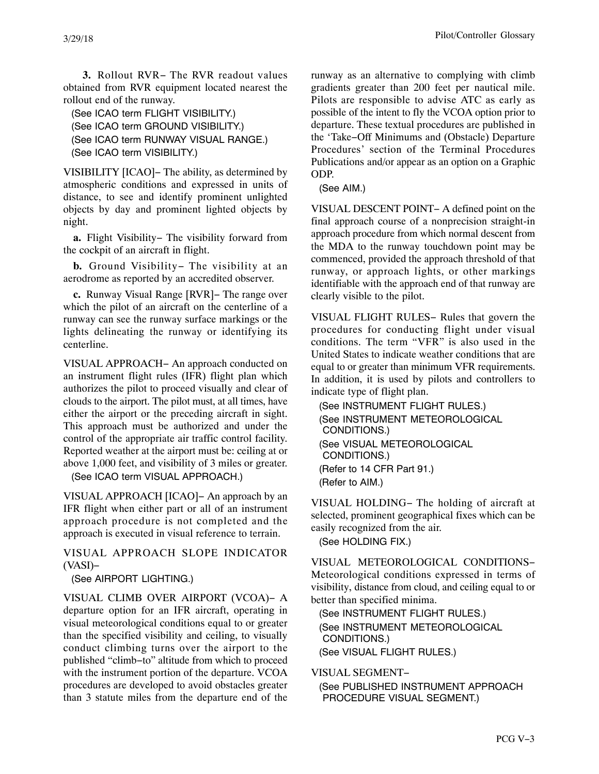**3.** Rollout RVR− The RVR readout values obtained from RVR equipment located nearest the rollout end of the runway.

(See ICAO term FLIGHT VISIBILITY.) (See ICAO term GROUND VISIBILITY.) (See ICAO term RUNWAY VISUAL RANGE.) (See ICAO term VISIBILITY.)

VISIBILITY [ICAO]− The ability, as determined by atmospheric conditions and expressed in units of distance, to see and identify prominent unlighted objects by day and prominent lighted objects by night.

**a.** Flight Visibility− The visibility forward from the cockpit of an aircraft in flight.

**b.** Ground Visibility− The visibility at an aerodrome as reported by an accredited observer.

 lights delineating the runway or identifying its **c.** Runway Visual Range [RVR]− The range over which the pilot of an aircraft on the centerline of a runway can see the runway surface markings or the centerline.

VISUAL APPROACH− An approach conducted on an instrument flight rules (IFR) flight plan which authorizes the pilot to proceed visually and clear of clouds to the airport. The pilot must, at all times, have either the airport or the preceding aircraft in sight. This approach must be authorized and under the control of the appropriate air traffic control facility. Reported weather at the airport must be: ceiling at or above 1,000 feet, and visibility of 3 miles or greater.

(See ICAO term VISUAL APPROACH.)

VISUAL APPROACH [ICAO]− An approach by an IFR flight when either part or all of an instrument approach procedure is not completed and the approach is executed in visual reference to terrain.

VISUAL APPROACH SLOPE INDICATOR (VASI)−

(See AIRPORT LIGHTING.)

 conduct climbing turns over the airport to the VISUAL CLIMB OVER AIRPORT (VCOA)− A departure option for an IFR aircraft, operating in visual meteorological conditions equal to or greater than the specified visibility and ceiling, to visually published "climb−to" altitude from which to proceed with the instrument portion of the departure. VCOA procedures are developed to avoid obstacles greater than 3 statute miles from the departure end of the

 Pilots are responsible to advise ATC as early as Procedures' section of the Terminal Procedures runway as an alternative to complying with climb gradients greater than 200 feet per nautical mile. possible of the intent to fly the VCOA option prior to departure. These textual procedures are published in the 'Take−Off Minimums and (Obstacle) Departure Publications and/or appear as an option on a Graphic ODP.

(See AIM.)

 runway, or approach lights, or other markings VISUAL DESCENT POINT− A defined point on the final approach course of a nonprecision straight-in approach procedure from which normal descent from the MDA to the runway touchdown point may be commenced, provided the approach threshold of that identifiable with the approach end of that runway are clearly visible to the pilot.

 conditions. The term "VFR" is also used in the VISUAL FLIGHT RULES− Rules that govern the procedures for conducting flight under visual United States to indicate weather conditions that are equal to or greater than minimum VFR requirements. In addition, it is used by pilots and controllers to indicate type of flight plan.

(See INSTRUMENT FLIGHT RULES.) (See INSTRUMENT METEOROLOGICAL CONDITIONS.) (See VISUAL METEOROLOGICAL CONDITIONS.) (Refer to 14 CFR Part 91.) (Refer to AIM.)

 VISUAL HOLDING− The holding of aircraft at selected, prominent geographical fixes which can be easily recognized from the air.

(See HOLDING FIX.)

 Meteorological conditions expressed in terms of VISUAL METEOROLOGICAL CONDITIONS− visibility, distance from cloud, and ceiling equal to or better than specified minima.

(See INSTRUMENT FLIGHT RULES.) (See INSTRUMENT METEOROLOGICAL CONDITIONS.) (See VISUAL FLIGHT RULES.)

VISUAL SEGMENT−

(See PUBLISHED INSTRUMENT APPROACH PROCEDURE VISUAL SEGMENT.)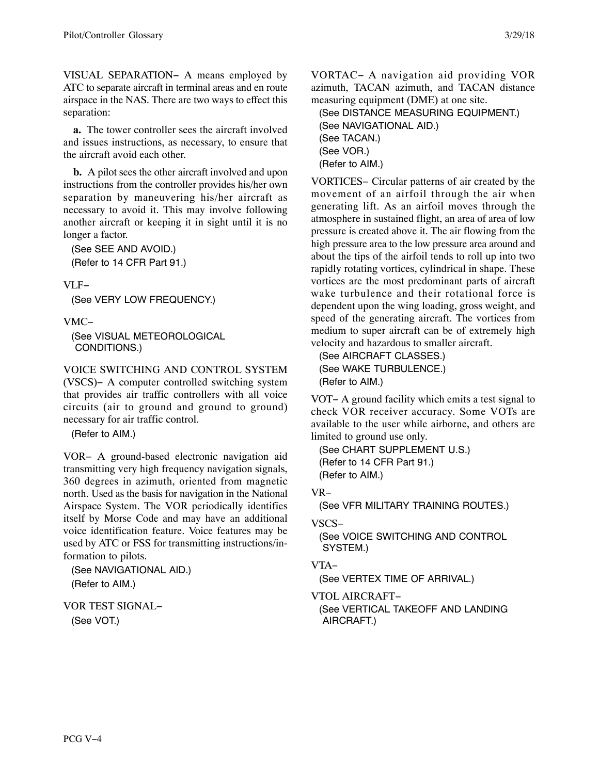VISUAL SEPARATION− A means employed by ATC to separate aircraft in terminal areas and en route airspace in the NAS. There are two ways to effect this separation:

**a.** The tower controller sees the aircraft involved and issues instructions, as necessary, to ensure that the aircraft avoid each other.

**b.** A pilot sees the other aircraft involved and upon instructions from the controller provides his/her own separation by maneuvering his/her aircraft as necessary to avoid it. This may involve following another aircraft or keeping it in sight until it is no longer a factor.

(See SEE AND AVOID.) (Refer to 14 CFR Part 91.)

#### VLF−

(See VERY LOW FREQUENCY.)

#### VMC−

(See VISUAL METEOROLOGICAL CONDITIONS.)

VOICE SWITCHING AND CONTROL SYSTEM (VSCS)− A computer controlled switching system that provides air traffic controllers with all voice circuits (air to ground and ground to ground) necessary for air traffic control.

(Refer to AIM.)

 360 degrees in azimuth, oriented from magnetic VOR− A ground-based electronic navigation aid transmitting very high frequency navigation signals, north. Used as the basis for navigation in the National Airspace System. The VOR periodically identifies itself by Morse Code and may have an additional voice identification feature. Voice features may be used by ATC or FSS for transmitting instructions/information to pilots.

(See NAVIGATIONAL AID.) (Refer to AIM.)

VOR TEST SIGNAL− (See VOT.)

VORTAC− A navigation aid providing VOR azimuth, TACAN azimuth, and TACAN distance measuring equipment (DME) at one site.

(See DISTANCE MEASURING EQUIPMENT.) (See NAVIGATIONAL AID.) (See TACAN.) (See VOR.) (Refer to AIM.)

 movement of an airfoil through the air when generating lift. As an airfoil moves through the wake turbulence and their rotational force is VORTICES− Circular patterns of air created by the atmosphere in sustained flight, an area of area of low pressure is created above it. The air flowing from the high pressure area to the low pressure area around and about the tips of the airfoil tends to roll up into two rapidly rotating vortices, cylindrical in shape. These vortices are the most predominant parts of aircraft dependent upon the wing loading, gross weight, and speed of the generating aircraft. The vortices from medium to super aircraft can be of extremely high velocity and hazardous to smaller aircraft.

(See AIRCRAFT CLASSES.) (See WAKE TURBULENCE.) (Refer to AIM.)

 check VOR receiver accuracy. Some VOTs are VOT− A ground facility which emits a test signal to available to the user while airborne, and others are limited to ground use only.

(See CHART SUPPLEMENT U.S.) (Refer to 14 CFR Part 91.) (Refer to AIM.)

VR−

(See VFR MILITARY TRAINING ROUTES.)

VSCS−

(See VOICE SWITCHING AND CONTROL SYSTEM.)

#### VTA−

(See VERTEX TIME OF ARRIVAL.)

VTOL AIRCRAFT− (See VERTICAL TAKEOFF AND LANDING AIRCRAFT.)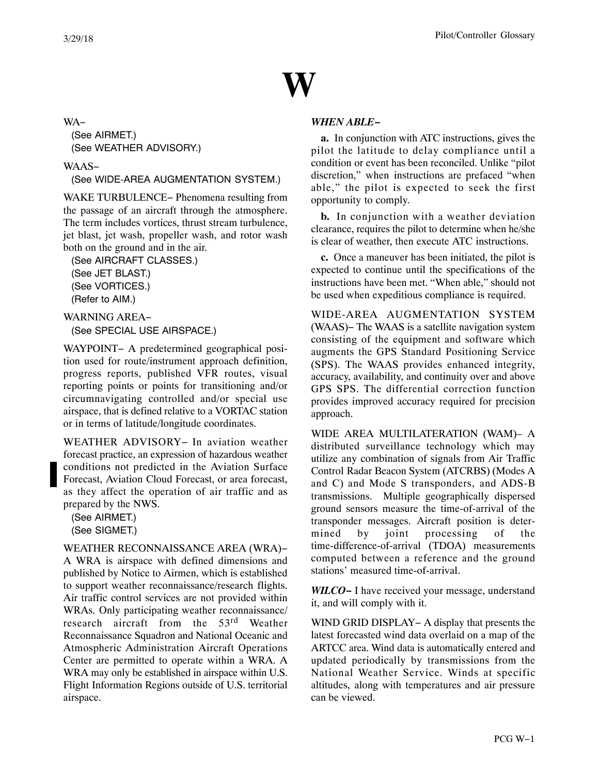# **W**

#### WA−

(See AIRMET.) (See WEATHER ADVISORY.)

### WAAS−

(See WIDE-AREA AUGMENTATION SYSTEM.)

WAKE TURBULENCE− Phenomena resulting from the passage of an aircraft through the atmosphere. The term includes vortices, thrust stream turbulence, jet blast, jet wash, propeller wash, and rotor wash both on the ground and in the air.

(See AIRCRAFT CLASSES.) (See JET BLAST.) (See VORTICES.) (Refer to AIM.)

WARNING AREA− (See SPECIAL USE AIRSPACE.)

 progress reports, published VFR routes, visual circumnavigating controlled and/or special use WAYPOINT− A predetermined geographical position used for route/instrument approach definition, reporting points or points for transitioning and/or airspace, that is defined relative to a VORTAC station or in terms of latitude/longitude coordinates.

 WEATHER ADVISORY− In aviation weather as they affect the operation of air traffic and as forecast practice, an expression of hazardous weather conditions not predicted in the Aviation Surface Forecast, Aviation Cloud Forecast, or area forecast, prepared by the NWS.

(See AIRMET.) (See SIGMET.)

research aircraft from the 53rd Weather Atmospheric Administration Aircraft Operations WEATHER RECONNAISSANCE AREA (WRA)− A WRA is airspace with defined dimensions and published by Notice to Airmen, which is established to support weather reconnaissance/research flights. Air traffic control services are not provided within WRAs. Only participating weather reconnaissance/ Reconnaissance Squadron and National Oceanic and Center are permitted to operate within a WRA. A WRA may only be established in airspace within U.S. Flight Information Regions outside of U.S. territorial airspace.

### *WHEN ABLE−*

 able," the pilot is expected to seek the first **a.** In conjunction with ATC instructions, gives the pilot the latitude to delay compliance until a condition or event has been reconciled. Unlike "pilot discretion," when instructions are prefaced "when opportunity to comply.

**b.** In conjunction with a weather deviation clearance, requires the pilot to determine when he/she is clear of weather, then execute ATC instructions.

**c.** Once a maneuver has been initiated, the pilot is expected to continue until the specifications of the instructions have been met. "When able," should not be used when expeditious compliance is required.

 consisting of the equipment and software which augments the GPS Standard Positioning Service (SPS). The WAAS provides enhanced integrity, GPS SPS. The differential correction function WIDE-AREA AUGMENTATION SYSTEM (WAAS)− The WAAS is a satellite navigation system accuracy, availability, and continuity over and above provides improved accuracy required for precision approach.

 and C) and Mode S transponders, and ADS-B mined by joint processing of the computed between a reference and the ground WIDE AREA MULTILATERATION (WAM)– A distributed surveillance technology which may utilize any combination of signals from Air Traffic Control Radar Beacon System (ATCRBS) (Modes A transmissions. Multiple geographically dispersed ground sensors measure the time-of-arrival of the transponder messages. Aircraft position is detertime-difference-of-arrival (TDOA) measurements stations' measured time-of-arrival.

*WILCO* − I have received your message, understand it, and will comply with it.

 National Weather Service. Winds at specific WIND GRID DISPLAY− A display that presents the latest forecasted wind data overlaid on a map of the ARTCC area. Wind data is automatically entered and updated periodically by transmissions from the altitudes, along with temperatures and air pressure can be viewed.